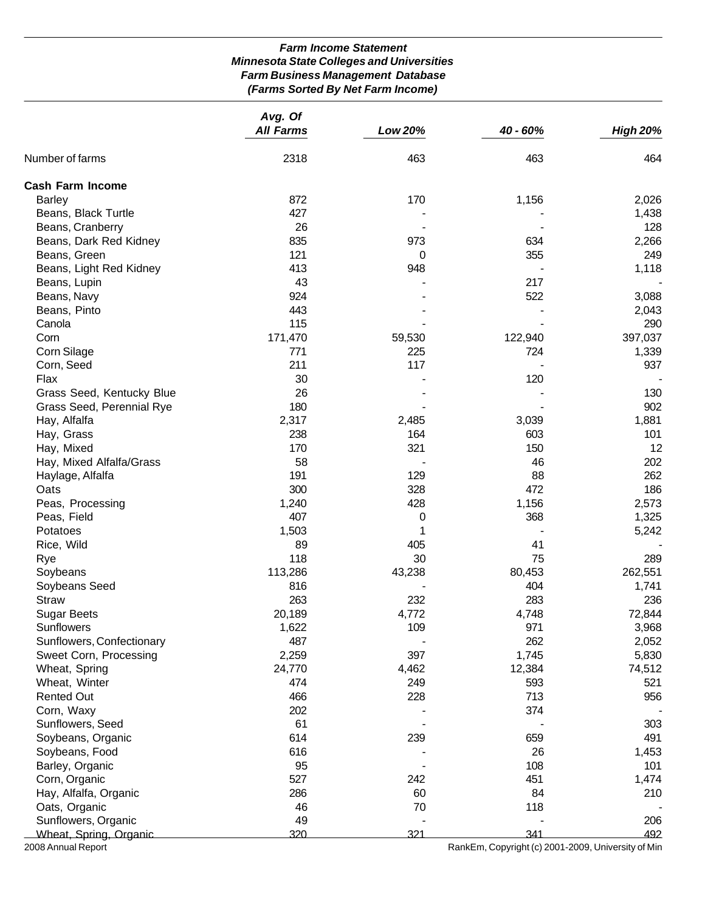# *Farm Income Statement Minnesota State Colleges and Universities Farm Business Management Database (Farms Sorted By Net Farm Income)*

|                           | Avg. Of          |         |                                                    |                 |
|---------------------------|------------------|---------|----------------------------------------------------|-----------------|
|                           | <b>All Farms</b> | Low 20% | 40 - 60%                                           | <b>High 20%</b> |
| Number of farms           | 2318             | 463     | 463                                                | 464             |
| <b>Cash Farm Income</b>   |                  |         |                                                    |                 |
| <b>Barley</b>             | 872              | 170     | 1,156                                              | 2,026           |
| Beans, Black Turtle       | 427              |         |                                                    | 1,438           |
| Beans, Cranberry          | 26               |         |                                                    | 128             |
| Beans, Dark Red Kidney    | 835              | 973     | 634                                                | 2,266           |
| Beans, Green              | 121              | 0       | 355                                                | 249             |
| Beans, Light Red Kidney   | 413              | 948     |                                                    | 1,118           |
| Beans, Lupin              | 43               |         | 217                                                |                 |
| Beans, Navy               | 924              |         | 522                                                | 3,088           |
| Beans, Pinto              | 443              |         |                                                    | 2,043           |
| Canola                    | 115              |         |                                                    | 290             |
| Corn                      | 171,470          | 59,530  | 122,940                                            | 397,037         |
| Corn Silage               | 771              | 225     | 724                                                | 1,339           |
| Corn, Seed                | 211              | 117     |                                                    | 937             |
| Flax                      | 30               |         | 120                                                |                 |
| Grass Seed, Kentucky Blue | 26               |         |                                                    | 130             |
| Grass Seed, Perennial Rye | 180              |         |                                                    | 902             |
| Hay, Alfalfa              | 2,317            | 2,485   | 3,039                                              | 1,881           |
| Hay, Grass                | 238              | 164     | 603                                                | 101             |
| Hay, Mixed                | 170              | 321     | 150                                                | 12              |
| Hay, Mixed Alfalfa/Grass  | 58               |         | 46                                                 | 202             |
| Haylage, Alfalfa          | 191              | 129     | 88                                                 | 262             |
| Oats                      | 300              | 328     | 472                                                | 186             |
| Peas, Processing          | 1,240            | 428     | 1,156                                              | 2,573           |
| Peas, Field               | 407              | 0       | 368                                                | 1,325           |
| Potatoes                  | 1,503            | 1       |                                                    | 5,242           |
| Rice, Wild                | 89               | 405     | 41                                                 |                 |
| Rye                       | 118              | 30      | 75                                                 | 289             |
| Soybeans                  | 113,286          | 43,238  | 80,453                                             | 262,551         |
| Soybeans Seed             | 816              |         | 404                                                | 1,741           |
| <b>Straw</b>              | 263              | 232     | 283                                                | 236             |
| <b>Sugar Beets</b>        | 20,189           | 4,772   | 4,748                                              | 72,844          |
| <b>Sunflowers</b>         | 1,622            | 109     | 971                                                | 3,968           |
| Sunflowers, Confectionary | 487              |         | 262                                                | 2,052           |
| Sweet Corn, Processing    | 2,259            | 397     | 1,745                                              | 5,830           |
| Wheat, Spring             | 24,770           | 4,462   | 12,384                                             | 74,512          |
| Wheat, Winter             | 474              | 249     | 593                                                | 521             |
| <b>Rented Out</b>         | 466              | 228     | 713                                                | 956             |
| Corn, Waxy                | 202              |         | 374                                                |                 |
| Sunflowers, Seed          | 61               |         |                                                    | 303             |
| Soybeans, Organic         | 614              | 239     | 659                                                | 491             |
| Soybeans, Food            | 616              |         | 26                                                 | 1,453           |
| Barley, Organic           | 95               |         | 108                                                | 101             |
| Corn, Organic             | 527              | 242     | 451                                                | 1,474           |
| Hay, Alfalfa, Organic     | 286              | 60      | 84                                                 | 210             |
| Oats, Organic             | 46               | 70      | 118                                                |                 |
| Sunflowers, Organic       | 49               |         |                                                    | 206             |
| Wheat, Spring, Organic    | 320              | 321     | 341                                                | 492             |
| 2008 Annual Report        |                  |         | RankEm, Copyright (c) 2001-2009, University of Min |                 |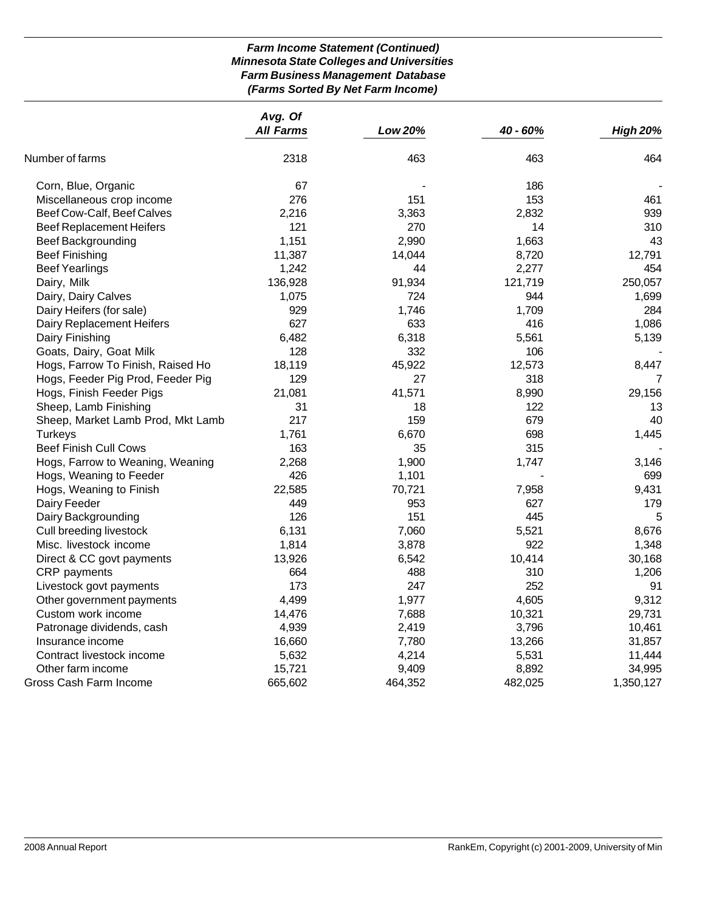# *Farm Income Statement (Continued) Minnesota State Colleges and Universities Farm Business Management Database (Farms Sorted By Net Farm Income)*

|                                   | Avg. Of          |         |          |                 |
|-----------------------------------|------------------|---------|----------|-----------------|
|                                   | <b>All Farms</b> | Low 20% | 40 - 60% | <b>High 20%</b> |
| Number of farms                   | 2318             | 463     | 463      | 464             |
| Corn, Blue, Organic               | 67               |         | 186      |                 |
| Miscellaneous crop income         | 276              | 151     | 153      | 461             |
| Beef Cow-Calf, Beef Calves        | 2,216            | 3,363   | 2,832    | 939             |
| <b>Beef Replacement Heifers</b>   | 121              | 270     | 14       | 310             |
| <b>Beef Backgrounding</b>         | 1,151            | 2,990   | 1,663    | 43              |
| <b>Beef Finishing</b>             | 11,387           | 14,044  | 8,720    | 12,791          |
| <b>Beef Yearlings</b>             | 1,242            | 44      | 2,277    | 454             |
| Dairy, Milk                       | 136,928          | 91,934  | 121,719  | 250,057         |
| Dairy, Dairy Calves               | 1,075            | 724     | 944      | 1,699           |
| Dairy Heifers (for sale)          | 929              | 1,746   | 1,709    | 284             |
| Dairy Replacement Heifers         | 627              | 633     | 416      | 1,086           |
| Dairy Finishing                   | 6,482            | 6,318   | 5,561    | 5,139           |
| Goats, Dairy, Goat Milk           | 128              | 332     | 106      |                 |
| Hogs, Farrow To Finish, Raised Ho | 18,119           | 45,922  | 12,573   | 8,447           |
| Hogs, Feeder Pig Prod, Feeder Pig | 129              | 27      | 318      | 7               |
| Hogs, Finish Feeder Pigs          | 21,081           | 41,571  | 8,990    | 29,156          |
| Sheep, Lamb Finishing             | 31               | 18      | 122      | 13              |
| Sheep, Market Lamb Prod, Mkt Lamb | 217              | 159     | 679      | 40              |
| Turkeys                           | 1,761            | 6,670   | 698      | 1,445           |
| <b>Beef Finish Cull Cows</b>      | 163              | 35      | 315      |                 |
| Hogs, Farrow to Weaning, Weaning  | 2,268            | 1,900   | 1,747    | 3,146           |
| Hogs, Weaning to Feeder           | 426              | 1,101   |          | 699             |
| Hogs, Weaning to Finish           | 22,585           | 70,721  | 7,958    | 9,431           |
| Dairy Feeder                      | 449              | 953     | 627      | 179             |
| Dairy Backgrounding               | 126              | 151     | 445      | 5               |
| Cull breeding livestock           | 6,131            | 7,060   | 5,521    | 8,676           |
| Misc. livestock income            | 1,814            | 3,878   | 922      | 1,348           |
| Direct & CC govt payments         | 13,926           | 6,542   | 10,414   | 30,168          |
| CRP payments                      | 664              | 488     | 310      | 1,206           |
| Livestock govt payments           | 173              | 247     | 252      | 91              |
| Other government payments         | 4,499            | 1,977   | 4,605    | 9,312           |
| Custom work income                | 14,476           | 7,688   | 10,321   | 29,731          |
| Patronage dividends, cash         | 4,939            | 2,419   | 3,796    | 10,461          |
| Insurance income                  | 16,660           | 7,780   | 13,266   | 31,857          |
| Contract livestock income         | 5,632            | 4,214   | 5,531    | 11,444          |
| Other farm income                 | 15,721           | 9,409   | 8,892    | 34,995          |
| Gross Cash Farm Income            | 665,602          | 464,352 | 482,025  | 1,350,127       |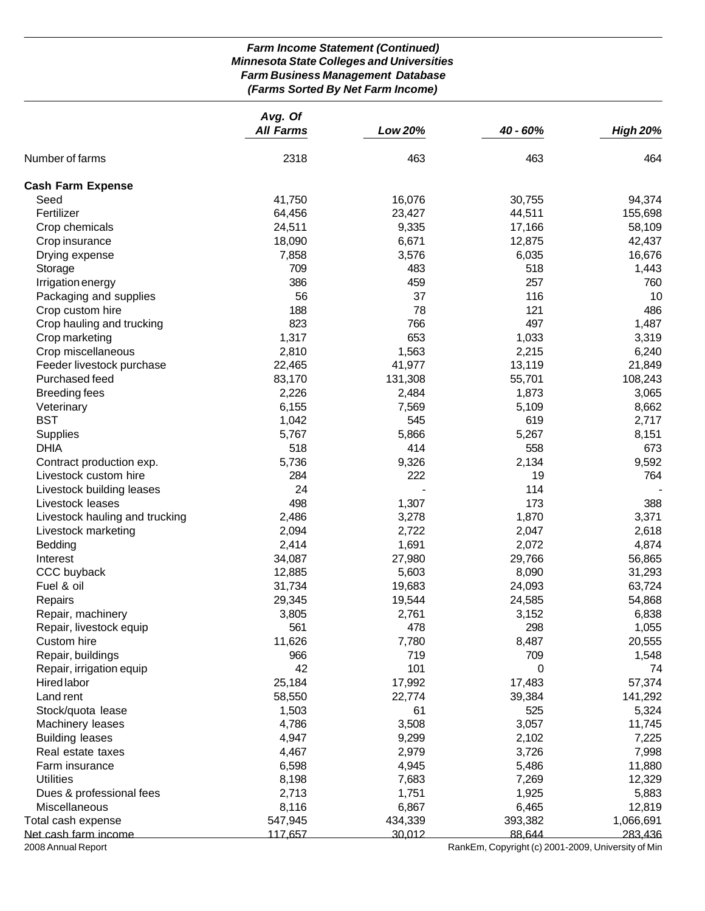# *Farm Income Statement (Continued) Minnesota State Colleges and Universities Farm Business Management Database (Farms Sorted By Net Farm Income)*

|                                | Avg. Of          |                  |                                                    |                  |  |
|--------------------------------|------------------|------------------|----------------------------------------------------|------------------|--|
|                                | <b>All Farms</b> | Low 20%          | 40 - 60%                                           | <b>High 20%</b>  |  |
| Number of farms                | 2318             | 463              | 463                                                | 464              |  |
| <b>Cash Farm Expense</b>       |                  |                  |                                                    |                  |  |
| Seed                           | 41,750           | 16,076           | 30,755                                             | 94,374           |  |
| Fertilizer                     | 64,456           | 23,427           | 44,511                                             | 155,698          |  |
| Crop chemicals                 | 24,511           | 9,335            | 17,166                                             | 58,109           |  |
| Crop insurance                 | 18,090           | 6,671            | 12,875                                             | 42,437           |  |
| Drying expense                 | 7,858            | 3,576            | 6,035                                              | 16,676           |  |
| Storage                        | 709              | 483              | 518                                                | 1,443            |  |
| Irrigation energy              | 386              | 459              | 257                                                | 760              |  |
| Packaging and supplies         | 56               | 37               | 116                                                | 10               |  |
| Crop custom hire               | 188              | 78               | 121                                                | 486              |  |
| Crop hauling and trucking      | 823              | 766              | 497                                                | 1,487            |  |
| Crop marketing                 | 1,317            | 653              | 1,033                                              | 3,319            |  |
| Crop miscellaneous             | 2,810            | 1,563            | 2,215                                              | 6,240            |  |
| Feeder livestock purchase      | 22,465           | 41,977           | 13,119                                             | 21,849           |  |
| Purchased feed                 | 83,170           | 131,308          | 55,701                                             | 108,243          |  |
| <b>Breeding fees</b>           | 2,226            | 2,484            | 1,873                                              | 3,065            |  |
| Veterinary                     | 6,155            | 7,569            | 5,109                                              | 8,662            |  |
| <b>BST</b>                     | 1,042            | 545              | 619                                                | 2,717            |  |
| Supplies                       | 5,767            | 5,866            | 5,267                                              | 8,151            |  |
| <b>DHIA</b>                    | 518              | 414              | 558                                                | 673              |  |
| Contract production exp.       | 5,736            | 9,326            | 2,134                                              | 9,592            |  |
| Livestock custom hire          | 284              | 222              | 19                                                 | 764              |  |
| Livestock building leases      | 24               |                  | 114                                                |                  |  |
| Livestock leases               | 498              | 1,307            | 173                                                | 388              |  |
| Livestock hauling and trucking | 2,486            | 3,278            | 1,870                                              | 3,371            |  |
| Livestock marketing            | 2,094            | 2,722            | 2,047                                              | 2,618            |  |
| Bedding                        | 2,414            | 1,691            | 2,072                                              | 4,874            |  |
| Interest                       | 34,087           | 27,980           | 29,766                                             | 56,865           |  |
| CCC buyback<br>Fuel & oil      | 12,885           | 5,603            | 8,090                                              | 31,293           |  |
| Repairs                        | 31,734<br>29,345 | 19,683<br>19,544 | 24,093<br>24,585                                   | 63,724<br>54,868 |  |
| Repair, machinery              | 3,805            | 2,761            | 3,152                                              | 6,838            |  |
| Repair, livestock equip        | 561              | 478              | 298                                                | 1,055            |  |
| Custom hire                    | 11,626           | 7,780            | 8,487                                              | 20,555           |  |
| Repair, buildings              | 966              | 719              | 709                                                | 1,548            |  |
| Repair, irrigation equip       | 42               | 101              | 0                                                  | 74               |  |
| Hired labor                    | 25,184           | 17,992           | 17,483                                             | 57,374           |  |
| Land rent                      | 58,550           | 22,774           | 39,384                                             | 141,292          |  |
| Stock/quota lease              | 1,503            | 61               | 525                                                | 5,324            |  |
| Machinery leases               | 4,786            | 3,508            | 3,057                                              | 11,745           |  |
| <b>Building leases</b>         | 4,947            | 9,299            | 2,102                                              | 7,225            |  |
| Real estate taxes              | 4,467            | 2,979            | 3,726                                              | 7,998            |  |
| Farm insurance                 | 6,598            | 4,945            | 5,486                                              | 11,880           |  |
| <b>Utilities</b>               | 8,198            | 7,683            | 7,269                                              | 12,329           |  |
| Dues & professional fees       | 2,713            | 1,751            | 1,925                                              | 5,883            |  |
| Miscellaneous                  | 8,116            | 6,867            | 6,465                                              | 12,819           |  |
| Total cash expense             | 547,945          | 434,339          | 393,382                                            | 1,066,691        |  |
| Net cash farm income           | 117,657          | 30,012           | 88,644                                             | 283,436          |  |
| 2008 Annual Report             |                  |                  | RankEm, Copyright (c) 2001-2009, University of Min |                  |  |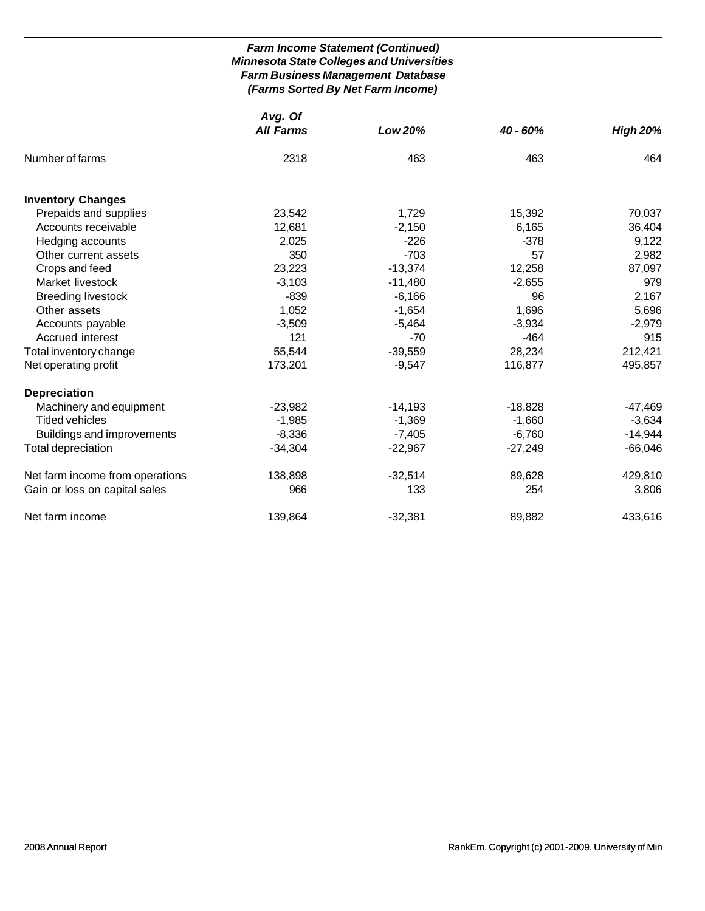# *Farm Income Statement (Continued) Minnesota State Colleges and Universities Farm Business Management Database (Farms Sorted By Net Farm Income)*

|                                 | Avg. Of          |           |            |                 |
|---------------------------------|------------------|-----------|------------|-----------------|
|                                 | <b>All Farms</b> | Low 20%   | $40 - 60%$ | <b>High 20%</b> |
| Number of farms                 | 2318             | 463       | 463        | 464             |
| <b>Inventory Changes</b>        |                  |           |            |                 |
| Prepaids and supplies           | 23,542           | 1,729     | 15,392     | 70,037          |
| Accounts receivable             | 12,681           | $-2,150$  | 6,165      | 36,404          |
| Hedging accounts                | 2,025            | $-226$    | $-378$     | 9,122           |
| Other current assets            | 350              | $-703$    | 57         | 2,982           |
| Crops and feed                  | 23,223           | $-13,374$ | 12,258     | 87,097          |
| Market livestock                | $-3,103$         | $-11,480$ | $-2,655$   | 979             |
| <b>Breeding livestock</b>       | $-839$           | $-6,166$  | 96         | 2,167           |
| Other assets                    | 1,052            | $-1,654$  | 1,696      | 5,696           |
| Accounts payable                | $-3,509$         | $-5,464$  | $-3,934$   | $-2,979$        |
| Accrued interest                | 121              | $-70$     | $-464$     | 915             |
| Total inventory change          | 55,544           | $-39,559$ | 28,234     | 212,421         |
| Net operating profit            | 173,201          | $-9,547$  | 116,877    | 495,857         |
| <b>Depreciation</b>             |                  |           |            |                 |
| Machinery and equipment         | $-23,982$        | $-14,193$ | $-18,828$  | $-47,469$       |
| <b>Titled vehicles</b>          | $-1,985$         | $-1,369$  | $-1,660$   | $-3,634$        |
| Buildings and improvements      | $-8,336$         | $-7,405$  | $-6,760$   | $-14,944$       |
| Total depreciation              | $-34,304$        | $-22,967$ | $-27,249$  | $-66,046$       |
| Net farm income from operations | 138,898          | $-32,514$ | 89,628     | 429,810         |
| Gain or loss on capital sales   | 966              | 133       | 254        | 3,806           |
| Net farm income                 | 139,864          | $-32,381$ | 89,882     | 433,616         |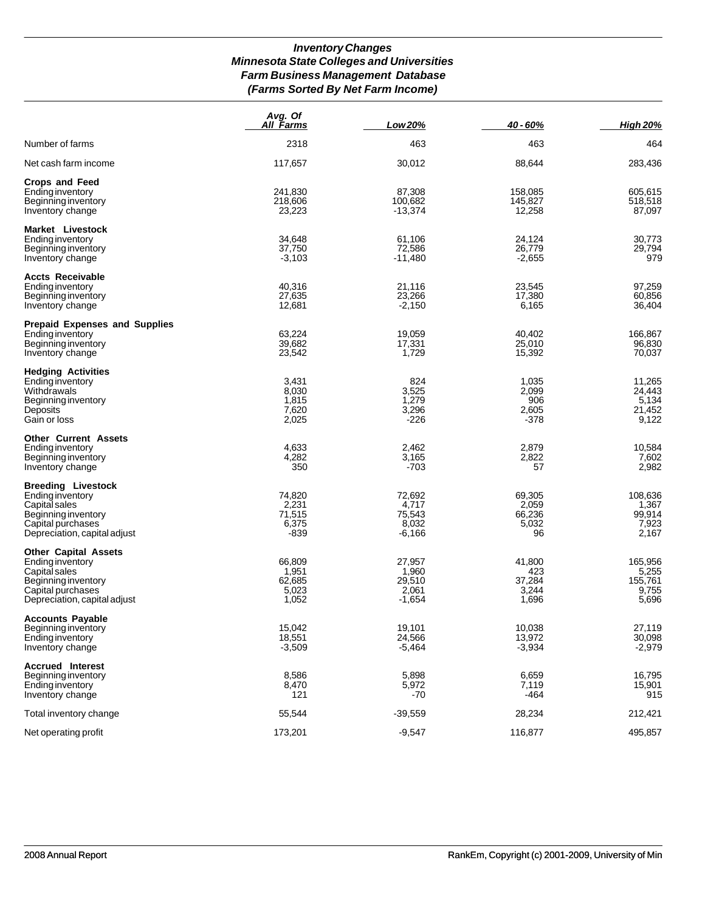# *Inventory Changes Minnesota State Colleges and Universities Farm Business Management Database (Farms Sorted By Net Farm Income)*

|                                                                                                                                              | Avg. Of<br><b>All Farms</b>                 | Low 20%                                        | 40 - 60%                                  | <b>High 20%</b>                               |
|----------------------------------------------------------------------------------------------------------------------------------------------|---------------------------------------------|------------------------------------------------|-------------------------------------------|-----------------------------------------------|
| Number of farms                                                                                                                              | 2318                                        | 463                                            | 463                                       | 464                                           |
| Net cash farm income                                                                                                                         | 117,657                                     | 30,012                                         | 88,644                                    | 283,436                                       |
| <b>Crops and Feed</b><br>Ending inventory<br>Beginning inventory<br>Inventory change                                                         | 241,830<br>218,606<br>23,223                | 87,308<br>100,682<br>$-13,374$                 | 158,085<br>145,827<br>12,258              | 605,615<br>518,518<br>87,097                  |
| Market Livestock<br>Ending inventory<br>Beginning inventory<br>Inventory change                                                              | 34,648<br>37,750<br>$-3,103$                | 61,106<br>72,586<br>$-11,480$                  | 24,124<br>26,779<br>$-2,655$              | 30,773<br>29,794<br>979                       |
| <b>Accts Receivable</b><br>Ending inventory<br>Beginning inventory<br>Inventory change                                                       | 40,316<br>27,635<br>12,681                  | 21,116<br>23,266<br>$-2,150$                   | 23,545<br>17,380<br>6,165                 | 97,259<br>60,856<br>36,404                    |
| <b>Prepaid Expenses and Supplies</b><br><b>Ending inventory</b><br>Beginning inventory<br>Inventory change                                   | 63,224<br>39,682<br>23,542                  | 19,059<br>17,331<br>1,729                      | 40,402<br>25,010<br>15,392                | 166,867<br>96,830<br>70,037                   |
| <b>Hedging Activities</b><br>Ending inventory<br>Withdrawals<br>Beginning inventory<br>Deposits<br>Gain or loss                              | 3,431<br>8,030<br>1,815<br>7,620<br>2,025   | 824<br>3,525<br>1,279<br>3,296<br>$-226$       | 1,035<br>2,099<br>906<br>2,605<br>-378    | 11,265<br>24,443<br>5,134<br>21,452<br>9,122  |
| <b>Other Current Assets</b><br>Ending inventory<br>Beginning inventory<br>Inventory change                                                   | 4,633<br>4,282<br>350                       | 2,462<br>3,165<br>-703                         | 2,879<br>2,822<br>57                      | 10,584<br>7,602<br>2,982                      |
| <b>Breeding Livestock</b><br>Ending inventory<br>Capital sales<br>Beginning inventory<br>Capital purchases<br>Depreciation, capital adjust   | 74,820<br>2,231<br>71,515<br>6,375<br>-839  | 72,692<br>4,717<br>75,543<br>8,032<br>-6,166   | 69,305<br>2,059<br>66,236<br>5,032<br>96  | 108,636<br>1,367<br>99,914<br>7,923<br>2,167  |
| <b>Other Capital Assets</b><br>Ending inventory<br>Capital sales<br>Beginning inventory<br>Capital purchases<br>Depreciation, capital adjust | 66,809<br>1,951<br>62,685<br>5,023<br>1,052 | 27,957<br>1,960<br>29,510<br>2,061<br>$-1,654$ | 41,800<br>423<br>37,284<br>3,244<br>1,696 | 165,956<br>5,255<br>155,761<br>9,755<br>5,696 |
| <b>Accounts Payable</b><br>Beginning inventory<br>Ending inventory<br>Inventory change                                                       | 15,042<br>18,551<br>$-3,509$                | 19,101<br>24,566<br>$-5,464$                   | 10,038<br>13,972<br>$-3,934$              | 27,119<br>30,098<br>$-2,979$                  |
| <b>Accrued Interest</b><br>Beginning inventory<br>Ending inventory<br>Inventory change                                                       | 8,586<br>8,470<br>121                       | 5,898<br>5,972<br>$-70$                        | 6,659<br>7,119<br>-464                    | 16,795<br>15,901<br>915                       |
| Total inventory change                                                                                                                       | 55,544                                      | $-39,559$                                      | 28,234                                    | 212,421                                       |
| Net operating profit                                                                                                                         | 173,201                                     | $-9,547$                                       | 116,877                                   | 495,857                                       |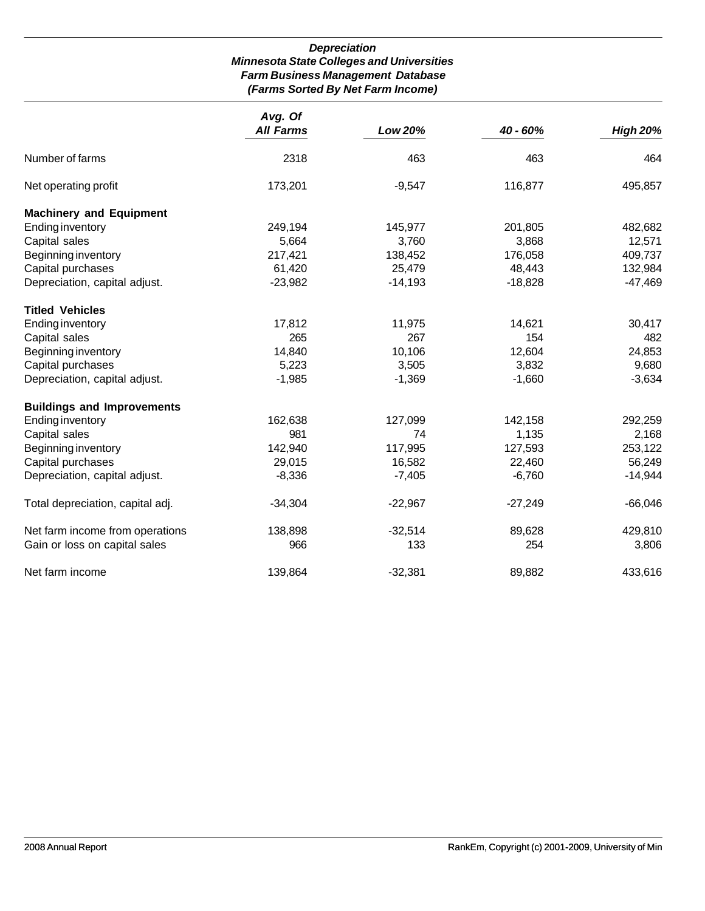# *Depreciation Minnesota State Colleges and Universities Farm Business Management Database (Farms Sorted By Net Farm Income)*

|                                   | Avg. Of          |           |           |                 |
|-----------------------------------|------------------|-----------|-----------|-----------------|
|                                   | <b>All Farms</b> | Low 20%   | 40 - 60%  | <b>High 20%</b> |
| Number of farms                   | 2318             | 463       | 463       | 464             |
| Net operating profit              | 173,201          | $-9,547$  | 116,877   | 495,857         |
| <b>Machinery and Equipment</b>    |                  |           |           |                 |
| <b>Ending inventory</b>           | 249,194          | 145,977   | 201,805   | 482,682         |
| Capital sales                     | 5,664            | 3,760     | 3,868     | 12,571          |
| Beginning inventory               | 217,421          | 138,452   | 176,058   | 409,737         |
| Capital purchases                 | 61,420           | 25,479    | 48,443    | 132,984         |
| Depreciation, capital adjust.     | $-23,982$        | $-14,193$ | $-18,828$ | $-47,469$       |
| <b>Titled Vehicles</b>            |                  |           |           |                 |
| <b>Ending inventory</b>           | 17,812           | 11,975    | 14,621    | 30,417          |
| Capital sales                     | 265              | 267       | 154       | 482             |
| Beginning inventory               | 14,840           | 10,106    | 12,604    | 24,853          |
| Capital purchases                 | 5,223            | 3,505     | 3,832     | 9,680           |
| Depreciation, capital adjust.     | $-1,985$         | $-1,369$  | $-1,660$  | $-3,634$        |
| <b>Buildings and Improvements</b> |                  |           |           |                 |
| <b>Ending inventory</b>           | 162,638          | 127,099   | 142,158   | 292,259         |
| Capital sales                     | 981              | 74        | 1,135     | 2,168           |
| Beginning inventory               | 142,940          | 117,995   | 127,593   | 253,122         |
| Capital purchases                 | 29,015           | 16,582    | 22,460    | 56,249          |
| Depreciation, capital adjust.     | $-8,336$         | $-7,405$  | $-6,760$  | $-14,944$       |
| Total depreciation, capital adj.  | $-34,304$        | $-22,967$ | $-27,249$ | $-66,046$       |
| Net farm income from operations   | 138,898          | $-32,514$ | 89,628    | 429,810         |
| Gain or loss on capital sales     | 966              | 133       | 254       | 3,806           |
| Net farm income                   | 139,864          | $-32,381$ | 89,882    | 433,616         |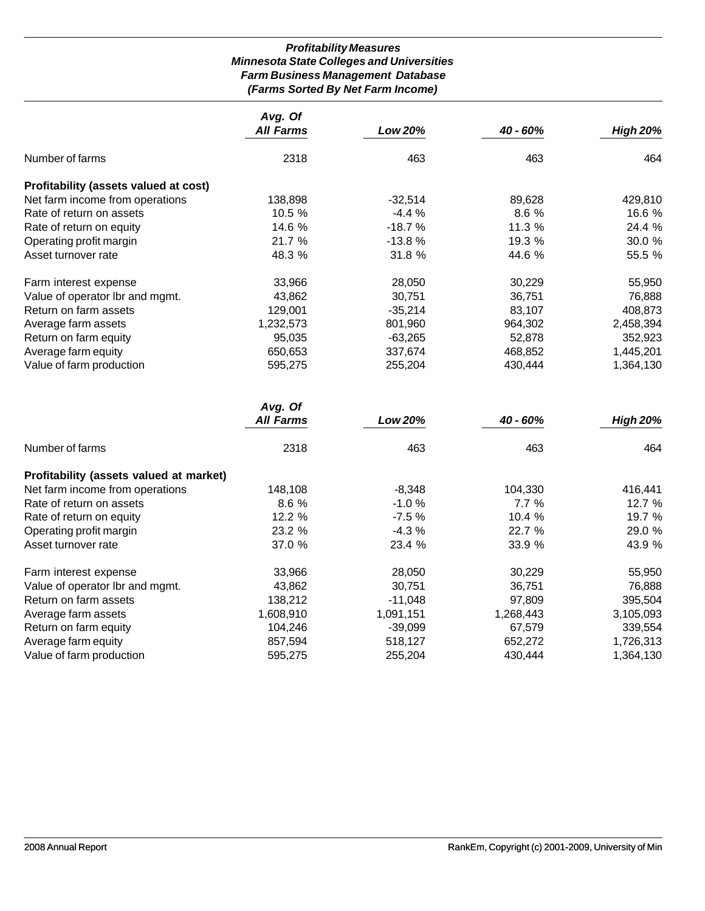# *Profitability Measures Minnesota State Colleges and Universities Farm Business Management Database (Farms Sorted By Net Farm Income)*

|                                         | Avg. Of          |                |           |                 |
|-----------------------------------------|------------------|----------------|-----------|-----------------|
|                                         | <b>All Farms</b> | <b>Low 20%</b> | 40 - 60%  | <b>High 20%</b> |
| Number of farms                         | 2318             | 463            | 463       | 464             |
| Profitability (assets valued at cost)   |                  |                |           |                 |
| Net farm income from operations         | 138,898          | $-32,514$      | 89,628    | 429,810         |
| Rate of return on assets                | 10.5 %           | $-4.4%$        | 8.6 %     | 16.6 %          |
| Rate of return on equity                | 14.6 %           | $-18.7%$       | 11.3 %    | 24.4 %          |
| Operating profit margin                 | 21.7 %           | $-13.8%$       | 19.3 %    | 30.0 %          |
| Asset turnover rate                     | 48.3 %           | 31.8 %         | 44.6 %    | 55.5 %          |
| Farm interest expense                   | 33,966           | 28,050         | 30,229    | 55,950          |
| Value of operator lbr and mgmt.         | 43,862           | 30,751         | 36,751    | 76,888          |
| Return on farm assets                   | 129,001          | $-35,214$      | 83,107    | 408,873         |
| Average farm assets                     | 1,232,573        | 801,960        | 964,302   | 2,458,394       |
| Return on farm equity                   | 95,035           | $-63,265$      | 52,878    | 352,923         |
| Average farm equity                     | 650,653          | 337,674        | 468,852   | 1,445,201       |
| Value of farm production                | 595,275          | 255,204        | 430,444   | 1,364,130       |
|                                         | Avg. Of          |                |           |                 |
|                                         | <b>All Farms</b> | <b>Low 20%</b> | 40 - 60%  | <b>High 20%</b> |
| Number of farms                         | 2318             | 463            | 463       | 464             |
| Profitability (assets valued at market) |                  |                |           |                 |
| Net farm income from operations         | 148,108          | $-8,348$       | 104,330   | 416,441         |
| Rate of return on assets                | 8.6 %            | $-1.0%$        | 7.7%      | 12.7 %          |
| Rate of return on equity                | 12.2 %           | $-7.5%$        | 10.4 %    | 19.7 %          |
| Operating profit margin                 | 23.2 %           | $-4.3%$        | 22.7 %    | 29.0 %          |
| Asset turnover rate                     | 37.0 %           | 23.4 %         | 33.9 %    | 43.9 %          |
| Farm interest expense                   | 33,966           | 28,050         | 30,229    | 55,950          |
| Value of operator lbr and mgmt.         | 43,862           | 30,751         | 36,751    | 76,888          |
| Return on farm assets                   | 138,212          | $-11,048$      | 97,809    | 395,504         |
| Average farm assets                     | 1,608,910        | 1,091,151      | 1,268,443 | 3,105,093       |
| Return on farm equity                   | 104,246          | $-39,099$      | 67,579    | 339,554         |
| Average farm equity                     | 857,594          | 518,127        | 652,272   | 1,726,313       |
| Value of farm production                | 595,275          | 255,204        | 430,444   | 1,364,130       |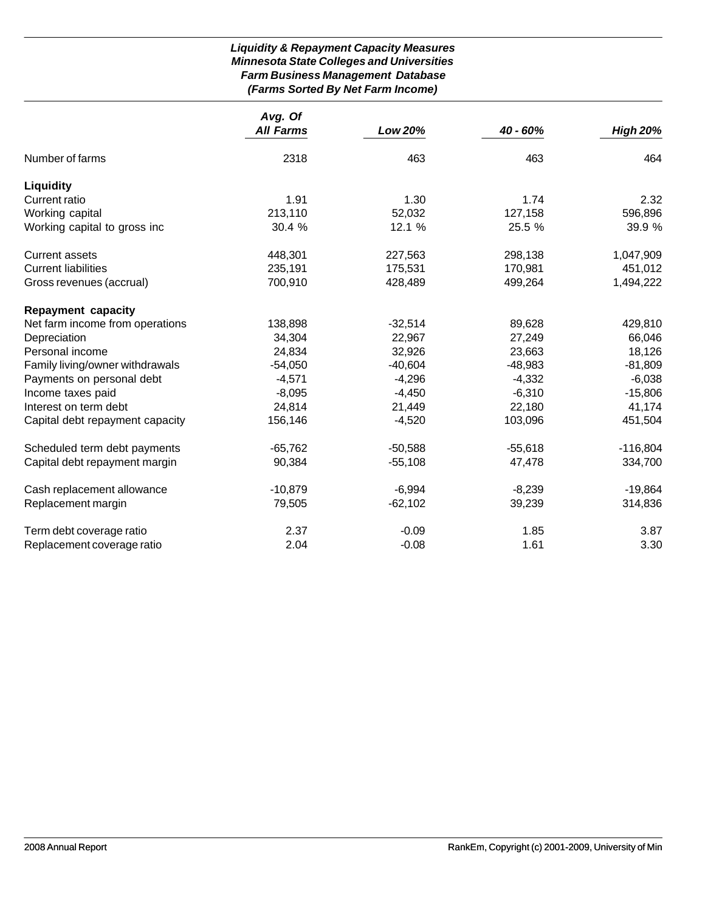# *Liquidity & Repayment Capacity Measures Minnesota State Colleges and Universities Farm Business Management Database (Farms Sorted By Net Farm Income)*

|                                 | Avg. Of          |           |           |                 |
|---------------------------------|------------------|-----------|-----------|-----------------|
|                                 | <b>All Farms</b> | Low 20%   | 40 - 60%  | <b>High 20%</b> |
| Number of farms                 | 2318             | 463       | 463       | 464             |
| <b>Liquidity</b>                |                  |           |           |                 |
| <b>Current ratio</b>            | 1.91             | 1.30      | 1.74      | 2.32            |
| Working capital                 | 213,110          | 52,032    | 127,158   | 596,896         |
| Working capital to gross inc    | 30.4 %           | 12.1 %    | 25.5 %    | 39.9 %          |
| <b>Current assets</b>           | 448,301          | 227,563   | 298,138   | 1,047,909       |
| <b>Current liabilities</b>      | 235,191          | 175,531   | 170,981   | 451,012         |
| Gross revenues (accrual)        | 700,910          | 428,489   | 499,264   | 1,494,222       |
| <b>Repayment capacity</b>       |                  |           |           |                 |
| Net farm income from operations | 138,898          | $-32,514$ | 89,628    | 429,810         |
| Depreciation                    | 34,304           | 22,967    | 27,249    | 66,046          |
| Personal income                 | 24,834           | 32,926    | 23,663    | 18,126          |
| Family living/owner withdrawals | $-54,050$        | $-40,604$ | $-48,983$ | $-81,809$       |
| Payments on personal debt       | $-4,571$         | $-4,296$  | $-4,332$  | $-6,038$        |
| Income taxes paid               | $-8,095$         | $-4,450$  | $-6,310$  | $-15,806$       |
| Interest on term debt           | 24,814           | 21,449    | 22,180    | 41,174          |
| Capital debt repayment capacity | 156,146          | $-4,520$  | 103,096   | 451,504         |
| Scheduled term debt payments    | $-65,762$        | $-50,588$ | $-55,618$ | $-116,804$      |
| Capital debt repayment margin   | 90,384           | $-55,108$ | 47,478    | 334,700         |
| Cash replacement allowance      | $-10,879$        | $-6,994$  | $-8,239$  | $-19,864$       |
| Replacement margin              | 79,505           | $-62,102$ | 39,239    | 314,836         |
| Term debt coverage ratio        | 2.37             | $-0.09$   | 1.85      | 3.87            |
| Replacement coverage ratio      | 2.04             | $-0.08$   | 1.61      | 3.30            |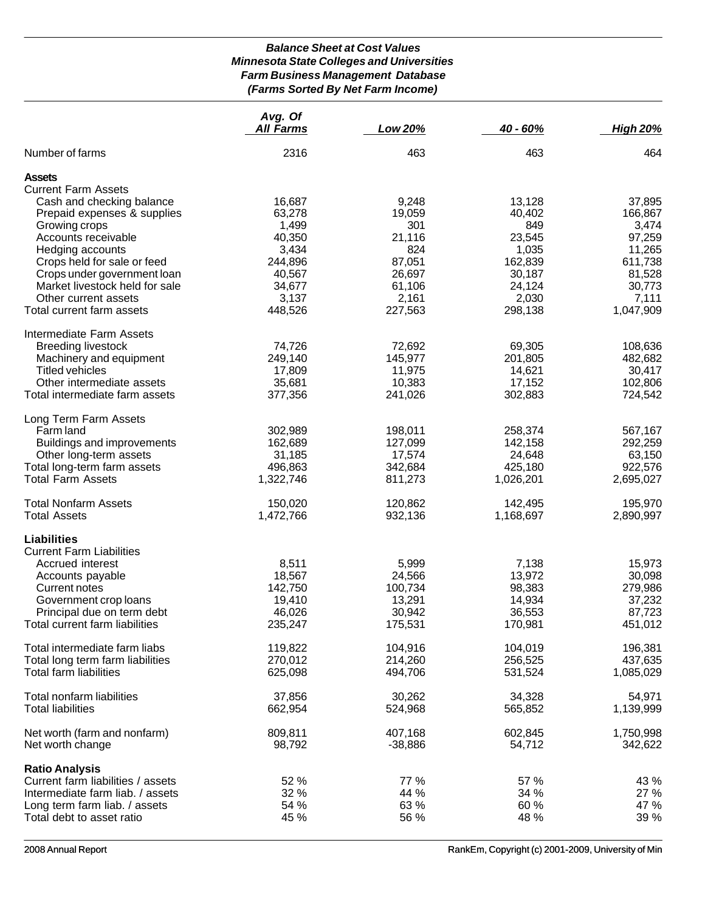# *Balance Sheet at Cost Values Minnesota State Colleges and Universities Farm Business Management Database (Farms Sorted By Net Farm Income)*

|                                                                                                        | Avg. Of<br><b>All Farms</b>    | Low 20%                      | $40 - 60%$                     | <b>High 20%</b>                |
|--------------------------------------------------------------------------------------------------------|--------------------------------|------------------------------|--------------------------------|--------------------------------|
| Number of farms                                                                                        | 2316                           | 463                          | 463                            | 464                            |
| <b>Assets</b><br><b>Current Farm Assets</b><br>Cash and checking balance                               | 16,687                         | 9,248                        | 13,128                         | 37,895                         |
| Prepaid expenses & supplies<br>Growing crops                                                           | 63,278<br>1,499                | 19,059<br>301                | 40,402<br>849                  | 166,867<br>3,474               |
| Accounts receivable<br>Hedging accounts<br>Crops held for sale or feed                                 | 40,350<br>3,434<br>244,896     | 21,116<br>824<br>87,051      | 23,545<br>1,035<br>162,839     | 97,259<br>11,265<br>611,738    |
| Crops under government loan<br>Market livestock held for sale                                          | 40,567<br>34,677               | 26,697<br>61,106             | 30,187<br>24,124               | 81,528<br>30,773               |
| Other current assets<br>Total current farm assets                                                      | 3,137<br>448,526               | 2,161<br>227,563             | 2,030<br>298,138               | 7,111<br>1,047,909             |
| Intermediate Farm Assets<br><b>Breeding livestock</b><br>Machinery and equipment                       | 74,726<br>249,140              | 72,692                       | 69,305<br>201,805              | 108,636                        |
| <b>Titled vehicles</b><br>Other intermediate assets                                                    | 17,809<br>35,681               | 145,977<br>11,975<br>10,383  | 14,621<br>17,152               | 482,682<br>30,417<br>102,806   |
| Total intermediate farm assets                                                                         | 377,356                        | 241,026                      | 302,883                        | 724,542                        |
| Long Term Farm Assets<br>Farm land<br>Buildings and improvements                                       | 302,989<br>162,689             | 198,011<br>127,099           | 258,374<br>142,158             | 567,167<br>292,259             |
| Other long-term assets<br>Total long-term farm assets<br><b>Total Farm Assets</b>                      | 31,185<br>496,863<br>1,322,746 | 17,574<br>342,684<br>811,273 | 24,648<br>425,180<br>1,026,201 | 63,150<br>922,576<br>2,695,027 |
| <b>Total Nonfarm Assets</b>                                                                            | 150,020                        | 120,862                      | 142,495                        | 195,970                        |
| <b>Total Assets</b>                                                                                    | 1,472,766                      | 932,136                      | 1,168,697                      | 2,890,997                      |
| Liabilities<br><b>Current Farm Liabilities</b><br>Accrued interest                                     | 8,511                          | 5,999                        | 7,138                          | 15,973                         |
| Accounts payable<br>Current notes                                                                      | 18,567<br>142,750              | 24,566<br>100,734            | 13,972<br>98,383               | 30,098<br>279,986              |
| Government crop loans<br>Principal due on term debt<br>Total current farm liabilities                  | 19,410<br>46,026<br>235,247    | 13,291<br>30,942<br>175,531  | 14,934<br>36,553<br>170,981    | 37,232<br>87,723<br>451,012    |
| Total intermediate farm liabs                                                                          | 119,822                        | 104,916                      | 104,019                        | 196,381                        |
| Total long term farm liabilities<br>Total farm liabilities                                             | 270,012<br>625,098             | 214,260<br>494,706           | 256,525<br>531,524             | 437,635<br>1,085,029           |
| Total nonfarm liabilities<br><b>Total liabilities</b>                                                  | 37,856<br>662,954              | 30,262<br>524,968            | 34,328<br>565,852              | 54,971<br>1,139,999            |
| Net worth (farm and nonfarm)<br>Net worth change                                                       | 809,811<br>98,792              | 407,168<br>$-38,886$         | 602,845<br>54,712              | 1,750,998<br>342,622           |
| <b>Ratio Analysis</b>                                                                                  | 52 %                           | 77 %                         | 57 %                           |                                |
| Current farm liabilities / assets<br>Intermediate farm liab. / assets<br>Long term farm liab. / assets | 32 %<br>54 %                   | 44 %<br>63 %                 | 34 %<br>60 %                   | 43 %<br>27 %<br>47 %           |
| Total debt to asset ratio                                                                              | 45 %                           | 56 %                         | 48 %                           | 39 %                           |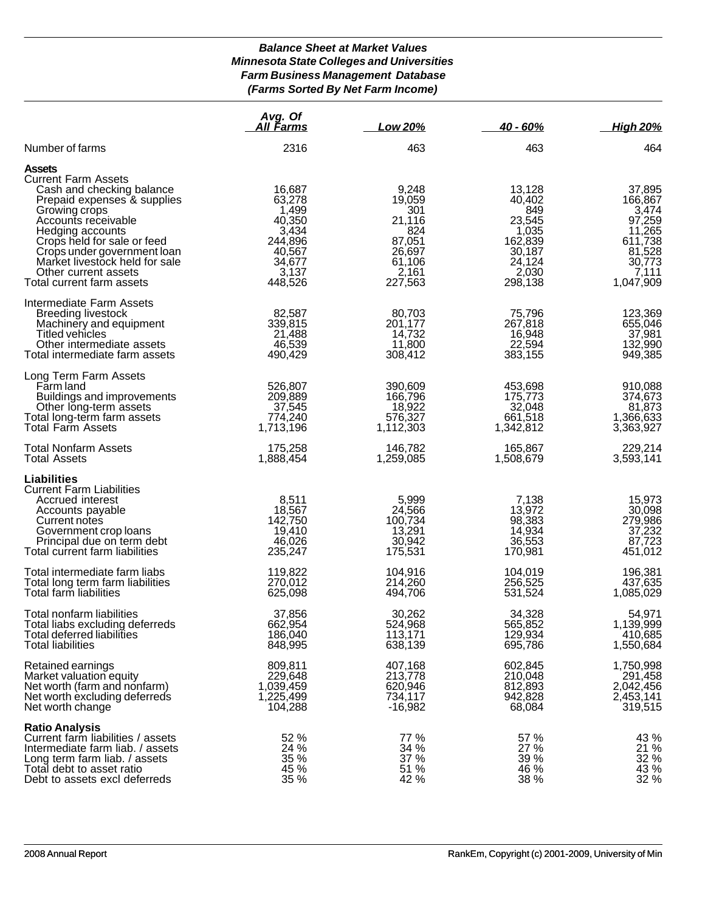# *Balance Sheet at Market Values Minnesota State Colleges and Universities Farm Business Management Database (Farms Sorted By Net Farm Income)*

|                                                                                                                                                                                                                                                                                                                          | Avg. Of<br>All Farms                                                                            | Low 20%                                                                                   | <u>40 - 60%</u>                                                                               | <b>High 20%</b>                                                                                     |
|--------------------------------------------------------------------------------------------------------------------------------------------------------------------------------------------------------------------------------------------------------------------------------------------------------------------------|-------------------------------------------------------------------------------------------------|-------------------------------------------------------------------------------------------|-----------------------------------------------------------------------------------------------|-----------------------------------------------------------------------------------------------------|
| Number of farms                                                                                                                                                                                                                                                                                                          | 2316                                                                                            | 463                                                                                       | 463                                                                                           | 464                                                                                                 |
| <b>Assets</b><br><b>Current Farm Assets</b><br>Cash and checking balance<br>Prepaid expenses & supplies<br>Growing crops<br>Accounts receivable<br>Hedging accounts<br>Crops held for sale or feed<br>Crops under government loan<br>Market livestock held for sale<br>Other current assets<br>Total current farm assets | 16,687<br>63,278<br>1,499<br>40,350<br>3,434<br>244,896<br>40,567<br>34,677<br>3,137<br>448,526 | 9,248<br>19,059<br>301<br>21,116<br>824<br>87,051<br>26,697<br>61,106<br>2,161<br>227,563 | 13,128<br>40,402<br>849<br>23,545<br>1,035<br>162,839<br>30,187<br>24,124<br>2,030<br>298,138 | 37,895<br>166,867<br>3,474<br>97,259<br>11,265<br>611,738<br>81,528<br>30,773<br>7,111<br>1,047,909 |
| Intermediate Farm Assets<br>Breeding livestock<br>Machinery and equipment<br>Titled vehicles<br>Other intermediate assets<br>Total intermediate farm assets                                                                                                                                                              | 82,587<br>339,815<br>21,488<br>46,539<br>490,429                                                | 80,703<br>201,177<br>14,732<br>11,800<br>308,412                                          | 75,796<br>267,818<br>16,948<br>22,594<br>383,155                                              | 123,369<br>655,046<br>37,981<br>132,990<br>949,385                                                  |
| Long Term Farm Assets<br>Farm land<br>Buildings and improvements<br>Other long-term assets<br>Total long-term farm assets<br><b>Total Farm Assets</b>                                                                                                                                                                    | 526,807<br>209,889<br>37,545<br>774,240<br>1,713,196                                            | 390,609<br>166,796<br>18,922<br>576,327<br>1,112,303                                      | 453,698<br>175,773<br>32,048<br>661,518<br>1,342,812                                          | 910,088<br>374,673<br>81,873<br>1,366,633<br>3,363,927                                              |
| <b>Total Nonfarm Assets</b><br><b>Total Assets</b>                                                                                                                                                                                                                                                                       | 175,258<br>1,888,454                                                                            | 146,782<br>1,259,085                                                                      | 165,867<br>1,508,679                                                                          | 229,214<br>3,593,141                                                                                |
| <b>Liabilities</b><br><b>Current Farm Liabilities</b><br>Accrued interest<br>Accounts payable<br>Current notes<br>Government crop loans<br>Principal due on term debt<br>Total current farm liabilities                                                                                                                  | 8,511<br>18,567<br>142,750<br>19,410<br>46,026<br>235,247                                       | 5,999<br>24,566<br>100,734<br>13,291<br>30,942<br>175,531                                 | 7,138<br>13,972<br>98,383<br>14,934<br>36,553<br>170,981                                      | 15,973<br>30,098<br>279,986<br>37,232<br>87,723<br>451,012                                          |
| Total intermediate farm liabs<br>Total long term farm liabilities<br>Total farm liabilities                                                                                                                                                                                                                              | 119,822<br>270,012<br>625,098                                                                   | 104,916<br>214,260<br>494,706                                                             | 104,019<br>256,525<br>531,524                                                                 | 196,381<br>437,635<br>1,085,029                                                                     |
| Total nonfarm liabilities<br>Total liabs excluding deferreds<br>Total deferred liabilities<br><b>Total liabilities</b>                                                                                                                                                                                                   | 37,856<br>662,954<br>186,040<br>848,995                                                         | 30,262<br>524,968<br>113,171<br>638,139                                                   | 34,328<br>565,852<br>129,934<br>695,786                                                       | 54,971<br>1,139,999<br>410,685<br>1,550,684                                                         |
| Retained earnings<br>Market valuation equity<br>Net worth (farm and nonfarm)<br>Net worth excluding deferreds<br>Net worth change                                                                                                                                                                                        | 809,811<br>229,648<br>1,039,459<br>1,225,499<br>104,288                                         | 407,168<br>213,778<br>620,946<br>734,117<br>$-16,982$                                     | 602,845<br>210,048<br>812,893<br>942,828<br>68,084                                            | 1,750,998<br>291,458<br>2,042,456<br>2,453,141<br>319,515                                           |
| <b>Ratio Analysis</b><br>Current farm liabilities / assets<br>Intermediate farm liab. / assets<br>Long term farm liab. / assets<br>Total debt to asset ratio<br>Debt to assets excl deferreds                                                                                                                            | 52 %<br>24 %<br>35 %<br>45 %<br>35 %                                                            | 77 %<br>34 %<br>37 %<br>51 %<br>42 %                                                      | 57 %<br>27 %<br>39 %<br>46 %<br>38 %                                                          | 43 %<br>21 %<br>32 %<br>43 %<br>32 %                                                                |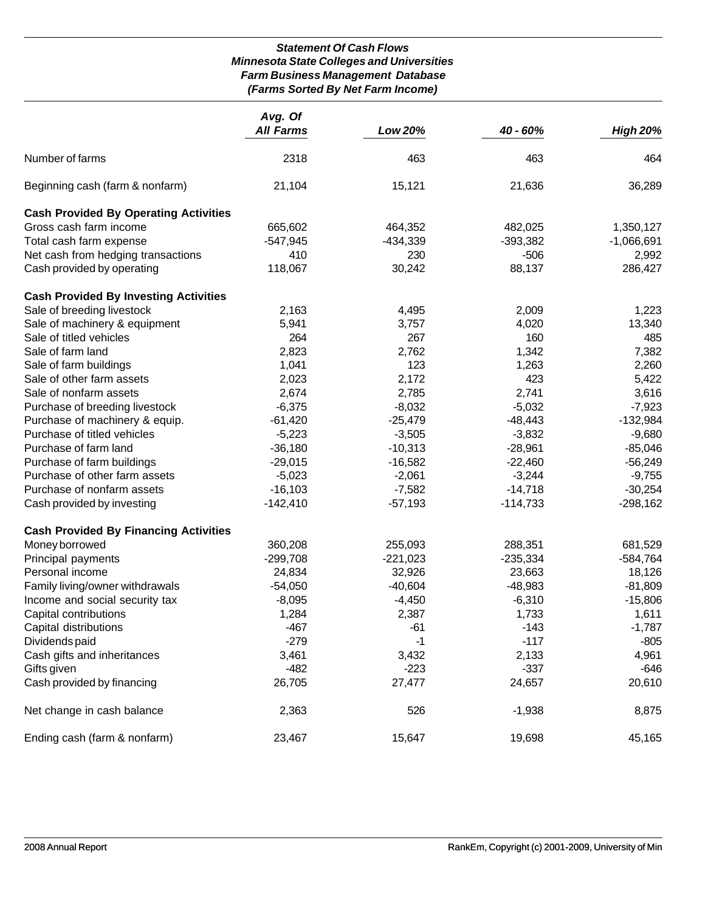## *Statement Of Cash Flows Minnesota State Colleges and Universities Farm Business Management Database (Farms Sorted By Net Farm Income)*

|                                              | Avg. Of<br><b>All Farms</b> | Low 20%    | 40 - 60%   | <b>High 20%</b> |
|----------------------------------------------|-----------------------------|------------|------------|-----------------|
|                                              |                             |            |            |                 |
| Number of farms                              | 2318                        | 463        | 463        | 464             |
| Beginning cash (farm & nonfarm)              | 21,104                      | 15,121     | 21,636     | 36,289          |
| <b>Cash Provided By Operating Activities</b> |                             |            |            |                 |
| Gross cash farm income                       | 665,602                     | 464,352    | 482,025    | 1,350,127       |
| Total cash farm expense                      | $-547,945$                  | $-434,339$ | $-393,382$ | $-1,066,691$    |
| Net cash from hedging transactions           | 410                         | 230        | $-506$     | 2,992           |
| Cash provided by operating                   | 118,067                     | 30,242     | 88,137     | 286,427         |
| <b>Cash Provided By Investing Activities</b> |                             |            |            |                 |
| Sale of breeding livestock                   | 2,163                       | 4,495      | 2,009      | 1,223           |
| Sale of machinery & equipment                | 5,941                       | 3,757      | 4,020      | 13,340          |
| Sale of titled vehicles                      | 264                         | 267        | 160        | 485             |
| Sale of farm land                            | 2,823                       | 2,762      | 1,342      | 7,382           |
| Sale of farm buildings                       | 1,041                       | 123        | 1,263      | 2,260           |
| Sale of other farm assets                    | 2,023                       | 2,172      | 423        | 5,422           |
| Sale of nonfarm assets                       | 2,674                       | 2,785      | 2,741      | 3,616           |
| Purchase of breeding livestock               | $-6,375$                    | $-8,032$   | $-5,032$   | $-7,923$        |
| Purchase of machinery & equip.               | $-61,420$                   | $-25,479$  | $-48,443$  | $-132,984$      |
| Purchase of titled vehicles                  | $-5,223$                    | $-3,505$   | $-3,832$   | $-9,680$        |
| Purchase of farm land                        | $-36,180$                   | $-10,313$  | $-28,961$  | $-85,046$       |
| Purchase of farm buildings                   | $-29,015$                   | $-16,582$  | $-22,460$  | $-56,249$       |
| Purchase of other farm assets                | $-5,023$                    | $-2,061$   | $-3,244$   | $-9,755$        |
| Purchase of nonfarm assets                   | $-16,103$                   | $-7,582$   | $-14,718$  | $-30,254$       |
| Cash provided by investing                   | $-142,410$                  | $-57,193$  | $-114,733$ | $-298,162$      |
| <b>Cash Provided By Financing Activities</b> |                             |            |            |                 |
| Money borrowed                               | 360,208                     | 255,093    | 288,351    | 681,529         |
| Principal payments                           | $-299,708$                  | $-221,023$ | $-235,334$ | $-584,764$      |
| Personal income                              | 24,834                      | 32,926     | 23,663     | 18,126          |
| Family living/owner withdrawals              | $-54,050$                   | $-40,604$  | $-48,983$  | $-81,809$       |
| Income and social security tax               | $-8,095$                    | $-4,450$   | $-6,310$   | $-15,806$       |
| Capital contributions                        | 1,284                       | 2,387      | 1,733      | 1,611           |
| Capital distributions                        | $-467$                      | $-61$      | $-143$     | $-1,787$        |
| Dividends paid                               | $-279$                      | $-1$       | $-117$     | $-805$          |
| Cash gifts and inheritances                  | 3,461                       | 3,432      | 2,133      | 4,961           |
| Gifts given                                  | $-482$                      | $-223$     | $-337$     | -646            |
| Cash provided by financing                   | 26,705                      | 27,477     | 24,657     | 20,610          |
| Net change in cash balance                   | 2,363                       | 526        | $-1,938$   | 8,875           |
| Ending cash (farm & nonfarm)                 | 23,467                      | 15,647     | 19,698     | 45,165          |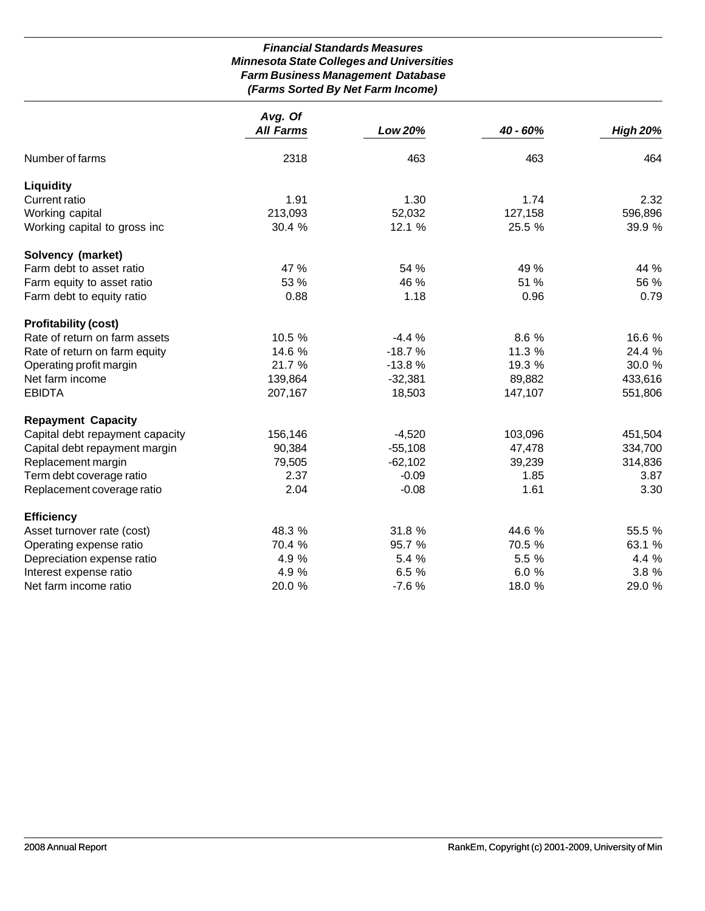# *Financial Standards Measures Minnesota State Colleges and Universities Farm Business Management Database (Farms Sorted By Net Farm Income)*

|                                 | Avg. Of          |           |          |                 |
|---------------------------------|------------------|-----------|----------|-----------------|
|                                 | <b>All Farms</b> | Low 20%   | 40 - 60% | <b>High 20%</b> |
| Number of farms                 | 2318             | 463       | 463      | 464             |
| <b>Liquidity</b>                |                  |           |          |                 |
| <b>Current ratio</b>            | 1.91             | 1.30      | 1.74     | 2.32            |
| Working capital                 | 213,093          | 52,032    | 127,158  | 596,896         |
| Working capital to gross inc    | 30.4 %           | 12.1 %    | 25.5 %   | 39.9 %          |
| Solvency (market)               |                  |           |          |                 |
| Farm debt to asset ratio        | 47 %             | 54 %      | 49 %     | 44 %            |
| Farm equity to asset ratio      | 53 %             | 46 %      | 51 %     | 56 %            |
| Farm debt to equity ratio       | 0.88             | 1.18      | 0.96     | 0.79            |
| <b>Profitability (cost)</b>     |                  |           |          |                 |
| Rate of return on farm assets   | 10.5 %           | $-4.4%$   | 8.6 %    | 16.6 %          |
| Rate of return on farm equity   | 14.6 %           | $-18.7%$  | 11.3 %   | 24.4 %          |
| Operating profit margin         | 21.7 %           | $-13.8%$  | 19.3 %   | 30.0 %          |
| Net farm income                 | 139,864          | $-32,381$ | 89,882   | 433,616         |
| <b>EBIDTA</b>                   | 207,167          | 18,503    | 147,107  | 551,806         |
| <b>Repayment Capacity</b>       |                  |           |          |                 |
| Capital debt repayment capacity | 156,146          | $-4,520$  | 103,096  | 451,504         |
| Capital debt repayment margin   | 90,384           | $-55,108$ | 47,478   | 334,700         |
| Replacement margin              | 79,505           | $-62,102$ | 39,239   | 314,836         |
| Term debt coverage ratio        | 2.37             | $-0.09$   | 1.85     | 3.87            |
| Replacement coverage ratio      | 2.04             | $-0.08$   | 1.61     | 3.30            |
| <b>Efficiency</b>               |                  |           |          |                 |
| Asset turnover rate (cost)      | 48.3 %           | 31.8 %    | 44.6 %   | 55.5 %          |
| Operating expense ratio         | 70.4 %           | 95.7 %    | 70.5 %   | 63.1 %          |
| Depreciation expense ratio      | 4.9 %            | 5.4 %     | 5.5 %    | 4.4 %           |
| Interest expense ratio          | 4.9 %            | 6.5 %     | 6.0%     | 3.8 %           |
| Net farm income ratio           | 20.0%            | $-7.6%$   | 18.0 %   | 29.0 %          |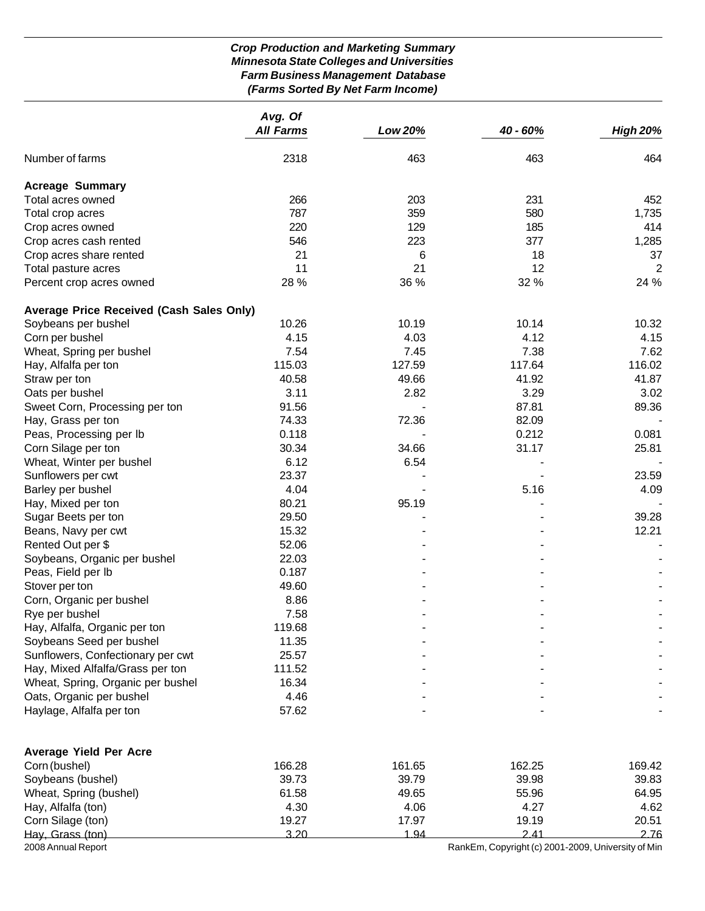# *Crop Production and Marketing Summary Minnesota State Colleges and Universities Farm Business Management Database (Farms Sorted By Net Farm Income)*

|                                                 | Avg. Of          |         |                                                    |                 |
|-------------------------------------------------|------------------|---------|----------------------------------------------------|-----------------|
|                                                 | <b>All Farms</b> | Low 20% | 40 - 60%                                           | <b>High 20%</b> |
| Number of farms                                 | 2318             | 463     | 463                                                | 464             |
| <b>Acreage Summary</b>                          |                  |         |                                                    |                 |
| Total acres owned                               | 266              | 203     | 231                                                | 452             |
| Total crop acres                                | 787              | 359     | 580                                                | 1,735           |
| Crop acres owned                                | 220              | 129     | 185                                                | 414             |
| Crop acres cash rented                          | 546              | 223     | 377                                                | 1,285           |
| Crop acres share rented                         | 21               | 6       | 18                                                 | 37              |
| Total pasture acres                             | 11               | 21      | 12                                                 | 2               |
| Percent crop acres owned                        | 28 %             | 36 %    | 32 %                                               | 24 %            |
| <b>Average Price Received (Cash Sales Only)</b> |                  |         |                                                    |                 |
| Soybeans per bushel                             | 10.26            | 10.19   | 10.14                                              | 10.32           |
| Corn per bushel                                 | 4.15             | 4.03    | 4.12                                               | 4.15            |
| Wheat, Spring per bushel                        | 7.54             | 7.45    | 7.38                                               | 7.62            |
| Hay, Alfalfa per ton                            | 115.03           | 127.59  | 117.64                                             | 116.02          |
| Straw per ton                                   | 40.58            | 49.66   | 41.92                                              | 41.87           |
| Oats per bushel                                 | 3.11             | 2.82    | 3.29                                               | 3.02            |
| Sweet Corn, Processing per ton                  | 91.56            |         | 87.81                                              | 89.36           |
| Hay, Grass per ton                              | 74.33            | 72.36   | 82.09                                              |                 |
| Peas, Processing per lb                         | 0.118            |         | 0.212                                              | 0.081           |
| Corn Silage per ton                             | 30.34            | 34.66   | 31.17                                              | 25.81           |
| Wheat, Winter per bushel                        | 6.12             | 6.54    |                                                    |                 |
| Sunflowers per cwt                              | 23.37            |         |                                                    | 23.59           |
| Barley per bushel                               | 4.04             |         | 5.16                                               | 4.09            |
| Hay, Mixed per ton                              | 80.21            | 95.19   |                                                    |                 |
| Sugar Beets per ton                             | 29.50            |         |                                                    | 39.28           |
| Beans, Navy per cwt                             | 15.32            |         |                                                    | 12.21           |
| Rented Out per \$                               | 52.06            |         |                                                    |                 |
| Soybeans, Organic per bushel                    | 22.03            |         |                                                    |                 |
| Peas, Field per Ib                              | 0.187            |         |                                                    |                 |
| Stover per ton                                  | 49.60            |         |                                                    |                 |
| Corn, Organic per bushel                        | 8.86             |         |                                                    |                 |
| Rye per bushel                                  | 7.58             |         |                                                    |                 |
| Hay, Alfalfa, Organic per ton                   | 119.68           |         |                                                    |                 |
| Soybeans Seed per bushel                        | 11.35            |         |                                                    |                 |
| Sunflowers, Confectionary per cwt               | 25.57            |         |                                                    |                 |
| Hay, Mixed Alfalfa/Grass per ton                | 111.52           |         |                                                    |                 |
| Wheat, Spring, Organic per bushel               | 16.34            |         |                                                    |                 |
| Oats, Organic per bushel                        | 4.46             |         |                                                    |                 |
| Haylage, Alfalfa per ton                        | 57.62            |         |                                                    |                 |
| <b>Average Yield Per Acre</b>                   |                  |         |                                                    |                 |
| Corn (bushel)                                   | 166.28           | 161.65  | 162.25                                             | 169.42          |
| Soybeans (bushel)                               | 39.73            | 39.79   | 39.98                                              | 39.83           |
| Wheat, Spring (bushel)                          | 61.58            | 49.65   | 55.96                                              | 64.95           |
| Hay, Alfalfa (ton)                              | 4.30             | 4.06    | 4.27                                               | 4.62            |
| Corn Silage (ton)                               | 19.27            | 17.97   | 19.19                                              | 20.51           |
| Hay, Grass (ton)                                | 3.20             | 1.94    | 2.41                                               | 2.76            |
| 2008 Annual Report                              |                  |         | RankEm, Copyright (c) 2001-2009, University of Min |                 |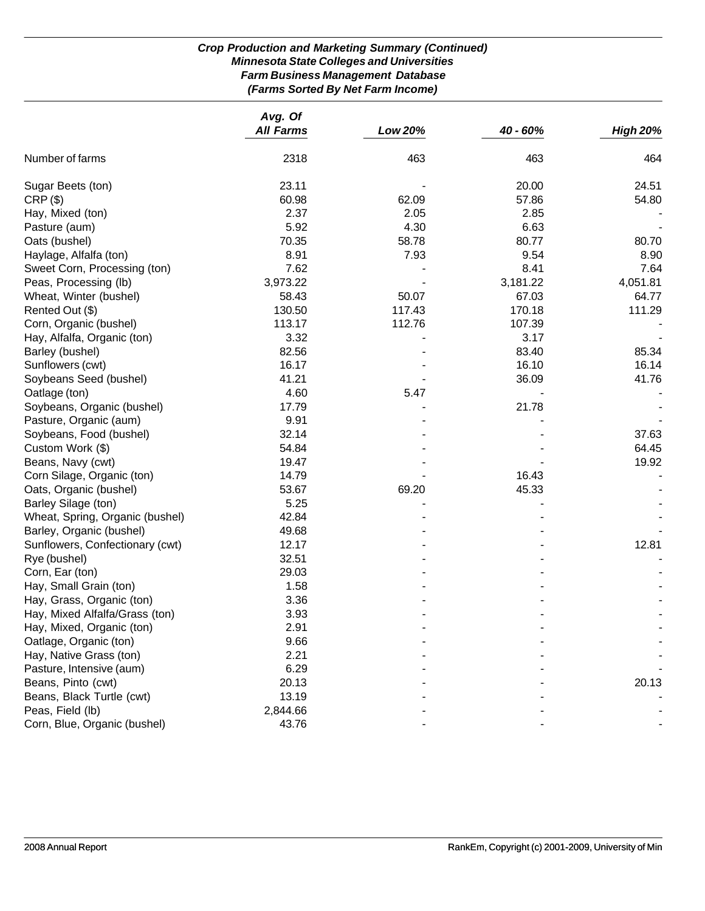# *Crop Production and Marketing Summary (Continued) Minnesota State Colleges and Universities Farm Business Management Database (Farms Sorted By Net Farm Income)*

|                                 | Avg. Of          |         |          |                 |
|---------------------------------|------------------|---------|----------|-----------------|
|                                 | <b>All Farms</b> | Low 20% | 40 - 60% | <b>High 20%</b> |
| Number of farms                 | 2318             | 463     | 463      | 464             |
| Sugar Beets (ton)               | 23.11            |         | 20.00    | 24.51           |
| CRP(S)                          | 60.98            | 62.09   | 57.86    | 54.80           |
| Hay, Mixed (ton)                | 2.37             | 2.05    | 2.85     |                 |
| Pasture (aum)                   | 5.92             | 4.30    | 6.63     |                 |
| Oats (bushel)                   | 70.35            | 58.78   | 80.77    | 80.70           |
| Haylage, Alfalfa (ton)          | 8.91             | 7.93    | 9.54     | 8.90            |
| Sweet Corn, Processing (ton)    | 7.62             |         | 8.41     | 7.64            |
| Peas, Processing (lb)           | 3,973.22         |         | 3,181.22 | 4,051.81        |
| Wheat, Winter (bushel)          | 58.43            | 50.07   | 67.03    | 64.77           |
| Rented Out (\$)                 | 130.50           | 117.43  | 170.18   | 111.29          |
| Corn, Organic (bushel)          | 113.17           | 112.76  | 107.39   |                 |
| Hay, Alfalfa, Organic (ton)     | 3.32             |         | 3.17     |                 |
| Barley (bushel)                 | 82.56            |         | 83.40    | 85.34           |
| Sunflowers (cwt)                | 16.17            |         | 16.10    | 16.14           |
| Soybeans Seed (bushel)          | 41.21            |         | 36.09    | 41.76           |
| Oatlage (ton)                   | 4.60             | 5.47    |          |                 |
| Soybeans, Organic (bushel)      | 17.79            |         | 21.78    |                 |
| Pasture, Organic (aum)          | 9.91             |         |          |                 |
| Soybeans, Food (bushel)         | 32.14            |         |          | 37.63           |
| Custom Work (\$)                | 54.84            |         |          | 64.45           |
| Beans, Navy (cwt)               | 19.47            |         |          | 19.92           |
| Corn Silage, Organic (ton)      | 14.79            |         | 16.43    |                 |
| Oats, Organic (bushel)          | 53.67            | 69.20   | 45.33    |                 |
| Barley Silage (ton)             | 5.25             |         |          |                 |
| Wheat, Spring, Organic (bushel) | 42.84            |         |          |                 |
| Barley, Organic (bushel)        | 49.68            |         |          |                 |
| Sunflowers, Confectionary (cwt) | 12.17            |         |          | 12.81           |
| Rye (bushel)                    | 32.51            |         |          |                 |
| Corn, Ear (ton)                 | 29.03            |         |          |                 |
| Hay, Small Grain (ton)          | 1.58             |         |          |                 |
| Hay, Grass, Organic (ton)       | 3.36             |         |          |                 |
| Hay, Mixed Alfalfa/Grass (ton)  | 3.93             |         |          |                 |
| Hay, Mixed, Organic (ton)       | 2.91             |         |          |                 |
| Oatlage, Organic (ton)          | 9.66             |         |          |                 |
| Hay, Native Grass (ton)         | 2.21             |         |          |                 |
| Pasture, Intensive (aum)        | 6.29             |         |          |                 |
| Beans, Pinto (cwt)              | 20.13            |         |          | 20.13           |
| Beans, Black Turtle (cwt)       | 13.19            |         |          |                 |
| Peas, Field (lb)                | 2,844.66         |         |          |                 |
| Corn, Blue, Organic (bushel)    | 43.76            |         |          |                 |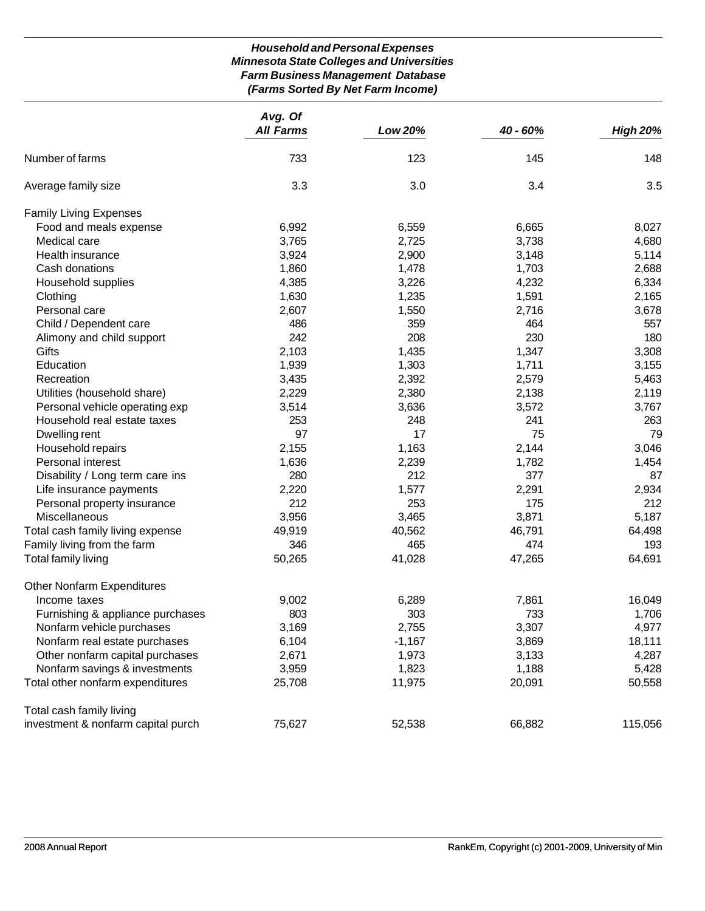# *Household and Personal Expenses Minnesota State Colleges and Universities Farm Business Management Database (Farms Sorted By Net Farm Income)*

|                                    | Avg. Of<br><b>All Farms</b> | Low 20%  | 40 - 60% | <b>High 20%</b> |
|------------------------------------|-----------------------------|----------|----------|-----------------|
|                                    |                             |          |          |                 |
| Number of farms                    | 733                         | 123      | 145      | 148             |
| Average family size                | 3.3                         | 3.0      | 3.4      | 3.5             |
| <b>Family Living Expenses</b>      |                             |          |          |                 |
| Food and meals expense             | 6,992                       | 6,559    | 6,665    | 8,027           |
| Medical care                       | 3,765                       | 2,725    | 3,738    | 4,680           |
| Health insurance                   | 3,924                       | 2,900    | 3,148    | 5,114           |
| Cash donations                     | 1,860                       | 1,478    | 1,703    | 2,688           |
| Household supplies                 | 4,385                       | 3,226    | 4,232    | 6,334           |
| Clothing                           | 1,630                       | 1,235    | 1,591    | 2,165           |
| Personal care                      | 2,607                       | 1,550    | 2,716    | 3,678           |
| Child / Dependent care             | 486                         | 359      | 464      | 557             |
| Alimony and child support          | 242                         | 208      | 230      | 180             |
| Gifts                              | 2,103                       | 1,435    | 1,347    | 3,308           |
| Education                          | 1,939                       | 1,303    | 1,711    | 3,155           |
| Recreation                         | 3,435                       | 2,392    | 2,579    | 5,463           |
| Utilities (household share)        | 2,229                       | 2,380    | 2,138    | 2,119           |
| Personal vehicle operating exp     | 3,514                       | 3,636    | 3,572    | 3,767           |
| Household real estate taxes        | 253                         | 248      | 241      | 263             |
| Dwelling rent                      | 97                          | 17       | 75       | 79              |
| Household repairs                  | 2,155                       | 1,163    | 2,144    | 3,046           |
| Personal interest                  | 1,636                       | 2,239    | 1,782    | 1,454           |
| Disability / Long term care ins    | 280                         | 212      | 377      | 87              |
| Life insurance payments            | 2,220                       | 1,577    | 2,291    | 2,934           |
| Personal property insurance        | 212                         | 253      | 175      | 212             |
| Miscellaneous                      | 3,956                       | 3,465    | 3,871    | 5,187           |
| Total cash family living expense   | 49,919                      | 40,562   | 46,791   | 64,498          |
| Family living from the farm        | 346                         | 465      | 474      | 193             |
| Total family living                | 50,265                      | 41,028   | 47,265   | 64,691          |
| <b>Other Nonfarm Expenditures</b>  |                             |          |          |                 |
| Income taxes                       | 9,002                       | 6,289    | 7,861    | 16,049          |
| Furnishing & appliance purchases   | 803                         | 303      | 733      | 1,706           |
| Nonfarm vehicle purchases          | 3,169                       | 2,755    | 3,307    | 4,977           |
| Nonfarm real estate purchases      | 6,104                       | $-1,167$ | 3,869    | 18,111          |
| Other nonfarm capital purchases    | 2,671                       | 1,973    | 3,133    | 4,287           |
| Nonfarm savings & investments      | 3,959                       | 1,823    | 1,188    | 5,428           |
| Total other nonfarm expenditures   | 25,708                      | 11,975   | 20,091   | 50,558          |
| Total cash family living           |                             |          |          |                 |
| investment & nonfarm capital purch | 75,627                      | 52,538   | 66,882   | 115,056         |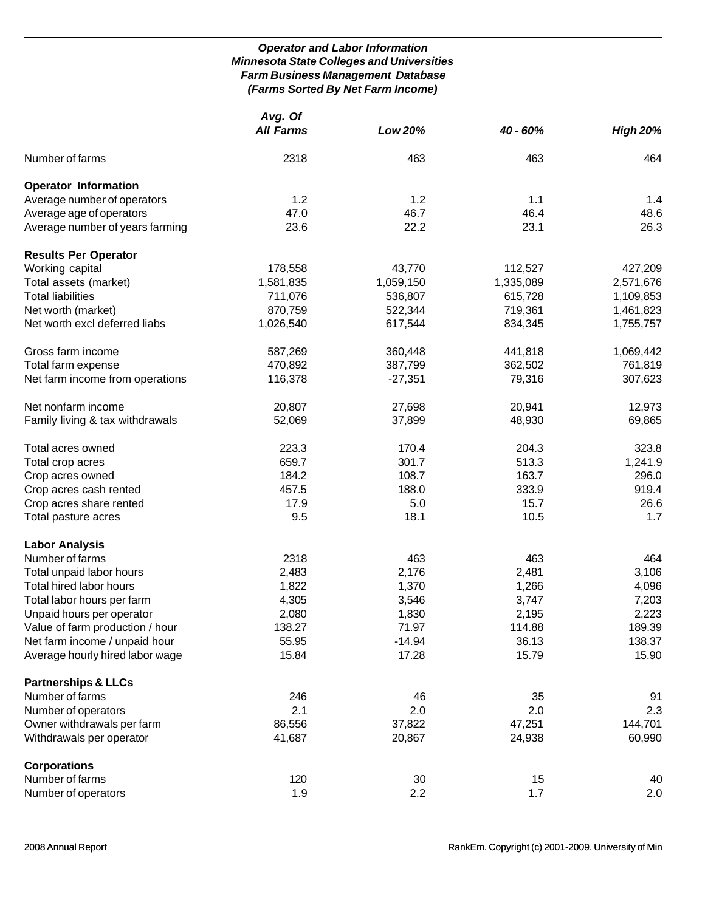# *Operator and Labor Information Minnesota State Colleges and Universities Farm Business Management Database (Farms Sorted By Net Farm Income)*

|                                 | Avg. Of          |           |           |                 |
|---------------------------------|------------------|-----------|-----------|-----------------|
|                                 | <b>All Farms</b> | Low 20%   | 40 - 60%  | <b>High 20%</b> |
| Number of farms                 | 2318             | 463       | 463       | 464             |
| <b>Operator Information</b>     |                  |           |           |                 |
| Average number of operators     | 1.2              | 1.2       | 1.1       | 1.4             |
| Average age of operators        | 47.0             | 46.7      | 46.4      | 48.6            |
| Average number of years farming | 23.6             | 22.2      | 23.1      | 26.3            |
| <b>Results Per Operator</b>     |                  |           |           |                 |
| Working capital                 | 178,558          | 43,770    | 112,527   | 427,209         |
| Total assets (market)           | 1,581,835        | 1,059,150 | 1,335,089 | 2,571,676       |
| <b>Total liabilities</b>        | 711,076          | 536,807   | 615,728   | 1,109,853       |
| Net worth (market)              | 870,759          | 522,344   | 719,361   | 1,461,823       |
| Net worth excl deferred liabs   | 1,026,540        | 617,544   | 834,345   | 1,755,757       |
| Gross farm income               | 587,269          | 360,448   | 441,818   | 1,069,442       |
| Total farm expense              | 470,892          | 387,799   | 362,502   | 761,819         |
| Net farm income from operations | 116,378          | $-27,351$ | 79,316    | 307,623         |
| Net nonfarm income              | 20,807           | 27,698    | 20,941    | 12,973          |
| Family living & tax withdrawals | 52,069           | 37,899    | 48,930    | 69,865          |
| Total acres owned               | 223.3            | 170.4     | 204.3     | 323.8           |
| Total crop acres                | 659.7            | 301.7     | 513.3     | 1,241.9         |
| Crop acres owned                | 184.2            | 108.7     | 163.7     | 296.0           |
| Crop acres cash rented          | 457.5            | 188.0     | 333.9     | 919.4           |
| Crop acres share rented         | 17.9             | 5.0       | 15.7      | 26.6            |
| Total pasture acres             | 9.5              | 18.1      | 10.5      | 1.7             |
| <b>Labor Analysis</b>           |                  |           |           |                 |
| Number of farms                 | 2318             | 463       | 463       | 464             |
| Total unpaid labor hours        | 2,483            | 2,176     | 2,481     | 3,106           |
| Total hired labor hours         | 1,822            | 1,370     | 1,266     | 4,096           |
| Total labor hours per farm      | 4,305            | 3,546     | 3,747     | 7,203           |
| Unpaid hours per operator       | 2,080            | 1,830     | 2,195     | 2,223           |
| Value of farm production / hour | 138.27           | 71.97     | 114.88    | 189.39          |
| Net farm income / unpaid hour   | 55.95            | $-14.94$  | 36.13     | 138.37          |
| Average hourly hired labor wage | 15.84            | 17.28     | 15.79     | 15.90           |
| <b>Partnerships &amp; LLCs</b>  |                  |           |           |                 |
| Number of farms                 | 246              | 46        | 35        | 91              |
| Number of operators             | 2.1              | 2.0       | 2.0       | 2.3             |
| Owner withdrawals per farm      | 86,556           | 37,822    | 47,251    | 144,701         |
| Withdrawals per operator        | 41,687           | 20,867    | 24,938    | 60,990          |
| <b>Corporations</b>             |                  |           |           |                 |
| Number of farms                 | 120              | 30        | 15        | 40              |
| Number of operators             | 1.9              | 2.2       | 1.7       | 2.0             |
|                                 |                  |           |           |                 |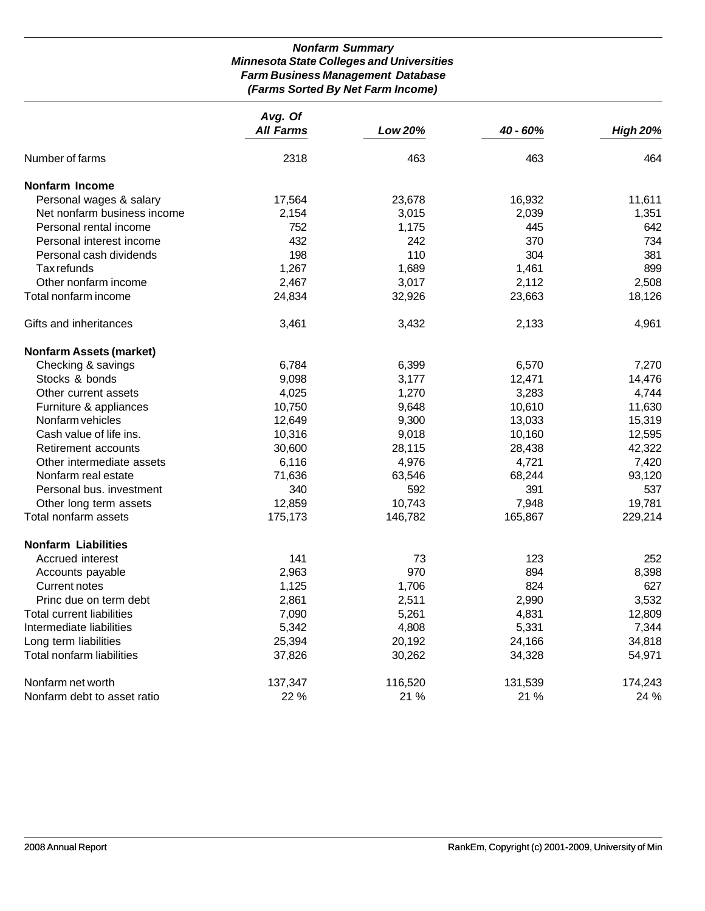# *Nonfarm Summary Minnesota State Colleges and Universities Farm Business Management Database (Farms Sorted By Net Farm Income)*

|                                  | Avg. Of<br><b>All Farms</b> | <b>Low 20%</b> | $40 - 60%$ | <b>High 20%</b> |
|----------------------------------|-----------------------------|----------------|------------|-----------------|
| Number of farms                  | 2318                        | 463            | 463        | 464             |
|                                  |                             |                |            |                 |
| <b>Nonfarm Income</b>            |                             |                |            |                 |
| Personal wages & salary          | 17,564                      | 23,678         | 16,932     | 11,611          |
| Net nonfarm business income      | 2,154                       | 3,015          | 2,039      | 1,351           |
| Personal rental income           | 752                         | 1,175          | 445        | 642             |
| Personal interest income         | 432                         | 242            | 370        | 734             |
| Personal cash dividends          | 198                         | 110            | 304        | 381             |
| Tax refunds                      | 1,267                       | 1,689          | 1,461      | 899             |
| Other nonfarm income             | 2,467                       | 3,017          | 2,112      | 2,508           |
| Total nonfarm income             | 24,834                      | 32,926         | 23,663     | 18,126          |
| Gifts and inheritances           | 3,461                       | 3,432          | 2,133      | 4,961           |
| <b>Nonfarm Assets (market)</b>   |                             |                |            |                 |
| Checking & savings               | 6,784                       | 6,399          | 6,570      | 7,270           |
| Stocks & bonds                   | 9,098                       | 3,177          | 12,471     | 14,476          |
| Other current assets             | 4,025                       | 1,270          | 3,283      | 4,744           |
| Furniture & appliances           | 10,750                      | 9,648          | 10,610     | 11,630          |
| Nonfarm vehicles                 | 12,649                      | 9,300          | 13,033     | 15,319          |
| Cash value of life ins.          | 10,316                      | 9,018          | 10,160     | 12,595          |
| Retirement accounts              | 30,600                      | 28,115         | 28,438     | 42,322          |
| Other intermediate assets        | 6,116                       | 4,976          | 4,721      | 7,420           |
| Nonfarm real estate              | 71,636                      | 63,546         | 68,244     | 93,120          |
| Personal bus. investment         | 340                         | 592            | 391        | 537             |
| Other long term assets           | 12,859                      | 10,743         | 7,948      | 19,781          |
| Total nonfarm assets             | 175,173                     | 146,782        | 165,867    | 229,214         |
| <b>Nonfarm Liabilities</b>       |                             |                |            |                 |
| Accrued interest                 | 141                         | 73             | 123        | 252             |
| Accounts payable                 | 2,963                       | 970            | 894        | 8,398           |
| Current notes                    | 1,125                       | 1,706          | 824        | 627             |
| Princ due on term debt           | 2,861                       | 2,511          | 2,990      | 3,532           |
| <b>Total current liabilities</b> | 7,090                       | 5,261          | 4,831      | 12,809          |
| Intermediate liabilities         | 5,342                       | 4,808          | 5,331      | 7,344           |
| Long term liabilities            | 25,394                      | 20,192         | 24,166     | 34,818          |
| Total nonfarm liabilities        | 37,826                      | 30,262         | 34,328     | 54,971          |
| Nonfarm net worth                | 137,347                     | 116,520        | 131,539    | 174,243         |
| Nonfarm debt to asset ratio      | 22 %                        | 21 %           | 21 %       | 24 %            |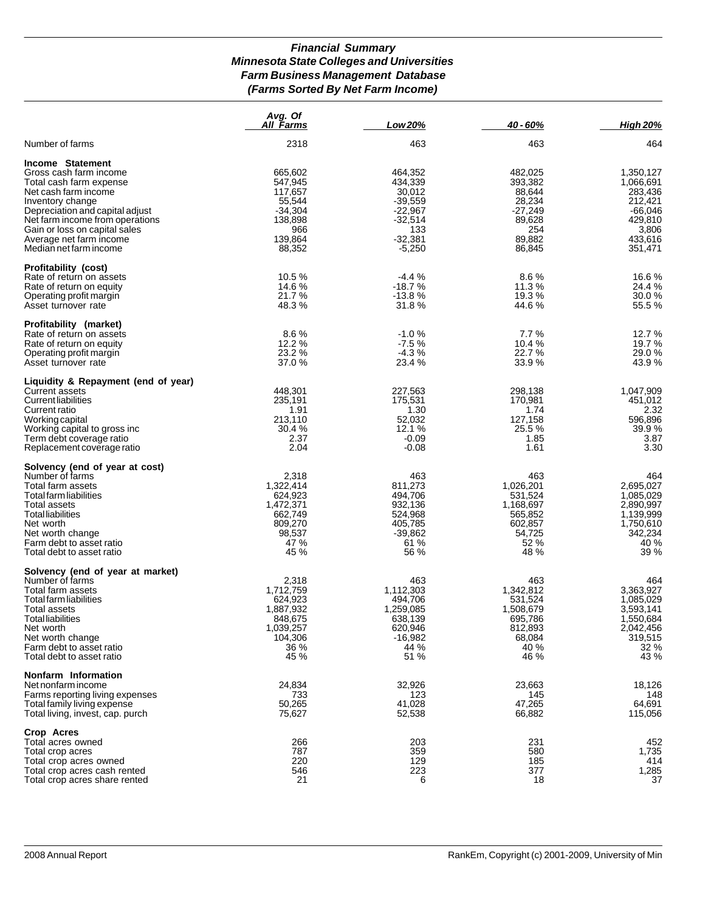#### *Financial Summary Minnesota State Colleges and Universities Farm Business Management Database (Farms Sorted By Net Farm Income)*

|                                                          | Avg. Of<br><u>All Farms</u> | Low 20%              | 40 - 60%          | <b>High 20%</b>      |
|----------------------------------------------------------|-----------------------------|----------------------|-------------------|----------------------|
| Number of farms                                          | 2318                        | 463                  | 463               | 464                  |
| Income Statement                                         |                             |                      |                   |                      |
| Gross cash farm income                                   | 665,602                     | 464,352              | 482,025           | 1,350,127            |
| Total cash farm expense                                  | 547,945                     | 434,339              | 393.382           | 1,066,691            |
| Net cash farm income                                     | 117,657                     | 30,012               | 88,644            | 283,436              |
| Inventory change                                         | 55,544                      | $-39,559$            | 28,234            | 212,421              |
| Depreciation and capital adjust                          | $-34,304$                   | $-22,967$            | $-27,249$         | $-66,046$            |
| Net farm income from operations                          | 138,898                     | $-32,514$            | 89,628            | 429,810              |
| Gain or loss on capital sales                            | 966<br>139,864              | 133<br>$-32,381$     | 254<br>89,882     | 3,806<br>433,616     |
| Average net farm income<br>Median net farm income        | 88,352                      | $-5,250$             | 86,845            | 351,471              |
| <b>Profitability (cost)</b>                              |                             |                      |                   |                      |
| Rate of return on assets                                 | 10.5%                       | $-4.4%$              | 8.6%              | 16.6 %               |
| Rate of return on equity                                 | 14.6 %                      | $-18.7%$             | 11.3 %            | 24.4 %               |
| Operating profit margin                                  | 21.7%                       | $-13.8%$             | 19.3 %            | 30.0%                |
| Asset turnover rate                                      | 48.3%                       | 31.8%                | 44.6%             | 55.5 %               |
| Profitability (market)<br>Rate of return on assets       | 8.6%                        | $-1.0%$              | 7.7%              | 12.7 %               |
| Rate of return on equity                                 | 12.2 %                      | $-7.5%$              | 10.4 %            | 19.7 %               |
| Operating profit margin                                  | 23.2 %                      | $-4.3%$              | 22.7%             | 29.0%                |
| Asset turnover rate                                      | 37.0 %                      | 23.4 %               | 33.9%             | 43.9%                |
| Liquidity & Repayment (end of year)                      |                             |                      |                   |                      |
| <b>Current assets</b>                                    | 448,301                     | 227,563              | 298,138           | 1,047,909            |
| <b>Current liabilities</b>                               | 235,191                     | 175,531              | 170,981           | 451,012              |
| Current ratio                                            | 1.91                        | 1.30                 | 1.74              | 2.32                 |
| Working capital                                          | 213,110<br>30.4 %           | 52,032<br>12.1 %     | 127,158<br>25.5 % | 596,896<br>39.9%     |
| Working capital to gross inc<br>Term debt coverage ratio | 2.37                        | $-0.09$              | 1.85              | 3.87                 |
| Replacement coverage ratio                               | 2.04                        | $-0.08$              | 1.61              | 3.30                 |
| Solvency (end of year at cost)                           |                             |                      |                   |                      |
| Number of farms                                          | 2,318                       | 463                  | 463               | 464                  |
| Total farm assets                                        | 1,322,414                   | 811,273              | 1,026,201         | 2,695,027            |
| Total farm liabilities                                   | 624,923                     | 494,706              | 531,524           | 1,085,029            |
| Total assets                                             | 1,472,371                   | 932,136              | 1,168,697         | 2,890,997            |
| <b>Total liabilities</b>                                 | 662,749                     | 524,968              | 565,852           | 1,139,999            |
| Net worth                                                | 809,270<br>98,537           | 405,785<br>$-39,862$ | 602,857<br>54,725 | 1,750,610<br>342,234 |
| Net worth change<br>Farm debt to asset ratio             | 47 %                        | 61 %                 | 52 %              | 40 %                 |
| Total debt to asset ratio                                | 45 %                        | 56 %                 | 48 %              | 39 %                 |
| Solvency (end of year at market)                         |                             |                      |                   |                      |
| Number of farms                                          | 2,318                       | 463                  | 463               | 464                  |
| Total farm assets                                        | 1,712,759                   | 1,112,303            | 1,342,812         | 3,363,927            |
| Total farm liabilities                                   | 624,923                     | 494,706              | 531,524           | 1,085,029            |
| Total assets                                             | 1,887,932                   | 1,259,085            | 1,508,679         | 3,593,141            |
| <b>Total liabilities</b>                                 | 848,675                     | 638,139              | 695,786           | 1,550,684            |
| Net worth                                                | 1,039,257<br>104,306        | 620,946<br>$-16,982$ | 812,893<br>68,084 | 2,042,456<br>319,515 |
| Net worth change<br>Farm debt to asset ratio             | 36 %                        | 44 %                 | 40 %              | 32 %                 |
| Total debt to asset ratio                                | 45 %                        | 51 %                 | 46 %              | 43 %                 |
| Nonfarm Information                                      |                             |                      |                   |                      |
| Net nonfarm income                                       | 24,834                      | 32,926               | 23,663            | 18,126               |
| Farms reporting living expenses                          | 733                         | 123                  | 145               | 148                  |
| Total family living expense                              | 50,265                      | 41,028               | 47,265            | 64,691               |
| Total living, invest, cap. purch                         | 75,627                      | 52,538               | 66,882            | 115,056              |
| Crop Acres<br>Total acres owned                          | 266                         | 203                  | 231               | 452                  |
| Total crop acres                                         | 787                         | 359                  | 580               | 1,735                |
| Total crop acres owned                                   | 220                         | 129                  | 185               | 414                  |
| Total crop acres cash rented                             | 546                         | 223                  | 377               | 1,285                |
| Total crop acres share rented                            | 21                          | 6                    | 18                | 37                   |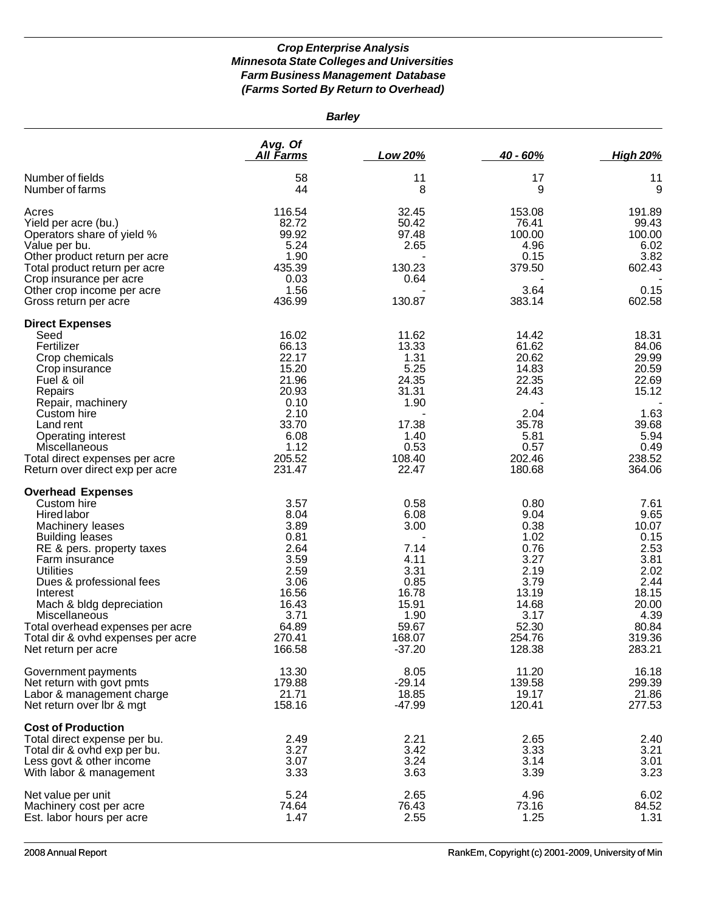| <b>Barley</b>                                                                                                                                                                                                                                                                                                                                                        |                                                                                                                     |                                                                                                               |                                                                                                                     |                                                                                                                      |
|----------------------------------------------------------------------------------------------------------------------------------------------------------------------------------------------------------------------------------------------------------------------------------------------------------------------------------------------------------------------|---------------------------------------------------------------------------------------------------------------------|---------------------------------------------------------------------------------------------------------------|---------------------------------------------------------------------------------------------------------------------|----------------------------------------------------------------------------------------------------------------------|
|                                                                                                                                                                                                                                                                                                                                                                      | Avg. Of<br><u>All Farms</u>                                                                                         | Low 20%                                                                                                       | 40 - 60%                                                                                                            | <b>High 20%</b>                                                                                                      |
| Number of fields<br>Number of farms                                                                                                                                                                                                                                                                                                                                  | 58<br>44                                                                                                            | 11<br>8                                                                                                       | 17<br>9                                                                                                             | 11<br>9                                                                                                              |
| Acres<br>Yield per acre (bu.)<br>Operators share of yield %<br>Value per bu.<br>Other product return per acre<br>Total product return per acre<br>Crop insurance per acre<br>Other crop income per acre<br>Gross return per acre                                                                                                                                     | 116.54<br>82.72<br>99.92<br>5.24<br>1.90<br>435.39<br>0.03<br>1.56<br>436.99                                        | 32.45<br>50.42<br>97.48<br>2.65<br>130.23<br>0.64<br>130.87                                                   | 153.08<br>76.41<br>100.00<br>4.96<br>0.15<br>379.50<br>3.64<br>383.14                                               | 191.89<br>99.43<br>100.00<br>6.02<br>3.82<br>602.43<br>0.15<br>602.58                                                |
| <b>Direct Expenses</b><br>Seed<br>Fertilizer<br>Crop chemicals<br>Crop insurance<br>Fuel & oil<br>Repairs<br>Repair, machinery<br>Custom hire<br>Land rent<br>Operating interest<br>Miscellaneous<br>Total direct expenses per acre<br>Return over direct exp per acre                                                                                               | 16.02<br>66.13<br>22.17<br>15.20<br>21.96<br>20.93<br>0.10<br>2.10<br>33.70<br>6.08<br>1.12<br>205.52<br>231.47     | 11.62<br>13.33<br>1.31<br>5.25<br>24.35<br>31.31<br>1.90<br>17.38<br>1.40<br>0.53<br>108.40<br>22.47          | 14.42<br>61.62<br>20.62<br>14.83<br>22.35<br>24.43<br>2.04<br>35.78<br>5.81<br>0.57<br>202.46<br>180.68             | 18.31<br>84.06<br>29.99<br>20.59<br>22.69<br>15.12<br>1.63<br>39.68<br>5.94<br>0.49<br>238.52<br>364.06              |
| <b>Overhead Expenses</b><br>Custom hire<br><b>Hired labor</b><br>Machinery leases<br><b>Building leases</b><br>RE & pers. property taxes<br>Farm insurance<br><b>Utilities</b><br>Dues & professional fees<br>Interest<br>Mach & bldg depreciation<br>Miscellaneous<br>Total overhead expenses per acre<br>Total dir & ovhd expenses per acre<br>Net return per acre | 3.57<br>8.04<br>3.89<br>0.81<br>2.64<br>3.59<br>2.59<br>3.06<br>16.56<br>16.43<br>3.71<br>64.89<br>270.41<br>166.58 | 0.58<br>6.08<br>3.00<br>7.14<br>4.11<br>3.31<br>0.85<br>16.78<br>15.91<br>1.90<br>59.67<br>168.07<br>$-37.20$ | 0.80<br>9.04<br>0.38<br>1.02<br>0.76<br>3.27<br>2.19<br>3.79<br>13.19<br>14.68<br>3.17<br>52.30<br>254.76<br>128.38 | 7.61<br>9.65<br>10.07<br>0.15<br>2.53<br>3.81<br>2.02<br>2.44<br>18.15<br>20.00<br>4.39<br>80.84<br>319.36<br>283.21 |
| Government payments<br>Net return with govt pmts<br>Labor & management charge<br>Net return over Ibr & mgt                                                                                                                                                                                                                                                           | 13.30<br>179.88<br>21.71<br>158.16                                                                                  | 8.05<br>$-29.14$<br>18.85<br>-47.99                                                                           | 11.20<br>139.58<br>19.17<br>120.41                                                                                  | 16.18<br>299.39<br>21.86<br>277.53                                                                                   |
| <b>Cost of Production</b><br>Total direct expense per bu.<br>Total dir & ovhd exp per bu.<br>Less govt & other income<br>With labor & management                                                                                                                                                                                                                     | 2.49<br>3.27<br>3.07<br>3.33                                                                                        | 2.21<br>3.42<br>3.24<br>3.63                                                                                  | 2.65<br>3.33<br>3.14<br>3.39                                                                                        | 2.40<br>3.21<br>3.01<br>3.23                                                                                         |
| Net value per unit<br>Machinery cost per acre<br>Est. labor hours per acre                                                                                                                                                                                                                                                                                           | 5.24<br>74.64<br>1.47                                                                                               | 2.65<br>76.43<br>2.55                                                                                         | 4.96<br>73.16<br>1.25                                                                                               | 6.02<br>84.52<br>1.31                                                                                                |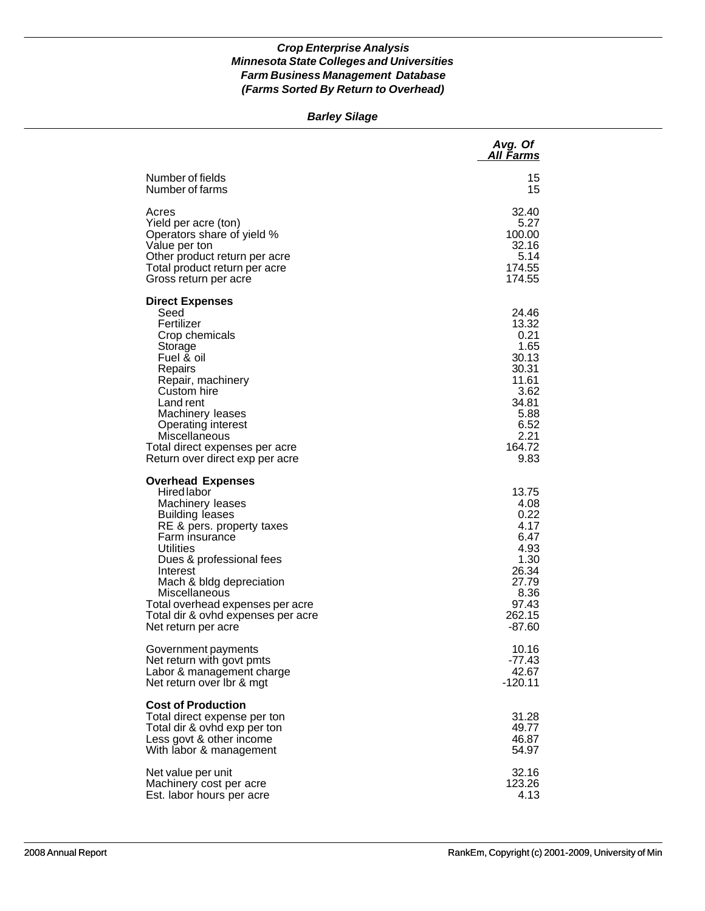#### *Barley Silage*

|                                                                                                                                                                                                                                                                                                                                         | Avg. Of<br>All Farms                                                                                                 |
|-----------------------------------------------------------------------------------------------------------------------------------------------------------------------------------------------------------------------------------------------------------------------------------------------------------------------------------------|----------------------------------------------------------------------------------------------------------------------|
| Number of fields                                                                                                                                                                                                                                                                                                                        | 15                                                                                                                   |
| Number of farms                                                                                                                                                                                                                                                                                                                         | 15                                                                                                                   |
| Acres                                                                                                                                                                                                                                                                                                                                   | 32.40                                                                                                                |
| Yield per acre (ton)                                                                                                                                                                                                                                                                                                                    | 5.27                                                                                                                 |
| Operators share of yield %                                                                                                                                                                                                                                                                                                              | 100.00                                                                                                               |
| Value per ton                                                                                                                                                                                                                                                                                                                           | 32.16                                                                                                                |
| Other product return per acre                                                                                                                                                                                                                                                                                                           | 5.14                                                                                                                 |
| Total product return per acre                                                                                                                                                                                                                                                                                                           | 174.55                                                                                                               |
| Gross return per acre                                                                                                                                                                                                                                                                                                                   | 174.55                                                                                                               |
| <b>Direct Expenses</b><br>Seed<br>Fertilizer<br>Crop chemicals<br>Storage<br>Fuel & oil<br>Repairs<br>Repair, machinery<br>Custom hire<br>Land rent<br>Machinery leases<br><b>Operating interest</b><br>Miscellaneous<br>Total direct expenses per acre<br>Return over direct exp per acre                                              | 24.46<br>13.32<br>0.21<br>1.65<br>30.13<br>30.31<br>11.61<br>3.62<br>34.81<br>5.88<br>6.52<br>2.21<br>164.72<br>9.83 |
| <b>Overhead Expenses</b><br>Hired labor<br>Machinery leases<br><b>Building leases</b><br>RE & pers. property taxes<br>Farm insurance<br>Utilities<br>Dues & professional fees<br>Interest<br>Mach & bldg depreciation<br>Miscellaneous<br>Total overhead expenses per acre<br>Total dir & ovhd expenses per acre<br>Net return per acre | 13.75<br>4.08<br>0.22<br>4.17<br>6.47<br>4.93<br>1.30<br>26.34<br>27.79<br>8.36<br>97.43<br>262.15<br>$-87.60$       |
| Government payments                                                                                                                                                                                                                                                                                                                     | 10.16                                                                                                                |
| Net return with govt pmts                                                                                                                                                                                                                                                                                                               | $-77.43$                                                                                                             |
| Labor & management charge                                                                                                                                                                                                                                                                                                               | 42.67                                                                                                                |
| Net return over Ibr & mgt                                                                                                                                                                                                                                                                                                               | $-120.11$                                                                                                            |
| <b>Cost of Production</b><br>Total direct expense per ton<br>Total dir & ovhd exp per ton<br>Less govt & other income<br>With labor & management                                                                                                                                                                                        | 31.28<br>49.77<br>46.87<br>54.97                                                                                     |
| Net value per unit                                                                                                                                                                                                                                                                                                                      | 32.16                                                                                                                |
| Machinery cost per acre                                                                                                                                                                                                                                                                                                                 | 123.26                                                                                                               |
| Est. labor hours per acre                                                                                                                                                                                                                                                                                                               | 4.13                                                                                                                 |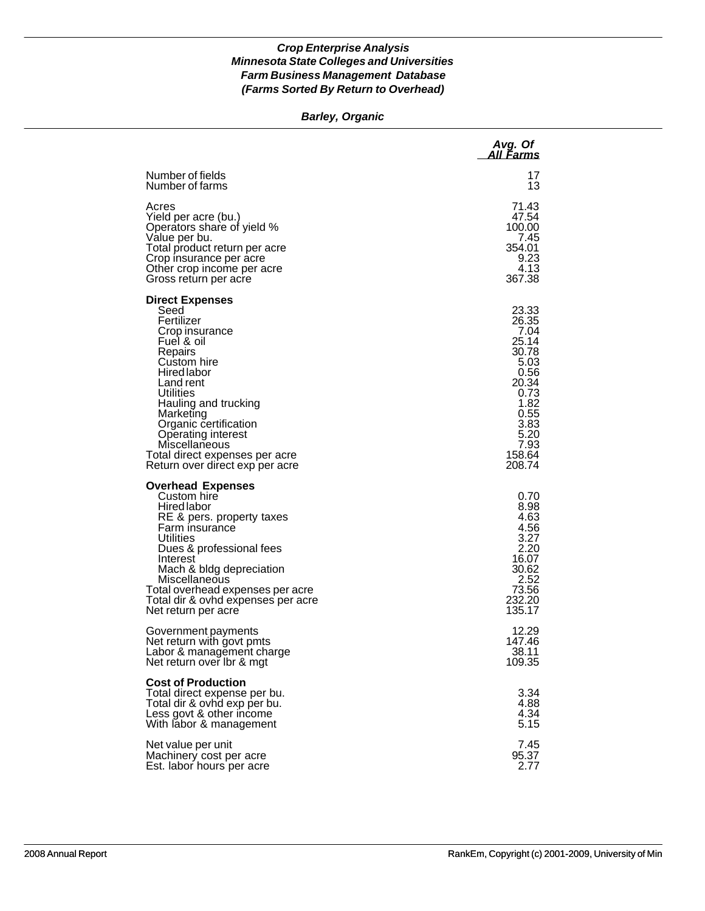#### *Barley, Organic*

|                                                                                                                                                                                                                                                                                                                                  | Avg. Of<br>All Farms                                                                                                                  |
|----------------------------------------------------------------------------------------------------------------------------------------------------------------------------------------------------------------------------------------------------------------------------------------------------------------------------------|---------------------------------------------------------------------------------------------------------------------------------------|
| Number of fields                                                                                                                                                                                                                                                                                                                 | 17                                                                                                                                    |
| Number of farms                                                                                                                                                                                                                                                                                                                  | 13                                                                                                                                    |
| Acres                                                                                                                                                                                                                                                                                                                            | 71.43                                                                                                                                 |
| Yield per acre (bu.)                                                                                                                                                                                                                                                                                                             | 47.54                                                                                                                                 |
| Operators share of yield %                                                                                                                                                                                                                                                                                                       | 100.00                                                                                                                                |
| Value per bu.                                                                                                                                                                                                                                                                                                                    | 7.45                                                                                                                                  |
| Total product return per acre                                                                                                                                                                                                                                                                                                    | 354.01                                                                                                                                |
| Crop insurance per acre                                                                                                                                                                                                                                                                                                          | 9.23                                                                                                                                  |
| Other crop income per acre                                                                                                                                                                                                                                                                                                       | 4.13                                                                                                                                  |
| Gross return per acre                                                                                                                                                                                                                                                                                                            | 367.38                                                                                                                                |
| <b>Direct Expenses</b><br>Seed<br>Fertilizer<br>Crop insurance<br>Fuel & oil<br>Repairs<br>Custom hire<br><b>Hired labor</b><br>Land rent<br>Utilities<br>Hauling and trucking<br>Marketing<br>Organic certification<br>Operating interest<br>Miscellaneous<br>Total direct expenses per acre<br>Return over direct exp per acre | 23.33<br>26.35<br>7.04<br>25.14<br>30.78<br>5.03<br>0.56<br>20.34<br>0.73<br>1.82<br>0.55<br>3.83<br>5.20<br>7.93<br>158.64<br>208.74 |
| <b>Overhead Expenses</b><br>Custom hire<br>Hired labor<br>RE & pers. property taxes<br>Farm insurance<br>Utilities<br>Dues & professional fees<br>Interest<br>Mach & bldg depreciation<br><b>Miscellaneous</b><br>Total overhead expenses per acre<br>Total dir & ovhd expenses per acre<br>Net return per acre                  | 0.70<br>8.98<br>4.63<br>4.56<br>3.27<br>2.20<br>16.07<br>30.62<br>2.52<br>73.56<br>232.20<br>135.17                                   |
| Government payments                                                                                                                                                                                                                                                                                                              | 12.29                                                                                                                                 |
| Net return with govt pmts                                                                                                                                                                                                                                                                                                        | 147.46                                                                                                                                |
| Labor & management charge                                                                                                                                                                                                                                                                                                        | 38.11                                                                                                                                 |
| Net return over Ibr & mgt                                                                                                                                                                                                                                                                                                        | 109.35                                                                                                                                |
| <b>Cost of Production</b><br>Total direct expense per bu.<br>Total dir & ovhd exp per bu.<br>Less govt & other income<br>With labor & management                                                                                                                                                                                 | 3.34<br>4.88<br>4.34<br>5.15                                                                                                          |
| Net value per unit                                                                                                                                                                                                                                                                                                               | 7.45                                                                                                                                  |
| Machinery cost per acre                                                                                                                                                                                                                                                                                                          | 95.37                                                                                                                                 |
| Est. labor hours per acre                                                                                                                                                                                                                                                                                                        | 2.77                                                                                                                                  |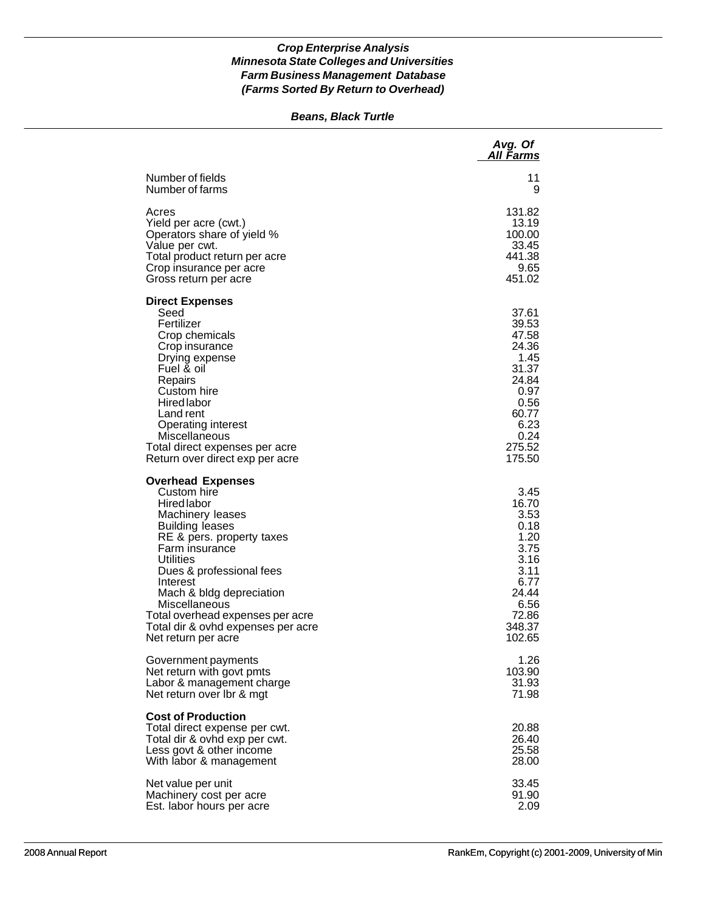#### *Beans, Black Turtle*

|                                                                                                                                                                                                                                                                                                                                                                      | Avg. Of<br>All Farms                                                                                                    |
|----------------------------------------------------------------------------------------------------------------------------------------------------------------------------------------------------------------------------------------------------------------------------------------------------------------------------------------------------------------------|-------------------------------------------------------------------------------------------------------------------------|
| Number of fields                                                                                                                                                                                                                                                                                                                                                     | 11                                                                                                                      |
| Number of farms                                                                                                                                                                                                                                                                                                                                                      | 9                                                                                                                       |
| Acres                                                                                                                                                                                                                                                                                                                                                                | 131.82                                                                                                                  |
| Yield per acre (cwt.)                                                                                                                                                                                                                                                                                                                                                | 13.19                                                                                                                   |
| Operators share of yield %                                                                                                                                                                                                                                                                                                                                           | 100.00                                                                                                                  |
| Value per cwt.                                                                                                                                                                                                                                                                                                                                                       | 33.45                                                                                                                   |
| Total product return per acre                                                                                                                                                                                                                                                                                                                                        | 441.38                                                                                                                  |
| Crop insurance per acre                                                                                                                                                                                                                                                                                                                                              | 9.65                                                                                                                    |
| Gross return per acre                                                                                                                                                                                                                                                                                                                                                | 451.02                                                                                                                  |
| <b>Direct Expenses</b><br>Seed<br>Fertilizer<br>Crop chemicals<br>Crop insurance<br>Drying expense<br>Fuel & oil<br>Repairs<br>Custom hire<br><b>Hired labor</b><br>Land rent<br>Operating interest<br>Miscellaneous<br>Total direct expenses per acre<br>Return over direct exp per acre                                                                            | 37.61<br>39.53<br>47.58<br>24.36<br>1.45<br>31.37<br>24.84<br>0.97<br>0.56<br>60.77<br>6.23<br>0.24<br>275.52<br>175.50 |
| <b>Overhead Expenses</b><br>Custom hire<br><b>Hired labor</b><br>Machinery leases<br><b>Building leases</b><br>RE & pers. property taxes<br>Farm insurance<br><b>Utilities</b><br>Dues & professional fees<br>Interest<br>Mach & bldg depreciation<br>Miscellaneous<br>Total overhead expenses per acre<br>Total dir & ovhd expenses per acre<br>Net return per acre | 3.45<br>16.70<br>3.53<br>0.18<br>1.20<br>3.75<br>3.16<br>3.11<br>6.77<br>24.44<br>6.56<br>72.86<br>348.37<br>102.65     |
| Government payments                                                                                                                                                                                                                                                                                                                                                  | 1.26                                                                                                                    |
| Net return with govt pmts                                                                                                                                                                                                                                                                                                                                            | 103.90                                                                                                                  |
| Labor & management charge                                                                                                                                                                                                                                                                                                                                            | 31.93                                                                                                                   |
| Net return over Ibr & mgt                                                                                                                                                                                                                                                                                                                                            | 71.98                                                                                                                   |
| <b>Cost of Production</b><br>Total direct expense per cwt.<br>Total dir & ovhd exp per cwt.<br>Less govt & other income<br>With labor & management                                                                                                                                                                                                                   | 20.88<br>26.40<br>25.58<br>28.00                                                                                        |
| Net value per unit                                                                                                                                                                                                                                                                                                                                                   | 33.45                                                                                                                   |
| Machinery cost per acre                                                                                                                                                                                                                                                                                                                                              | 91.90                                                                                                                   |
| Est. labor hours per acre                                                                                                                                                                                                                                                                                                                                            | 2.09                                                                                                                    |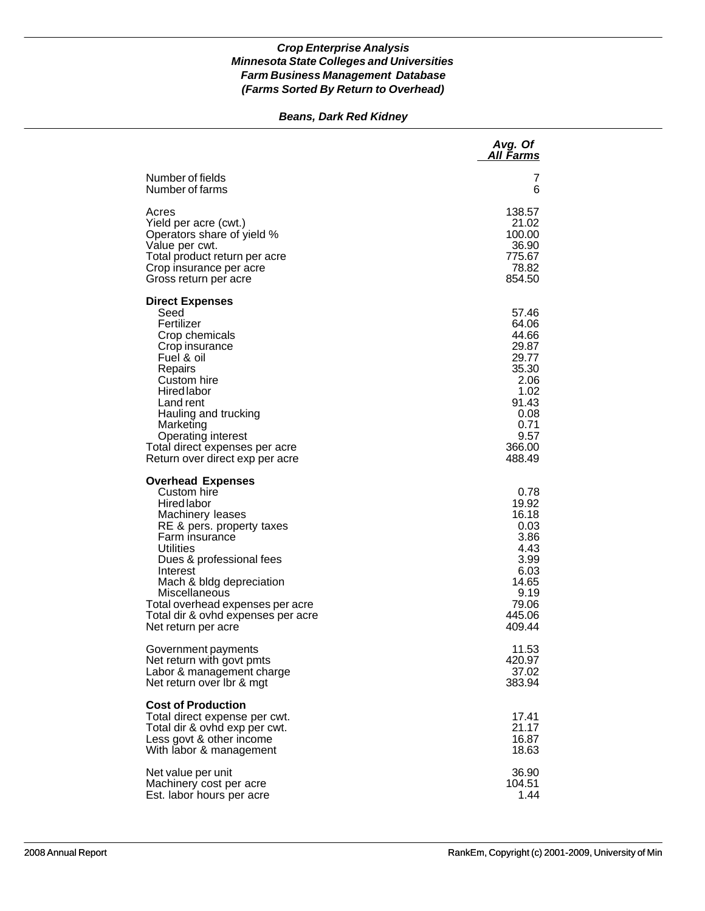# *Beans, Dark Red Kidney*

|                                                                                                                                                                                                                                                                                                                                     | Avg. Of<br>All Farms                                                                                                    |
|-------------------------------------------------------------------------------------------------------------------------------------------------------------------------------------------------------------------------------------------------------------------------------------------------------------------------------------|-------------------------------------------------------------------------------------------------------------------------|
| Number of fields<br>Number of farms                                                                                                                                                                                                                                                                                                 | 7<br>6                                                                                                                  |
| Acres<br>Yield per acre (cwt.)<br>Operators share of yield %<br>Value per cwt.<br>Total product return per acre<br>Crop insurance per acre<br>Gross return per acre                                                                                                                                                                 | 138.57<br>21.02<br>100.00<br>36.90<br>775.67<br>78.82<br>854.50                                                         |
| <b>Direct Expenses</b><br>Seed<br>Fertilizer<br>Crop chemicals<br>Crop insurance<br>Fuel & oil<br>Repairs<br>Custom hire<br>Hired labor<br>Land rent<br>Hauling and trucking<br>Marketing<br>Operating interest<br>Total direct expenses per acre<br>Return over direct exp per acre                                                | 57.46<br>64.06<br>44.66<br>29.87<br>29.77<br>35.30<br>2.06<br>1.02<br>91.43<br>0.08<br>0.71<br>9.57<br>366.00<br>488.49 |
| <b>Overhead Expenses</b><br>Custom hire<br><b>Hired labor</b><br>Machinery leases<br>RE & pers. property taxes<br>Farm insurance<br>Utilities<br>Dues & professional fees<br>Interest<br>Mach & bldg depreciation<br>Miscellaneous<br>Total overhead expenses per acre<br>Total dir & ovhd expenses per acre<br>Net return per acre | 0.78<br>19.92<br>16.18<br>0.03<br>3.86<br>4.43<br>3.99<br>6.03<br>14.65<br>9.19<br>79.06<br>445.06<br>409.44            |
| Government payments<br>Net return with govt pmts<br>Labor & management charge<br>Net return over Ibr & mgt                                                                                                                                                                                                                          | 11.53<br>420.97<br>37.02<br>383.94                                                                                      |
| <b>Cost of Production</b><br>Total direct expense per cwt.<br>Total dir & ovhd exp per cwt.<br>Less govt & other income<br>With labor & management                                                                                                                                                                                  | 17.41<br>21.17<br>16.87<br>18.63                                                                                        |
| Net value per unit<br>Machinery cost per acre<br>Est. labor hours per acre                                                                                                                                                                                                                                                          | 36.90<br>104.51<br>1.44                                                                                                 |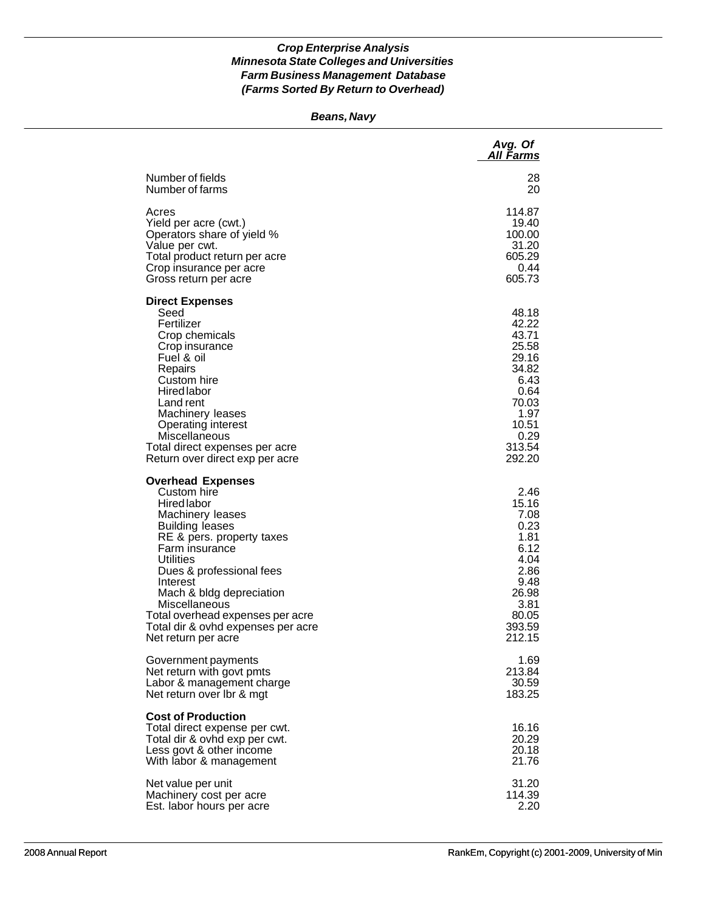#### *Beans, Navy*

|                                                                                                                                                                                                                                                                                                                                                               | Avg. Of<br>All Farms                                                                                                     |
|---------------------------------------------------------------------------------------------------------------------------------------------------------------------------------------------------------------------------------------------------------------------------------------------------------------------------------------------------------------|--------------------------------------------------------------------------------------------------------------------------|
| Number of fields                                                                                                                                                                                                                                                                                                                                              | 28                                                                                                                       |
| Number of farms                                                                                                                                                                                                                                                                                                                                               | 20                                                                                                                       |
| Acres                                                                                                                                                                                                                                                                                                                                                         | 114.87                                                                                                                   |
| Yield per acre (cwt.)                                                                                                                                                                                                                                                                                                                                         | 19.40                                                                                                                    |
| Operators share of yield %                                                                                                                                                                                                                                                                                                                                    | 100.00                                                                                                                   |
| Value per cwt.                                                                                                                                                                                                                                                                                                                                                | 31.20                                                                                                                    |
| Total product return per acre                                                                                                                                                                                                                                                                                                                                 | 605.29                                                                                                                   |
| Crop insurance per acre                                                                                                                                                                                                                                                                                                                                       | 0.44                                                                                                                     |
| Gross return per acre                                                                                                                                                                                                                                                                                                                                         | 605.73                                                                                                                   |
| <b>Direct Expenses</b><br>Seed<br>Fertilizer<br>Crop chemicals<br>Crop insurance<br>Fuel & oil<br>Repairs<br>Custom hire<br><b>Hired labor</b><br>Land rent<br>Machinery leases<br><b>Operating interest</b><br>Miscellaneous<br>Total direct expenses per acre<br>Return over direct exp per acre                                                            | 48.18<br>42.22<br>43.71<br>25.58<br>29.16<br>34.82<br>6.43<br>0.64<br>70.03<br>1.97<br>10.51<br>0.29<br>313.54<br>292.20 |
| <b>Overhead Expenses</b><br>Custom hire<br><b>Hired labor</b><br>Machinery leases<br><b>Building leases</b><br>RE & pers. property taxes<br>Farm insurance<br>Utilities<br>Dues & professional fees<br>Interest<br>Mach & bldg depreciation<br>Miscellaneous<br>Total overhead expenses per acre<br>Total dir & ovhd expenses per acre<br>Net return per acre | 2.46<br>15.16<br>7.08<br>0.23<br>1.81<br>6.12<br>4.04<br>2.86<br>9.48<br>26.98<br>3.81<br>80.05<br>393.59<br>212.15      |
| Government payments                                                                                                                                                                                                                                                                                                                                           | 1.69                                                                                                                     |
| Net return with govt pmts                                                                                                                                                                                                                                                                                                                                     | 213.84                                                                                                                   |
| Labor & management charge                                                                                                                                                                                                                                                                                                                                     | 30.59                                                                                                                    |
| Net return over Ibr & mgt                                                                                                                                                                                                                                                                                                                                     | 183.25                                                                                                                   |
| <b>Cost of Production</b><br>Total direct expense per cwt.<br>Total dir & ovhd exp per cwt.<br>Less govt & other income<br>With labor & management                                                                                                                                                                                                            | 16.16<br>20.29<br>20.18<br>21.76                                                                                         |
| Net value per unit                                                                                                                                                                                                                                                                                                                                            | 31.20                                                                                                                    |
| Machinery cost per acre                                                                                                                                                                                                                                                                                                                                       | 114.39                                                                                                                   |
| Est. labor hours per acre                                                                                                                                                                                                                                                                                                                                     | 2.20                                                                                                                     |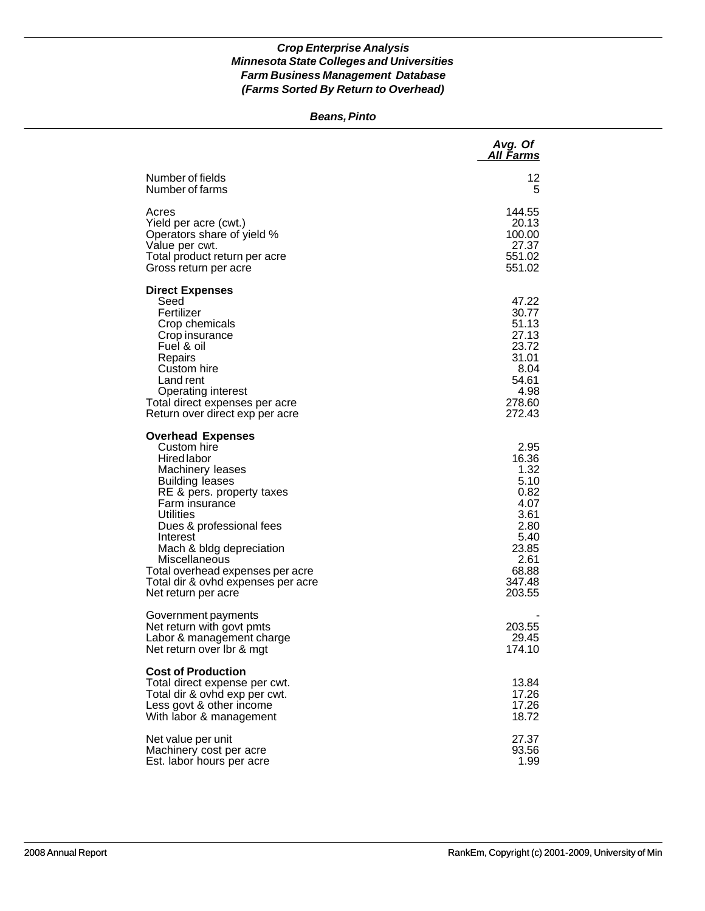#### *Beans, Pinto*

|                                                                                                                                                                                                                                                                                                                                                                             | Avg. Of<br>All Farms                                                                                                |
|-----------------------------------------------------------------------------------------------------------------------------------------------------------------------------------------------------------------------------------------------------------------------------------------------------------------------------------------------------------------------------|---------------------------------------------------------------------------------------------------------------------|
| Number of fields<br>Number of farms                                                                                                                                                                                                                                                                                                                                         | 12<br>5                                                                                                             |
| Acres<br>Yield per acre (cwt.)<br>Operators share of yield %<br>Value per cwt.<br>Total product return per acre<br>Gross return per acre                                                                                                                                                                                                                                    | 144.55<br>20.13<br>100.00<br>27.37<br>551.02<br>551.02                                                              |
| <b>Direct Expenses</b><br>Seed<br>Fertilizer<br>Crop chemicals<br>Crop insurance<br>Fuel & oil<br>Repairs<br>Custom hire<br>Land rent<br><b>Operating interest</b><br>Total direct expenses per acre<br>Return over direct exp per acre                                                                                                                                     | 47.22<br>30.77<br>51.13<br>27.13<br>23.72<br>31.01<br>8.04<br>54.61<br>4.98<br>278.60<br>272.43                     |
| <b>Overhead Expenses</b><br>Custom hire<br><b>Hired labor</b><br>Machinery leases<br><b>Building leases</b><br>RE & pers. property taxes<br>Farm insurance<br><b>Utilities</b><br>Dues & professional fees<br>Interest<br>Mach & bldg depreciation<br><b>Miscellaneous</b><br>Total overhead expenses per acre<br>Total dir & ovhd expenses per acre<br>Net return per acre | 2.95<br>16.36<br>1.32<br>5.10<br>0.82<br>4.07<br>3.61<br>2.80<br>5.40<br>23.85<br>2.61<br>68.88<br>347.48<br>203.55 |
| Government payments<br>Net return with govt pmts<br>Labor & management charge<br>Net return over Ibr & mgt                                                                                                                                                                                                                                                                  | 203.55<br>29.45<br>174.10                                                                                           |
| <b>Cost of Production</b><br>Total direct expense per cwt.<br>Total dir & ovhd exp per cwt.<br>Less govt & other income<br>With labor & management                                                                                                                                                                                                                          | 13.84<br>17.26<br>17.26<br>18.72                                                                                    |
| Net value per unit<br>Machinery cost per acre<br>Est. labor hours per acre                                                                                                                                                                                                                                                                                                  | 27.37<br>93.56<br>1.99                                                                                              |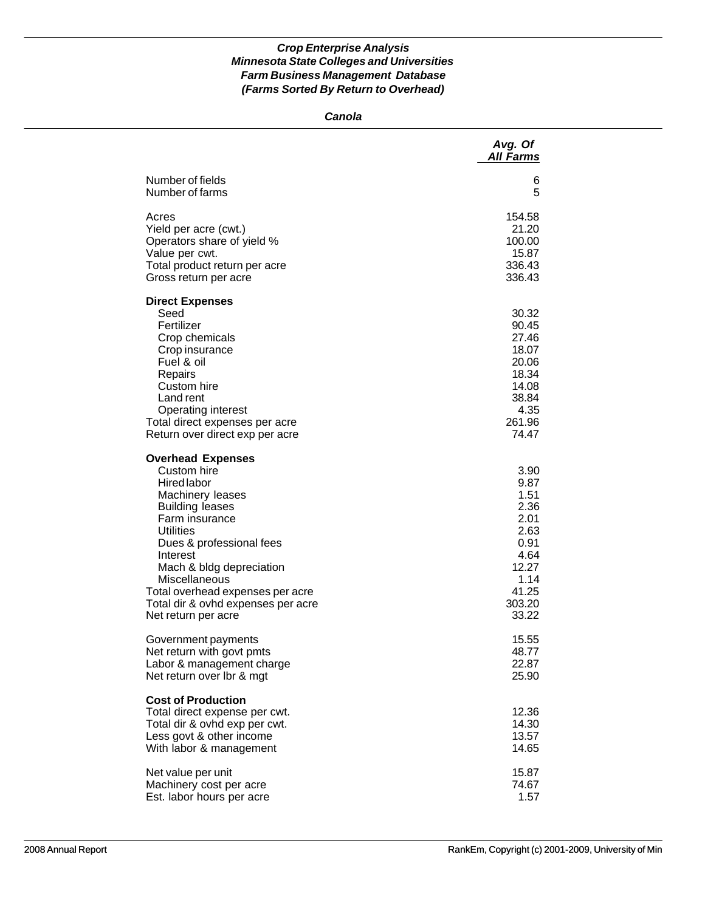#### *Canola*

|                                                                                                                                                                                                                                                                                                                                  | Avg. Of<br><b>All Farms</b>                                                                               |
|----------------------------------------------------------------------------------------------------------------------------------------------------------------------------------------------------------------------------------------------------------------------------------------------------------------------------------|-----------------------------------------------------------------------------------------------------------|
| Number of fields                                                                                                                                                                                                                                                                                                                 | 6                                                                                                         |
| Number of farms                                                                                                                                                                                                                                                                                                                  | 5                                                                                                         |
| Acres                                                                                                                                                                                                                                                                                                                            | 154.58                                                                                                    |
| Yield per acre (cwt.)                                                                                                                                                                                                                                                                                                            | 21.20                                                                                                     |
| Operators share of yield %                                                                                                                                                                                                                                                                                                       | 100.00                                                                                                    |
| Value per cwt.                                                                                                                                                                                                                                                                                                                   | 15.87                                                                                                     |
| Total product return per acre                                                                                                                                                                                                                                                                                                    | 336.43                                                                                                    |
| Gross return per acre                                                                                                                                                                                                                                                                                                            | 336.43                                                                                                    |
| <b>Direct Expenses</b><br>Seed<br>Fertilizer<br>Crop chemicals<br>Crop insurance<br>Fuel & oil<br>Repairs<br>Custom hire<br>Land rent<br>Operating interest<br>Total direct expenses per acre<br>Return over direct exp per acre                                                                                                 | 30.32<br>90.45<br>27.46<br>18.07<br>20.06<br>18.34<br>14.08<br>38.84<br>4.35<br>261.96<br>74.47           |
| <b>Overhead Expenses</b><br>Custom hire<br>Hired labor<br>Machinery leases<br><b>Building leases</b><br>Farm insurance<br><b>Utilities</b><br>Dues & professional fees<br>Interest<br>Mach & bldg depreciation<br>Miscellaneous<br>Total overhead expenses per acre<br>Total dir & ovhd expenses per acre<br>Net return per acre | 3.90<br>9.87<br>1.51<br>2.36<br>2.01<br>2.63<br>0.91<br>4.64<br>12.27<br>1.14<br>41.25<br>303.20<br>33.22 |
| Government payments                                                                                                                                                                                                                                                                                                              | 15.55                                                                                                     |
| Net return with govt pmts                                                                                                                                                                                                                                                                                                        | 48.77                                                                                                     |
| Labor & management charge                                                                                                                                                                                                                                                                                                        | 22.87                                                                                                     |
| Net return over Ibr & mgt                                                                                                                                                                                                                                                                                                        | 25.90                                                                                                     |
| <b>Cost of Production</b><br>Total direct expense per cwt.<br>Total dir & ovhd exp per cwt.<br>Less govt & other income<br>With labor & management                                                                                                                                                                               | 12.36<br>14.30<br>13.57<br>14.65                                                                          |
| Net value per unit                                                                                                                                                                                                                                                                                                               | 15.87                                                                                                     |
| Machinery cost per acre                                                                                                                                                                                                                                                                                                          | 74.67                                                                                                     |
| Est. labor hours per acre                                                                                                                                                                                                                                                                                                        | 1.57                                                                                                      |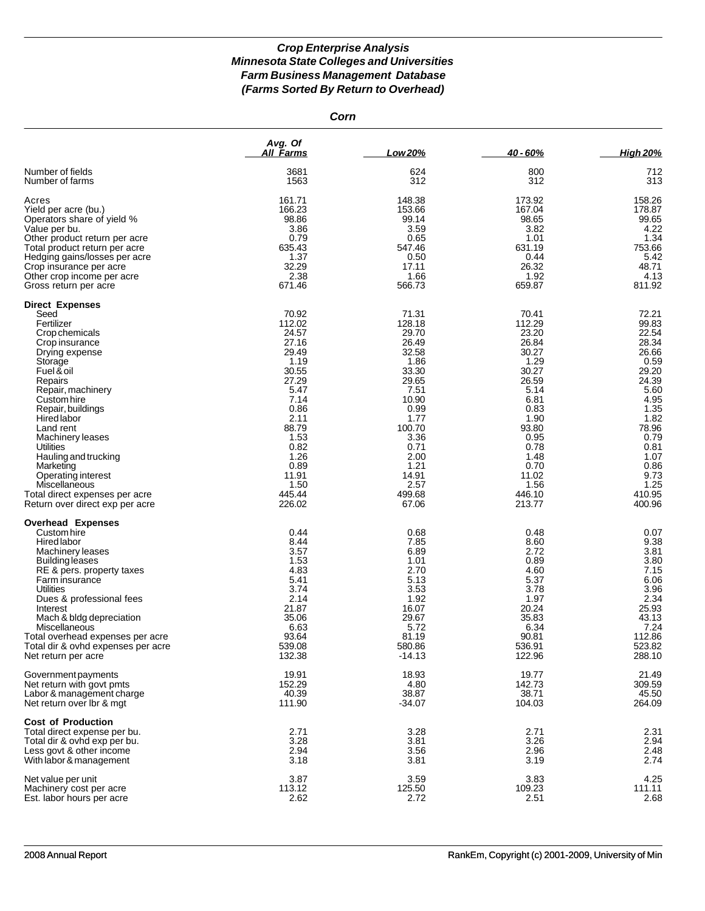*Corn*

|                                                                                                                                                                                                                                                                                                                                                                                                                      | Avg. Of<br>All Farms                                                                                                                                                               | Low 20%                                                                                                                                                                             | 40 - 60%                                                                                                                                                                           | <b>High 20%</b>                                                                                                                                                                  |
|----------------------------------------------------------------------------------------------------------------------------------------------------------------------------------------------------------------------------------------------------------------------------------------------------------------------------------------------------------------------------------------------------------------------|------------------------------------------------------------------------------------------------------------------------------------------------------------------------------------|-------------------------------------------------------------------------------------------------------------------------------------------------------------------------------------|------------------------------------------------------------------------------------------------------------------------------------------------------------------------------------|----------------------------------------------------------------------------------------------------------------------------------------------------------------------------------|
| Number of fields                                                                                                                                                                                                                                                                                                                                                                                                     | 3681                                                                                                                                                                               | 624                                                                                                                                                                                 | 800                                                                                                                                                                                | 712                                                                                                                                                                              |
| Number of farms                                                                                                                                                                                                                                                                                                                                                                                                      | 1563                                                                                                                                                                               | 312                                                                                                                                                                                 | 312                                                                                                                                                                                | 313                                                                                                                                                                              |
| Acres                                                                                                                                                                                                                                                                                                                                                                                                                | 161.71                                                                                                                                                                             | 148.38                                                                                                                                                                              | 173.92                                                                                                                                                                             | 158.26                                                                                                                                                                           |
| Yield per acre (bu.)                                                                                                                                                                                                                                                                                                                                                                                                 | 166.23                                                                                                                                                                             | 153.66                                                                                                                                                                              | 167.04                                                                                                                                                                             | 178.87                                                                                                                                                                           |
| Operators share of yield %                                                                                                                                                                                                                                                                                                                                                                                           | 98.86                                                                                                                                                                              | 99.14                                                                                                                                                                               | 98.65                                                                                                                                                                              | 99.65                                                                                                                                                                            |
| Value per bu.                                                                                                                                                                                                                                                                                                                                                                                                        | 3.86                                                                                                                                                                               | 3.59                                                                                                                                                                                | 3.82                                                                                                                                                                               | 4.22                                                                                                                                                                             |
| Other product return per acre                                                                                                                                                                                                                                                                                                                                                                                        | 0.79                                                                                                                                                                               | 0.65                                                                                                                                                                                | 1.01                                                                                                                                                                               | 1.34                                                                                                                                                                             |
| Total product return per acre                                                                                                                                                                                                                                                                                                                                                                                        | 635.43                                                                                                                                                                             | 547.46                                                                                                                                                                              | 631.19                                                                                                                                                                             | 753.66                                                                                                                                                                           |
| Hedging gains/losses per acre                                                                                                                                                                                                                                                                                                                                                                                        | 1.37                                                                                                                                                                               | 0.50                                                                                                                                                                                | 0.44                                                                                                                                                                               | 5.42                                                                                                                                                                             |
| Crop insurance per acre                                                                                                                                                                                                                                                                                                                                                                                              | 32.29                                                                                                                                                                              | 17.11                                                                                                                                                                               | 26.32                                                                                                                                                                              | 48.71                                                                                                                                                                            |
| Other crop income per acre                                                                                                                                                                                                                                                                                                                                                                                           | 2.38                                                                                                                                                                               | 1.66                                                                                                                                                                                | 1.92                                                                                                                                                                               | 4.13                                                                                                                                                                             |
| Gross return per acre                                                                                                                                                                                                                                                                                                                                                                                                | 671.46                                                                                                                                                                             | 566.73                                                                                                                                                                              | 659.87                                                                                                                                                                             | 811.92                                                                                                                                                                           |
| <b>Direct Expenses</b><br>Seed<br>Fertilizer<br>Crop chemicals<br>Crop insurance<br>Drying expense<br>Storage<br>Fuel & oil<br>Repairs<br>Repair, machinery<br>Custom hire<br>Repair, buildings<br><b>Hired labor</b><br>Land rent<br>Machinery leases<br>Utilities<br>Hauling and trucking<br>Marketing<br>Operating interest<br>Miscellaneous<br>Total direct expenses per acre<br>Return over direct exp per acre | 70.92<br>112.02<br>24.57<br>27.16<br>29.49<br>1.19<br>30.55<br>27.29<br>5.47<br>7.14<br>0.86<br>2.11<br>88.79<br>1.53<br>0.82<br>1.26<br>0.89<br>11.91<br>1.50<br>445.44<br>226.02 | 71.31<br>128.18<br>29.70<br>26.49<br>32.58<br>1.86<br>33.30<br>29.65<br>7.51<br>10.90<br>0.99<br>1.77<br>100.70<br>3.36<br>0.71<br>2.00<br>1.21<br>14.91<br>2.57<br>499.68<br>67.06 | 70.41<br>112.29<br>23.20<br>26.84<br>30.27<br>1.29<br>30.27<br>26.59<br>5.14<br>6.81<br>0.83<br>1.90<br>93.80<br>0.95<br>0.78<br>1.48<br>0.70<br>11.02<br>1.56<br>446.10<br>213.77 | 72.21<br>99.83<br>22.54<br>28.34<br>26.66<br>0.59<br>29.20<br>24.39<br>5.60<br>4.95<br>1.35<br>1.82<br>78.96<br>0.79<br>0.81<br>1.07<br>0.86<br>9.73<br>1.25<br>410.95<br>400.96 |
| <b>Overhead Expenses</b><br>Custom hire<br>Hired labor<br>Machinery leases<br>Building leases<br>RE & pers. property taxes<br>Farm insurance<br>Utilities<br>Dues & professional fees<br>Interest<br>Mach & bldg depreciation<br>Miscellaneous<br>Total overhead expenses per acre<br>Total dir & ovhd expenses per acre<br>Net return per acre                                                                      | 0.44<br>8.44<br>3.57<br>1.53<br>4.83<br>5.41<br>3.74<br>2.14<br>21.87<br>35.06<br>6.63<br>93.64<br>539.08<br>132.38                                                                | 0.68<br>7.85<br>6.89<br>1.01<br>2.70<br>5.13<br>3.53<br>1.92<br>16.07<br>29.67<br>5.72<br>81.19<br>580.86<br>$-14.13$                                                               | 0.48<br>8.60<br>2.72<br>0.89<br>4.60<br>5.37<br>3.78<br>1.97<br>20.24<br>35.83<br>6.34<br>90.81<br>536.91<br>122.96                                                                | 0.07<br>9.38<br>3.81<br>3.80<br>7.15<br>6.06<br>3.96<br>2.34<br>25.93<br>43.13<br>7.24<br>112.86<br>523.82<br>288.10                                                             |
| Government payments                                                                                                                                                                                                                                                                                                                                                                                                  | 19.91                                                                                                                                                                              | 18.93                                                                                                                                                                               | 19.77                                                                                                                                                                              | 21.49                                                                                                                                                                            |
| Net return with govt pmts                                                                                                                                                                                                                                                                                                                                                                                            | 152.29                                                                                                                                                                             | 4.80                                                                                                                                                                                | 142.73                                                                                                                                                                             | 309.59                                                                                                                                                                           |
| Labor & management charge                                                                                                                                                                                                                                                                                                                                                                                            | 40.39                                                                                                                                                                              | 38.87                                                                                                                                                                               | 38.71                                                                                                                                                                              | 45.50                                                                                                                                                                            |
| Net return over Ibr & mgt                                                                                                                                                                                                                                                                                                                                                                                            | 111.90                                                                                                                                                                             | $-34.07$                                                                                                                                                                            | 104.03                                                                                                                                                                             | 264.09                                                                                                                                                                           |
| <b>Cost of Production</b><br>Total direct expense per bu.<br>Total dir & ovhd exp per bu.<br>Less govt & other income<br>With labor & management                                                                                                                                                                                                                                                                     | 2.71<br>3.28<br>2.94<br>3.18                                                                                                                                                       | 3.28<br>3.81<br>3.56<br>3.81                                                                                                                                                        | 2.71<br>3.26<br>2.96<br>3.19                                                                                                                                                       | 2.31<br>2.94<br>2.48<br>2.74                                                                                                                                                     |
| Net value per unit                                                                                                                                                                                                                                                                                                                                                                                                   | 3.87                                                                                                                                                                               | 3.59                                                                                                                                                                                | 3.83                                                                                                                                                                               | 4.25                                                                                                                                                                             |
| Machinery cost per acre                                                                                                                                                                                                                                                                                                                                                                                              | 113.12                                                                                                                                                                             | 125.50                                                                                                                                                                              | 109.23                                                                                                                                                                             | 111.11                                                                                                                                                                           |
| Est. labor hours per acre                                                                                                                                                                                                                                                                                                                                                                                            | 2.62                                                                                                                                                                               | 2.72                                                                                                                                                                                | 2.51                                                                                                                                                                               | 2.68                                                                                                                                                                             |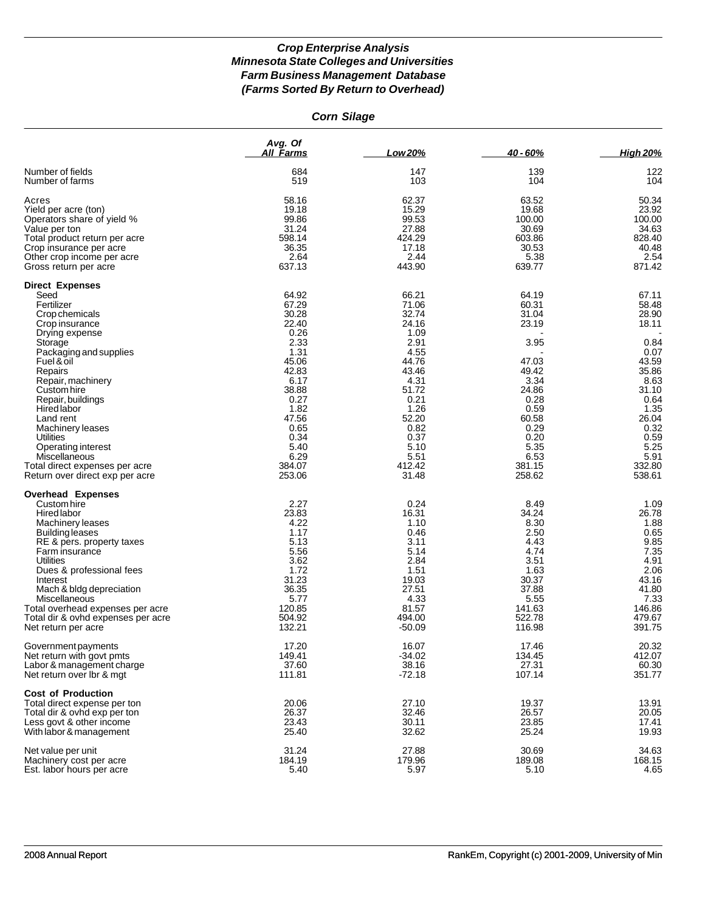|  | <b>Corn Silage</b> |
|--|--------------------|
|--|--------------------|

|                                                           | Avg. Of<br><b>All Farms</b> | Low 20%            | 40 - 60%         | <b>High 20%</b>  |
|-----------------------------------------------------------|-----------------------------|--------------------|------------------|------------------|
| Number of fields                                          | 684                         | 147                | 139              | 122              |
| Number of farms                                           | 519                         | 103                | 104              | 104              |
| Acres                                                     | 58.16                       | 62.37              | 63.52            | 50.34            |
| Yield per acre (ton)                                      | 19.18                       | 15.29              | 19.68            | 23.92            |
| Operators share of yield %                                | 99.86                       | 99.53              | 100.00           | 100.00           |
| Value per ton                                             | 31.24<br>598.14             | 27.88<br>424.29    | 30.69<br>603.86  | 34.63<br>828.40  |
| Total product return per acre<br>Crop insurance per acre  | 36.35                       | 17.18              | 30.53            | 40.48            |
| Other crop income per acre                                | 2.64                        | 2.44               | 5.38             | 2.54             |
| Gross return per acre                                     | 637.13                      | 443.90             | 639.77           | 871.42           |
| <b>Direct Expenses</b>                                    |                             |                    |                  |                  |
| Seed                                                      | 64.92                       | 66.21              | 64.19            | 67.11            |
| Fertilizer                                                | 67.29                       | 71.06              | 60.31            | 58.48            |
| Crop chemicals<br>Crop insurance                          | 30.28<br>22.40              | 32.74<br>24.16     | 31.04<br>23.19   | 28.90<br>18.11   |
| Drying expense                                            | 0.26                        | 1.09               |                  |                  |
| Storage                                                   | 2.33                        | 2.91               | 3.95             | 0.84             |
| Packaging and supplies                                    | 1.31                        | 4.55               |                  | 0.07             |
| Fuel & oil                                                | 45.06                       | 44.76              | 47.03            | 43.59            |
| Repairs                                                   | 42.83                       | 43.46              | 49.42            | 35.86            |
| Repair, machinery                                         | 6.17                        | 4.31               | 3.34             | 8.63             |
| Custom hire                                               | 38.88                       | 51.72              | 24.86            | 31.10            |
| Repair, buildings                                         | 0.27                        | 0.21               | 0.28             | 0.64             |
| <b>Hired labor</b>                                        | 1.82<br>47.56               | 1.26               | 0.59             | 1.35             |
| Land rent<br>Machinery leases                             | 0.65                        | 52.20<br>0.82      | 60.58<br>0.29    | 26.04<br>0.32    |
| Utilities                                                 | 0.34                        | 0.37               | 0.20             | 0.59             |
| Operating interest                                        | 5.40                        | 5.10               | 5.35             | 5.25             |
| Miscellaneous                                             | 6.29                        | 5.51               | 6.53             | 5.91             |
| Total direct expenses per acre                            | 384.07                      | 412.42             | 381.15           | 332.80           |
| Return over direct exp per acre                           | 253.06                      | 31.48              | 258.62           | 538.61           |
| <b>Overhead Expenses</b>                                  |                             |                    |                  |                  |
| Custom hire                                               | 2.27                        | 0.24               | 8.49             | 1.09             |
| Hired labor                                               | 23.83                       | 16.31              | 34.24            | 26.78            |
| Machinery leases                                          | 4.22<br>1.17                | 1.10<br>0.46       | 8.30<br>2.50     | 1.88<br>0.65     |
| Building leases<br>RE & pers. property taxes              | 5.13                        | 3.11               | 4.43             | 9.85             |
| Farm insurance                                            | 5.56                        | 5.14               | 4.74             | 7.35             |
| Utilities                                                 | 3.62                        | 2.84               | 3.51             | 4.91             |
| Dues & professional fees                                  | 1.72                        | 1.51               | 1.63             | 2.06             |
| Interest                                                  | 31.23                       | 19.03              | 30.37            | 43.16            |
| Mach & bldg depreciation                                  | 36.35                       | 27.51              | 37.88            | 41.80            |
| Miscellaneous                                             | 5.77                        | 4.33               | 5.55             | 7.33             |
| Total overhead expenses per acre                          | 120.85                      | 81.57              | 141.63           | 146.86           |
| Total dir & ovhd expenses per acre<br>Net return per acre | 504.92<br>132.21            | 494.00<br>$-50.09$ | 522.78<br>116.98 | 479.67<br>391.75 |
| Government payments                                       | 17.20                       | 16.07              | 17.46            | 20.32            |
| Net return with govt pmts                                 | 149.41                      | $-34.02$           | 134.45           | 412.07           |
| Labor & management charge                                 | 37.60                       | 38.16              | 27.31            | 60.30            |
| Net return over lbr & mgt                                 | 111.81                      | $-72.18$           | 107.14           | 351.77           |
| <b>Cost of Production</b>                                 |                             |                    |                  |                  |
| Total direct expense per ton                              | 20.06                       | 27.10              | 19.37            | 13.91            |
| Total dir & ovhd exp per ton<br>Less govt & other income  | 26.37<br>23.43              | 32.46<br>30.11     | 26.57<br>23.85   | 20.05<br>17.41   |
| With labor & management                                   | 25.40                       | 32.62              | 25.24            | 19.93            |
| Net value per unit                                        | 31.24                       | 27.88              | 30.69            | 34.63            |
| Machinery cost per acre                                   | 184.19                      | 179.96             | 189.08           | 168.15           |
| Est. labor hours per acre                                 | 5.40                        | 5.97               | 5.10             | 4.65             |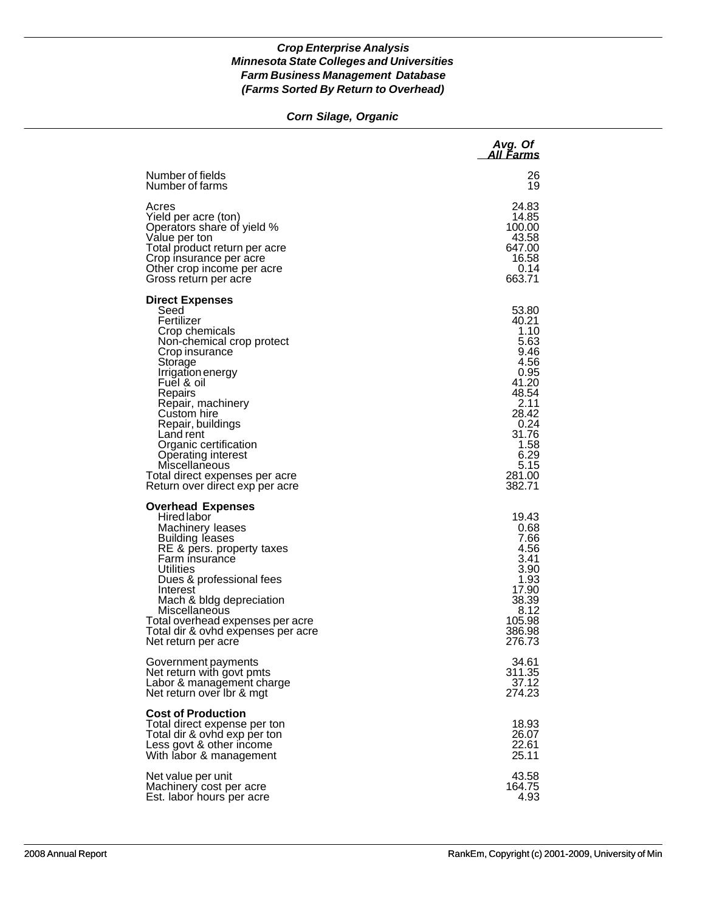#### *Corn Silage, Organic*

|                                                                                                                                                                                                                                                                                                                                                                                   | Avg. Of<br>All Farms                                                                                                                                   |
|-----------------------------------------------------------------------------------------------------------------------------------------------------------------------------------------------------------------------------------------------------------------------------------------------------------------------------------------------------------------------------------|--------------------------------------------------------------------------------------------------------------------------------------------------------|
| Number of fields                                                                                                                                                                                                                                                                                                                                                                  | 26                                                                                                                                                     |
| Number of farms                                                                                                                                                                                                                                                                                                                                                                   | 19                                                                                                                                                     |
| Acres                                                                                                                                                                                                                                                                                                                                                                             | 24.83                                                                                                                                                  |
| Yield per acre (ton)                                                                                                                                                                                                                                                                                                                                                              | 14.85                                                                                                                                                  |
| Operators share of yield %                                                                                                                                                                                                                                                                                                                                                        | 100.00                                                                                                                                                 |
| Value per ton                                                                                                                                                                                                                                                                                                                                                                     | 43.58                                                                                                                                                  |
| Total product return per acre                                                                                                                                                                                                                                                                                                                                                     | 647.00                                                                                                                                                 |
| Crop insurance per acre                                                                                                                                                                                                                                                                                                                                                           | 16.58                                                                                                                                                  |
| Other crop income per acre                                                                                                                                                                                                                                                                                                                                                        | 0.14                                                                                                                                                   |
| Gross return per acre                                                                                                                                                                                                                                                                                                                                                             | 663.71                                                                                                                                                 |
| <b>Direct Expenses</b><br>Seed<br>Fertilizer<br>Crop chemicals<br>Non-chemical crop protect<br>Crop insurance<br>Storage<br>Irrigation energy<br>Fuel & oil<br>Repairs<br>Repair, machinery<br>Custom hire<br>Repair, buildings<br>Land rent<br>Organic certification<br>Operating interest<br>Miscellaneous<br>Total direct expenses per acre<br>Return over direct exp per acre | 53.80<br>40.21<br>1.10<br>5.63<br>9.46<br>4.56<br>0.95<br>41.20<br>48.54<br>2.11<br>28.42<br>0.24<br>31.76<br>1.58<br>6.29<br>5.15<br>281.00<br>382.71 |
| <b>Overhead Expenses</b><br>Hired labor<br>Machinery leases<br><b>Building leases</b><br>RE & pers. property taxes<br>Farm insurance<br>Utilities<br>Dues & professional fees<br>Interest<br>Mach & bldg depreciation<br>Miscellaneous<br>Total overhead expenses per acre<br>Total dir & ovhd expenses per acre<br>Net return per acre                                           | 19.43<br>0.68<br>7.66<br>4.56<br>3.41<br>3.90<br>1.93<br>17.90<br>38.39<br>8.12<br>105.98<br>386.98<br>276.73                                          |
| Government payments                                                                                                                                                                                                                                                                                                                                                               | 34.61                                                                                                                                                  |
| Net return with govt pmts                                                                                                                                                                                                                                                                                                                                                         | 311.35                                                                                                                                                 |
| Labor & management charge                                                                                                                                                                                                                                                                                                                                                         | 37.12                                                                                                                                                  |
| Net return over Ibr & mgt                                                                                                                                                                                                                                                                                                                                                         | 274.23                                                                                                                                                 |
| <b>Cost of Production</b><br>Total direct expense per ton<br>Total dir & ovhd exp per ton<br>Less govt & other income<br>With labor & management                                                                                                                                                                                                                                  | 18.93<br>26.07<br>22.61<br>25.11                                                                                                                       |
| Net value per unit                                                                                                                                                                                                                                                                                                                                                                | 43.58                                                                                                                                                  |
| Machinery cost per acre                                                                                                                                                                                                                                                                                                                                                           | 164.75                                                                                                                                                 |
| Est. labor hours per acre                                                                                                                                                                                                                                                                                                                                                         | 4.93                                                                                                                                                   |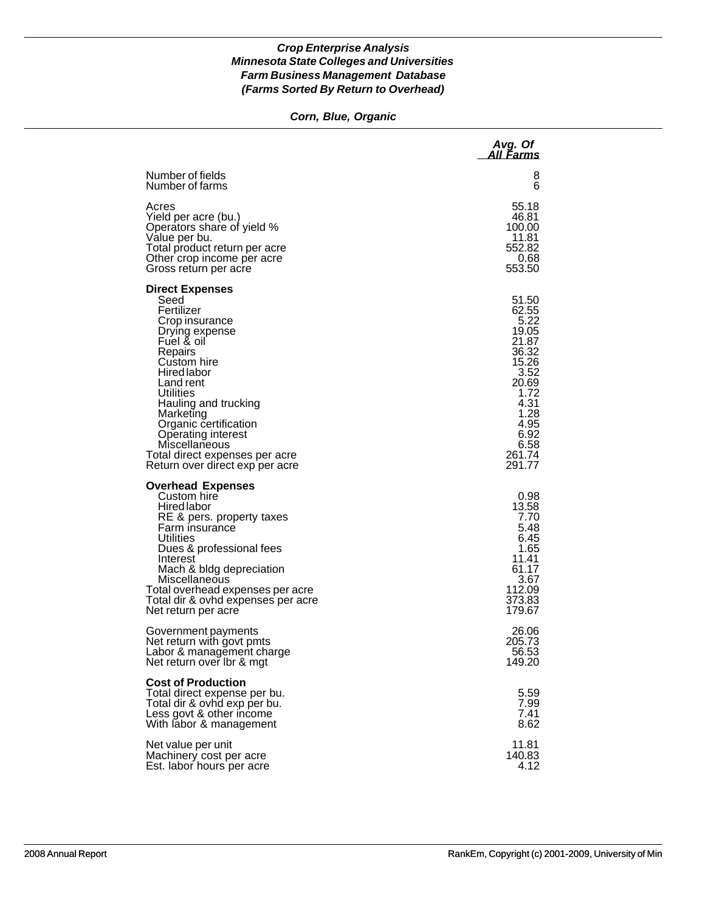# *Corn, Blue, Organic*

|                                                                                                                                                                                                                                                                                                                                                    | Avg. Of<br>All Farms                                                                                                                            |
|----------------------------------------------------------------------------------------------------------------------------------------------------------------------------------------------------------------------------------------------------------------------------------------------------------------------------------------------------|-------------------------------------------------------------------------------------------------------------------------------------------------|
| Number of fields                                                                                                                                                                                                                                                                                                                                   | 8                                                                                                                                               |
| Number of farms                                                                                                                                                                                                                                                                                                                                    | 6                                                                                                                                               |
| Acres                                                                                                                                                                                                                                                                                                                                              | 55.18                                                                                                                                           |
| Yield per acre (bu.)                                                                                                                                                                                                                                                                                                                               | 46.81                                                                                                                                           |
| Operators share of yield %                                                                                                                                                                                                                                                                                                                         | 100.00                                                                                                                                          |
| Value per bu.                                                                                                                                                                                                                                                                                                                                      | 11.81                                                                                                                                           |
| Total product return per acre                                                                                                                                                                                                                                                                                                                      | 552.82                                                                                                                                          |
| Other crop income per acre                                                                                                                                                                                                                                                                                                                         | 0.68                                                                                                                                            |
| Gross return per acre                                                                                                                                                                                                                                                                                                                              | 553.50                                                                                                                                          |
| <b>Direct Expenses</b><br>Seed<br>Fertilizer<br>Crop insurance<br>Drying expense<br>Fuel & oil<br>Repairs<br>Custom hire<br><b>Hired labor</b><br>Land rent<br>Utilities<br>Hauling and trucking<br>Marketing<br>Organic certification<br>Operating interest<br>Miscellaneous<br>Total direct expenses per acre<br>Return over direct exp per acre | 51.50<br>62.55<br>5.22<br>19.05<br>21.87<br>36.32<br>15.26<br>3.52<br>20.69<br>1.72<br>4.31<br>1.28<br>4.95<br>6.92<br>6.58<br>261.74<br>291.77 |
| <b>Overhead Expenses</b><br>Custom hire<br><b>Hired labor</b><br>RE & pers. property taxes<br>Farm insurance<br>Utilities<br>Dues & professional fees<br>Interest<br>Mach & bldg depreciation<br>Miscellaneous<br>Total overhead expenses per acre<br>Total dir & ovhd expenses per acre<br>Net return per acre                                    | 0.98<br>13.58<br>7.70<br>5.48<br>6.45<br>1.65<br>11.41<br>61.17<br>3.67<br>112.09<br>373.83<br>179.67                                           |
| Government payments                                                                                                                                                                                                                                                                                                                                | 26.06                                                                                                                                           |
| Net return with govt pmts                                                                                                                                                                                                                                                                                                                          | 205.73                                                                                                                                          |
| Labor & management charge                                                                                                                                                                                                                                                                                                                          | 56.53                                                                                                                                           |
| Net return over Ibr & mgt                                                                                                                                                                                                                                                                                                                          | 149.20                                                                                                                                          |
| <b>Cost of Production</b><br>Total direct expense per bu.<br>Total dir & ovhd exp per bu.<br>Less govt & other income<br>With labor & management                                                                                                                                                                                                   | 5.59<br>7.99<br>7.41<br>8.62                                                                                                                    |
| Net value per unit                                                                                                                                                                                                                                                                                                                                 | 11.81                                                                                                                                           |
| Machinery cost per acre                                                                                                                                                                                                                                                                                                                            | 140.83                                                                                                                                          |
| Est. labor hours per acre                                                                                                                                                                                                                                                                                                                          | 4.12                                                                                                                                            |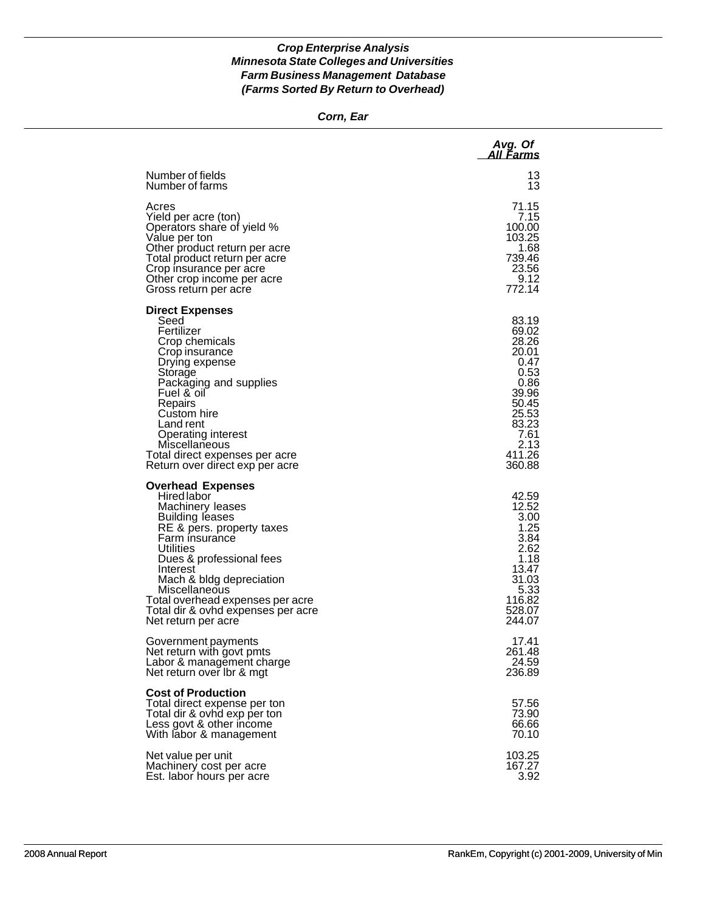#### *Corn, Ear*

|                                                                                                                                                                                                                                                                                                                                         | Avg. Of<br>All Farms                                                                                                             |
|-----------------------------------------------------------------------------------------------------------------------------------------------------------------------------------------------------------------------------------------------------------------------------------------------------------------------------------------|----------------------------------------------------------------------------------------------------------------------------------|
| Number of fields                                                                                                                                                                                                                                                                                                                        | 13                                                                                                                               |
| Number of farms                                                                                                                                                                                                                                                                                                                         | 13                                                                                                                               |
| Acres                                                                                                                                                                                                                                                                                                                                   | 71.15                                                                                                                            |
| Yield per acre (ton)                                                                                                                                                                                                                                                                                                                    | 7.15                                                                                                                             |
| Operators share of yield %                                                                                                                                                                                                                                                                                                              | 100.00                                                                                                                           |
| Value per ton                                                                                                                                                                                                                                                                                                                           | 103.25                                                                                                                           |
| Other product return per acre                                                                                                                                                                                                                                                                                                           | 1.68                                                                                                                             |
| Total product return per acre                                                                                                                                                                                                                                                                                                           | 739.46                                                                                                                           |
| Crop insurance per acre                                                                                                                                                                                                                                                                                                                 | 23.56                                                                                                                            |
| Other crop income per acre                                                                                                                                                                                                                                                                                                              | 9.12                                                                                                                             |
| Gross return per acre                                                                                                                                                                                                                                                                                                                   | 772.14                                                                                                                           |
| <b>Direct Expenses</b><br>Seed<br>Fertilizer<br>Crop chemicals<br>Crop insurance<br>Drying expense<br>Storage<br>Packaging and supplies<br>Fuel & oil<br>Repairs<br>Custom hire<br>Land rent<br>Operating interest<br>Miscellaneous<br>Total direct expenses per acre<br>Return over direct exp per acre                                | 83.19<br>69.02<br>28.26<br>20.01<br>0.47<br>0.53<br>0.86<br>39.96<br>50.45<br>25.53<br>83.23<br>7.61<br>2.13<br>411.26<br>360.88 |
| <b>Overhead Expenses</b><br>Hired labor<br>Machinery leases<br><b>Building leases</b><br>RE & pers. property taxes<br>Farm insurance<br>Utilities<br>Dues & professional fees<br>Interest<br>Mach & bldg depreciation<br>Miscellaneous<br>Total overhead expenses per acre<br>Total dir & ovhd expenses per acre<br>Net return per acre | 42.59<br>12.52<br>3.00<br>1.25<br>3.84<br>2.62<br>1.18<br>13.47<br>31.03<br>5.33<br>116.82<br>528.07<br>244.07                   |
| Government payments                                                                                                                                                                                                                                                                                                                     | 17.41                                                                                                                            |
| Net return with govt pmts                                                                                                                                                                                                                                                                                                               | 261.48                                                                                                                           |
| Labor & management charge                                                                                                                                                                                                                                                                                                               | 24.59                                                                                                                            |
| Net return over Ibr & mgt                                                                                                                                                                                                                                                                                                               | 236.89                                                                                                                           |
| <b>Cost of Production</b><br>Total direct expense per ton<br>Total dir & ovhd exp per ton<br>Less govt & other income<br>With labor & management                                                                                                                                                                                        | 57.56<br>73.90<br>66.66<br>70.10                                                                                                 |
| Net value per unit                                                                                                                                                                                                                                                                                                                      | 103.25                                                                                                                           |
| Machinery cost per acre                                                                                                                                                                                                                                                                                                                 | 167.27                                                                                                                           |
| Est. labor hours per acre                                                                                                                                                                                                                                                                                                               | 3.92                                                                                                                             |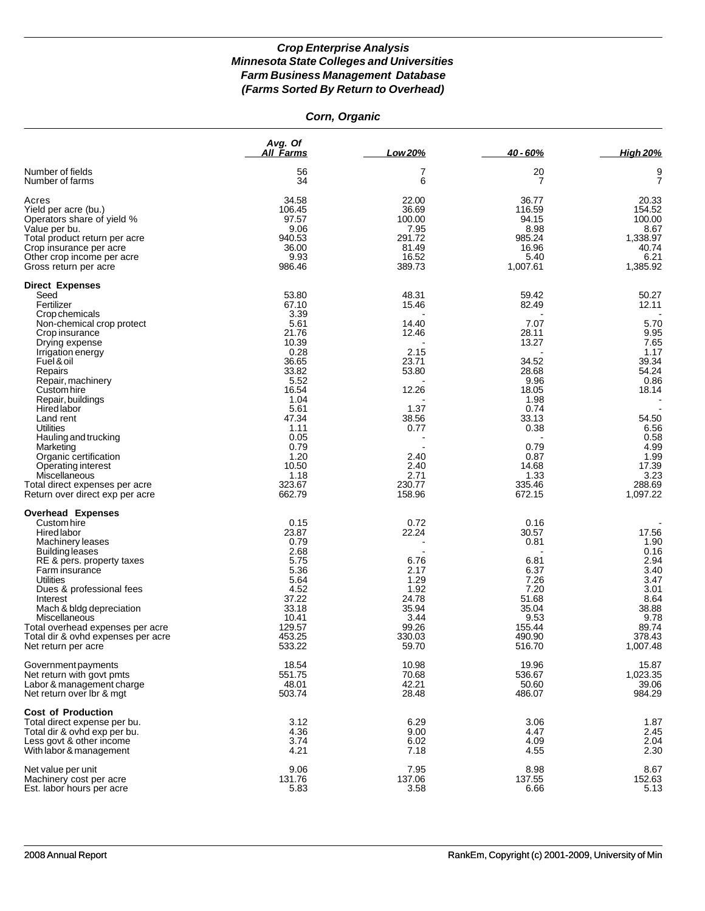#### *Corn, Organic*

|                                                                                                                                                                                                                                                                                                                                                                                                                                | Ava. Of<br><b>All Farms</b>                                                                                                                                                      | Low 20%                                                                                                                         | 40 - 60%                                                                                                                                                 | <b>High 20%</b>                                                                                                                                          |
|--------------------------------------------------------------------------------------------------------------------------------------------------------------------------------------------------------------------------------------------------------------------------------------------------------------------------------------------------------------------------------------------------------------------------------|----------------------------------------------------------------------------------------------------------------------------------------------------------------------------------|---------------------------------------------------------------------------------------------------------------------------------|----------------------------------------------------------------------------------------------------------------------------------------------------------|----------------------------------------------------------------------------------------------------------------------------------------------------------|
| Number of fields<br>Number of farms                                                                                                                                                                                                                                                                                                                                                                                            | 56<br>34                                                                                                                                                                         | 7<br>6                                                                                                                          | 20<br>7                                                                                                                                                  | 9<br>$\overline{7}$                                                                                                                                      |
| Acres<br>Yield per acre (bu.)<br>Operators share of yield %<br>Value per bu.<br>Total product return per acre<br>Crop insurance per acre<br>Other crop income per acre<br>Gross return per acre                                                                                                                                                                                                                                | 34.58<br>106.45<br>97.57<br>9.06<br>940.53<br>36.00<br>9.93<br>986.46                                                                                                            | 22.00<br>36.69<br>100.00<br>7.95<br>291.72<br>81.49<br>16.52<br>389.73                                                          | 36.77<br>116.59<br>94.15<br>8.98<br>985.24<br>16.96<br>5.40<br>1,007.61                                                                                  | 20.33<br>154.52<br>100.00<br>8.67<br>1,338.97<br>40.74<br>6.21<br>1,385.92                                                                               |
| <b>Direct Expenses</b><br>Seed                                                                                                                                                                                                                                                                                                                                                                                                 | 53.80                                                                                                                                                                            | 48.31                                                                                                                           | 59.42                                                                                                                                                    | 50.27                                                                                                                                                    |
| Fertilizer<br>Crop chemicals<br>Non-chemical crop protect<br>Crop insurance<br>Drying expense<br>Irrigation energy<br>Fuel & oil<br>Repairs<br>Repair, machinery<br>Custom hire<br>Repair, buildings<br><b>Hired labor</b><br>Land rent<br>Utilities<br>Hauling and trucking<br>Marketing<br>Organic certification<br>Operating interest<br>Miscellaneous<br>Total direct expenses per acre<br>Return over direct exp per acre | 67.10<br>3.39<br>5.61<br>21.76<br>10.39<br>0.28<br>36.65<br>33.82<br>5.52<br>16.54<br>1.04<br>5.61<br>47.34<br>1.11<br>0.05<br>0.79<br>1.20<br>10.50<br>1.18<br>323.67<br>662.79 | 15.46<br>14.40<br>12.46<br>2.15<br>23.71<br>53.80<br>12.26<br>1.37<br>38.56<br>0.77<br>2.40<br>2.40<br>2.71<br>230.77<br>158.96 | 82.49<br>7.07<br>28.11<br>13.27<br>34.52<br>28.68<br>9.96<br>18.05<br>1.98<br>0.74<br>33.13<br>0.38<br>0.79<br>0.87<br>14.68<br>1.33<br>335.46<br>672.15 | 12.11<br>5.70<br>9.95<br>7.65<br>1.17<br>39.34<br>54.24<br>0.86<br>18.14<br>54.50<br>6.56<br>0.58<br>4.99<br>1.99<br>17.39<br>3.23<br>288.69<br>1,097.22 |
| <b>Overhead Expenses</b><br>Custom hire<br>Hired labor<br>Machinery leases<br>Building leases<br>RE & pers. property taxes<br>Farm insurance<br>Utilities<br>Dues & professional fees<br>Interest<br>Mach & bldg depreciation<br>Miscellaneous<br>Total overhead expenses per acre<br>Total dir & ovhd expenses per acre<br>Net return per acre                                                                                | 0.15<br>23.87<br>0.79<br>2.68<br>5.75<br>5.36<br>5.64<br>4.52<br>37.22<br>33.18<br>10.41<br>129.57<br>453.25<br>533.22                                                           | 0.72<br>22.24<br>6.76<br>2.17<br>1.29<br>1.92<br>24.78<br>35.94<br>3.44<br>99.26<br>330.03<br>59.70                             | 0.16<br>30.57<br>0.81<br>6.81<br>6.37<br>7.26<br>7.20<br>51.68<br>35.04<br>9.53<br>155.44<br>490.90<br>516.70                                            | 17.56<br>1.90<br>0.16<br>2.94<br>3.40<br>3.47<br>3.01<br>8.64<br>38.88<br>9.78<br>89.74<br>378.43<br>1,007.48                                            |
| Government payments<br>Net return with govt pmts<br>Labor & management charge<br>Net return over lbr & mgt                                                                                                                                                                                                                                                                                                                     | 18.54<br>551.75<br>48.01<br>503.74                                                                                                                                               | 10.98<br>70.68<br>42.21<br>28.48                                                                                                | 19.96<br>536.67<br>50.60<br>486.07                                                                                                                       | 15.87<br>1,023.35<br>39.06<br>984.29                                                                                                                     |
| <b>Cost of Production</b><br>Total direct expense per bu.<br>Total dir & ovhd exp per bu.<br>Less govt & other income<br>With labor & management                                                                                                                                                                                                                                                                               | 3.12<br>4.36<br>3.74<br>4.21                                                                                                                                                     | 6.29<br>9.00<br>6.02<br>7.18                                                                                                    | 3.06<br>4.47<br>4.09<br>4.55                                                                                                                             | 1.87<br>2.45<br>2.04<br>2.30                                                                                                                             |
| Net value per unit<br>Machinery cost per acre<br>Est. labor hours per acre                                                                                                                                                                                                                                                                                                                                                     | 9.06<br>131.76<br>5.83                                                                                                                                                           | 7.95<br>137.06<br>3.58                                                                                                          | 8.98<br>137.55<br>6.66                                                                                                                                   | 8.67<br>152.63<br>5.13                                                                                                                                   |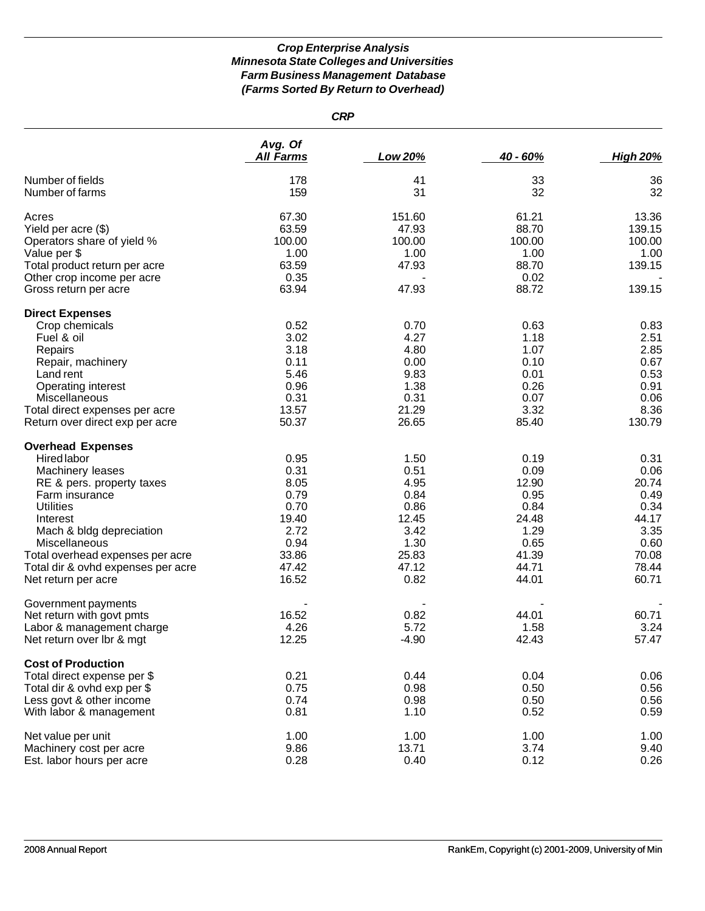*CRP*

|                                                                                                                                                                                                                                                                                                 | Avg. Of<br><b>All Farms</b>                                                              | Low 20%                                                                                 | 40 - 60%                                                                                  | <b>High 20%</b>                                                                           |
|-------------------------------------------------------------------------------------------------------------------------------------------------------------------------------------------------------------------------------------------------------------------------------------------------|------------------------------------------------------------------------------------------|-----------------------------------------------------------------------------------------|-------------------------------------------------------------------------------------------|-------------------------------------------------------------------------------------------|
| Number of fields<br>Number of farms                                                                                                                                                                                                                                                             | 178<br>159                                                                               | 41<br>31                                                                                | 33<br>32                                                                                  | 36<br>32                                                                                  |
| Acres<br>Yield per acre (\$)<br>Operators share of yield %                                                                                                                                                                                                                                      | 67.30<br>63.59<br>100.00                                                                 | 151.60<br>47.93<br>100.00                                                               | 61.21<br>88.70<br>100.00                                                                  | 13.36<br>139.15<br>100.00                                                                 |
| Value per \$<br>Total product return per acre<br>Other crop income per acre<br>Gross return per acre                                                                                                                                                                                            | 1.00<br>63.59<br>0.35<br>63.94                                                           | 1.00<br>47.93<br>47.93                                                                  | 1.00<br>88.70<br>0.02<br>88.72                                                            | 1.00<br>139.15<br>139.15                                                                  |
|                                                                                                                                                                                                                                                                                                 |                                                                                          |                                                                                         |                                                                                           |                                                                                           |
| <b>Direct Expenses</b><br>Crop chemicals<br>Fuel & oil<br>Repairs<br>Repair, machinery<br>Land rent<br>Operating interest<br>Miscellaneous                                                                                                                                                      | 0.52<br>3.02<br>3.18<br>0.11<br>5.46<br>0.96<br>0.31                                     | 0.70<br>4.27<br>4.80<br>0.00<br>9.83<br>1.38<br>0.31                                    | 0.63<br>1.18<br>1.07<br>0.10<br>0.01<br>0.26<br>0.07                                      | 0.83<br>2.51<br>2.85<br>0.67<br>0.53<br>0.91<br>0.06                                      |
| Total direct expenses per acre<br>Return over direct exp per acre                                                                                                                                                                                                                               | 13.57<br>50.37                                                                           | 21.29<br>26.65                                                                          | 3.32<br>85.40                                                                             | 8.36<br>130.79                                                                            |
| <b>Overhead Expenses</b><br><b>Hired labor</b><br>Machinery leases<br>RE & pers. property taxes<br>Farm insurance<br><b>Utilities</b><br>Interest<br>Mach & bldg depreciation<br>Miscellaneous<br>Total overhead expenses per acre<br>Total dir & ovhd expenses per acre<br>Net return per acre | 0.95<br>0.31<br>8.05<br>0.79<br>0.70<br>19.40<br>2.72<br>0.94<br>33.86<br>47.42<br>16.52 | 1.50<br>0.51<br>4.95<br>0.84<br>0.86<br>12.45<br>3.42<br>1.30<br>25.83<br>47.12<br>0.82 | 0.19<br>0.09<br>12.90<br>0.95<br>0.84<br>24.48<br>1.29<br>0.65<br>41.39<br>44.71<br>44.01 | 0.31<br>0.06<br>20.74<br>0.49<br>0.34<br>44.17<br>3.35<br>0.60<br>70.08<br>78.44<br>60.71 |
| Government payments<br>Net return with govt pmts<br>Labor & management charge<br>Net return over Ibr & mgt                                                                                                                                                                                      | $\qquad \qquad \blacksquare$<br>16.52<br>4.26<br>12.25                                   | 0.82<br>5.72<br>$-4.90$                                                                 | 44.01<br>1.58<br>42.43                                                                    | 60.71<br>3.24<br>57.47                                                                    |
| <b>Cost of Production</b><br>Total direct expense per \$<br>Total dir & ovhd exp per \$<br>Less govt & other income<br>With labor & management                                                                                                                                                  | 0.21<br>0.75<br>0.74<br>0.81                                                             | 0.44<br>0.98<br>0.98<br>1.10                                                            | 0.04<br>0.50<br>0.50<br>0.52                                                              | 0.06<br>0.56<br>0.56<br>0.59                                                              |
| Net value per unit<br>Machinery cost per acre<br>Est. labor hours per acre                                                                                                                                                                                                                      | 1.00<br>9.86<br>0.28                                                                     | 1.00<br>13.71<br>0.40                                                                   | 1.00<br>3.74<br>0.12                                                                      | 1.00<br>9.40<br>0.26                                                                      |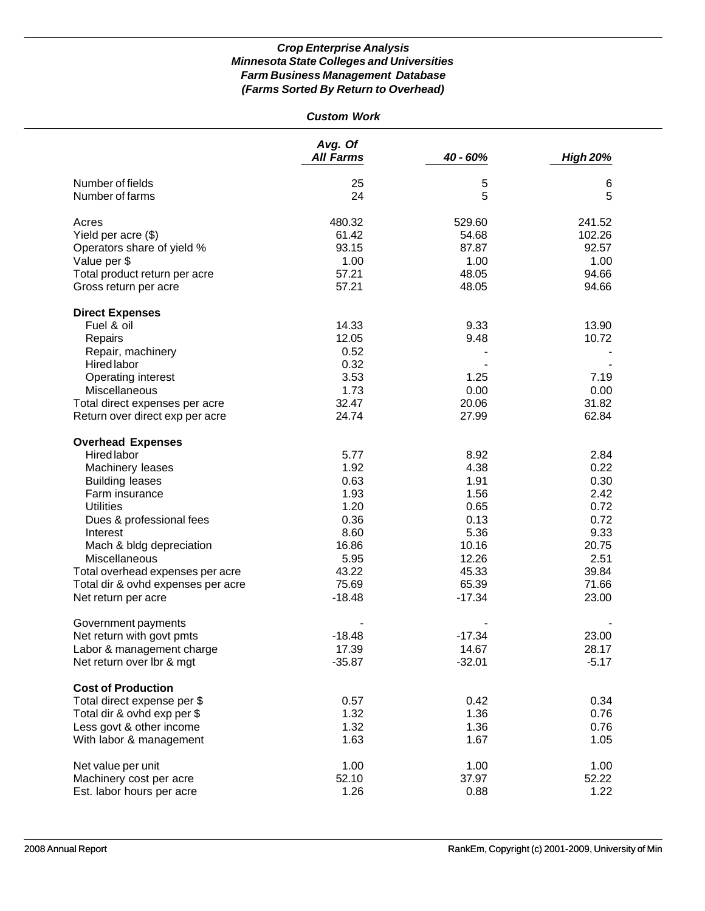| <b>Custom Work</b>                 |                             |          |                 |
|------------------------------------|-----------------------------|----------|-----------------|
|                                    | Avg. Of<br><b>All Farms</b> | 40 - 60% | <b>High 20%</b> |
|                                    |                             |          |                 |
| Number of fields                   | 25                          | 5        | 6               |
| Number of farms                    | 24                          | 5        | 5               |
| Acres                              | 480.32                      | 529.60   | 241.52          |
| Yield per acre (\$)                | 61.42                       | 54.68    | 102.26          |
| Operators share of yield %         | 93.15                       | 87.87    | 92.57           |
| Value per \$                       | 1.00                        | 1.00     | 1.00            |
| Total product return per acre      | 57.21                       | 48.05    | 94.66           |
| Gross return per acre              | 57.21                       | 48.05    | 94.66           |
| <b>Direct Expenses</b>             |                             |          |                 |
| Fuel & oil                         | 14.33                       | 9.33     | 13.90           |
| Repairs                            | 12.05                       | 9.48     | 10.72           |
| Repair, machinery                  | 0.52                        |          |                 |
| <b>Hired labor</b>                 | 0.32                        |          |                 |
| Operating interest                 | 3.53                        | 1.25     | 7.19            |
| Miscellaneous                      | 1.73                        | 0.00     | 0.00            |
| Total direct expenses per acre     | 32.47                       | 20.06    | 31.82           |
| Return over direct exp per acre    | 24.74                       | 27.99    | 62.84           |
| <b>Overhead Expenses</b>           |                             |          |                 |
| Hired labor                        | 5.77                        | 8.92     | 2.84            |
| Machinery leases                   | 1.92                        | 4.38     | 0.22            |
| <b>Building leases</b>             | 0.63                        | 1.91     | 0.30            |
| Farm insurance                     | 1.93                        | 1.56     | 2.42            |
| <b>Utilities</b>                   | 1.20                        | 0.65     | 0.72            |
| Dues & professional fees           | 0.36                        | 0.13     | 0.72            |
| Interest                           | 8.60                        | 5.36     | 9.33            |
| Mach & bldg depreciation           | 16.86                       | 10.16    | 20.75           |
| Miscellaneous                      | 5.95                        | 12.26    | 2.51            |
| Total overhead expenses per acre   | 43.22                       | 45.33    | 39.84           |
| Total dir & ovhd expenses per acre | 75.69                       | 65.39    | 71.66           |
| Net return per acre                | $-18.48$                    | $-17.34$ | 23.00           |
| Government payments                |                             |          |                 |
| Net return with govt pmts          | $-18.48$                    | $-17.34$ | 23.00           |
| Labor & management charge          | 17.39                       | 14.67    | 28.17           |
| Net return over lbr & mgt          | $-35.87$                    | $-32.01$ | $-5.17$         |
| <b>Cost of Production</b>          |                             |          |                 |
| Total direct expense per \$        | 0.57                        | 0.42     | 0.34            |
| Total dir & ovhd exp per \$        | 1.32                        | 1.36     | 0.76            |
| Less govt & other income           | 1.32                        | 1.36     | 0.76            |
| With labor & management            | 1.63                        | 1.67     | 1.05            |
| Net value per unit                 | 1.00                        | 1.00     | 1.00            |
| Machinery cost per acre            | 52.10                       | 37.97    | 52.22           |
| Est. labor hours per acre          | 1.26                        | 0.88     | 1.22            |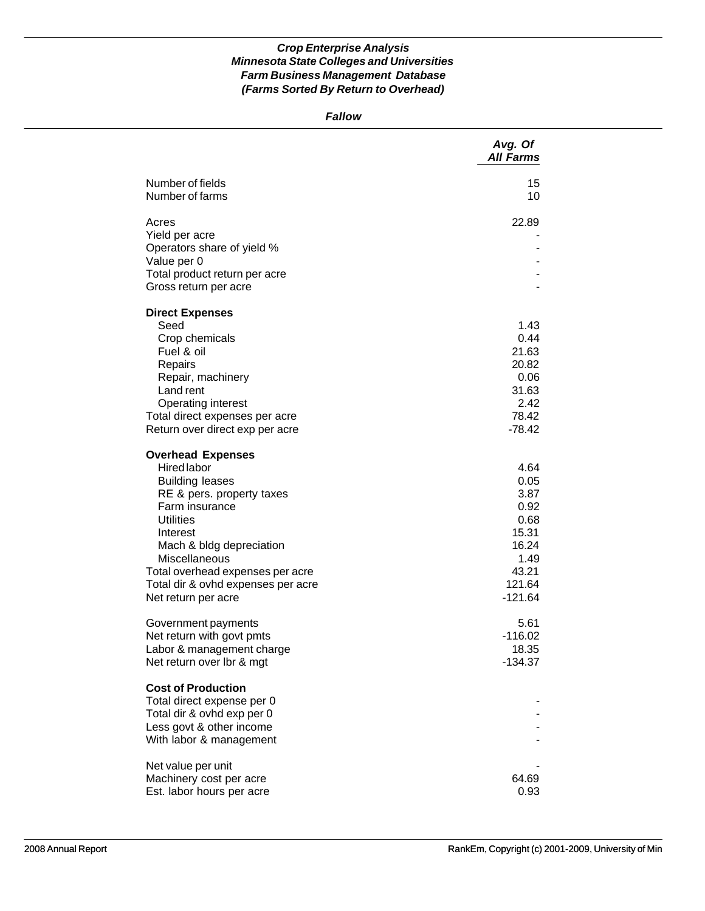*Fallow*

|                                                                                                                                                                                                                                                                                                                                                    | Avg. Of<br><b>All Farms</b>                                                                                         |
|----------------------------------------------------------------------------------------------------------------------------------------------------------------------------------------------------------------------------------------------------------------------------------------------------------------------------------------------------|---------------------------------------------------------------------------------------------------------------------|
| Number of fields<br>Number of farms                                                                                                                                                                                                                                                                                                                | 15<br>10                                                                                                            |
| Acres                                                                                                                                                                                                                                                                                                                                              | 22.89                                                                                                               |
| Yield per acre<br>Operators share of yield %                                                                                                                                                                                                                                                                                                       |                                                                                                                     |
| Value per 0                                                                                                                                                                                                                                                                                                                                        |                                                                                                                     |
| Total product return per acre                                                                                                                                                                                                                                                                                                                      |                                                                                                                     |
| Gross return per acre                                                                                                                                                                                                                                                                                                                              |                                                                                                                     |
| <b>Direct Expenses</b>                                                                                                                                                                                                                                                                                                                             |                                                                                                                     |
| Seed                                                                                                                                                                                                                                                                                                                                               | 1.43                                                                                                                |
| Crop chemicals                                                                                                                                                                                                                                                                                                                                     | 0.44                                                                                                                |
| Fuel & oil                                                                                                                                                                                                                                                                                                                                         | 21.63                                                                                                               |
| Repairs                                                                                                                                                                                                                                                                                                                                            | 20.82                                                                                                               |
| Repair, machinery<br>Land rent                                                                                                                                                                                                                                                                                                                     | 0.06<br>31.63                                                                                                       |
| Operating interest                                                                                                                                                                                                                                                                                                                                 | 2.42                                                                                                                |
| Total direct expenses per acre                                                                                                                                                                                                                                                                                                                     | 78.42                                                                                                               |
| Return over direct exp per acre                                                                                                                                                                                                                                                                                                                    | $-78.42$                                                                                                            |
| <b>Overhead Expenses</b><br>Hired labor<br><b>Building leases</b><br>RE & pers. property taxes<br>Farm insurance<br><b>Utilities</b><br>Interest<br>Mach & bldg depreciation<br>Miscellaneous<br>Total overhead expenses per acre<br>Total dir & ovhd expenses per acre<br>Net return per acre<br>Government payments<br>Net return with govt pmts | 4.64<br>0.05<br>3.87<br>0.92<br>0.68<br>15.31<br>16.24<br>1.49<br>43.21<br>121.64<br>$-121.64$<br>5.61<br>$-116.02$ |
| Labor & management charge                                                                                                                                                                                                                                                                                                                          | 18.35                                                                                                               |
| Net return over lbr & mgt                                                                                                                                                                                                                                                                                                                          | $-134.37$                                                                                                           |
| <b>Cost of Production</b><br>Total direct expense per 0<br>Total dir & ovhd exp per 0<br>Less govt & other income<br>With labor & management                                                                                                                                                                                                       |                                                                                                                     |
| Net value per unit                                                                                                                                                                                                                                                                                                                                 |                                                                                                                     |
| Machinery cost per acre                                                                                                                                                                                                                                                                                                                            | 64.69                                                                                                               |
| Est. labor hours per acre                                                                                                                                                                                                                                                                                                                          | 0.93                                                                                                                |
|                                                                                                                                                                                                                                                                                                                                                    |                                                                                                                     |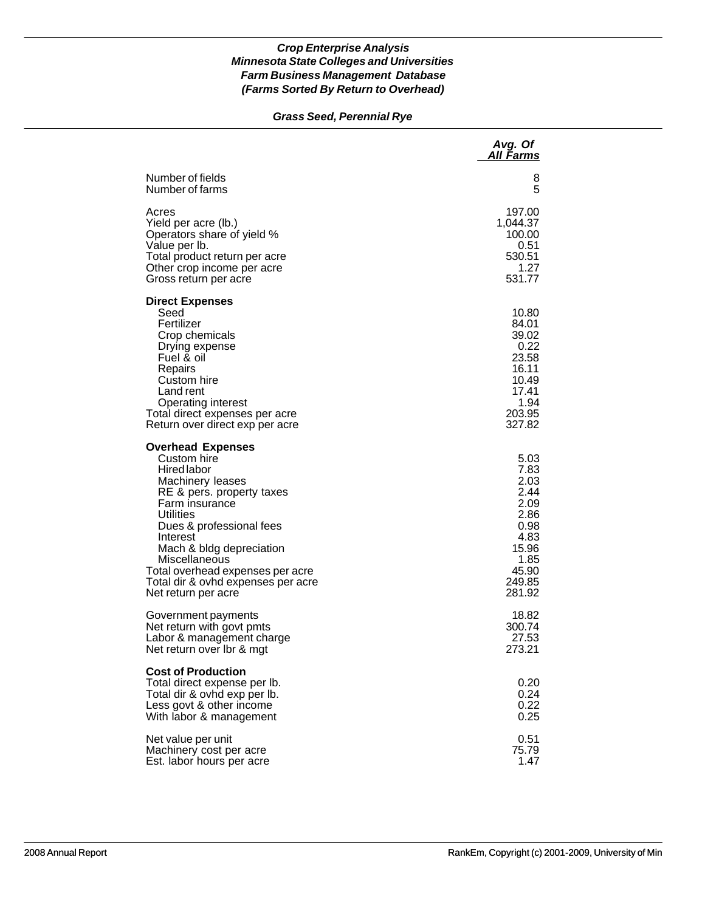# *Grass Seed, Perennial Rye*

|                                                                                                                                                                                                                                                                                                                                            | Avg. Of<br><u>All Farms</u>                                                                                |
|--------------------------------------------------------------------------------------------------------------------------------------------------------------------------------------------------------------------------------------------------------------------------------------------------------------------------------------------|------------------------------------------------------------------------------------------------------------|
| Number of fields                                                                                                                                                                                                                                                                                                                           | 8                                                                                                          |
| Number of farms                                                                                                                                                                                                                                                                                                                            | 5                                                                                                          |
| Acres                                                                                                                                                                                                                                                                                                                                      | 197.00                                                                                                     |
| Yield per acre (lb.)                                                                                                                                                                                                                                                                                                                       | 1,044.37                                                                                                   |
| Operators share of yield %                                                                                                                                                                                                                                                                                                                 | 100.00                                                                                                     |
| Value per Ib.                                                                                                                                                                                                                                                                                                                              | 0.51                                                                                                       |
| Total product return per acre                                                                                                                                                                                                                                                                                                              | 530.51                                                                                                     |
| Other crop income per acre                                                                                                                                                                                                                                                                                                                 | 1.27                                                                                                       |
| Gross return per acre                                                                                                                                                                                                                                                                                                                      | 531.77                                                                                                     |
| <b>Direct Expenses</b><br>Seed<br>Fertilizer<br>Crop chemicals<br>Drying expense<br>Fuel & oil<br>Repairs<br>Custom hire<br>Land rent<br>Operating interest<br>Total direct expenses per acre<br>Return over direct exp per acre                                                                                                           | 10.80<br>84.01<br>39.02<br>0.22<br>23.58<br>16.11<br>10.49<br>17.41<br>1.94<br>203.95<br>327.82            |
| <b>Overhead Expenses</b><br>Custom hire<br><b>Hired labor</b><br>Machinery leases<br>RE & pers. property taxes<br>Farm insurance<br><b>Utilities</b><br>Dues & professional fees<br>Interest<br>Mach & bldg depreciation<br>Miscellaneous<br>Total overhead expenses per acre<br>Total dir & ovhd expenses per acre<br>Net return per acre | 5.03<br>7.83<br>2.03<br>2.44<br>2.09<br>2.86<br>0.98<br>4.83<br>15.96<br>1.85<br>45.90<br>249.85<br>281.92 |
| Government payments                                                                                                                                                                                                                                                                                                                        | 18.82                                                                                                      |
| Net return with govt pmts                                                                                                                                                                                                                                                                                                                  | 300.74                                                                                                     |
| Labor & management charge                                                                                                                                                                                                                                                                                                                  | 27.53                                                                                                      |
| Net return over Ibr & mgt                                                                                                                                                                                                                                                                                                                  | 273.21                                                                                                     |
| <b>Cost of Production</b><br>Total direct expense per lb.<br>Total dir & ovhd exp per lb.<br>Less govt & other income<br>With labor & management                                                                                                                                                                                           | 0.20<br>0.24<br>0.22<br>0.25                                                                               |
| Net value per unit                                                                                                                                                                                                                                                                                                                         | 0.51                                                                                                       |
| Machinery cost per acre                                                                                                                                                                                                                                                                                                                    | 75.79                                                                                                      |
| Est. labor hours per acre                                                                                                                                                                                                                                                                                                                  | 1.47                                                                                                       |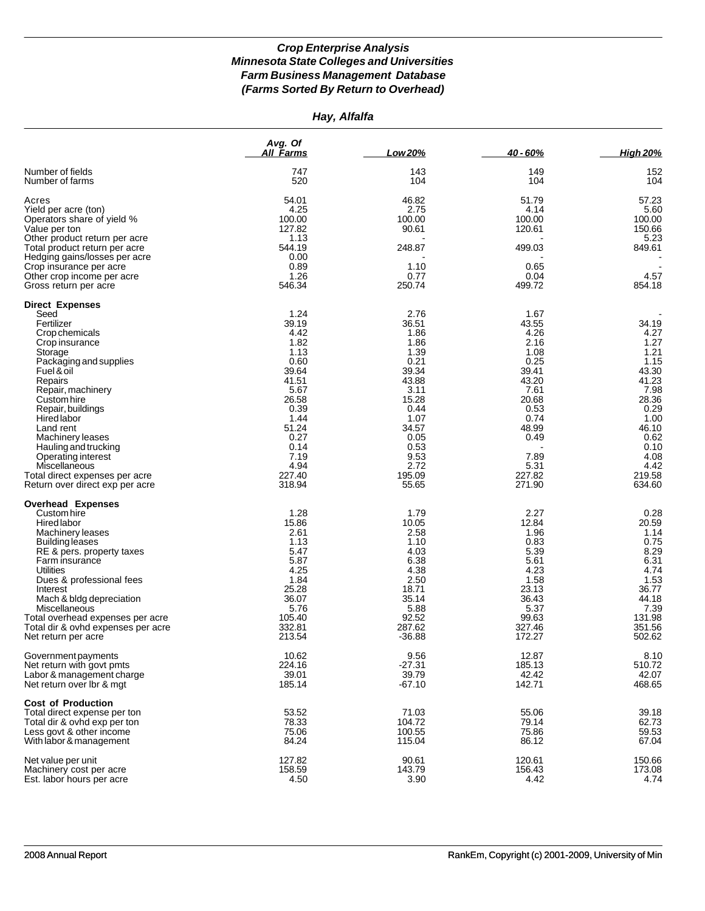*Hay, Alfalfa*

|                                                                | Avg. Of<br>All Farms | Low 20%       | 40 - 60%      | <b>High 20%</b> |
|----------------------------------------------------------------|----------------------|---------------|---------------|-----------------|
| Number of fields                                               | 747                  | 143           | 149           | 152             |
| Number of farms                                                | 520                  | 104           | 104           | 104             |
| Acres                                                          | 54.01                | 46.82         | 51.79         | 57.23           |
| Yield per acre (ton)                                           | 4.25                 | 2.75          | 4.14          | 5.60            |
| Operators share of yield %                                     | 100.00               | 100.00        | 100.00        | 100.00          |
| Value per ton                                                  | 127.82               | 90.61         | 120.61        | 150.66          |
| Other product return per acre                                  | 1.13                 |               |               | 5.23            |
| Total product return per acre<br>Hedging gains/losses per acre | 544.19<br>0.00       | 248.87        | 499.03        | 849.61          |
| Crop insurance per acre                                        | 0.89                 | 1.10          | 0.65          |                 |
| Other crop income per acre                                     | 1.26                 | 0.77          | 0.04          | 4.57            |
| Gross return per acre                                          | 546.34               | 250.74        | 499.72        | 854.18          |
| <b>Direct Expenses</b>                                         |                      |               |               |                 |
| Seed                                                           | 1.24                 | 2.76          | 1.67          |                 |
| Fertilizer<br>Crop chemicals                                   | 39.19<br>4.42        | 36.51<br>1.86 | 43.55<br>4.26 | 34.19<br>4.27   |
| Crop insurance                                                 | 1.82                 | 1.86          | 2.16          | 1.27            |
| Storage                                                        | 1.13                 | 1.39          | 1.08          | 1.21            |
| Packaging and supplies                                         | 0.60                 | 0.21          | 0.25          | 1.15            |
| Fuel & oil                                                     | 39.64                | 39.34         | 39.41         | 43.30           |
| Repairs                                                        | 41.51                | 43.88         | 43.20         | 41.23           |
| Repair, machinery                                              | 5.67                 | 3.11          | 7.61          | 7.98            |
| Custom hire                                                    | 26.58                | 15.28         | 20.68         | 28.36           |
| Repair, buildings                                              | 0.39                 | 0.44          | 0.53          | 0.29            |
| Hired labor                                                    | 1.44<br>51.24        | 1.07          | 0.74          | 1.00            |
| Land rent<br>Machinery leases                                  | 0.27                 | 34.57<br>0.05 | 48.99<br>0.49 | 46.10<br>0.62   |
| Hauling and trucking                                           | 0.14                 | 0.53          |               | 0.10            |
| Operating interest                                             | 7.19                 | 9.53          | 7.89          | 4.08            |
| Miscellaneous                                                  | 4.94                 | 2.72          | 5.31          | 4.42            |
| Total direct expenses per acre                                 | 227.40               | 195.09        | 227.82        | 219.58          |
| Return over direct exp per acre                                | 318.94               | 55.65         | 271.90        | 634.60          |
| <b>Overhead Expenses</b>                                       |                      |               |               |                 |
| Custom hire                                                    | 1.28<br>15.86        | 1.79<br>10.05 | 2.27<br>12.84 | 0.28            |
| Hired labor<br>Machinery leases                                | 2.61                 | 2.58          | 1.96          | 20.59<br>1.14   |
| Building leases                                                | 1.13                 | 1.10          | 0.83          | 0.75            |
| RE & pers. property taxes                                      | 5.47                 | 4.03          | 5.39          | 8.29            |
| Farm insurance                                                 | 5.87                 | 6.38          | 5.61          | 6.31            |
| Utilities                                                      | 4.25                 | 4.38          | 4.23          | 4.74            |
| Dues & professional fees                                       | 1.84                 | 2.50          | 1.58          | 1.53            |
| Interest                                                       | 25.28                | 18.71         | 23.13         | 36.77           |
| Mach & bldg depreciation                                       | 36.07                | 35.14         | 36.43         | 44.18           |
| Miscellaneous<br>Total overhead expenses per acre              | 5.76<br>105.40       | 5.88<br>92.52 | 5.37<br>99.63 | 7.39<br>131.98  |
| Total dir & ovhd expenses per acre                             | 332.81               | 287.62        | 327.46        | 351.56          |
| Net return per acre                                            | 213.54               | $-36.88$      | 172.27        | 502.62          |
| Government payments                                            | 10.62                | 9.56          | 12.87         | 8.10            |
| Net return with govt pmts                                      | 224.16               | $-27.31$      | 185.13        | 510.72          |
| Labor & management charge                                      | 39.01                | 39.79         | 42.42         | 42.07           |
| Net return over lbr & mgt                                      | 185.14               | $-67.10$      | 142.71        | 468.65          |
| <b>Cost of Production</b><br>Total direct expense per ton      | 53.52                | 71.03         | 55.06         | 39.18           |
| Total dir & ovhd exp per ton                                   | 78.33                | 104.72        | 79.14         | 62.73           |
| Less govt & other income                                       | 75.06                | 100.55        | 75.86         | 59.53           |
| With labor & management                                        | 84.24                | 115.04        | 86.12         | 67.04           |
| Net value per unit                                             | 127.82               | 90.61         | 120.61        | 150.66          |
| Machinery cost per acre                                        | 158.59               | 143.79        | 156.43        | 173.08          |
| Est. labor hours per acre                                      | 4.50                 | 3.90          | 4.42          | 4.74            |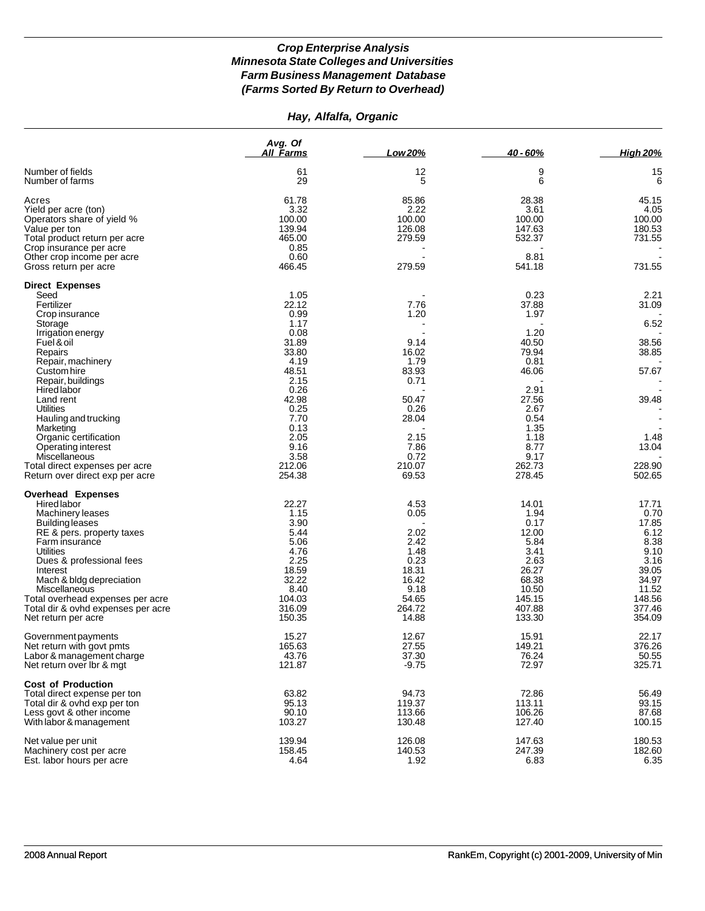# *Hay, Alfalfa, Organic*

|                                                                                                                                                                                                                | Avg. Of<br>All Farms                                                    | Low 20%                                                        | 40 - 60%                                                                 | <b>High 20%</b>                                                          |
|----------------------------------------------------------------------------------------------------------------------------------------------------------------------------------------------------------------|-------------------------------------------------------------------------|----------------------------------------------------------------|--------------------------------------------------------------------------|--------------------------------------------------------------------------|
| Number of fields<br>Number of farms                                                                                                                                                                            | 61<br>29                                                                | 12<br>5                                                        | 9<br>6                                                                   | 15<br>6                                                                  |
| Acres<br>Yield per acre (ton)<br>Operators share of yield %<br>Value per ton                                                                                                                                   | 61.78<br>3.32<br>100.00<br>139.94                                       | 85.86<br>2.22<br>100.00<br>126.08                              | 28.38<br>3.61<br>100.00<br>147.63                                        | 45.15<br>4.05<br>100.00<br>180.53                                        |
| Total product return per acre<br>Crop insurance per acre<br>Other crop income per acre<br>Gross return per acre                                                                                                | 465.00<br>0.85<br>0.60<br>466.45                                        | 279.59<br>279.59                                               | 532.37<br>8.81<br>541.18                                                 | 731.55<br>731.55                                                         |
| <b>Direct Expenses</b>                                                                                                                                                                                         |                                                                         |                                                                |                                                                          |                                                                          |
| Seed<br>Fertilizer<br>Crop insurance<br>Storage                                                                                                                                                                | 1.05<br>22.12<br>0.99<br>1.17                                           | 7.76<br>1.20                                                   | 0.23<br>37.88<br>1.97                                                    | 2.21<br>31.09<br>6.52                                                    |
| Irrigation energy<br>Fuel & oil<br>Repairs                                                                                                                                                                     | 0.08<br>31.89<br>33.80                                                  | 9.14<br>16.02                                                  | 1.20<br>40.50<br>79.94                                                   | 38.56<br>38.85                                                           |
| Repair, machinery<br>Custom hire<br>Repair, buildings<br><b>Hired labor</b>                                                                                                                                    | 4.19<br>48.51<br>2.15<br>0.26                                           | 1.79<br>83.93<br>0.71                                          | 0.81<br>46.06<br>2.91                                                    | 57.67                                                                    |
| Land rent<br><b>Utilities</b><br>Hauling and trucking<br>Marketing                                                                                                                                             | 42.98<br>0.25<br>7.70<br>0.13                                           | 50.47<br>0.26<br>28.04                                         | 27.56<br>2.67<br>0.54<br>1.35                                            | 39.48                                                                    |
| Organic certification<br>Operating interest<br>Miscellaneous<br>Total direct expenses per acre                                                                                                                 | 2.05<br>9.16<br>3.58<br>212.06                                          | 2.15<br>7.86<br>0.72<br>210.07                                 | 1.18<br>8.77<br>9.17<br>262.73                                           | 1.48<br>13.04<br>228.90                                                  |
| Return over direct exp per acre                                                                                                                                                                                | 254.38                                                                  | 69.53                                                          | 278.45                                                                   | 502.65                                                                   |
| <b>Overhead Expenses</b><br>Hired labor<br>Machinery leases<br>Building leases<br>RE & pers. property taxes<br>Farm insurance<br>Utilities<br>Dues & professional fees<br>Interest<br>Mach & bldg depreciation | 22.27<br>1.15<br>3.90<br>5.44<br>5.06<br>4.76<br>2.25<br>18.59<br>32.22 | 4.53<br>0.05<br>2.02<br>2.42<br>1.48<br>0.23<br>18.31<br>16.42 | 14.01<br>1.94<br>0.17<br>12.00<br>5.84<br>3.41<br>2.63<br>26.27<br>68.38 | 17.71<br>0.70<br>17.85<br>6.12<br>8.38<br>9.10<br>3.16<br>39.05<br>34.97 |
| Miscellaneous<br>Total overhead expenses per acre<br>Total dir & ovhd expenses per acre<br>Net return per acre                                                                                                 | 8.40<br>104.03<br>316.09<br>150.35                                      | 9.18<br>54.65<br>264.72<br>14.88                               | 10.50<br>145.15<br>407.88<br>133.30                                      | 11.52<br>148.56<br>377.46<br>354.09                                      |
| Government payments<br>Net return with govt pmts<br>Labor & management charge<br>Net return over Ibr & mgt                                                                                                     | 15.27<br>165.63<br>43.76<br>121.87                                      | 12.67<br>27.55<br>37.30<br>$-9.75$                             | 15.91<br>149.21<br>76.24<br>72.97                                        | 22.17<br>376.26<br>50.55<br>325.71                                       |
| <b>Cost of Production</b><br>Total direct expense per ton<br>Total dir & ovhd exp per ton<br>Less govt & other income<br>With labor & management                                                               | 63.82<br>95.13<br>90.10<br>103.27                                       | 94.73<br>119.37<br>113.66<br>130.48                            | 72.86<br>113.11<br>106.26<br>127.40                                      | 56.49<br>93.15<br>87.68<br>100.15                                        |
| Net value per unit<br>Machinery cost per acre<br>Est. labor hours per acre                                                                                                                                     | 139.94<br>158.45<br>4.64                                                | 126.08<br>140.53<br>1.92                                       | 147.63<br>247.39<br>6.83                                                 | 180.53<br>182.60<br>6.35                                                 |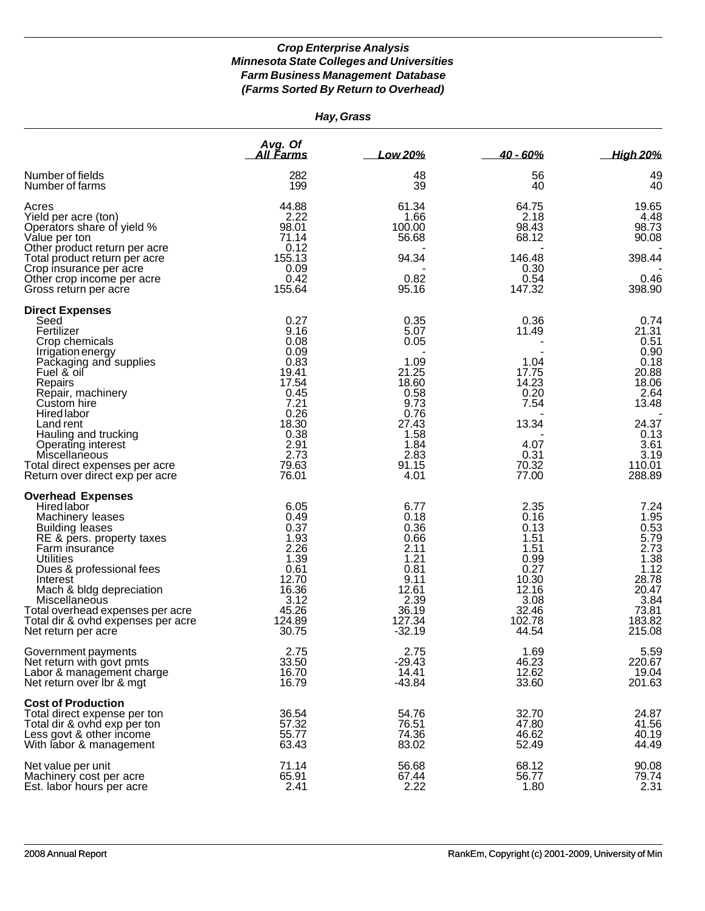| Hay, Grass                                                                                                                                                                                                                                                                                                                                        |                                                                                                                                   |                                                                                                                          |                                                                                                            |                                                                                                                               |
|---------------------------------------------------------------------------------------------------------------------------------------------------------------------------------------------------------------------------------------------------------------------------------------------------------------------------------------------------|-----------------------------------------------------------------------------------------------------------------------------------|--------------------------------------------------------------------------------------------------------------------------|------------------------------------------------------------------------------------------------------------|-------------------------------------------------------------------------------------------------------------------------------|
|                                                                                                                                                                                                                                                                                                                                                   | Avg. Of<br>All Farms                                                                                                              | Low 20%                                                                                                                  | $40 - 60%$                                                                                                 | <b>High 20%</b>                                                                                                               |
| Number of fields<br>Number of farms                                                                                                                                                                                                                                                                                                               | 282<br>199                                                                                                                        | 48<br>39                                                                                                                 | 56<br>40                                                                                                   | 49<br>40                                                                                                                      |
| Acres<br>Yield per acre (ton)<br>Operators share of yield %<br>Value per ton                                                                                                                                                                                                                                                                      | 44.88<br>2.22<br>98.01<br>71.14<br>0.12                                                                                           | 61.34<br>1.66<br>100.00<br>56.68                                                                                         | 64.75<br>2.18<br>98.43<br>68.12                                                                            | 19.65<br>4.48<br>98.73<br>90.08                                                                                               |
| Other product return per acre<br>Total product return per acre<br>Crop insurance per acre<br>Other crop income per acre<br>Gross return per acre                                                                                                                                                                                                  | 155.13<br>0.09<br>0.42<br>155.64                                                                                                  | 94.34<br>0.82<br>95.16                                                                                                   | 146.48<br>0.30<br>0.54<br>147.32                                                                           | 398.44<br>0.46<br>398.90                                                                                                      |
| <b>Direct Expenses</b><br>Seed<br>Fertilizer<br>Crop chemicals<br>Irrigation energy<br>Packaging and supplies<br>Fuel & oil<br>Repairs<br>Repair, machinery<br>Custom hire<br>Hired labor<br>Land rent<br>Hauling and trucking<br><b>Operating interest</b><br>Miscellaneous<br>Total direct expenses per acre<br>Return over direct exp per acre | 0.27<br>9.16<br>0.08<br>0.09<br>0.83<br>19.41<br>17.54<br>0.45<br>7.21<br>0.26<br>18.30<br>0.38<br>2.91<br>2.73<br>79.63<br>76.01 | 0.35<br>5.07<br>0.05<br>1.09<br>21.25<br>18.60<br>0.58<br>9.73<br>0.76<br>27.43<br>1.58<br>1.84<br>2.83<br>91.15<br>4.01 | 0.36<br>11.49<br>1.04<br>17.75<br>14.23<br>0.20<br>7.54<br>13.34<br>4.07<br>0.31<br>70.32<br>77.00         | 0.74<br>21.31<br>0.51<br>0.90<br>0.18<br>20.88<br>18.06<br>2.64<br>13.48<br>24.37<br>0.13<br>3.61<br>3.19<br>110.01<br>288.89 |
| <b>Overhead Expenses</b><br>Hired labor<br>Machinery leases<br><b>Building leases</b><br>RE & pers. property taxes<br>Farm insurance<br>Utilities<br>Dues & professional fees<br>Interest<br>Mach & bldg depreciation<br>Miscellaneous<br>Total overhead expenses per acre<br>Total dir & ovhd expenses per acre<br>Net return per acre           | 6.05<br>0.49<br>0.37<br>1.93<br>2.26<br>1.39<br>0.61<br>12.70<br>16.36<br>3.12<br>45.26<br>124.89<br>30.75                        | 6.77<br>0.18<br>0.36<br>0.66<br>2.11<br>1.21<br>0.81<br>9.11<br>12.61<br>2.39<br>36.19<br>127.34<br>$-32.19$             | 2.35<br>0.16<br>0.13<br>1.51<br>1.51<br>0.99<br>0.27<br>10.30<br>12.16<br>3.08<br>32.46<br>102.78<br>44.54 | 7.24<br>1.95<br>0.53<br>5.79<br>2.73<br>1.38<br>1.12<br>28.78<br>20.47<br>3.84<br>73.81<br>183.82<br>215.08                   |
| Government payments<br>Net return with govt pmts<br>Labor & management charge<br>Net return over Ibr & mgt                                                                                                                                                                                                                                        | 2.75<br>33.50<br>16.70<br>16.79                                                                                                   | 2.75<br>$-29.43$<br>14.41<br>-43.84                                                                                      | 1.69<br>46.23<br>12.62<br>33.60                                                                            | 5.59<br>220.67<br>19.04<br>201.63                                                                                             |
| <b>Cost of Production</b><br>Total direct expense per ton<br>Total dir & ovhd exp per ton<br>Less govt & other income<br>With labor & management                                                                                                                                                                                                  | 36.54<br>57.32<br>55.77<br>63.43                                                                                                  | 54.76<br>76.51<br>74.36<br>83.02                                                                                         | 32.70<br>47.80<br>46.62<br>52.49                                                                           | 24.87<br>41.56<br>40.19<br>44.49                                                                                              |
| Net value per unit<br>Machinery cost per acre<br>Est. labor hours per acre                                                                                                                                                                                                                                                                        | 71.14<br>65.91<br>2.41                                                                                                            | 56.68<br>67.44<br>2.22                                                                                                   | 68.12<br>56.77<br>1.80                                                                                     | 90.08<br>79.74<br>2.31                                                                                                        |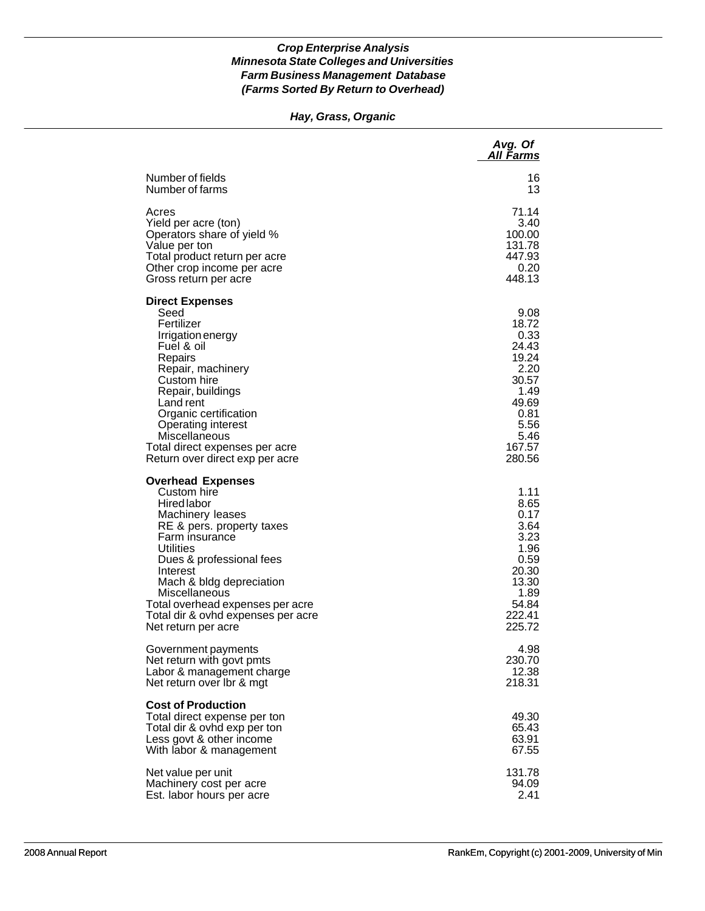### *Hay, Grass, Organic*

|                                                                                                                                                                                                                                                                                                                                            | Avg. Of<br><b>All Farms</b>                                                                                           |
|--------------------------------------------------------------------------------------------------------------------------------------------------------------------------------------------------------------------------------------------------------------------------------------------------------------------------------------------|-----------------------------------------------------------------------------------------------------------------------|
| Number of fields                                                                                                                                                                                                                                                                                                                           | 16                                                                                                                    |
| Number of farms                                                                                                                                                                                                                                                                                                                            | 13                                                                                                                    |
| Acres                                                                                                                                                                                                                                                                                                                                      | 71.14                                                                                                                 |
| Yield per acre (ton)                                                                                                                                                                                                                                                                                                                       | 3.40                                                                                                                  |
| Operators share of yield %                                                                                                                                                                                                                                                                                                                 | 100.00                                                                                                                |
| Value per ton                                                                                                                                                                                                                                                                                                                              | 131.78                                                                                                                |
| Total product return per acre                                                                                                                                                                                                                                                                                                              | 447.93                                                                                                                |
| Other crop income per acre                                                                                                                                                                                                                                                                                                                 | 0.20                                                                                                                  |
| Gross return per acre                                                                                                                                                                                                                                                                                                                      | 448.13                                                                                                                |
| <b>Direct Expenses</b><br>Seed<br>Fertilizer<br>Irrigation energy<br>Fuel & oil<br>Repairs<br>Repair, machinery<br>Custom hire<br>Repair, buildings<br>Land rent<br>Organic certification<br><b>Operating interest</b><br>Miscellaneous<br>Total direct expenses per acre<br>Return over direct exp per acre                               | 9.08<br>18.72<br>0.33<br>24.43<br>19.24<br>2.20<br>30.57<br>1.49<br>49.69<br>0.81<br>5.56<br>5.46<br>167.57<br>280.56 |
| <b>Overhead Expenses</b><br>Custom hire<br><b>Hired labor</b><br>Machinery leases<br>RE & pers. property taxes<br>Farm insurance<br><b>Utilities</b><br>Dues & professional fees<br>Interest<br>Mach & bldg depreciation<br>Miscellaneous<br>Total overhead expenses per acre<br>Total dir & ovhd expenses per acre<br>Net return per acre | 1.11<br>8.65<br>0.17<br>3.64<br>3.23<br>1.96<br>0.59<br>20.30<br>13.30<br>1.89<br>54.84<br>222.41<br>225.72           |
| Government payments                                                                                                                                                                                                                                                                                                                        | 4.98                                                                                                                  |
| Net return with govt pmts                                                                                                                                                                                                                                                                                                                  | 230.70                                                                                                                |
| Labor & management charge                                                                                                                                                                                                                                                                                                                  | 12.38                                                                                                                 |
| Net return over Ibr & mgt                                                                                                                                                                                                                                                                                                                  | 218.31                                                                                                                |
| <b>Cost of Production</b><br>Total direct expense per ton<br>Total dir & ovhd exp per ton<br>Less govt & other income<br>With labor & management                                                                                                                                                                                           | 49.30<br>65.43<br>63.91<br>67.55                                                                                      |
| Net value per unit                                                                                                                                                                                                                                                                                                                         | 131.78                                                                                                                |
| Machinery cost per acre                                                                                                                                                                                                                                                                                                                    | 94.09                                                                                                                 |
| Est. labor hours per acre                                                                                                                                                                                                                                                                                                                  | 2.41                                                                                                                  |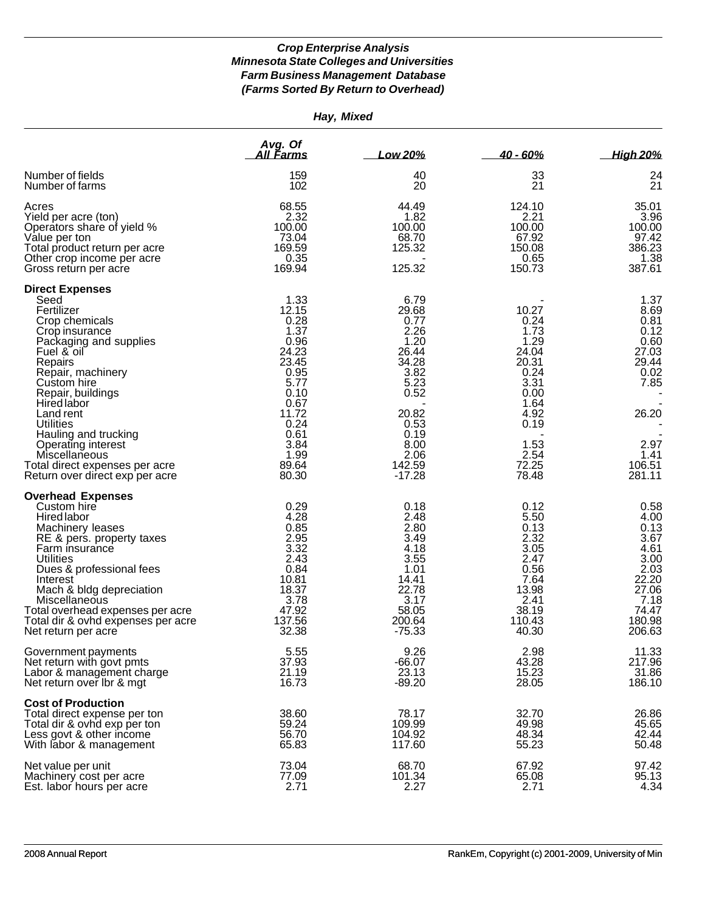| Hay, Mixed                                                                                                                                                                                                                                                                                                                                                                |                                                                                                                                                    |                                                                                                                                                |                                                                                                                                   |                                                                                                                     |
|---------------------------------------------------------------------------------------------------------------------------------------------------------------------------------------------------------------------------------------------------------------------------------------------------------------------------------------------------------------------------|----------------------------------------------------------------------------------------------------------------------------------------------------|------------------------------------------------------------------------------------------------------------------------------------------------|-----------------------------------------------------------------------------------------------------------------------------------|---------------------------------------------------------------------------------------------------------------------|
|                                                                                                                                                                                                                                                                                                                                                                           | Avg. Of<br><u>All Farms</u>                                                                                                                        | Low 20%                                                                                                                                        | $40 - 60%$                                                                                                                        | <b>High 20%</b>                                                                                                     |
| Number of fields<br>Number of farms                                                                                                                                                                                                                                                                                                                                       | 159<br>102                                                                                                                                         | 40<br>20                                                                                                                                       | 33<br>21                                                                                                                          | 24<br>21                                                                                                            |
| Acres<br>Yield per acre (ton)<br>Operators share of yield %<br>Value per ton<br>Total product return per acre<br>Other crop income per acre<br>Gross return per acre                                                                                                                                                                                                      | 68.55<br>2.32<br>100.00<br>73.04<br>169.59<br>0.35<br>169.94                                                                                       | 44.49<br>1.82<br>100.00<br>68.70<br>125.32<br>125.32                                                                                           | 124.10<br>2.21<br>100.00<br>67.92<br>150.08<br>0.65<br>150.73                                                                     | 35.01<br>3.96<br>100.00<br>97.42<br>386.23<br>1.38<br>387.61                                                        |
| <b>Direct Expenses</b><br>Seed<br>Fertilizer<br>Crop chemicals<br>Crop insurance<br>Packaging and supplies<br>Fuel & oil<br>Repairs<br>Repair, machinery<br>Custom hire<br>Repair, buildings<br>Hired labor<br>Land rent<br>Utilities<br>Hauling and trucking<br>Operating interest<br>Miscellaneous<br>Total direct expenses per acre<br>Return over direct exp per acre | 1.33<br>12.15<br>0.28<br>1.37<br>0.96<br>24.23<br>23.45<br>0.95<br>5.77<br>0.10<br>0.67<br>11.72<br>0.24<br>0.61<br>3.84<br>1.99<br>89.64<br>80.30 | 6.79<br>29.68<br>0.77<br>2.26<br>1.20<br>26.44<br>34.28<br>3.82<br>5.23<br>0.52<br>20.82<br>0.53<br>0.19<br>8.00<br>2.06<br>142.59<br>$-17.28$ | 10.27<br>0.24<br>1.73<br>1.29<br>24.04<br>20.31<br>0.24<br>3.31<br>0.00<br>1.64<br>4.92<br>0.19<br>1.53<br>2.54<br>72.25<br>78.48 | 1.37<br>8.69<br>0.81<br>0.12<br>0.60<br>27.03<br>29.44<br>0.02<br>7.85<br>26.20<br>2.97<br>1.41<br>106.51<br>281.11 |
| <b>Overhead Expenses</b><br>Custom hire<br><b>Hired labor</b><br>Machinery leases<br>RE & pers. property taxes<br>Farm insurance<br><b>Utilities</b><br>Dues & professional fees<br>Interest<br>Mach & bldg depreciation<br>Miscellaneous<br>Total overhead expenses per acre<br>Total dir & ovhd expenses per acre<br>Net return per acre                                | 0.29<br>4.28<br>0.85<br>2.95<br>3.32<br>2.43<br>0.84<br>10.81<br>18.37<br>3.78<br>47.92<br>137.56<br>32.38                                         | 0.18<br>2.48<br>2.80<br>3.49<br>4.18<br>3.55<br>1.01<br>14.41<br>22.78<br>3.17<br>58.05<br>200.64<br>-75.33                                    | 0.12<br>5.50<br>0.13<br>2.32<br>3.05<br>2.47<br>0.56<br>7.64<br>13.98<br>2.41<br>38.19<br>110.43<br>40.30                         | 0.58<br>4.00<br>0.13<br>3.67<br>4.61<br>3.00<br>2.03<br>22.20<br>27.06<br>7.18<br>74.47<br>180.98<br>206.63         |
| Government payments<br>Net return with govt pmts<br>Labor & management charge<br>Net return over Ibr & mgt                                                                                                                                                                                                                                                                | 5.55<br>37.93<br>21.19<br>16.73                                                                                                                    | 9.26<br>$-66.07$<br>23.13<br>$-89.20$                                                                                                          | 2.98<br>43.28<br>15.23<br>28.05                                                                                                   | 11.33<br>217.96<br>31.86<br>186.10                                                                                  |
| <b>Cost of Production</b><br>Total direct expense per ton<br>Total dir & ovhd exp per ton<br>Less govt & other income<br>With labor & management                                                                                                                                                                                                                          | 38.60<br>59.24<br>56.70<br>65.83                                                                                                                   | 78.17<br>109.99<br>104.92<br>117.60                                                                                                            | 32.70<br>49.98<br>48.34<br>55.23                                                                                                  | 26.86<br>45.65<br>42.44<br>50.48                                                                                    |
| Net value per unit<br>Machinery cost per acre<br>Est. labor hours per acre                                                                                                                                                                                                                                                                                                | 73.04<br>77.09<br>2.71                                                                                                                             | 68.70<br>101.34<br>2.27                                                                                                                        | 67.92<br>65.08<br>2.71                                                                                                            | 97.42<br>95.13<br>4.34                                                                                              |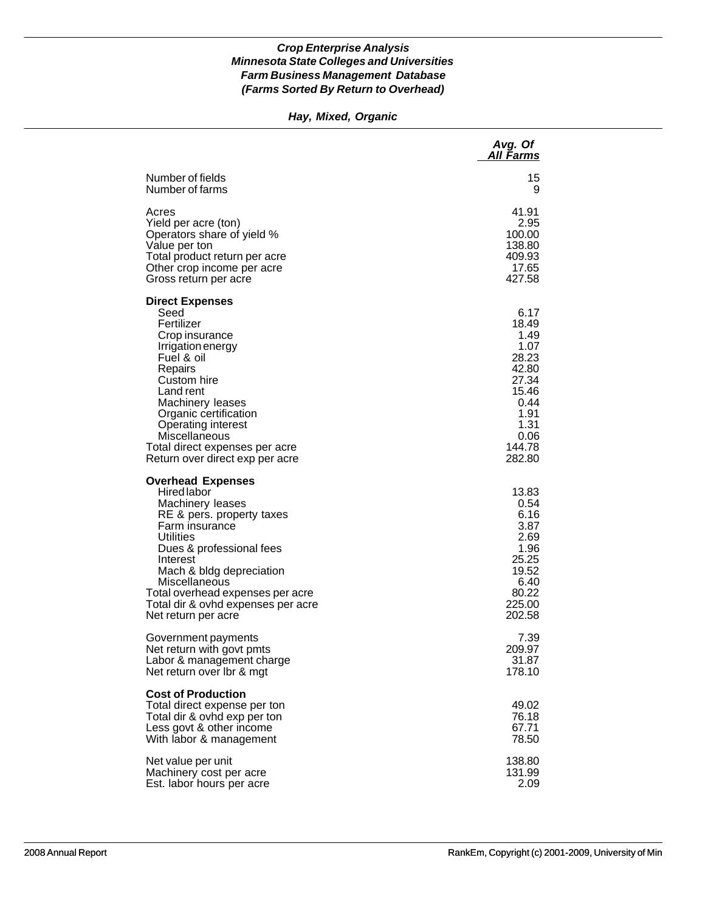# *Hay, Mixed, Organic*

|                                                                                                                                                                                                                                                                                                                      | Avg. Of<br>All Farms                                                                                                  |
|----------------------------------------------------------------------------------------------------------------------------------------------------------------------------------------------------------------------------------------------------------------------------------------------------------------------|-----------------------------------------------------------------------------------------------------------------------|
| Number of fields                                                                                                                                                                                                                                                                                                     | 15                                                                                                                    |
| Number of farms                                                                                                                                                                                                                                                                                                      | 9                                                                                                                     |
| Acres                                                                                                                                                                                                                                                                                                                | 41.91                                                                                                                 |
| Yield per acre (ton)                                                                                                                                                                                                                                                                                                 | 2.95                                                                                                                  |
| Operators share of yield %                                                                                                                                                                                                                                                                                           | 100.00                                                                                                                |
| Value per ton                                                                                                                                                                                                                                                                                                        | 138.80                                                                                                                |
| Total product return per acre                                                                                                                                                                                                                                                                                        | 409.93                                                                                                                |
| Other crop income per acre                                                                                                                                                                                                                                                                                           | 17.65                                                                                                                 |
| Gross return per acre                                                                                                                                                                                                                                                                                                | 427.58                                                                                                                |
| <b>Direct Expenses</b><br>Seed<br>Fertilizer<br>Crop insurance<br>Irrigation energy<br>Fuel & oil<br>Repairs<br>Custom hire<br>Land rent<br>Machinery leases<br>Organic certification<br><b>Operating interest</b><br>Miscellaneous<br>Total direct expenses per acre<br>Return over direct exp per acre             | 6.17<br>18.49<br>1.49<br>1.07<br>28.23<br>42.80<br>27.34<br>15.46<br>0.44<br>1.91<br>1.31<br>0.06<br>144.78<br>282.80 |
| <b>Overhead Expenses</b><br>Hired labor<br>Machinery leases<br>RE & pers. property taxes<br>Farm insurance<br><b>Utilities</b><br>Dues & professional fees<br>Interest<br>Mach & bldg depreciation<br>Miscellaneous<br>Total overhead expenses per acre<br>Total dir & ovhd expenses per acre<br>Net return per acre | 13.83<br>0.54<br>6.16<br>3.87<br>2.69<br>1.96<br>25.25<br>19.52<br>6.40<br>80.22<br>225.00<br>202.58                  |
| Government payments                                                                                                                                                                                                                                                                                                  | 7.39                                                                                                                  |
| Net return with govt pmts                                                                                                                                                                                                                                                                                            | 209.97                                                                                                                |
| Labor & management charge                                                                                                                                                                                                                                                                                            | 31.87                                                                                                                 |
| Net return over Ibr & mgt                                                                                                                                                                                                                                                                                            | 178.10                                                                                                                |
| <b>Cost of Production</b><br>Total direct expense per ton<br>Total dir & ovhd exp per ton<br>Less govt & other income<br>With labor & management                                                                                                                                                                     | 49.02<br>76.18<br>67.71<br>78.50                                                                                      |
| Net value per unit                                                                                                                                                                                                                                                                                                   | 138.80                                                                                                                |
| Machinery cost per acre                                                                                                                                                                                                                                                                                              | 131.99                                                                                                                |
| Est. labor hours per acre                                                                                                                                                                                                                                                                                            | 2.09                                                                                                                  |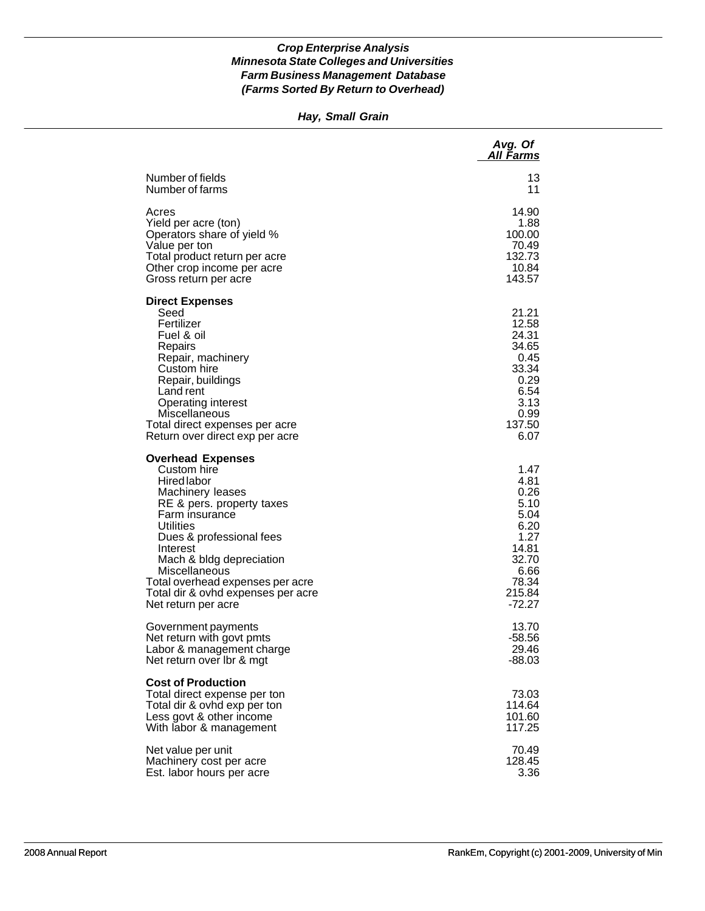### *Hay, Small Grain*

|                                                                                                                                                                                                                                                                                                                                     | Avg. Of<br><b>All Farms</b>                                                                                 |
|-------------------------------------------------------------------------------------------------------------------------------------------------------------------------------------------------------------------------------------------------------------------------------------------------------------------------------------|-------------------------------------------------------------------------------------------------------------|
| Number of fields                                                                                                                                                                                                                                                                                                                    | 13                                                                                                          |
| Number of farms                                                                                                                                                                                                                                                                                                                     | 11                                                                                                          |
| Acres                                                                                                                                                                                                                                                                                                                               | 14.90                                                                                                       |
| Yield per acre (ton)                                                                                                                                                                                                                                                                                                                | 1.88                                                                                                        |
| Operators share of yield %                                                                                                                                                                                                                                                                                                          | 100.00                                                                                                      |
| Value per ton                                                                                                                                                                                                                                                                                                                       | 70.49                                                                                                       |
| Total product return per acre                                                                                                                                                                                                                                                                                                       | 132.73                                                                                                      |
| Other crop income per acre                                                                                                                                                                                                                                                                                                          | 10.84                                                                                                       |
| Gross return per acre                                                                                                                                                                                                                                                                                                               | 143.57                                                                                                      |
| <b>Direct Expenses</b><br>Seed<br>Fertilizer<br>Fuel & oil<br>Repairs<br>Repair, machinery<br>Custom hire<br>Repair, buildings<br>Land rent<br><b>Operating interest</b><br>Miscellaneous<br>Total direct expenses per acre<br>Return over direct exp per acre                                                                      | 21.21<br>12.58<br>24.31<br>34.65<br>0.45<br>33.34<br>0.29<br>6.54<br>3.13<br>0.99<br>137.50<br>6.07         |
| <b>Overhead Expenses</b><br>Custom hire<br><b>Hired labor</b><br>Machinery leases<br>RE & pers. property taxes<br>Farm insurance<br>Utilities<br>Dues & professional fees<br>Interest<br>Mach & bldg depreciation<br>Miscellaneous<br>Total overhead expenses per acre<br>Total dir & ovhd expenses per acre<br>Net return per acre | 1.47<br>4.81<br>0.26<br>5.10<br>5.04<br>6.20<br>1.27<br>14.81<br>32.70<br>6.66<br>78.34<br>215.84<br>-72.27 |
| Government payments                                                                                                                                                                                                                                                                                                                 | 13.70                                                                                                       |
| Net return with govt pmts                                                                                                                                                                                                                                                                                                           | $-58.56$                                                                                                    |
| Labor & management charge                                                                                                                                                                                                                                                                                                           | 29.46                                                                                                       |
| Net return over Ibr & mgt                                                                                                                                                                                                                                                                                                           | $-88.03$                                                                                                    |
| <b>Cost of Production</b><br>Total direct expense per ton<br>Total dir & ovhd exp per ton<br>Less govt & other income<br>With labor & management                                                                                                                                                                                    | 73.03<br>114.64<br>101.60<br>117.25                                                                         |
| Net value per unit                                                                                                                                                                                                                                                                                                                  | 70.49                                                                                                       |
| Machinery cost per acre                                                                                                                                                                                                                                                                                                             | 128.45                                                                                                      |
| Est. labor hours per acre                                                                                                                                                                                                                                                                                                           | 3.36                                                                                                        |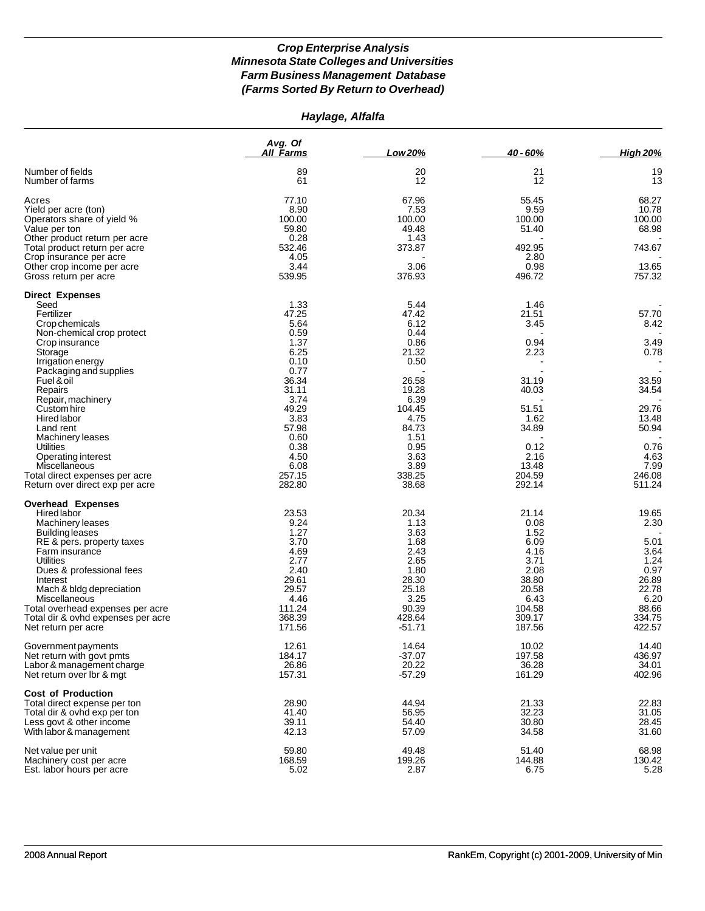### *Haylage, Alfalfa*

|                                                                                 | Avg. Of<br><b>All Farms</b>      | Low 20%                          | 40 - 60%                         | <b>High 20%</b>                   |
|---------------------------------------------------------------------------------|----------------------------------|----------------------------------|----------------------------------|-----------------------------------|
| Number of fields<br>Number of farms                                             | 89<br>61                         | 20<br>12                         | 21<br>12                         | 19<br>13                          |
| Acres<br>Yield per acre (ton)<br>Operators share of yield %                     | 77.10<br>8.90<br>100.00<br>59.80 | 67.96<br>7.53<br>100.00<br>49.48 | 55.45<br>9.59<br>100.00<br>51.40 | 68.27<br>10.78<br>100.00<br>68.98 |
| Value per ton<br>Other product return per acre<br>Total product return per acre | 0.28<br>532.46                   | 1.43<br>373.87                   | 492.95                           | 743.67                            |
| Crop insurance per acre<br>Other crop income per acre<br>Gross return per acre  | 4.05<br>3.44<br>539.95           | 3.06<br>376.93                   | 2.80<br>0.98<br>496.72           | 13.65<br>757.32                   |
| <b>Direct Expenses</b>                                                          |                                  |                                  |                                  |                                   |
| Seed                                                                            | 1.33                             | 5.44                             | 1.46                             |                                   |
| Fertilizer                                                                      | 47.25                            | 47.42                            | 21.51                            | 57.70                             |
| Crop chemicals                                                                  | 5.64                             | 6.12                             | 3.45                             | 8.42                              |
| Non-chemical crop protect                                                       | 0.59<br>1.37                     | 0.44<br>0.86                     | 0.94                             | 3.49                              |
| Crop insurance                                                                  | 6.25                             | 21.32                            | 2.23                             | 0.78                              |
| Storage                                                                         | 0.10                             | 0.50                             |                                  |                                   |
| Irrigation energy                                                               |                                  |                                  |                                  |                                   |
| Packaging and supplies<br>Fuel & oil                                            | 0.77                             |                                  |                                  |                                   |
|                                                                                 | 36.34<br>31.11                   | 26.58<br>19.28                   | 31.19                            | 33.59<br>34.54                    |
| Repairs<br>Repair, machinery                                                    | 3.74                             | 6.39                             | 40.03                            |                                   |
| Custom hire                                                                     | 49.29                            | 104.45                           | 51.51                            | 29.76                             |
| Hired labor                                                                     | 3.83                             | 4.75                             | 1.62                             | 13.48                             |
| Land rent                                                                       | 57.98                            | 84.73                            | 34.89                            | 50.94                             |
| <b>Machinery leases</b>                                                         | 0.60                             | 1.51                             |                                  |                                   |
| Utilities                                                                       | 0.38                             | 0.95                             | 0.12                             | 0.76                              |
| Operating interest                                                              | 4.50                             | 3.63                             | 2.16                             | 4.63                              |
| <b>Miscellaneous</b>                                                            | 6.08                             | 3.89                             | 13.48                            | 7.99                              |
| Total direct expenses per acre                                                  | 257.15                           | 338.25                           | 204.59                           | 246.08                            |
| Return over direct exp per acre                                                 | 282.80                           | 38.68                            | 292.14                           | 511.24                            |
| <b>Overhead Expenses</b>                                                        |                                  |                                  |                                  |                                   |
| Hired labor                                                                     | 23.53                            | 20.34                            | 21.14                            | 19.65                             |
| Machinery leases                                                                | 9.24                             | 1.13                             | 0.08                             | 2.30                              |
| Building leases                                                                 | 1.27                             | 3.63                             | 1.52                             |                                   |
| RE & pers. property taxes                                                       | 3.70                             | 1.68                             | 6.09                             | 5.01                              |
| Farm insurance                                                                  | 4.69                             | 2.43                             | 4.16                             | 3.64                              |
| Utilities                                                                       | 2.77                             | 2.65                             | 3.71                             | 1.24                              |
| Dues & professional fees                                                        | 2.40<br>29.61                    | 1.80<br>28.30                    | 2.08<br>38.80                    | 0.97<br>26.89                     |
| Interest<br>Mach & bldg depreciation                                            | 29.57                            | 25.18                            | 20.58                            | 22.78                             |
| Miscellaneous                                                                   | 4.46                             | 3.25                             | 6.43                             | 6.20                              |
| Total overhead expenses per acre                                                | 111.24                           | 90.39                            | 104.58                           | 88.66                             |
| Total dir & ovhd expenses per acre                                              | 368.39                           | 428.64                           | 309.17                           | 334.75                            |
| Net return per acre                                                             | 171.56                           | $-51.71$                         | 187.56                           | 422.57                            |
| Government payments                                                             | 12.61                            | 14.64                            | 10.02                            | 14.40                             |
| Net return with govt pmts                                                       | 184.17                           | $-37.07$                         | 197.58                           | 436.97                            |
| Labor & management charge<br>Net return over Ibr & mgt                          | 26.86<br>157.31                  | 20.22<br>$-57.29$                | 36.28<br>161.29                  | 34.01<br>402.96                   |
| <b>Cost of Production</b>                                                       |                                  |                                  |                                  |                                   |
| Total direct expense per ton                                                    | 28.90                            | 44.94                            | 21.33                            | 22.83                             |
| Total dir & ovhd exp per ton                                                    | 41.40                            | 56.95                            | 32.23                            | 31.05                             |
| Less govt & other income                                                        | 39.11                            | 54.40                            | 30.80                            | 28.45                             |
| With labor & management                                                         | 42.13                            | 57.09                            | 34.58                            | 31.60                             |
| Net value per unit                                                              | 59.80                            | 49.48                            | 51.40                            | 68.98                             |
| Machinery cost per acre                                                         | 168.59                           | 199.26                           | 144.88                           | 130.42                            |
| Est. labor hours per acre                                                       | 5.02                             | 2.87                             | 6.75                             | 5.28                              |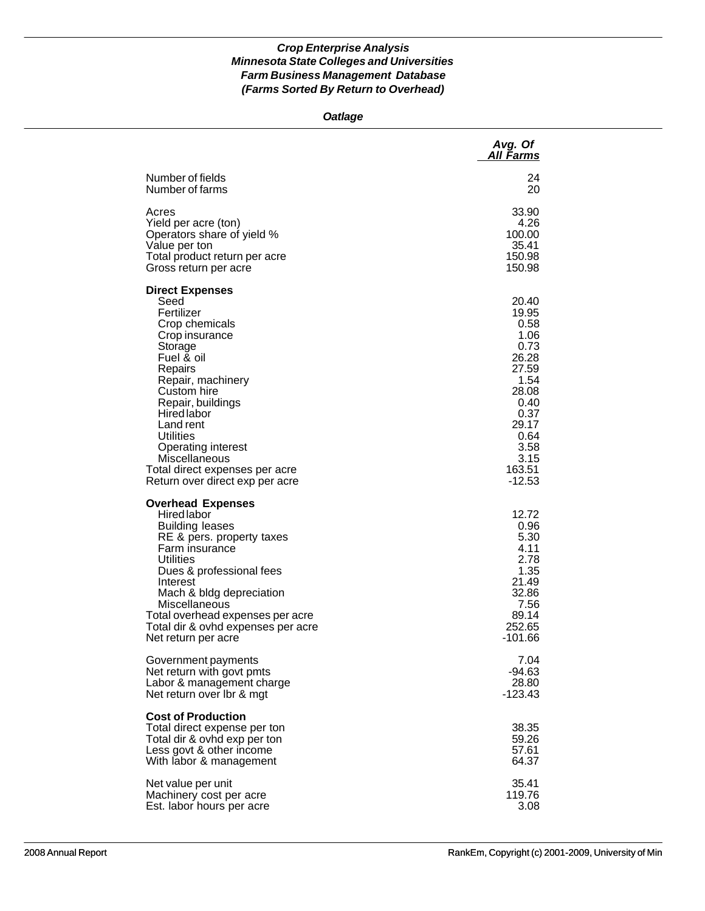### *Oatlage*

|                                                                                                                                                                                                                                                                                                                                                  | Avg. Of<br>All Farms                                                                                                                             |
|--------------------------------------------------------------------------------------------------------------------------------------------------------------------------------------------------------------------------------------------------------------------------------------------------------------------------------------------------|--------------------------------------------------------------------------------------------------------------------------------------------------|
| Number of fields                                                                                                                                                                                                                                                                                                                                 | 24                                                                                                                                               |
| Number of farms                                                                                                                                                                                                                                                                                                                                  | 20                                                                                                                                               |
| Acres                                                                                                                                                                                                                                                                                                                                            | 33.90                                                                                                                                            |
| Yield per acre (ton)                                                                                                                                                                                                                                                                                                                             | 4.26                                                                                                                                             |
| Operators share of yield %                                                                                                                                                                                                                                                                                                                       | 100.00                                                                                                                                           |
| Value per ton                                                                                                                                                                                                                                                                                                                                    | 35.41                                                                                                                                            |
| Total product return per acre                                                                                                                                                                                                                                                                                                                    | 150.98                                                                                                                                           |
| Gross return per acre                                                                                                                                                                                                                                                                                                                            | 150.98                                                                                                                                           |
| <b>Direct Expenses</b><br>Seed<br>Fertilizer<br>Crop chemicals<br>Crop insurance<br>Storage<br>Fuel & oil<br>Repairs<br>Repair, machinery<br>Custom hire<br>Repair, buildings<br><b>Hired labor</b><br>Land rent<br>Utilities<br><b>Operating interest</b><br>Miscellaneous<br>Total direct expenses per acre<br>Return over direct exp per acre | 20.40<br>19.95<br>0.58<br>1.06<br>0.73<br>26.28<br>27.59<br>1.54<br>28.08<br>0.40<br>0.37<br>29.17<br>0.64<br>3.58<br>3.15<br>163.51<br>$-12.53$ |
| <b>Overhead Expenses</b><br><b>Hired labor</b><br><b>Building leases</b><br>RE & pers. property taxes<br>Farm insurance<br><b>Utilities</b><br>Dues & professional fees<br>Interest<br>Mach & bldg depreciation<br>Miscellaneous<br>Total overhead expenses per acre<br>Total dir & ovhd expenses per acre<br>Net return per acre                | 12.72<br>0.96<br>5.30<br>4.11<br>2.78<br>1.35<br>21.49<br>32.86<br>7.56<br>89.14<br>252.65<br>-101.66                                            |
| Government payments                                                                                                                                                                                                                                                                                                                              | 7.04                                                                                                                                             |
| Net return with govt pmts                                                                                                                                                                                                                                                                                                                        | $-94.63$                                                                                                                                         |
| Labor & management charge                                                                                                                                                                                                                                                                                                                        | 28.80                                                                                                                                            |
| Net return over Ibr & mgt                                                                                                                                                                                                                                                                                                                        | $-123.43$                                                                                                                                        |
| <b>Cost of Production</b><br>Total direct expense per ton<br>Total dir & ovhd exp per ton<br>Less govt & other income<br>With labor & management                                                                                                                                                                                                 | 38.35<br>59.26<br>57.61<br>64.37                                                                                                                 |
| Net value per unit                                                                                                                                                                                                                                                                                                                               | 35.41                                                                                                                                            |
| Machinery cost per acre                                                                                                                                                                                                                                                                                                                          | 119.76                                                                                                                                           |
| Est. labor hours per acre                                                                                                                                                                                                                                                                                                                        | 3.08                                                                                                                                             |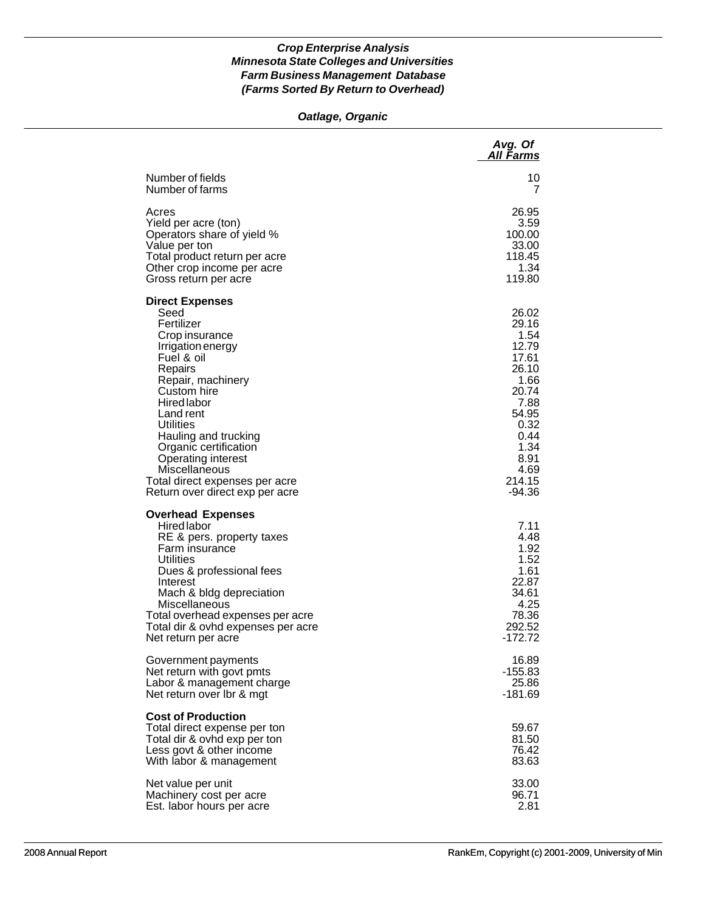### *Oatlage, Organic*

|                                                                                                                                                                                                                                                                                                                                                                      | Avg. Of<br>All Farms                                                                                                                              |
|----------------------------------------------------------------------------------------------------------------------------------------------------------------------------------------------------------------------------------------------------------------------------------------------------------------------------------------------------------------------|---------------------------------------------------------------------------------------------------------------------------------------------------|
| Number of fields                                                                                                                                                                                                                                                                                                                                                     | 10                                                                                                                                                |
| Number of farms                                                                                                                                                                                                                                                                                                                                                      | 7                                                                                                                                                 |
| Acres                                                                                                                                                                                                                                                                                                                                                                | 26.95                                                                                                                                             |
| Yield per acre (ton)                                                                                                                                                                                                                                                                                                                                                 | 3.59                                                                                                                                              |
| Operators share of yield %                                                                                                                                                                                                                                                                                                                                           | 100.00                                                                                                                                            |
| Value per ton                                                                                                                                                                                                                                                                                                                                                        | 33.00                                                                                                                                             |
| Total product return per acre                                                                                                                                                                                                                                                                                                                                        | 118.45                                                                                                                                            |
| Other crop income per acre                                                                                                                                                                                                                                                                                                                                           | 1.34                                                                                                                                              |
| Gross return per acre                                                                                                                                                                                                                                                                                                                                                | 119.80                                                                                                                                            |
| <b>Direct Expenses</b><br>Seed<br>Fertilizer<br>Crop insurance<br>Irrigation energy<br>Fuel & oil<br>Repairs<br>Repair, machinery<br>Custom hire<br><b>Hired labor</b><br>Land rent<br><b>Utilities</b><br>Hauling and trucking<br>Organic certification<br>Operating interest<br>Miscellaneous<br>Total direct expenses per acre<br>Return over direct exp per acre | 26.02<br>29.16<br>1.54<br>12.79<br>17.61<br>26.10<br>1.66<br>20.74<br>7.88<br>54.95<br>0.32<br>0.44<br>1.34<br>8.91<br>4.69<br>214.15<br>$-94.36$ |
| <b>Overhead Expenses</b><br><b>Hired labor</b><br>RE & pers. property taxes<br>Farm insurance<br><b>Utilities</b><br>Dues & professional fees<br>Interest<br>Mach & bldg depreciation<br>Miscellaneous<br>Total overhead expenses per acre<br>Total dir & ovhd expenses per acre<br>Net return per acre                                                              | 7.11<br>4.48<br>1.92<br>1.52<br>1.61<br>22.87<br>34.61<br>4.25<br>78.36<br>292.52<br>$-172.72$                                                    |
| Government payments                                                                                                                                                                                                                                                                                                                                                  | 16.89                                                                                                                                             |
| Net return with govt pmts                                                                                                                                                                                                                                                                                                                                            | $-155.83$                                                                                                                                         |
| Labor & management charge                                                                                                                                                                                                                                                                                                                                            | 25.86                                                                                                                                             |
| Net return over Ibr & mgt                                                                                                                                                                                                                                                                                                                                            | -181.69                                                                                                                                           |
| <b>Cost of Production</b><br>Total direct expense per ton<br>Total dir & ovhd exp per ton<br>Less govt & other income<br>With labor & management                                                                                                                                                                                                                     | 59.67<br>81.50<br>76.42<br>83.63                                                                                                                  |
| Net value per unit                                                                                                                                                                                                                                                                                                                                                   | 33.00                                                                                                                                             |
| Machinery cost per acre                                                                                                                                                                                                                                                                                                                                              | 96.71                                                                                                                                             |
| Est. labor hours per acre                                                                                                                                                                                                                                                                                                                                            | 2.81                                                                                                                                              |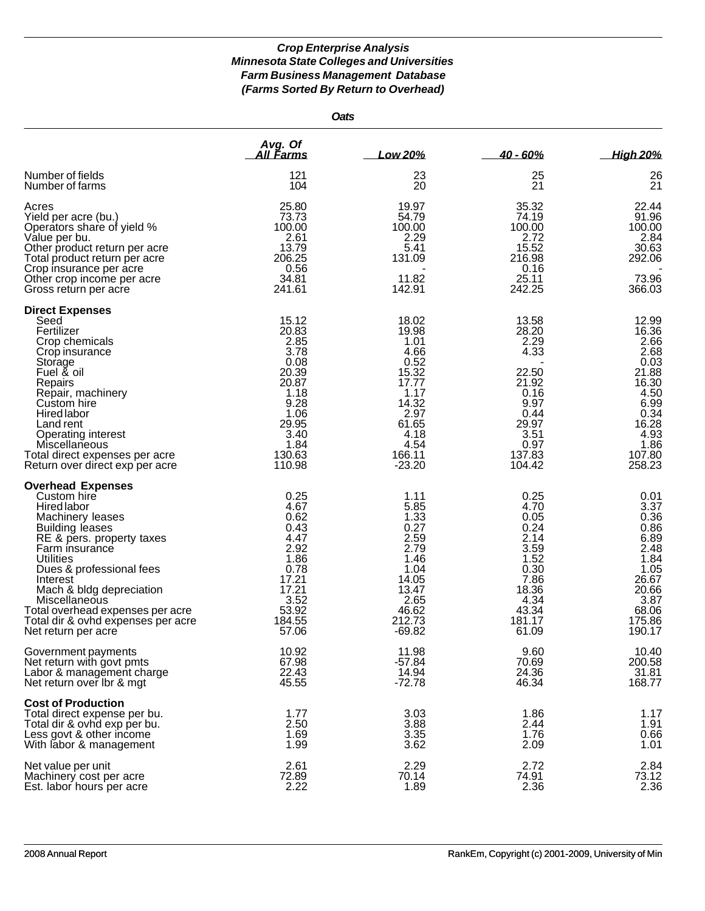*Oats*

|                                                                                                                                                                                                                                                                                                                                                                      | Avg. Of<br><u>All Farms</u>                                                                                                   | Low 20%                                                                                                                          | $40 - 60%$                                                                                                            | <b>High 20%</b>                                                                                                               |
|----------------------------------------------------------------------------------------------------------------------------------------------------------------------------------------------------------------------------------------------------------------------------------------------------------------------------------------------------------------------|-------------------------------------------------------------------------------------------------------------------------------|----------------------------------------------------------------------------------------------------------------------------------|-----------------------------------------------------------------------------------------------------------------------|-------------------------------------------------------------------------------------------------------------------------------|
| Number of fields<br>Number of farms                                                                                                                                                                                                                                                                                                                                  | 121<br>104                                                                                                                    | 23<br>20                                                                                                                         | 25<br>21                                                                                                              | 26<br>21                                                                                                                      |
| Acres<br>Yield per acre (bu.)<br>Operators share of yield %<br>Value per bu.<br>Other product return per acre<br>Total product return per acre<br>Crop insurance per acre<br>Other crop income per acre<br>Gross return per acre                                                                                                                                     | 25.80<br>73.73<br>100.00<br>2.61<br>13.79<br>206.25<br>0.56<br>34.81<br>241.61                                                | 19.97<br>54.79<br>100.00<br>2.29<br>5.41<br>131.09<br>11.82<br>142.91                                                            | 35.32<br>74.19<br>100.00<br>2.72<br>15.52<br>216.98<br>0.16<br>25.11<br>242.25                                        | 22.44<br>91.96<br>100.00<br>2.84<br>30.63<br>292.06<br>73.96<br>366.03                                                        |
| <b>Direct Expenses</b><br>Seed<br>Fertilizer<br>Crop chemicals<br>Crop insurance<br>Storage<br>Fuel & oil<br>Repairs<br>Repair, machinery<br>Custom hire<br>Hired labor<br>Land rent<br>Operating interest<br><b>Miscellaneous</b><br>Total direct expenses per acre<br>Return over direct exp per acre                                                              | 15.12<br>20.83<br>2.85<br>3.78<br>0.08<br>20.39<br>20.87<br>1.18<br>9.28<br>1.06<br>29.95<br>3.40<br>1.84<br>130.63<br>110.98 | 18.02<br>19.98<br>1.01<br>4.66<br>0.52<br>15.32<br>17.77<br>1.17<br>14.32<br>2.97<br>61.65<br>4.18<br>4.54<br>166.11<br>$-23.20$ | 13.58<br>28.20<br>2.29<br>4.33<br>22.50<br>21.92<br>0.16<br>9.97<br>0.44<br>29.97<br>3.51<br>0.97<br>137.83<br>104.42 | 12.99<br>16.36<br>2.66<br>2.68<br>0.03<br>21.88<br>16.30<br>4.50<br>6.99<br>0.34<br>16.28<br>4.93<br>1.86<br>107.80<br>258.23 |
| <b>Overhead Expenses</b><br>Custom hire<br><b>Hired labor</b><br>Machinery leases<br><b>Building leases</b><br>RE & pers. property taxes<br>Farm insurance<br>Utilities<br>Dues & professional fees<br>Interest<br>Mach & bldg depreciation<br><b>Miscellaneous</b><br>Total overhead expenses per acre<br>Total dir & ovhd expenses per acre<br>Net return per acre | 0.25<br>4.67<br>0.62<br>0.43<br>4.47<br>2.92<br>1.86<br>0.78<br>17.21<br>17.21<br>3.52<br>53.92<br>184.55<br>57.06            | 1.11<br>5.85<br>1.33<br>0.27<br>2.59<br>2.79<br>1.46<br>1.04<br>14.05<br>13.47<br>2.65<br>46.62<br>212.73<br>$-69.82$            | 0.25<br>4.70<br>0.05<br>0.24<br>2.14<br>3.59<br>1.52<br>0.30<br>7.86<br>18.36<br>4.34<br>43.34<br>181.17<br>61.09     | 0.01<br>3.37<br>0.36<br>0.86<br>6.89<br>2.48<br>1.84<br>1.05<br>26.67<br>20.66<br>3.87<br>68.06<br>175.86<br>190.17           |
| Government payments<br>Net return with govt pmts<br>Labor & management charge<br>Net return over Ibr & mgt                                                                                                                                                                                                                                                           | 10.92<br>67.98<br>22.43<br>45.55                                                                                              | 11.98<br>$-57.84$<br>14.94<br>$-72.78$                                                                                           | 9.60<br>70.69<br>24.36<br>46.34                                                                                       | 10.40<br>200.58<br>31.81<br>168.77                                                                                            |
| <b>Cost of Production</b><br>Total direct expense per bu.<br>Total dir & ovhd exp per bu.<br>Less govt & other income<br>With labor & management                                                                                                                                                                                                                     | 1.77<br>2.50<br>1.69<br>1.99                                                                                                  | 3.03<br>3.88<br>3.35<br>3.62                                                                                                     | 1.86<br>2.44<br>1.76<br>2.09                                                                                          | 1.17<br>1.91<br>0.66<br>1.01                                                                                                  |
| Net value per unit<br>Machinery cost per acre<br>Est. labor hours per acre                                                                                                                                                                                                                                                                                           | 2.61<br>72.89<br>2.22                                                                                                         | 2.29<br>70.14<br>1.89                                                                                                            | 2.72<br>74.91<br>2.36                                                                                                 | 2.84<br>73.12<br>2.36                                                                                                         |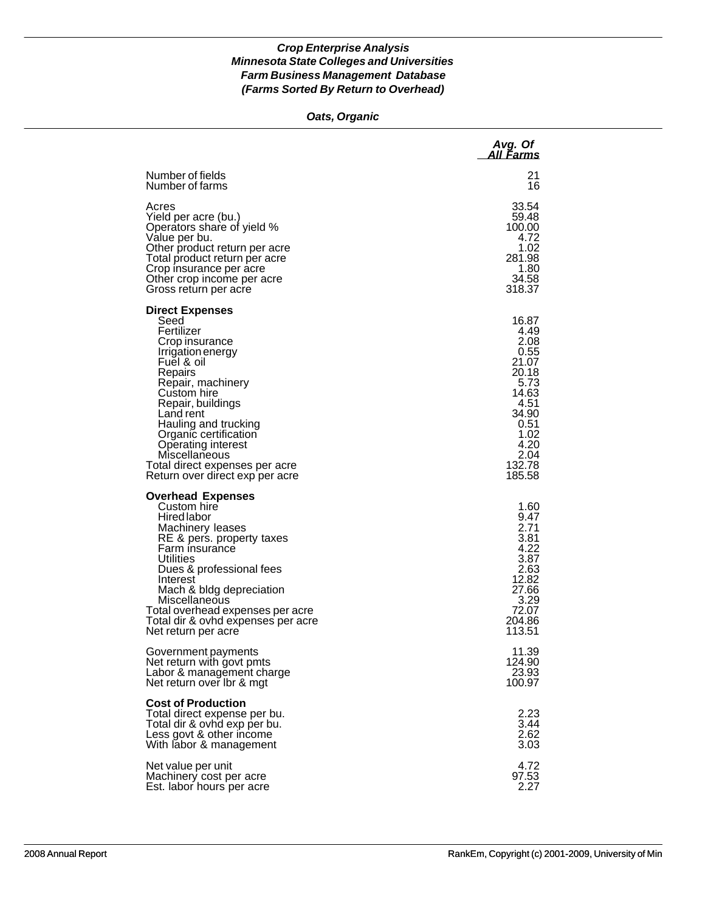### *Oats, Organic*

|                                                                                                                                                                                                                                                                                                                                                 | Avg. Of<br>All Farms                                                                                                                  |
|-------------------------------------------------------------------------------------------------------------------------------------------------------------------------------------------------------------------------------------------------------------------------------------------------------------------------------------------------|---------------------------------------------------------------------------------------------------------------------------------------|
| Number of fields                                                                                                                                                                                                                                                                                                                                | 21                                                                                                                                    |
| Number of farms                                                                                                                                                                                                                                                                                                                                 | 16                                                                                                                                    |
| Acres                                                                                                                                                                                                                                                                                                                                           | 33.54                                                                                                                                 |
| Yield per acre (bu.)                                                                                                                                                                                                                                                                                                                            | 59.48                                                                                                                                 |
| Operators share of yield %                                                                                                                                                                                                                                                                                                                      | 100.00                                                                                                                                |
| Value per bu.                                                                                                                                                                                                                                                                                                                                   | 4.72                                                                                                                                  |
| Other product return per acre                                                                                                                                                                                                                                                                                                                   | 1.02                                                                                                                                  |
| Total product return per acre                                                                                                                                                                                                                                                                                                                   | 281.98                                                                                                                                |
| Crop insurance per acre                                                                                                                                                                                                                                                                                                                         | 1.80                                                                                                                                  |
| Other crop income per acre                                                                                                                                                                                                                                                                                                                      | 34.58                                                                                                                                 |
| Gross return per acre                                                                                                                                                                                                                                                                                                                           | 318.37                                                                                                                                |
| <b>Direct Expenses</b><br>Seed<br>Fertilizer<br>Crop insurance<br>Irrigation energy<br>Fuel & oil<br>Repairs<br>Repair, machinery<br>Custom hire<br>Repair, buildings<br>Land rent<br>Hauling and trucking<br>Organic certification<br>Operating interest<br>Miscellaneous<br>Total direct expenses per acre<br>Return over direct exp per acre | 16.87<br>4.49<br>2.08<br>0.55<br>21.07<br>20.18<br>5.73<br>14.63<br>4.51<br>34.90<br>0.51<br>1.02<br>4.20<br>2.04<br>132.78<br>185.58 |
| <b>Overhead Expenses</b><br>Custom hire<br>Hired labor<br>Machinery leases<br>RE & pers. property taxes<br>Farm insurance<br>Utilities<br>Dues & professional fees<br>Interest<br>Mach & bldg depreciation<br>Miscellaneous<br>Total overhead expenses per acre<br>Total dir & ovhd expenses per acre<br>Net return per acre                    | 1.60<br>9.47<br>2.71<br>3.81<br>4.22<br>3.87<br>2.63<br>12.82<br>27.66<br>3.29<br>72.07<br>204.86<br>113.51                           |
| Government payments                                                                                                                                                                                                                                                                                                                             | 11.39                                                                                                                                 |
| Net return with govt pmts                                                                                                                                                                                                                                                                                                                       | 124.90                                                                                                                                |
| Labor & management charge                                                                                                                                                                                                                                                                                                                       | 23.93                                                                                                                                 |
| Net return over Ibr & mgt                                                                                                                                                                                                                                                                                                                       | 100.97                                                                                                                                |
| <b>Cost of Production</b><br>Total direct expense per bu.<br>Total dir & ovhd exp per bu.<br>Less govt & other income<br>With labor & management                                                                                                                                                                                                | 2.23<br>3.44<br>2.62<br>3.03                                                                                                          |
| Net value per unit                                                                                                                                                                                                                                                                                                                              | 4.72                                                                                                                                  |
| Machinery cost per acre                                                                                                                                                                                                                                                                                                                         | 97.53                                                                                                                                 |
| Est. labor hours per acre                                                                                                                                                                                                                                                                                                                       | 2.27                                                                                                                                  |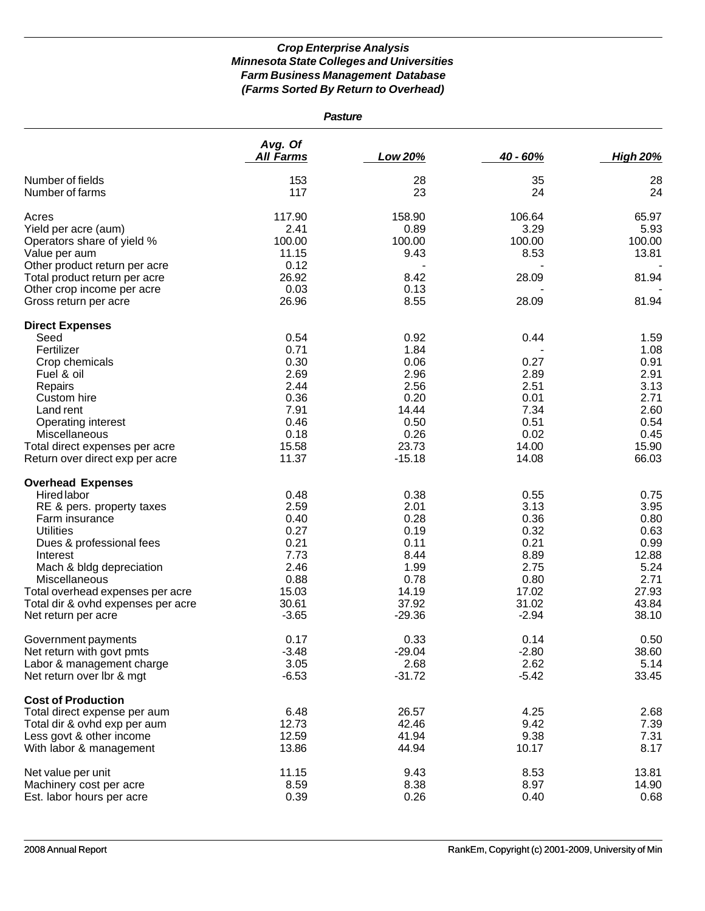| <b>Pasture</b>                                                                                                                                                                                                                                                                                          |                                                                                           |                                                                                            |                                                                                           |                                                                                          |
|---------------------------------------------------------------------------------------------------------------------------------------------------------------------------------------------------------------------------------------------------------------------------------------------------------|-------------------------------------------------------------------------------------------|--------------------------------------------------------------------------------------------|-------------------------------------------------------------------------------------------|------------------------------------------------------------------------------------------|
|                                                                                                                                                                                                                                                                                                         | Avg. Of<br><b>All Farms</b>                                                               | Low 20%                                                                                    | 40 - 60%                                                                                  | <b>High 20%</b>                                                                          |
| Number of fields<br>Number of farms                                                                                                                                                                                                                                                                     | 153<br>117                                                                                | 28<br>23                                                                                   | 35<br>24                                                                                  | 28<br>24                                                                                 |
| Acres<br>Yield per acre (aum)<br>Operators share of yield %<br>Value per aum<br>Other product return per acre<br>Total product return per acre                                                                                                                                                          | 117.90<br>2.41<br>100.00<br>11.15<br>0.12<br>26.92                                        | 158.90<br>0.89<br>100.00<br>9.43<br>8.42                                                   | 106.64<br>3.29<br>100.00<br>8.53<br>28.09                                                 | 65.97<br>5.93<br>100.00<br>13.81<br>81.94                                                |
| Other crop income per acre<br>Gross return per acre                                                                                                                                                                                                                                                     | 0.03<br>26.96                                                                             | 0.13<br>8.55                                                                               | 28.09                                                                                     | 81.94                                                                                    |
| <b>Direct Expenses</b><br>Seed<br>Fertilizer<br>Crop chemicals<br>Fuel & oil<br>Repairs<br>Custom hire<br>Land rent<br>Operating interest<br>Miscellaneous<br>Total direct expenses per acre<br>Return over direct exp per acre                                                                         | 0.54<br>0.71<br>0.30<br>2.69<br>2.44<br>0.36<br>7.91<br>0.46<br>0.18<br>15.58<br>11.37    | 0.92<br>1.84<br>0.06<br>2.96<br>2.56<br>0.20<br>14.44<br>0.50<br>0.26<br>23.73<br>$-15.18$ | 0.44<br>0.27<br>2.89<br>2.51<br>0.01<br>7.34<br>0.51<br>0.02<br>14.00<br>14.08            | 1.59<br>1.08<br>0.91<br>2.91<br>3.13<br>2.71<br>2.60<br>0.54<br>0.45<br>15.90<br>66.03   |
| <b>Overhead Expenses</b><br><b>Hired labor</b><br>RE & pers. property taxes<br>Farm insurance<br><b>Utilities</b><br>Dues & professional fees<br>Interest<br>Mach & bldg depreciation<br>Miscellaneous<br>Total overhead expenses per acre<br>Total dir & ovhd expenses per acre<br>Net return per acre | 0.48<br>2.59<br>0.40<br>0.27<br>0.21<br>7.73<br>2.46<br>0.88<br>15.03<br>30.61<br>$-3.65$ | 0.38<br>2.01<br>0.28<br>0.19<br>0.11<br>8.44<br>1.99<br>0.78<br>14.19<br>37.92<br>$-29.36$ | 0.55<br>3.13<br>0.36<br>0.32<br>0.21<br>8.89<br>2.75<br>0.80<br>17.02<br>31.02<br>$-2.94$ | 0.75<br>3.95<br>0.80<br>0.63<br>0.99<br>12.88<br>5.24<br>2.71<br>27.93<br>43.84<br>38.10 |
| Government payments<br>Net return with govt pmts<br>Labor & management charge<br>Net return over lbr & mgt                                                                                                                                                                                              | 0.17<br>$-3.48$<br>3.05<br>$-6.53$                                                        | 0.33<br>$-29.04$<br>2.68<br>$-31.72$                                                       | 0.14<br>$-2.80$<br>2.62<br>$-5.42$                                                        | 0.50<br>38.60<br>5.14<br>33.45                                                           |
| <b>Cost of Production</b><br>Total direct expense per aum<br>Total dir & ovhd exp per aum<br>Less govt & other income<br>With labor & management                                                                                                                                                        | 6.48<br>12.73<br>12.59<br>13.86                                                           | 26.57<br>42.46<br>41.94<br>44.94                                                           | 4.25<br>9.42<br>9.38<br>10.17                                                             | 2.68<br>7.39<br>7.31<br>8.17                                                             |
| Net value per unit<br>Machinery cost per acre<br>Est. labor hours per acre                                                                                                                                                                                                                              | 11.15<br>8.59<br>0.39                                                                     | 9.43<br>8.38<br>0.26                                                                       | 8.53<br>8.97<br>0.40                                                                      | 13.81<br>14.90<br>0.68                                                                   |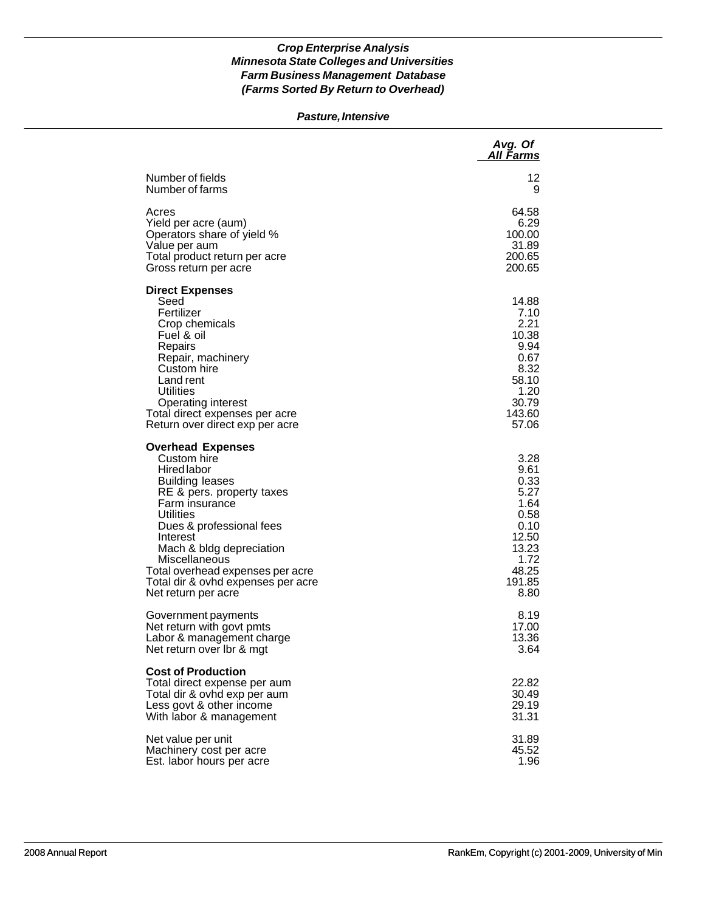### *Pasture, Intensive*

|                                                                                                                                                                                                                                                                                                                                                  | Avg. Of<br>All Farms                                                                                      |
|--------------------------------------------------------------------------------------------------------------------------------------------------------------------------------------------------------------------------------------------------------------------------------------------------------------------------------------------------|-----------------------------------------------------------------------------------------------------------|
| Number of fields                                                                                                                                                                                                                                                                                                                                 | 12                                                                                                        |
| Number of farms                                                                                                                                                                                                                                                                                                                                  | 9                                                                                                         |
| Acres                                                                                                                                                                                                                                                                                                                                            | 64.58                                                                                                     |
| Yield per acre (aum)                                                                                                                                                                                                                                                                                                                             | 6.29                                                                                                      |
| Operators share of yield %                                                                                                                                                                                                                                                                                                                       | 100.00                                                                                                    |
| Value per aum                                                                                                                                                                                                                                                                                                                                    | 31.89                                                                                                     |
| Total product return per acre                                                                                                                                                                                                                                                                                                                    | 200.65                                                                                                    |
| Gross return per acre                                                                                                                                                                                                                                                                                                                            | 200.65                                                                                                    |
| <b>Direct Expenses</b><br>Seed<br>Fertilizer<br>Crop chemicals<br>Fuel & oil<br>Repairs<br>Repair, machinery<br>Custom hire<br>Land rent<br>Utilities<br><b>Operating interest</b><br>Total direct expenses per acre<br>Return over direct exp per acre                                                                                          | 14.88<br>7.10<br>2.21<br>10.38<br>9.94<br>0.67<br>8.32<br>58.10<br>1.20<br>30.79<br>143.60<br>57.06       |
| <b>Overhead Expenses</b><br>Custom hire<br><b>Hired labor</b><br><b>Building leases</b><br>RE & pers. property taxes<br>Farm insurance<br><b>Utilities</b><br>Dues & professional fees<br>Interest<br>Mach & bldg depreciation<br>Miscellaneous<br>Total overhead expenses per acre<br>Total dir & ovhd expenses per acre<br>Net return per acre | 3.28<br>9.61<br>0.33<br>5.27<br>1.64<br>0.58<br>0.10<br>12.50<br>13.23<br>1.72<br>48.25<br>191.85<br>8.80 |
| Government payments                                                                                                                                                                                                                                                                                                                              | 8.19                                                                                                      |
| Net return with govt pmts                                                                                                                                                                                                                                                                                                                        | 17.00                                                                                                     |
| Labor & management charge                                                                                                                                                                                                                                                                                                                        | 13.36                                                                                                     |
| Net return over Ibr & mgt                                                                                                                                                                                                                                                                                                                        | 3.64                                                                                                      |
| <b>Cost of Production</b><br>Total direct expense per aum<br>Total dir & ovhd exp per aum<br>Less govt & other income<br>With labor & management                                                                                                                                                                                                 | 22.82<br>30.49<br>29.19<br>31.31                                                                          |
| Net value per unit                                                                                                                                                                                                                                                                                                                               | 31.89                                                                                                     |
| Machinery cost per acre                                                                                                                                                                                                                                                                                                                          | 45.52                                                                                                     |
| Est. labor hours per acre                                                                                                                                                                                                                                                                                                                        | 1.96                                                                                                      |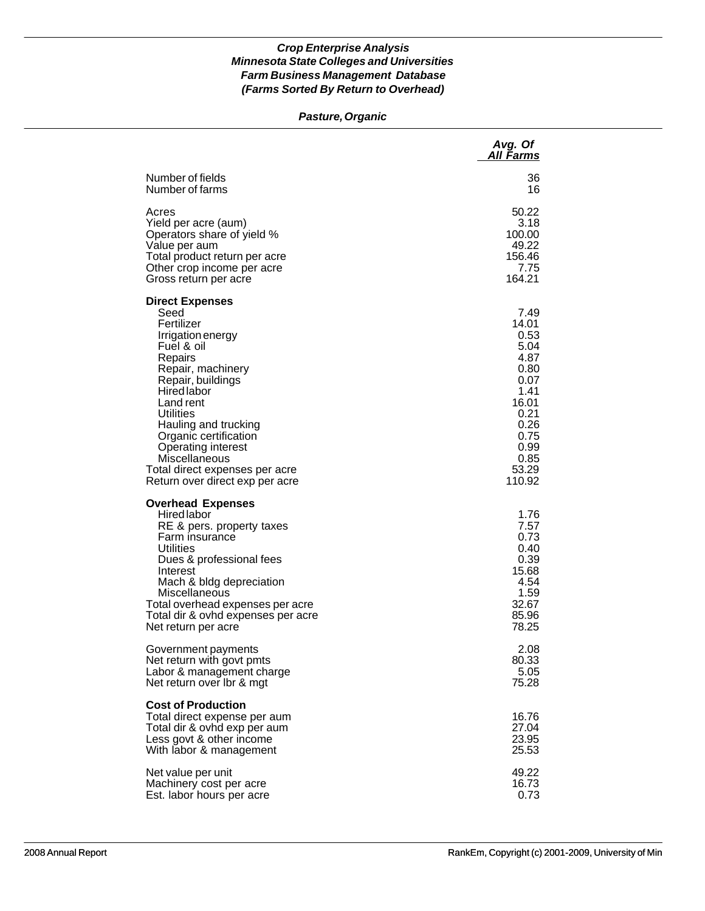### *Pasture, Organic*

|                                                                                                                                                                                                                                                                                                                                                          | Avg. Of<br>All Farms                                                                                                              |
|----------------------------------------------------------------------------------------------------------------------------------------------------------------------------------------------------------------------------------------------------------------------------------------------------------------------------------------------------------|-----------------------------------------------------------------------------------------------------------------------------------|
| Number of fields                                                                                                                                                                                                                                                                                                                                         | 36                                                                                                                                |
| Number of farms                                                                                                                                                                                                                                                                                                                                          | 16                                                                                                                                |
| Acres                                                                                                                                                                                                                                                                                                                                                    | 50.22                                                                                                                             |
| Yield per acre (aum)                                                                                                                                                                                                                                                                                                                                     | 3.18                                                                                                                              |
| Operators share of yield %                                                                                                                                                                                                                                                                                                                               | 100.00                                                                                                                            |
| Value per aum                                                                                                                                                                                                                                                                                                                                            | 49.22                                                                                                                             |
| Total product return per acre                                                                                                                                                                                                                                                                                                                            | 156.46                                                                                                                            |
| Other crop income per acre                                                                                                                                                                                                                                                                                                                               | 7.75                                                                                                                              |
| Gross return per acre                                                                                                                                                                                                                                                                                                                                    | 164.21                                                                                                                            |
| <b>Direct Expenses</b><br>Seed<br>Fertilizer<br>Irrigation energy<br>Fuel & oil<br>Repairs<br>Repair, machinery<br>Repair, buildings<br><b>Hired</b> labor<br>Land rent<br>Utilities<br>Hauling and trucking<br>Organic certification<br><b>Operating interest</b><br>Miscellaneous<br>Total direct expenses per acre<br>Return over direct exp per acre | 7.49<br>14.01<br>0.53<br>5.04<br>4.87<br>0.80<br>0.07<br>1.41<br>16.01<br>0.21<br>0.26<br>0.75<br>0.99<br>0.85<br>53.29<br>110.92 |
| <b>Overhead Expenses</b><br><b>Hired labor</b><br>RE & pers. property taxes<br>Farm insurance<br>Utilities<br>Dues & professional fees<br>Interest<br>Mach & bldg depreciation<br>Miscellaneous<br>Total overhead expenses per acre<br>Total dir & ovhd expenses per acre<br>Net return per acre                                                         | 1.76<br>7.57<br>0.73<br>0.40<br>0.39<br>15.68<br>4.54<br>1.59<br>32.67<br>85.96<br>78.25                                          |
| Government payments                                                                                                                                                                                                                                                                                                                                      | 2.08                                                                                                                              |
| Net return with govt pmts                                                                                                                                                                                                                                                                                                                                | 80.33                                                                                                                             |
| Labor & management charge                                                                                                                                                                                                                                                                                                                                | 5.05                                                                                                                              |
| Net return over Ibr & mgt                                                                                                                                                                                                                                                                                                                                | 75.28                                                                                                                             |
| <b>Cost of Production</b><br>Total direct expense per aum<br>Total dir & ovhd exp per aum<br>Less govt & other income<br>With labor & management                                                                                                                                                                                                         | 16.76<br>27.04<br>23.95<br>25.53                                                                                                  |
| Net value per unit                                                                                                                                                                                                                                                                                                                                       | 49.22                                                                                                                             |
| Machinery cost per acre                                                                                                                                                                                                                                                                                                                                  | 16.73                                                                                                                             |
| Est. labor hours per acre                                                                                                                                                                                                                                                                                                                                | 0.73                                                                                                                              |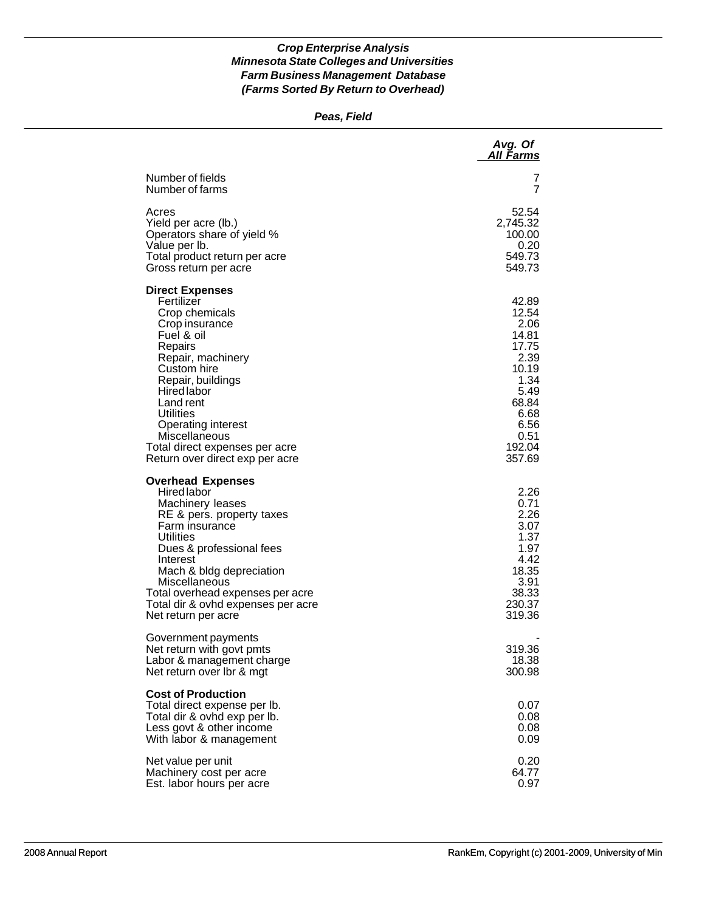### *Peas, Field*

|                                                                                                                                                                                                                                                                                                                        | Avg. Of<br><b>All Farms</b>                                                                                                    |
|------------------------------------------------------------------------------------------------------------------------------------------------------------------------------------------------------------------------------------------------------------------------------------------------------------------------|--------------------------------------------------------------------------------------------------------------------------------|
| Number of fields<br>Number of farms                                                                                                                                                                                                                                                                                    | 7<br>7                                                                                                                         |
| Acres<br>Yield per acre (lb.)<br>Operators share of yield %<br>Value per lb.<br>Total product return per acre<br>Gross return per acre                                                                                                                                                                                 | 52.54<br>2,745.32<br>100.00<br>0.20<br>549.73<br>549.73                                                                        |
| <b>Direct Expenses</b><br>Fertilizer<br>Crop chemicals<br>Crop insurance<br>Fuel & oil<br>Repairs<br>Repair, machinery<br>Custom hire<br>Repair, buildings<br>Hired labor<br>Land rent<br>Utilities<br><b>Operating interest</b><br>Miscellaneous<br>Total direct expenses per acre<br>Return over direct exp per acre | 42.89<br>12.54<br>2.06<br>14.81<br>17.75<br>2.39<br>10.19<br>1.34<br>5.49<br>68.84<br>6.68<br>6.56<br>0.51<br>192.04<br>357.69 |
| <b>Overhead Expenses</b><br>Hired labor<br>Machinery leases<br>RE & pers. property taxes<br>Farm insurance<br><b>Utilities</b><br>Dues & professional fees<br>Interest<br>Mach & bldg depreciation<br>Miscellaneous<br>Total overhead expenses per acre<br>Total dir & ovhd expenses per acre<br>Net return per acre   | 2.26<br>0.71<br>2.26<br>3.07<br>1.37<br>1.97<br>4.42<br>18.35<br>3.91<br>38.33<br>230.37<br>319.36                             |
| Government payments<br>Net return with govt pmts<br>Labor & management charge<br>Net return over Ibr & mgt                                                                                                                                                                                                             | 319.36<br>18.38<br>300.98                                                                                                      |
| <b>Cost of Production</b><br>Total direct expense per lb.<br>Total dir & ovhd exp per lb.<br>Less govt & other income<br>With labor & management                                                                                                                                                                       | 0.07<br>0.08<br>0.08<br>0.09                                                                                                   |
| Net value per unit<br>Machinery cost per acre<br>Est. labor hours per acre                                                                                                                                                                                                                                             | 0.20<br>64.77<br>0.97                                                                                                          |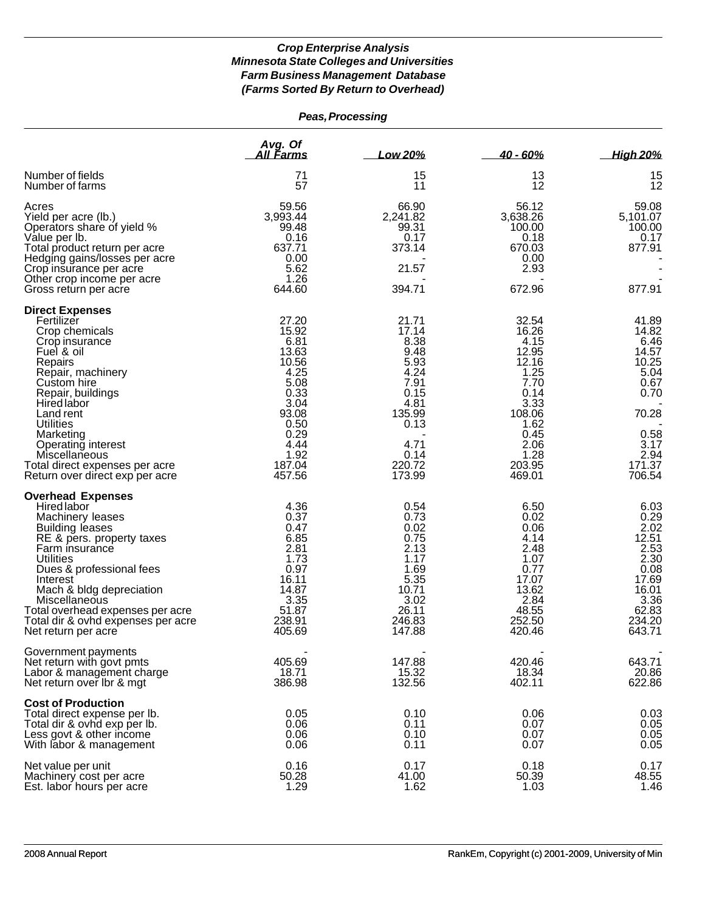| Peas, Processing                                                                                                                                                                                                                                                                                                                               |                                                                                                                                       |                                                                                                                              |                                                                                                                                        |                                                                                                                       |
|------------------------------------------------------------------------------------------------------------------------------------------------------------------------------------------------------------------------------------------------------------------------------------------------------------------------------------------------|---------------------------------------------------------------------------------------------------------------------------------------|------------------------------------------------------------------------------------------------------------------------------|----------------------------------------------------------------------------------------------------------------------------------------|-----------------------------------------------------------------------------------------------------------------------|
|                                                                                                                                                                                                                                                                                                                                                | Avg. Of<br><u>All Farms</u>                                                                                                           | Low 20%                                                                                                                      | $40 - 60%$                                                                                                                             | <b>High 20%</b>                                                                                                       |
| Number of fields<br>Number of farms                                                                                                                                                                                                                                                                                                            | 71<br>57                                                                                                                              | 15<br>11                                                                                                                     | 13<br>12                                                                                                                               | 15<br>12                                                                                                              |
| Acres<br>Yield per acre (lb.)<br>Operators share of yield %<br>Value per lb.<br>Total product return per acre<br>Hedging gains/losses per acre<br>Crop insurance per acre<br>Other crop income per acre<br>Gross return per acre                                                                                                               | 59.56<br>3,993.44<br>99.48<br>0.16<br>637.71<br>0.00<br>5.62<br>1.26<br>644.60                                                        | 66.90<br>2,241.82<br>99.31<br>0.17<br>373.14<br>21.57<br>394.71                                                              | 56.12<br>3,638.26<br>100.00<br>0.18<br>670.03<br>0.00<br>2.93<br>672.96                                                                | 59.08<br>5,101.07<br>100.00<br>0.17<br>877.91<br>877.91                                                               |
| <b>Direct Expenses</b><br>Fertilizer<br>Crop chemicals<br>Crop insurance<br>Fuel & oil<br>Repairs<br>Repair, machinery<br>Custom hire<br>Repair, buildings<br><b>Hired labor</b><br>Land rent<br>Utilities<br>Marketing<br>Operating interest<br>Miscellaneous<br>Total direct expenses per acre<br>Return over direct exp per acre            | 27.20<br>15.92<br>6.81<br>13.63<br>10.56<br>4.25<br>5.08<br>0.33<br>3.04<br>93.08<br>0.50<br>0.29<br>4.44<br>1.92<br>187.04<br>457.56 | 21.71<br>17.14<br>8.38<br>9.48<br>5.93<br>4.24<br>7.91<br>0.15<br>4.81<br>135.99<br>0.13<br>4.71<br>0.14<br>220.72<br>173.99 | 32.54<br>16.26<br>4.15<br>12.95<br>12.16<br>1.25<br>7.70<br>0.14<br>3.33<br>108.06<br>1.62<br>0.45<br>2.06<br>1.28<br>203.95<br>469.01 | 41.89<br>14.82<br>6.46<br>14.57<br>10.25<br>5.04<br>0.67<br>0.70<br>70.28<br>0.58<br>3.17<br>2.94<br>171.37<br>706.54 |
| <b>Overhead Expenses</b><br>Hired labor<br>Machinery leases<br><b>Building leases</b><br>RE & pers. property taxes<br>Farm insurance<br><b>Utilities</b><br>Dues & professional fees<br>Interest<br>Mach & bldg depreciation<br>Miscellaneous<br>Total overhead expenses per acre<br>Total dir & ovhd expenses per acre<br>Net return per acre | 4.36<br>0.37<br>0.47<br>6.85<br>2.81<br>1.73<br>0.97<br>16.11<br>14.87<br>3.35<br>51.87<br>238.91<br>405.69                           | 0.54<br>0.73<br>0.02<br>0.75<br>2.13<br>1.17<br>1.69<br>5.35<br>10.71<br>3.02<br>26.11<br>246.83<br>147.88                   | 6.50<br>0.02<br>0.06<br>4.14<br>2.48<br>1.07<br>0.77<br>17.07<br>13.62<br>2.84<br>48.55<br>252.50<br>420.46                            | 6.03<br>0.29<br>2.02<br>12.51<br>2.53<br>2.30<br>0.08<br>17.69<br>16.01<br>3.36<br>62.83<br>234.20<br>643.71          |
| Government payments<br>Net return with govt pmts<br>Labor & management charge<br>Net return over Ibr & mgt                                                                                                                                                                                                                                     | 405.69<br>18.71<br>386.98                                                                                                             | 147.88<br>15.32<br>132.56                                                                                                    | 420.46<br>18.34<br>402.11                                                                                                              | 643.71<br>20.86<br>622.86                                                                                             |
| <b>Cost of Production</b><br>Total direct expense per lb.<br>Total dir & ovhd exp per lb.<br>Less govt & other income<br>With labor & management                                                                                                                                                                                               | 0.05<br>0.06<br>0.06<br>0.06                                                                                                          | 0.10<br>0.11<br>0.10<br>0.11                                                                                                 | 0.06<br>0.07<br>0.07<br>0.07                                                                                                           | 0.03<br>0.05<br>0.05<br>0.05                                                                                          |
| Net value per unit<br>Machinery cost per acre<br>Est. labor hours per acre                                                                                                                                                                                                                                                                     | 0.16<br>50.28<br>1.29                                                                                                                 | 0.17<br>41.00<br>1.62                                                                                                        | 0.18<br>50.39<br>1.03                                                                                                                  | 0.17<br>48.55<br>1.46                                                                                                 |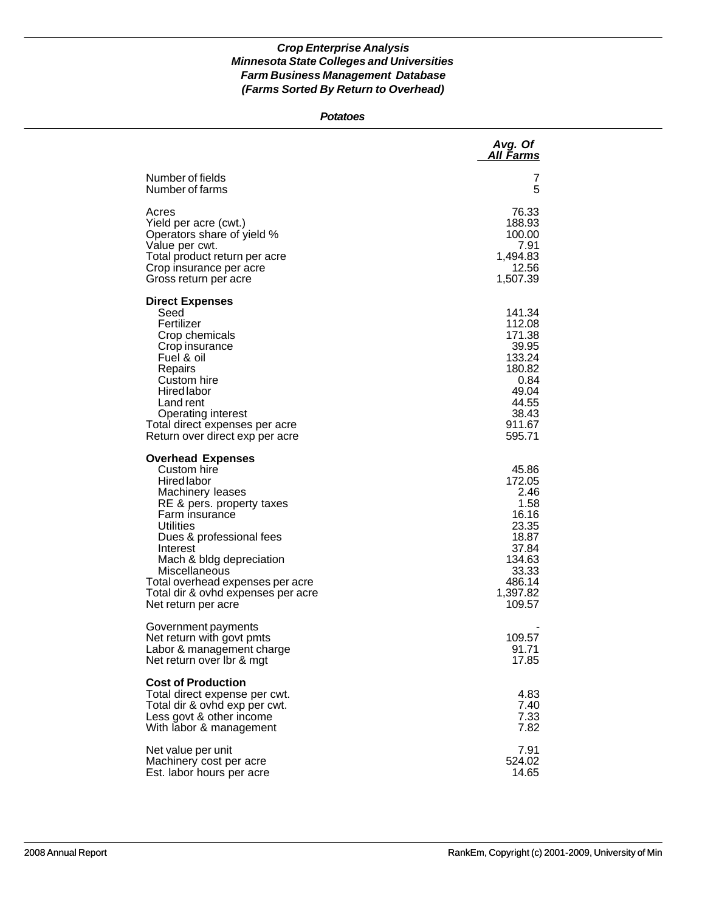#### *Potatoes*

|                                                                                                                                                                                                                                                                                                                              | Avg. Of<br>All Farms                                                                                                   |
|------------------------------------------------------------------------------------------------------------------------------------------------------------------------------------------------------------------------------------------------------------------------------------------------------------------------------|------------------------------------------------------------------------------------------------------------------------|
| Number of fields<br>Number of farms                                                                                                                                                                                                                                                                                          | 7<br>5                                                                                                                 |
| Acres<br>Yield per acre (cwt.)<br>Operators share of yield %<br>Value per cwt.<br>Total product return per acre<br>Crop insurance per acre<br>Gross return per acre                                                                                                                                                          | 76.33<br>188.93<br>100.00<br>7.91<br>1,494.83<br>12.56<br>1,507.39                                                     |
| <b>Direct Expenses</b><br>Seed<br>Fertilizer<br>Crop chemicals<br>Crop insurance<br>Fuel & oil<br>Repairs<br>Custom hire<br><b>Hired labor</b><br>Land rent<br>Operating interest<br>Total direct expenses per acre<br>Return over direct exp per acre                                                                       | 141.34<br>112.08<br>171.38<br>39.95<br>133.24<br>180.82<br>0.84<br>49.04<br>44.55<br>38.43<br>911.67<br>595.71         |
| <b>Overhead Expenses</b><br>Custom hire<br>Hired labor<br>Machinery leases<br>RE & pers. property taxes<br>Farm insurance<br>Utilities<br>Dues & professional fees<br>Interest<br>Mach & bldg depreciation<br>Miscellaneous<br>Total overhead expenses per acre<br>Total dir & ovhd expenses per acre<br>Net return per acre | 45.86<br>172.05<br>2.46<br>1.58<br>16.16<br>23.35<br>18.87<br>37.84<br>134.63<br>33.33<br>486.14<br>1,397.82<br>109.57 |
| Government payments<br>Net return with govt pmts<br>Labor & management charge<br>Net return over Ibr & mgt                                                                                                                                                                                                                   | 109.57<br>91.71<br>17.85                                                                                               |
| <b>Cost of Production</b><br>Total direct expense per cwt.<br>Total dir & ovhd exp per cwt.<br>Less govt & other income<br>With labor & management                                                                                                                                                                           | 4.83<br>7.40<br>7.33<br>7.82                                                                                           |
| Net value per unit<br>Machinery cost per acre<br>Est. labor hours per acre                                                                                                                                                                                                                                                   | 7.91<br>524.02<br>14.65                                                                                                |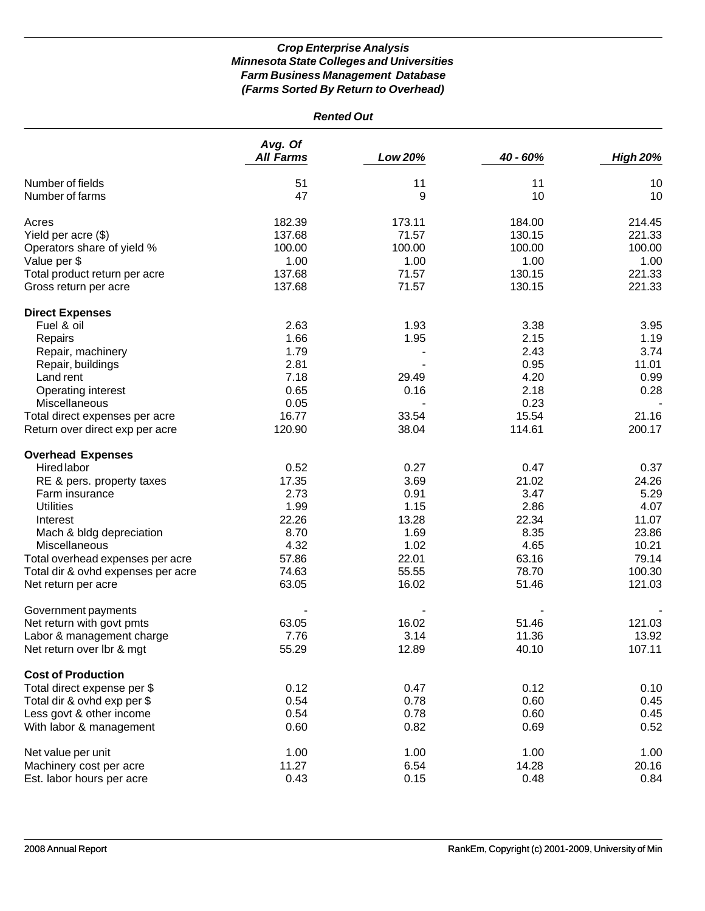| <b>Rented Out</b>                   |                             |         |          |                 |
|-------------------------------------|-----------------------------|---------|----------|-----------------|
|                                     | Avg. Of<br><b>All Farms</b> | Low 20% | 40 - 60% | <b>High 20%</b> |
| Number of fields<br>Number of farms | 51<br>47                    | 11<br>9 | 11<br>10 | 10<br>10        |
|                                     |                             |         |          |                 |
| Acres                               | 182.39                      | 173.11  | 184.00   | 214.45          |
| Yield per acre (\$)                 | 137.68                      | 71.57   | 130.15   | 221.33          |
| Operators share of yield %          | 100.00                      | 100.00  | 100.00   | 100.00          |
| Value per \$                        | 1.00                        | 1.00    | 1.00     | 1.00            |
| Total product return per acre       | 137.68                      | 71.57   | 130.15   | 221.33          |
| Gross return per acre               | 137.68                      | 71.57   | 130.15   | 221.33          |
| <b>Direct Expenses</b>              |                             |         |          |                 |
| Fuel & oil                          | 2.63                        | 1.93    | 3.38     | 3.95            |
| Repairs                             | 1.66                        | 1.95    | 2.15     | 1.19            |
| Repair, machinery                   | 1.79                        |         | 2.43     | 3.74            |
| Repair, buildings                   | 2.81                        |         | 0.95     | 11.01           |
| Land rent                           | 7.18                        | 29.49   | 4.20     | 0.99            |
| Operating interest                  | 0.65                        | 0.16    | 2.18     | 0.28            |
| Miscellaneous                       | 0.05                        |         | 0.23     |                 |
| Total direct expenses per acre      | 16.77                       | 33.54   | 15.54    | 21.16           |
| Return over direct exp per acre     | 120.90                      | 38.04   | 114.61   | 200.17          |
|                                     |                             |         |          |                 |
| <b>Overhead Expenses</b>            |                             |         |          |                 |
| Hired labor                         | 0.52                        | 0.27    | 0.47     | 0.37            |
| RE & pers. property taxes           | 17.35                       | 3.69    | 21.02    | 24.26           |
| Farm insurance                      | 2.73                        | 0.91    | 3.47     | 5.29            |
| <b>Utilities</b>                    | 1.99                        | 1.15    | 2.86     | 4.07            |
| Interest                            | 22.26                       | 13.28   | 22.34    | 11.07           |
| Mach & bldg depreciation            | 8.70                        | 1.69    | 8.35     | 23.86           |
| Miscellaneous                       | 4.32                        | 1.02    | 4.65     | 10.21           |
| Total overhead expenses per acre    | 57.86                       | 22.01   | 63.16    | 79.14           |
| Total dir & ovhd expenses per acre  | 74.63                       | 55.55   | 78.70    | 100.30          |
| Net return per acre                 | 63.05                       | 16.02   | 51.46    | 121.03          |
| Government payments                 |                             |         |          |                 |
| Net return with govt pmts           | 63.05                       | 16.02   | 51.46    | 121.03          |
| Labor & management charge           | 7.76                        | 3.14    | 11.36    | 13.92           |
| Net return over lbr & mgt           | 55.29                       | 12.89   | 40.10    | 107.11          |
| <b>Cost of Production</b>           |                             |         |          |                 |
| Total direct expense per \$         | 0.12                        | 0.47    | 0.12     | 0.10            |
| Total dir & ovhd exp per \$         | 0.54                        | 0.78    | 0.60     | 0.45            |
| Less govt & other income            | 0.54                        | 0.78    | 0.60     | 0.45            |
| With labor & management             | 0.60                        | 0.82    | 0.69     | 0.52            |
| Net value per unit                  | 1.00                        | 1.00    | 1.00     | 1.00            |
| Machinery cost per acre             | 11.27                       | 6.54    | 14.28    | 20.16           |
| Est. labor hours per acre           | 0.43                        | 0.15    | 0.48     | 0.84            |
|                                     |                             |         |          |                 |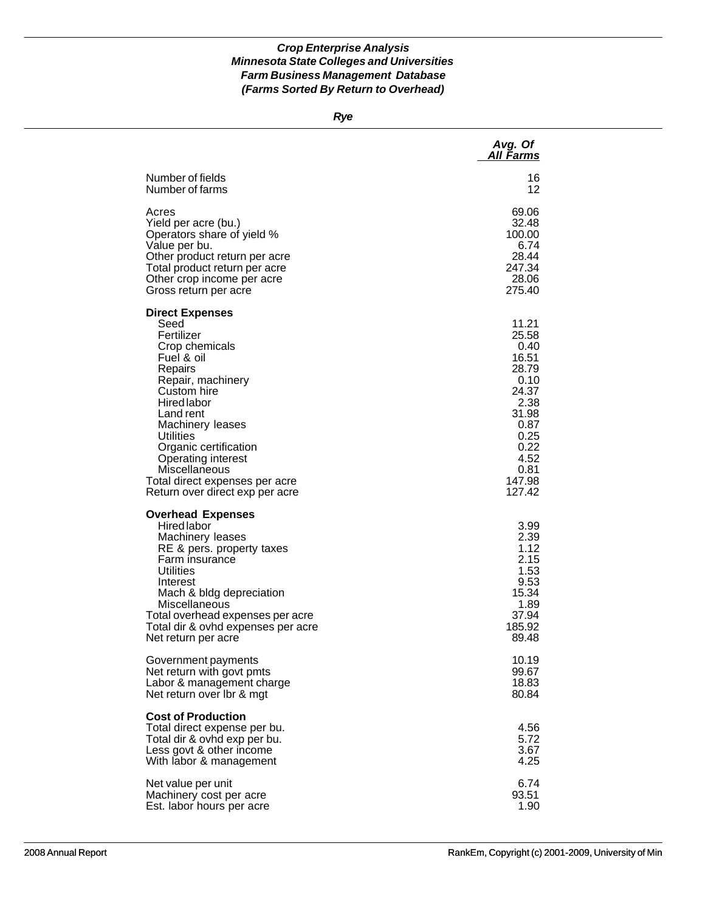*Rye*

|                                                                                                                                                                                                                                                                                                                                             | Avg. Of<br><b>All Farms</b>                                                                                                            |
|---------------------------------------------------------------------------------------------------------------------------------------------------------------------------------------------------------------------------------------------------------------------------------------------------------------------------------------------|----------------------------------------------------------------------------------------------------------------------------------------|
| Number of fields                                                                                                                                                                                                                                                                                                                            | 16                                                                                                                                     |
| Number of farms                                                                                                                                                                                                                                                                                                                             | 12                                                                                                                                     |
| Acres                                                                                                                                                                                                                                                                                                                                       | 69.06                                                                                                                                  |
| Yield per acre (bu.)                                                                                                                                                                                                                                                                                                                        | 32.48                                                                                                                                  |
| Operators share of yield %                                                                                                                                                                                                                                                                                                                  | 100.00                                                                                                                                 |
| Value per bu.                                                                                                                                                                                                                                                                                                                               | 6.74                                                                                                                                   |
| Other product return per acre                                                                                                                                                                                                                                                                                                               | 28.44                                                                                                                                  |
| Total product return per acre                                                                                                                                                                                                                                                                                                               | 247.34                                                                                                                                 |
| Other crop income per acre                                                                                                                                                                                                                                                                                                                  | 28.06                                                                                                                                  |
| Gross return per acre                                                                                                                                                                                                                                                                                                                       | 275.40                                                                                                                                 |
| <b>Direct Expenses</b><br>Seed<br>Fertilizer<br>Crop chemicals<br>Fuel & oil<br>Repairs<br>Repair, machinery<br>Custom hire<br><b>Hired labor</b><br>Land rent<br>Machinery leases<br>Utilities<br>Organic certification<br><b>Operating interest</b><br>Miscellaneous<br>Total direct expenses per acre<br>Return over direct exp per acre | 11.21<br>25.58<br>0.40<br>16.51<br>28.79<br>0.10<br>24.37<br>2.38<br>31.98<br>0.87<br>0.25<br>0.22<br>4.52<br>0.81<br>147.98<br>127.42 |
| <b>Overhead Expenses</b><br><b>Hired labor</b><br>Machinery leases<br>RE & pers. property taxes<br>Farm insurance<br><b>Utilities</b><br>Interest<br>Mach & bldg depreciation<br>Miscellaneous<br>Total overhead expenses per acre<br>Total dir & ovhd expenses per acre<br>Net return per acre                                             | 3.99<br>2.39<br>1.12<br>2.15<br>1.53<br>9.53<br>15.34<br>1.89<br>37.94<br>185.92<br>89.48                                              |
| Government payments                                                                                                                                                                                                                                                                                                                         | 10.19                                                                                                                                  |
| Net return with govt pmts                                                                                                                                                                                                                                                                                                                   | 99.67                                                                                                                                  |
| Labor & management charge                                                                                                                                                                                                                                                                                                                   | 18.83                                                                                                                                  |
| Net return over Ibr & mgt                                                                                                                                                                                                                                                                                                                   | 80.84                                                                                                                                  |
| <b>Cost of Production</b><br>Total direct expense per bu.<br>Total dir & ovhd exp per bu.<br>Less govt & other income<br>With labor & management                                                                                                                                                                                            | 4.56<br>5.72<br>3.67<br>4.25                                                                                                           |
| Net value per unit                                                                                                                                                                                                                                                                                                                          | 6.74                                                                                                                                   |
| Machinery cost per acre                                                                                                                                                                                                                                                                                                                     | 93.51                                                                                                                                  |
| Est. labor hours per acre                                                                                                                                                                                                                                                                                                                   | 1.90                                                                                                                                   |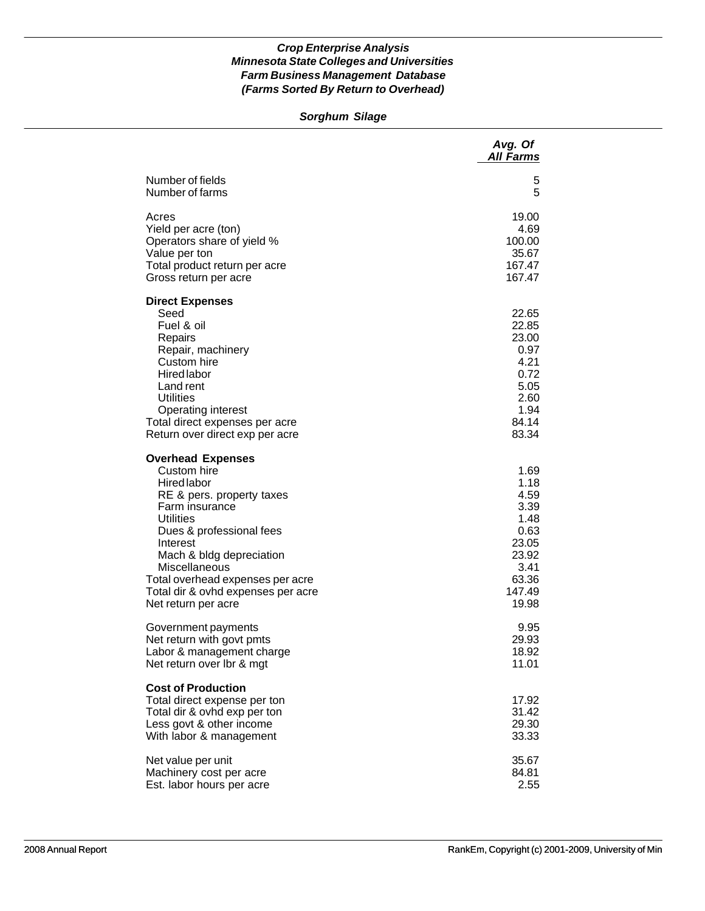### *Sorghum Silage*

|                                                                                                                                                                                                                                                                                                                        | Avg. Of<br><b>All Farms</b>                                                                        |
|------------------------------------------------------------------------------------------------------------------------------------------------------------------------------------------------------------------------------------------------------------------------------------------------------------------------|----------------------------------------------------------------------------------------------------|
| Number of fields                                                                                                                                                                                                                                                                                                       | 5                                                                                                  |
| Number of farms                                                                                                                                                                                                                                                                                                        | 5                                                                                                  |
| Acres                                                                                                                                                                                                                                                                                                                  | 19.00                                                                                              |
| Yield per acre (ton)                                                                                                                                                                                                                                                                                                   | 4.69                                                                                               |
| Operators share of yield %                                                                                                                                                                                                                                                                                             | 100.00                                                                                             |
| Value per ton                                                                                                                                                                                                                                                                                                          | 35.67                                                                                              |
| Total product return per acre                                                                                                                                                                                                                                                                                          | 167.47                                                                                             |
| Gross return per acre                                                                                                                                                                                                                                                                                                  | 167.47                                                                                             |
| <b>Direct Expenses</b><br>Seed<br>Fuel & oil<br>Repairs<br>Repair, machinery<br>Custom hire<br><b>Hired labor</b><br>Land rent<br><b>Utilities</b><br><b>Operating interest</b><br>Total direct expenses per acre<br>Return over direct exp per acre                                                                   | 22.65<br>22.85<br>23.00<br>0.97<br>4.21<br>0.72<br>5.05<br>2.60<br>1.94<br>84.14<br>83.34          |
| <b>Overhead Expenses</b><br>Custom hire<br><b>Hired labor</b><br>RE & pers. property taxes<br>Farm insurance<br><b>Utilities</b><br>Dues & professional fees<br>Interest<br>Mach & bldg depreciation<br>Miscellaneous<br>Total overhead expenses per acre<br>Total dir & ovhd expenses per acre<br>Net return per acre | 1.69<br>1.18<br>4.59<br>3.39<br>1.48<br>0.63<br>23.05<br>23.92<br>3.41<br>63.36<br>147.49<br>19.98 |
| Government payments                                                                                                                                                                                                                                                                                                    | 9.95                                                                                               |
| Net return with govt pmts                                                                                                                                                                                                                                                                                              | 29.93                                                                                              |
| Labor & management charge                                                                                                                                                                                                                                                                                              | 18.92                                                                                              |
| Net return over Ibr & mgt                                                                                                                                                                                                                                                                                              | 11.01                                                                                              |
| <b>Cost of Production</b><br>Total direct expense per ton<br>Total dir & ovhd exp per ton<br>Less govt & other income<br>With labor & management                                                                                                                                                                       | 17.92<br>31.42<br>29.30<br>33.33                                                                   |
| Net value per unit                                                                                                                                                                                                                                                                                                     | 35.67                                                                                              |
| Machinery cost per acre                                                                                                                                                                                                                                                                                                | 84.81                                                                                              |
| Est. labor hours per acre                                                                                                                                                                                                                                                                                              | 2.55                                                                                               |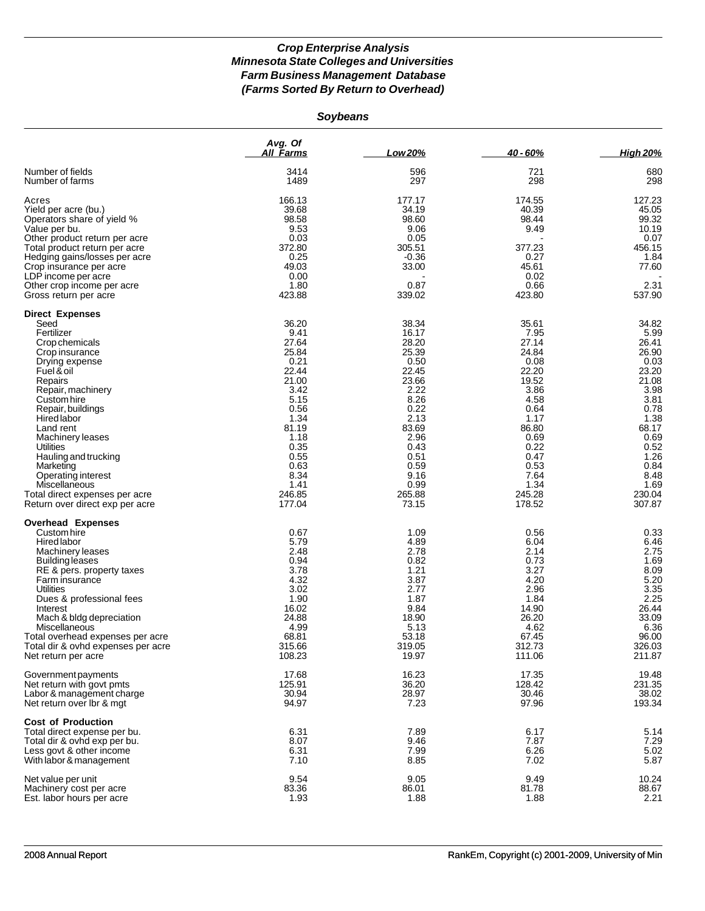*Soybeans*

|                                                                                                                                                                                                                                                                                                                                                                                                           | Avg. Of<br><u>All Farms</u>                                                                                                                                            | Low 20%                                                                                                                                                                | 40 - 60%                                                                                                                                                               | <b>High 20%</b>                                                                                                                                                        |
|-----------------------------------------------------------------------------------------------------------------------------------------------------------------------------------------------------------------------------------------------------------------------------------------------------------------------------------------------------------------------------------------------------------|------------------------------------------------------------------------------------------------------------------------------------------------------------------------|------------------------------------------------------------------------------------------------------------------------------------------------------------------------|------------------------------------------------------------------------------------------------------------------------------------------------------------------------|------------------------------------------------------------------------------------------------------------------------------------------------------------------------|
| Number of fields<br>Number of farms                                                                                                                                                                                                                                                                                                                                                                       | 3414<br>1489                                                                                                                                                           | 596<br>297                                                                                                                                                             | 721<br>298                                                                                                                                                             | 680<br>298                                                                                                                                                             |
| Acres<br>Yield per acre (bu.)<br>Operators share of yield %<br>Value per bu.<br>Other product return per acre<br>Total product return per acre<br>Hedging gains/losses per acre<br>Crop insurance per acre<br>LDP income per acre<br>Other crop income per acre<br>Gross return per acre                                                                                                                  | 166.13<br>39.68<br>98.58<br>9.53<br>0.03<br>372.80<br>0.25<br>49.03<br>0.00<br>1.80<br>423.88                                                                          | 177.17<br>34.19<br>98.60<br>9.06<br>0.05<br>305.51<br>$-0.36$<br>33.00<br>0.87<br>339.02                                                                               | 174.55<br>40.39<br>98.44<br>9.49<br>377.23<br>0.27<br>45.61<br>0.02<br>0.66<br>423.80                                                                                  | 127.23<br>45.05<br>99.32<br>10.19<br>0.07<br>456.15<br>1.84<br>77.60<br>2.31<br>537.90                                                                                 |
| <b>Direct Expenses</b><br>Seed<br>Fertilizer<br>Crop chemicals<br>Crop insurance<br>Drying expense<br>Fuel & oil<br>Repairs<br>Repair, machinery<br>Custom hire<br>Repair, buildings<br><b>Hired labor</b><br>Land rent<br>Machinery leases<br>Utilities<br>Hauling and trucking<br>Marketing<br>Operating interest<br>Miscellaneous<br>Total direct expenses per acre<br>Return over direct exp per acre | 36.20<br>9.41<br>27.64<br>25.84<br>0.21<br>22.44<br>21.00<br>3.42<br>5.15<br>0.56<br>1.34<br>81.19<br>1.18<br>0.35<br>0.55<br>0.63<br>8.34<br>1.41<br>246.85<br>177.04 | 38.34<br>16.17<br>28.20<br>25.39<br>0.50<br>22.45<br>23.66<br>2.22<br>8.26<br>0.22<br>2.13<br>83.69<br>2.96<br>0.43<br>0.51<br>0.59<br>9.16<br>0.99<br>265.88<br>73.15 | 35.61<br>7.95<br>27.14<br>24.84<br>0.08<br>22.20<br>19.52<br>3.86<br>4.58<br>0.64<br>1.17<br>86.80<br>0.69<br>0.22<br>0.47<br>0.53<br>7.64<br>1.34<br>245.28<br>178.52 | 34.82<br>5.99<br>26.41<br>26.90<br>0.03<br>23.20<br>21.08<br>3.98<br>3.81<br>0.78<br>1.38<br>68.17<br>0.69<br>0.52<br>1.26<br>0.84<br>8.48<br>1.69<br>230.04<br>307.87 |
| <b>Overhead Expenses</b><br>Custom hire<br><b>Hired labor</b><br>Machinery leases<br>Building leases<br>RE & pers. property taxes<br>Farm insurance<br>Utilities<br>Dues & professional fees<br>Interest<br>Mach & bldg depreciation<br>Miscellaneous<br>Total overhead expenses per acre<br>Total dir & ovhd expenses per acre<br>Net return per acre                                                    | 0.67<br>5.79<br>2.48<br>0.94<br>3.78<br>4.32<br>3.02<br>1.90<br>16.02<br>24.88<br>4.99<br>68.81<br>315.66<br>108.23                                                    | 1.09<br>4.89<br>2.78<br>0.82<br>1.21<br>3.87<br>2.77<br>1.87<br>9.84<br>18.90<br>5.13<br>53.18<br>319.05<br>19.97                                                      | 0.56<br>6.04<br>2.14<br>0.73<br>3.27<br>4.20<br>2.96<br>1.84<br>14.90<br>26.20<br>4.62<br>67.45<br>312.73<br>111.06                                                    | 0.33<br>6.46<br>2.75<br>1.69<br>8.09<br>5.20<br>3.35<br>2.25<br>26.44<br>33.09<br>6.36<br>96.00<br>326.03<br>211.87                                                    |
| Government payments<br>Net return with govt pmts<br>Labor & management charge<br>Net return over Ibr & mgt                                                                                                                                                                                                                                                                                                | 17.68<br>125.91<br>30.94<br>94.97                                                                                                                                      | 16.23<br>36.20<br>28.97<br>7.23                                                                                                                                        | 17.35<br>128.42<br>30.46<br>97.96                                                                                                                                      | 19.48<br>231.35<br>38.02<br>193.34                                                                                                                                     |
| <b>Cost of Production</b><br>Total direct expense per bu.<br>Total dir & ovhd exp per bu.<br>Less govt & other income<br>With labor & management                                                                                                                                                                                                                                                          | 6.31<br>8.07<br>6.31<br>7.10                                                                                                                                           | 7.89<br>9.46<br>7.99<br>8.85                                                                                                                                           | 6.17<br>7.87<br>6.26<br>7.02                                                                                                                                           | 5.14<br>7.29<br>5.02<br>5.87                                                                                                                                           |
| Net value per unit<br>Machinery cost per acre<br>Est. labor hours per acre                                                                                                                                                                                                                                                                                                                                | 9.54<br>83.36<br>1.93                                                                                                                                                  | 9.05<br>86.01<br>1.88                                                                                                                                                  | 9.49<br>81.78<br>1.88                                                                                                                                                  | 10.24<br>88.67<br>2.21                                                                                                                                                 |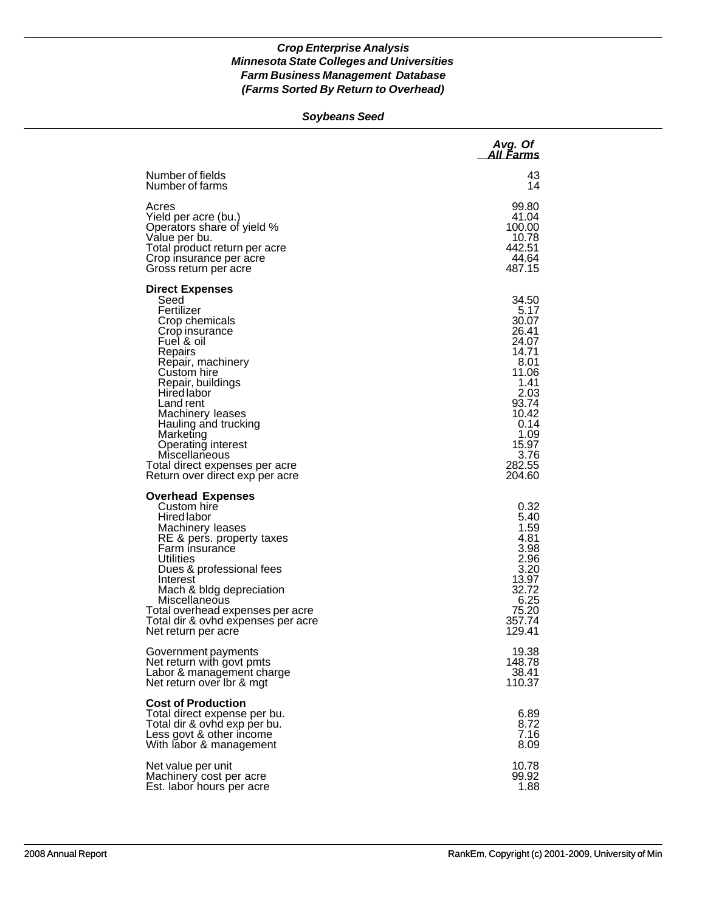### *Soybeans Seed*

|                                                                                                                                                                                                                                                                                                                                                                     | Avg. Of<br>All Farms                                                                                                                                      |
|---------------------------------------------------------------------------------------------------------------------------------------------------------------------------------------------------------------------------------------------------------------------------------------------------------------------------------------------------------------------|-----------------------------------------------------------------------------------------------------------------------------------------------------------|
| Number of fields<br>Number of farms                                                                                                                                                                                                                                                                                                                                 | 43<br>14                                                                                                                                                  |
| Acres<br>Yield per acre (bu.)<br>Operators share of yield %<br>Value per bu.<br>Total product return per acre<br>Crop insurance per acre<br>Gross return per acre                                                                                                                                                                                                   | 99.80<br>41.04<br>100.00<br>10.78<br>442.51<br>44.64<br>487.15                                                                                            |
| <b>Direct Expenses</b><br>Seed<br>Fertilizer<br>Crop chemicals<br>Crop insurance<br>Fuel & oil<br>Repairs<br>Repair, machinery<br>Custom hire<br>Repair, buildings<br>Hired labor<br>Land rent<br>Machinery leases<br>Hauling and trucking<br>Marketing<br>Operating interest<br>Miscellaneous<br>Total direct expenses per acre<br>Return over direct exp per acre | 34.50<br>5.17<br>30.07<br>26.41<br>24.07<br>14.71<br>8.01<br>11.06<br>1.41<br>2.03<br>93.74<br>10.42<br>0.14<br>1.09<br>15.97<br>3.76<br>282.55<br>204.60 |
| <b>Overhead Expenses</b><br>Custom hire<br><b>Hired labor</b><br>Machinery leases<br>RE & pers. property taxes<br>Farm insurance<br><b>Utilities</b><br>Dues & professional fees<br>Interest<br>Mach & bldg depreciation<br>Miscellaneous<br>Total overhead expenses per acre<br>Total dir & ovhd expenses per acre<br>Net return per acre                          | 0.32<br>5.40<br>1.59<br>4.81<br>3.98<br>2.96<br>3.20<br>13.97<br>32.72<br>6.25<br>75.20<br>357.74<br>129.41                                               |
| Government payments<br>Net return with govt pmts<br>Labor & management charge<br>Net return over Ibr & mgt                                                                                                                                                                                                                                                          | 19.38<br>148.78<br>38.41<br>110.37                                                                                                                        |
| <b>Cost of Production</b><br>Total direct expense per bu.<br>Total dir & ovhd exp per bu.<br>Less govt & other income<br>With labor & management                                                                                                                                                                                                                    | 6.89<br>8.72<br>7.16<br>8.09                                                                                                                              |
| Net value per unit<br>Machinery cost per acre<br>Est. labor hours per acre                                                                                                                                                                                                                                                                                          | 10.78<br>99.92<br>1.88                                                                                                                                    |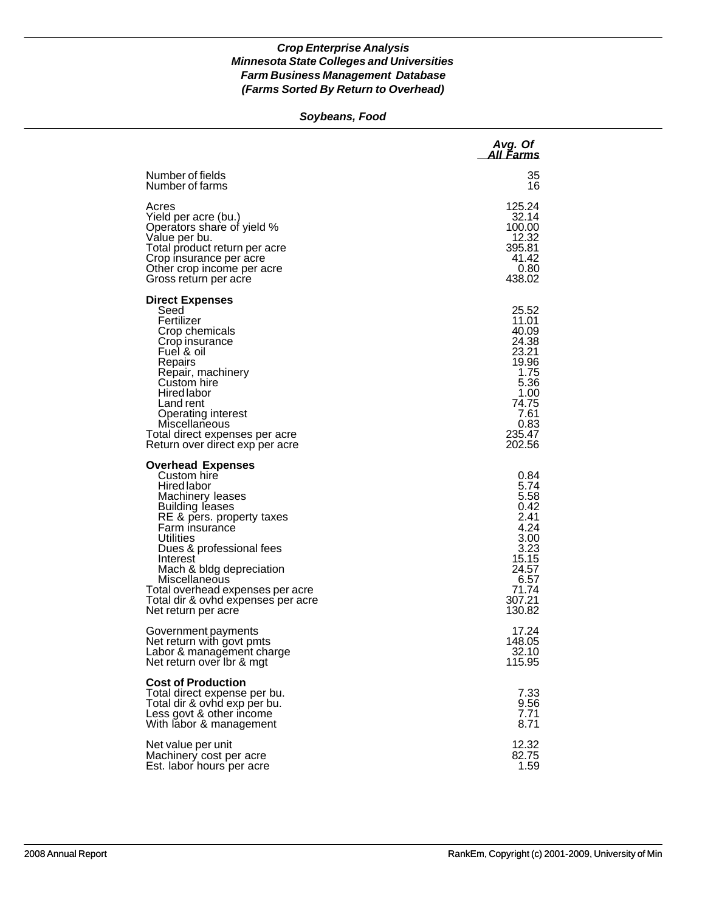### *Soybeans, Food*

|                                                                                                                                                                                                                                                                                                                                                 | Avg. Of<br>All Farms                                                                                                    |
|-------------------------------------------------------------------------------------------------------------------------------------------------------------------------------------------------------------------------------------------------------------------------------------------------------------------------------------------------|-------------------------------------------------------------------------------------------------------------------------|
| Number of fields                                                                                                                                                                                                                                                                                                                                | 35                                                                                                                      |
| Number of farms                                                                                                                                                                                                                                                                                                                                 | 16                                                                                                                      |
| Acres                                                                                                                                                                                                                                                                                                                                           | 125.24                                                                                                                  |
| Yield per acre (bu.)                                                                                                                                                                                                                                                                                                                            | 32.14                                                                                                                   |
| Operators share of yield %                                                                                                                                                                                                                                                                                                                      | 100.00                                                                                                                  |
| Value per bu.                                                                                                                                                                                                                                                                                                                                   | 12.32                                                                                                                   |
| Total product return per acre                                                                                                                                                                                                                                                                                                                   | 395.81                                                                                                                  |
| Crop insurance per acre                                                                                                                                                                                                                                                                                                                         | 41.42                                                                                                                   |
| Other crop income per acre                                                                                                                                                                                                                                                                                                                      | 0.80                                                                                                                    |
| Gross return per acre                                                                                                                                                                                                                                                                                                                           | 438.02                                                                                                                  |
| <b>Direct Expenses</b><br>Seed<br>Fertilizer<br>Crop chemicals<br>Crop insurance<br>Fuel & oil<br>Repairs<br>Repair, machinery<br>Custom hire<br>Hired labor<br>Land rent<br>Operating interest<br>Miscellaneous<br>Total direct expenses per acre<br>Return over direct exp per acre                                                           | 25.52<br>11.01<br>40.09<br>24.38<br>23.21<br>19.96<br>1.75<br>5.36<br>1.00<br>74.75<br>7.61<br>0.83<br>235.47<br>202.56 |
| <b>Overhead Expenses</b><br>Custom hire<br>Hired labor<br>Machinery leases<br>Building leases<br>RE & pers. property taxes<br>Farm insurance<br>Utilities<br>Dues & professional fees<br>Interest<br>Mach & bldg depreciation<br>Miscellaneous<br>Total overhead expenses per acre<br>Total dir & ovhd expenses per acre<br>Net return per acre | 0.84<br>5.74<br>5.58<br>0.42<br>2.41<br>4.24<br>3.00<br>3.23<br>15.15<br>24.57<br>6.57<br>71.74<br>307.21<br>130.82     |
| Government payments                                                                                                                                                                                                                                                                                                                             | 17.24                                                                                                                   |
| Net return with govt pmts                                                                                                                                                                                                                                                                                                                       | 148.05                                                                                                                  |
| Labor & management charge                                                                                                                                                                                                                                                                                                                       | 32.10                                                                                                                   |
| Net return over Ibr & mgt                                                                                                                                                                                                                                                                                                                       | 115.95                                                                                                                  |
| <b>Cost of Production</b><br>Total direct expense per bu.<br>Total dir & ovhd exp per bu.<br>Less govt & other income<br>With labor & management                                                                                                                                                                                                | 7.33<br>9.56<br>7.71<br>8.71                                                                                            |
| Net value per unit                                                                                                                                                                                                                                                                                                                              | 12.32                                                                                                                   |
| Machinery cost per acre                                                                                                                                                                                                                                                                                                                         | 82.75                                                                                                                   |
| Est. labor hours per acre                                                                                                                                                                                                                                                                                                                       | 1.59                                                                                                                    |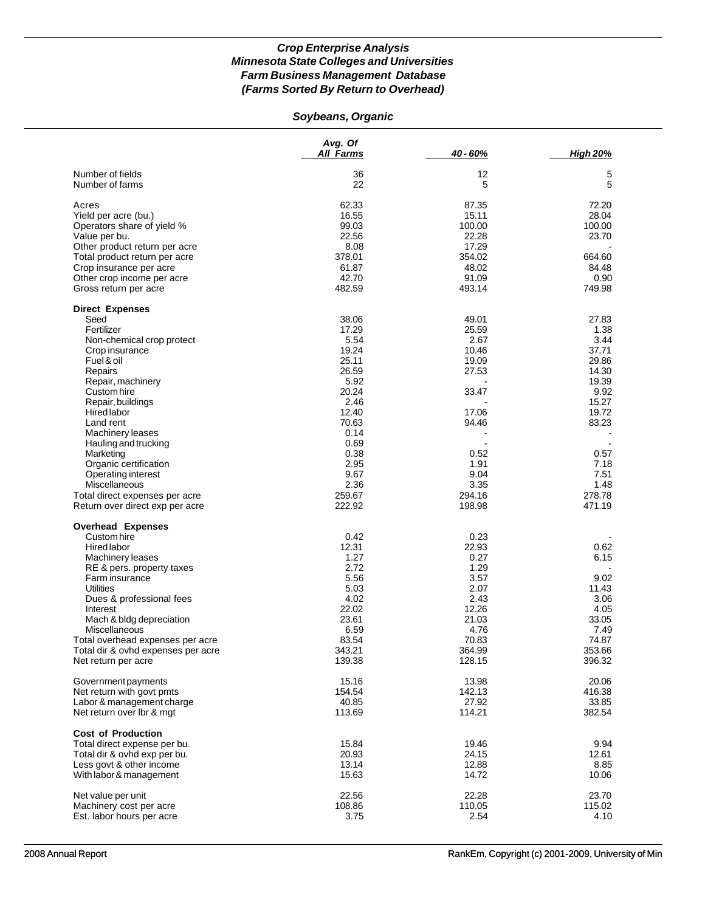# *Soybeans, Organic*

|                                                                        | Avg. Of<br><b>All Farms</b> | 40 - 60%         | <b>High 20%</b>  |
|------------------------------------------------------------------------|-----------------------------|------------------|------------------|
| Number of fields                                                       | 36                          | 12               | 5                |
| Number of farms                                                        | 22                          | 5                | 5                |
| Acres                                                                  | 62.33                       | 87.35            | 72.20            |
| Yield per acre (bu.)                                                   | 16.55                       | 15.11            | 28.04            |
| Operators share of yield %                                             | 99.03                       | 100.00           | 100.00           |
| Value per bu.                                                          | 22.56                       | 22.28            | 23.70            |
| Other product return per acre                                          | 8.08                        | 17.29            |                  |
| Total product return per acre                                          | 378.01                      | 354.02           | 664.60           |
| Crop insurance per acre                                                | 61.87                       | 48.02            | 84.48            |
| Other crop income per acre                                             | 42.70                       | 91.09            | 0.90             |
| Gross return per acre                                                  | 482.59                      | 493.14           | 749.98           |
| <b>Direct Expenses</b>                                                 |                             |                  |                  |
| Seed                                                                   | 38.06                       | 49.01            | 27.83            |
| Fertilizer                                                             | 17.29                       | 25.59            | 1.38             |
| Non-chemical crop protect                                              | 5.54                        | 2.67             | 3.44             |
| Crop insurance                                                         | 19.24                       | 10.46            | 37.71            |
| Fuel & oil                                                             | 25.11                       | 19.09            | 29.86            |
| Repairs                                                                | 26.59                       | 27.53            | 14.30            |
| Repair, machinery                                                      | 5.92                        |                  | 19.39            |
| Custom hire                                                            | 20.24                       | 33.47            | 9.92             |
| Repair, buildings                                                      | 2.46                        |                  | 15.27            |
| <b>Hired labor</b>                                                     | 12.40                       | 17.06            | 19.72            |
| Land rent                                                              | 70.63                       | 94.46            | 83.23            |
| Machinery leases                                                       | 0.14                        |                  |                  |
| Hauling and trucking                                                   | 0.69                        |                  |                  |
| Marketing                                                              | 0.38                        | 0.52             | 0.57             |
| Organic certification                                                  | 2.95                        | 1.91             | 7.18             |
| Operating interest                                                     | 9.67                        | 9.04             | 7.51             |
| Miscellaneous                                                          | 2.36                        | 3.35             | 1.48             |
| Total direct expenses per acre<br>Return over direct exp per acre      | 259.67<br>222.92            | 294.16<br>198.98 | 278.78<br>471.19 |
|                                                                        |                             |                  |                  |
| <b>Overhead Expenses</b><br>Custom hire                                | 0.42                        | 0.23             |                  |
|                                                                        |                             |                  |                  |
| Hired labor                                                            | 12.31                       | 22.93            | 0.62             |
| Machinery leases                                                       | 1.27                        | 0.27             | 6.15             |
| RE & pers. property taxes                                              | 2.72                        | 1.29             |                  |
| Farm insurance<br><b>Utilities</b>                                     | 5.56                        | 3.57             | 9.02             |
|                                                                        | 5.03<br>4.02                | 2.07<br>2.43     | 11.43            |
| Dues & professional fees                                               | 22.02                       |                  | 3.06             |
| Interest                                                               | 23.61                       | 12.26            | 4.05             |
| Mach & bldg depreciation                                               |                             | 21.03<br>4.76    | 33.05            |
| Miscellaneous                                                          | 6.59<br>83.54               | 70.83            | 7.49<br>74.87    |
| Total overhead expenses per acre<br>Total dir & ovhd expenses per acre | 343.21                      | 364.99           | 353.66           |
| Net return per acre                                                    | 139.38                      | 128.15           | 396.32           |
| Government payments                                                    | 15.16                       | 13.98            | 20.06            |
| Net return with govt pmts                                              | 154.54                      | 142.13           | 416.38           |
| Labor & management charge                                              | 40.85                       | 27.92            | 33.85            |
| Net return over Ibr & mgt                                              | 113.69                      | 114.21           | 382.54           |
| <b>Cost of Production</b>                                              |                             |                  |                  |
| Total direct expense per bu.                                           | 15.84                       | 19.46            | 9.94             |
| Total dir & ovhd exp per bu.                                           | 20.93                       | 24.15            | 12.61            |
| Less govt & other income                                               | 13.14                       | 12.88            | 8.85             |
| With labor & management                                                | 15.63                       | 14.72            | 10.06            |
| Net value per unit                                                     | 22.56                       | 22.28            | 23.70            |
| Machinery cost per acre                                                | 108.86                      | 110.05           | 115.02           |
| Est. labor hours per acre                                              | 3.75                        | 2.54             | 4.10             |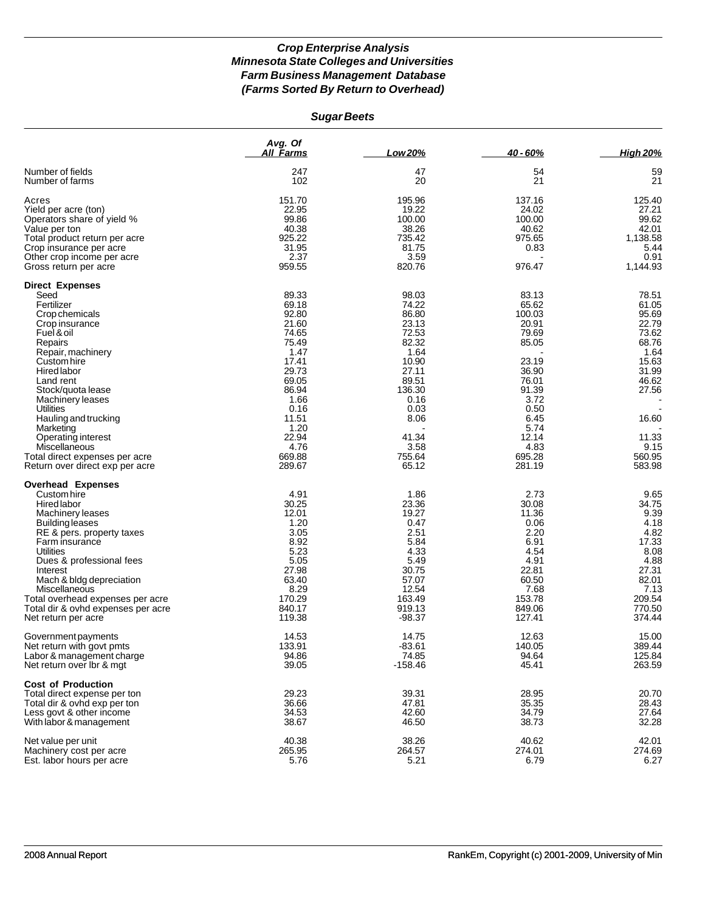| <b>Sugar Beets</b> |  |
|--------------------|--|
|--------------------|--|

|                                                                                                                                                                                                                                                                                                                                                                                                | Avg. Of<br>All Farms                                                                                                                                                 | Low 20%                                                                                                                                                     | 40 - 60%                                                                                                                                                     | <b>High 20%</b>                                                                                                                              |
|------------------------------------------------------------------------------------------------------------------------------------------------------------------------------------------------------------------------------------------------------------------------------------------------------------------------------------------------------------------------------------------------|----------------------------------------------------------------------------------------------------------------------------------------------------------------------|-------------------------------------------------------------------------------------------------------------------------------------------------------------|--------------------------------------------------------------------------------------------------------------------------------------------------------------|----------------------------------------------------------------------------------------------------------------------------------------------|
| Number of fields<br>Number of farms                                                                                                                                                                                                                                                                                                                                                            | 247<br>102                                                                                                                                                           | 47<br>20                                                                                                                                                    | 54<br>21                                                                                                                                                     | 59<br>21                                                                                                                                     |
| Acres<br>Yield per acre (ton)<br>Operators share of yield %<br>Value per ton<br>Total product return per acre<br>Crop insurance per acre<br>Other crop income per acre<br>Gross return per acre                                                                                                                                                                                                | 151.70<br>22.95<br>99.86<br>40.38<br>925.22<br>31.95<br>2.37<br>959.55                                                                                               | 195.96<br>19.22<br>100.00<br>38.26<br>735.42<br>81.75<br>3.59<br>820.76                                                                                     | 137.16<br>24.02<br>100.00<br>40.62<br>975.65<br>0.83<br>976.47                                                                                               | 125.40<br>27.21<br>99.62<br>42.01<br>1,138.58<br>5.44<br>0.91<br>1,144.93                                                                    |
| <b>Direct Expenses</b><br>Seed<br>Fertilizer<br>Crop chemicals<br>Crop insurance<br>Fuel & oil<br>Repairs<br>Repair, machinery<br>Custom hire<br>Hired labor<br>Land rent<br>Stock/quota lease<br><b>Machinery leases</b><br><b>Utilities</b><br>Hauling and trucking<br>Marketing<br>Operating interest<br>Miscellaneous<br>Total direct expenses per acre<br>Return over direct exp per acre | 89.33<br>69.18<br>92.80<br>21.60<br>74.65<br>75.49<br>1.47<br>17.41<br>29.73<br>69.05<br>86.94<br>1.66<br>0.16<br>11.51<br>1.20<br>22.94<br>4.76<br>669.88<br>289.67 | 98.03<br>74.22<br>86.80<br>23.13<br>72.53<br>82.32<br>1.64<br>10.90<br>27.11<br>89.51<br>136.30<br>0.16<br>0.03<br>8.06<br>41.34<br>3.58<br>755.64<br>65.12 | 83.13<br>65.62<br>100.03<br>20.91<br>79.69<br>85.05<br>23.19<br>36.90<br>76.01<br>91.39<br>3.72<br>0.50<br>6.45<br>5.74<br>12.14<br>4.83<br>695.28<br>281.19 | 78.51<br>61.05<br>95.69<br>22.79<br>73.62<br>68.76<br>1.64<br>15.63<br>31.99<br>46.62<br>27.56<br>16.60<br>11.33<br>9.15<br>560.95<br>583.98 |
| <b>Overhead Expenses</b><br>Custom hire<br>Hired labor<br>Machinery leases<br><b>Building leases</b><br>RE & pers. property taxes<br>Farm insurance<br><b>Utilities</b><br>Dues & professional fees<br>Interest<br>Mach & bldg depreciation<br>Miscellaneous<br>Total overhead expenses per acre<br>Total dir & ovhd expenses per acre<br>Net return per acre                                  | 4.91<br>30.25<br>12.01<br>1.20<br>3.05<br>8.92<br>5.23<br>5.05<br>27.98<br>63.40<br>8.29<br>170.29<br>840.17<br>119.38                                               | 1.86<br>23.36<br>19.27<br>0.47<br>2.51<br>5.84<br>4.33<br>5.49<br>30.75<br>57.07<br>12.54<br>163.49<br>919.13<br>$-98.37$                                   | 2.73<br>30.08<br>11.36<br>0.06<br>2.20<br>6.91<br>4.54<br>4.91<br>22.81<br>60.50<br>7.68<br>153.78<br>849.06<br>127.41                                       | 9.65<br>34.75<br>9.39<br>4.18<br>4.82<br>17.33<br>8.08<br>4.88<br>27.31<br>82.01<br>7.13<br>209.54<br>770.50<br>374.44                       |
| Government payments<br>Net return with govt pmts<br>Labor & management charge<br>Net return over lbr & mgt                                                                                                                                                                                                                                                                                     | 14.53<br>133.91<br>94.86<br>39.05                                                                                                                                    | 14.75<br>-83.61<br>74.85<br>$-158.46$                                                                                                                       | 12.63<br>140.05<br>94.64<br>45.41                                                                                                                            | 15.00<br>389.44<br>125.84<br>263.59                                                                                                          |
| <b>Cost of Production</b><br>Total direct expense per ton<br>Total dir & ovhd exp per ton<br>Less govt & other income<br>With labor & management                                                                                                                                                                                                                                               | 29.23<br>36.66<br>34.53<br>38.67                                                                                                                                     | 39.31<br>47.81<br>42.60<br>46.50                                                                                                                            | 28.95<br>35.35<br>34.79<br>38.73                                                                                                                             | 20.70<br>28.43<br>27.64<br>32.28                                                                                                             |
| Net value per unit<br>Machinery cost per acre<br>Est. labor hours per acre                                                                                                                                                                                                                                                                                                                     | 40.38<br>265.95<br>5.76                                                                                                                                              | 38.26<br>264.57<br>5.21                                                                                                                                     | 40.62<br>274.01<br>6.79                                                                                                                                      | 42.01<br>274.69<br>6.27                                                                                                                      |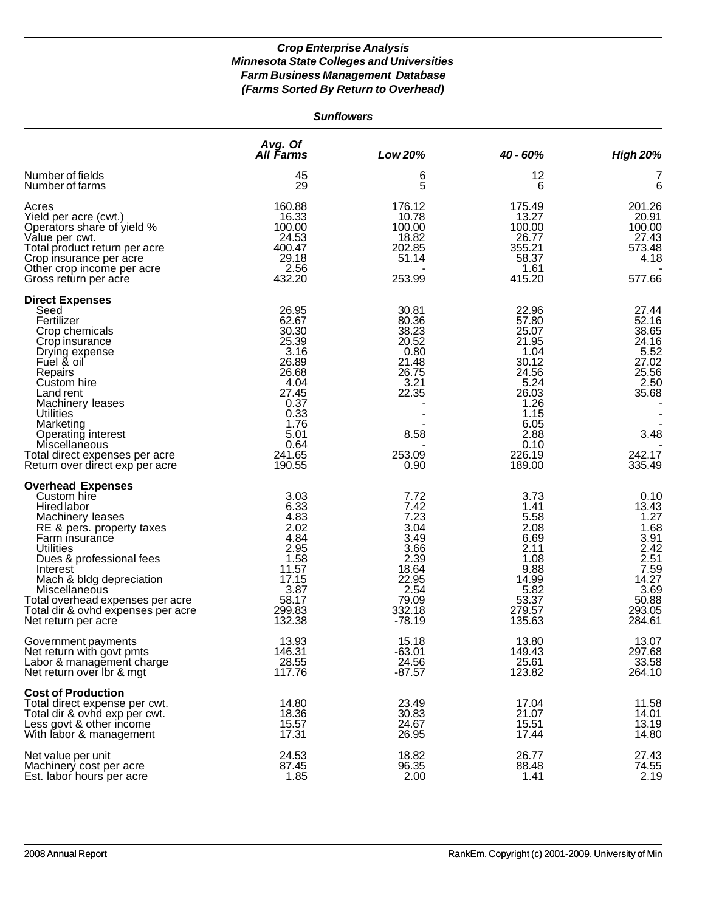|                                                                                                                                                                                                                                                                                                                              |                                                                                                                                         | <b>Sunflowers</b>                                                                                             |                                                                                                                                         |                                                                                                             |
|------------------------------------------------------------------------------------------------------------------------------------------------------------------------------------------------------------------------------------------------------------------------------------------------------------------------------|-----------------------------------------------------------------------------------------------------------------------------------------|---------------------------------------------------------------------------------------------------------------|-----------------------------------------------------------------------------------------------------------------------------------------|-------------------------------------------------------------------------------------------------------------|
|                                                                                                                                                                                                                                                                                                                              | Avg. Of<br>All Farms                                                                                                                    | Low 20%                                                                                                       | $40 - 60%$                                                                                                                              | <b>High 20%</b>                                                                                             |
| Number of fields<br>Number of farms                                                                                                                                                                                                                                                                                          | 45<br>29                                                                                                                                | 6<br>5                                                                                                        | 12<br>6                                                                                                                                 | 7<br>6                                                                                                      |
| Acres<br>Yield per acre (cwt.)<br>Operators share of yield %<br>Value per cwt.<br>Total product return per acre<br>Crop insurance per acre<br>Other crop income per acre<br>Gross return per acre                                                                                                                            | 160.88<br>16.33<br>100.00<br>24.53<br>400.47<br>29.18<br>2.56<br>432.20                                                                 | 176.12<br>10.78<br>100.00<br>18.82<br>202.85<br>51.14<br>253.99                                               | 175.49<br>13.27<br>100.00<br>26.77<br>355.21<br>58.37<br>1.61<br>415.20                                                                 | 201.26<br>20.91<br>100.00<br>27.43<br>573.48<br>4.18<br>577.66                                              |
| <b>Direct Expenses</b><br>Seed<br>Fertilizer<br>Crop chemicals<br>Crop insurance<br>Drying expense<br>Fuel & oil<br>Repairs<br>Custom hire<br>Land rent<br>Machinery leases<br><b>Utilities</b><br>Marketing<br>Operating interest<br>Miscellaneous<br>Total direct expenses per acre<br>Return over direct exp per acre     | 26.95<br>62.67<br>30.30<br>25.39<br>3.16<br>26.89<br>26.68<br>4.04<br>27.45<br>0.37<br>0.33<br>1.76<br>5.01<br>0.64<br>241.65<br>190.55 | 30.81<br>80.36<br>38.23<br>20.52<br>0.80<br>21.48<br>26.75<br>3.21<br>22.35<br>8.58<br>253.09<br>0.90         | 22.96<br>57.80<br>25.07<br>21.95<br>1.04<br>30.12<br>24.56<br>5.24<br>26.03<br>1.26<br>1.15<br>6.05<br>2.88<br>0.10<br>226.19<br>189.00 | 27.44<br>52.16<br>38.65<br>24.16<br>5.52<br>27.02<br>25.56<br>2.50<br>35.68<br>3.48<br>242.17<br>335.49     |
| <b>Overhead Expenses</b><br>Custom hire<br>Hired labor<br>Machinery leases<br>RE & pers. property taxes<br>Farm insurance<br>Utilities<br>Dues & professional fees<br>Interest<br>Mach & bldg depreciation<br>Miscellaneous<br>Total overhead expenses per acre<br>Total dir & ovhd expenses per acre<br>Net return per acre | 3.03<br>6.33<br>4.83<br>2.02<br>4.84<br>2.95<br>1.58<br>11.57<br>17.15<br>3.87<br>58.17<br>299.83<br>132.38                             | 7.72<br>7.42<br>7.23<br>3.04<br>3.49<br>3.66<br>2.39<br>18.64<br>22.95<br>2.54<br>79.09<br>332.18<br>$-78.19$ | 3.73<br>1.41<br>5.58<br>2.08<br>6.69<br>2.11<br>1.08<br>9.88<br>14.99<br>5.82<br>53.37<br>279.57<br>135.63                              | 0.10<br>13.43<br>1.27<br>1.68<br>3.91<br>2.42<br>2.51<br>7.59<br>14.27<br>3.69<br>50.88<br>293.05<br>284.61 |
| Government payments<br>Net return with govt pmts<br>Labor & management charge<br>Net return over Ibr & mgt                                                                                                                                                                                                                   | 13.93<br>146.31<br>28.55<br>117.76                                                                                                      | 15.18<br>$-63.01$<br>24.56<br>$-87.57$                                                                        | 13.80<br>149.43<br>25.61<br>123.82                                                                                                      | 13.07<br>297.68<br>33.58<br>264.10                                                                          |
| <b>Cost of Production</b><br>Total direct expense per cwt.<br>Total dir & ovhd exp per cwt.<br>Less govt & other income<br>With labor & management                                                                                                                                                                           | 14.80<br>18.36<br>15.57<br>17.31                                                                                                        | 23.49<br>30.83<br>24.67<br>26.95                                                                              | 17.04<br>21.07<br>15.51<br>17.44                                                                                                        | 11.58<br>14.01<br>13.19<br>14.80                                                                            |
| Net value per unit<br>Machinery cost per acre<br>Est. labor hours per acre                                                                                                                                                                                                                                                   | 24.53<br>87.45<br>1.85                                                                                                                  | 18.82<br>96.35<br>2.00                                                                                        | 26.77<br>88.48<br>1.41                                                                                                                  | 27.43<br>74.55<br>2.19                                                                                      |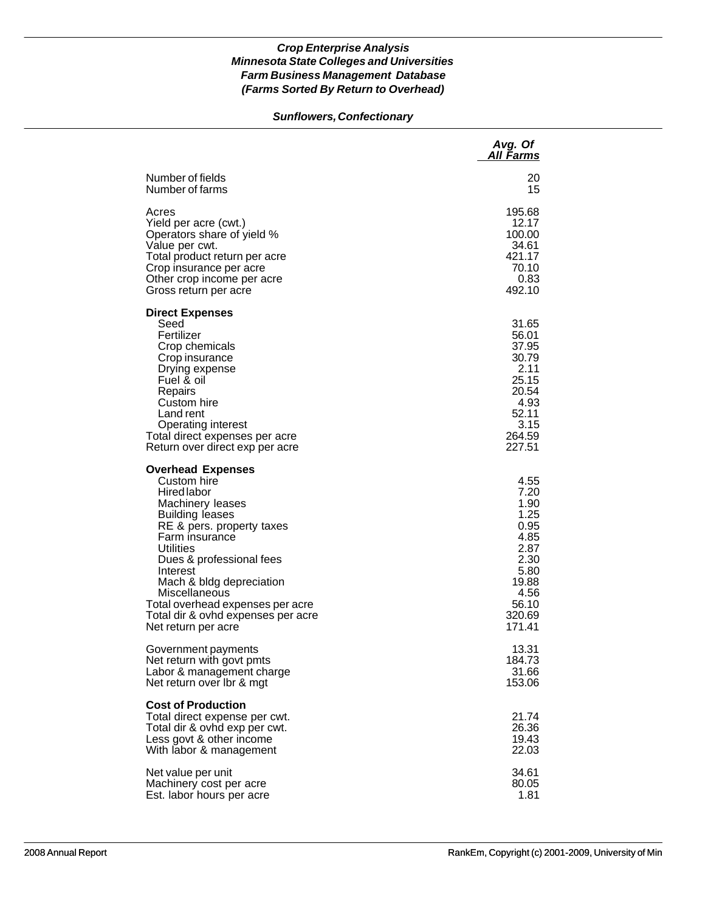# *Sunflowers, Confectionary*

|                                                                                                                                                                                                                                                                                                                                                               | Avg. Of<br><u>All Farms</u>                                                                                        |
|---------------------------------------------------------------------------------------------------------------------------------------------------------------------------------------------------------------------------------------------------------------------------------------------------------------------------------------------------------------|--------------------------------------------------------------------------------------------------------------------|
| Number of fields                                                                                                                                                                                                                                                                                                                                              | 20                                                                                                                 |
| Number of farms                                                                                                                                                                                                                                                                                                                                               | 15                                                                                                                 |
| Acres                                                                                                                                                                                                                                                                                                                                                         | 195.68                                                                                                             |
| Yield per acre (cwt.)                                                                                                                                                                                                                                                                                                                                         | 12.17                                                                                                              |
| Operators share of yield %                                                                                                                                                                                                                                                                                                                                    | 100.00                                                                                                             |
| Value per cwt.                                                                                                                                                                                                                                                                                                                                                | 34.61                                                                                                              |
| Total product return per acre                                                                                                                                                                                                                                                                                                                                 | 421.17                                                                                                             |
| Crop insurance per acre                                                                                                                                                                                                                                                                                                                                       | 70.10                                                                                                              |
| Other crop income per acre                                                                                                                                                                                                                                                                                                                                    | 0.83                                                                                                               |
| Gross return per acre                                                                                                                                                                                                                                                                                                                                         | 492.10                                                                                                             |
| <b>Direct Expenses</b><br>Seed<br>Fertilizer<br>Crop chemicals<br>Crop insurance<br>Drying expense<br>Fuel & oil<br>Repairs<br>Custom hire<br>Land rent<br><b>Operating interest</b><br>Total direct expenses per acre<br>Return over direct exp per acre                                                                                                     | 31.65<br>56.01<br>37.95<br>30.79<br>2.11<br>25.15<br>20.54<br>4.93<br>52.11<br>3.15<br>264.59<br>227.51            |
| <b>Overhead Expenses</b><br>Custom hire<br><b>Hired labor</b><br>Machinery leases<br><b>Building leases</b><br>RE & pers. property taxes<br>Farm insurance<br>Utilities<br>Dues & professional fees<br>Interest<br>Mach & bldg depreciation<br>Miscellaneous<br>Total overhead expenses per acre<br>Total dir & ovhd expenses per acre<br>Net return per acre | 4.55<br>7.20<br>1.90<br>1.25<br>0.95<br>4.85<br>2.87<br>2.30<br>5.80<br>19.88<br>4.56<br>56.10<br>320.69<br>171.41 |
| Government payments                                                                                                                                                                                                                                                                                                                                           | 13.31                                                                                                              |
| Net return with govt pmts                                                                                                                                                                                                                                                                                                                                     | 184.73                                                                                                             |
| Labor & management charge                                                                                                                                                                                                                                                                                                                                     | 31.66                                                                                                              |
| Net return over Ibr & mgt                                                                                                                                                                                                                                                                                                                                     | 153.06                                                                                                             |
| <b>Cost of Production</b><br>Total direct expense per cwt.<br>Total dir & ovhd exp per cwt.<br>Less govt & other income<br>With labor & management                                                                                                                                                                                                            | 21.74<br>26.36<br>19.43<br>22.03                                                                                   |
| Net value per unit                                                                                                                                                                                                                                                                                                                                            | 34.61                                                                                                              |
| Machinery cost per acre                                                                                                                                                                                                                                                                                                                                       | 80.05                                                                                                              |
| Est. labor hours per acre                                                                                                                                                                                                                                                                                                                                     | 1.81                                                                                                               |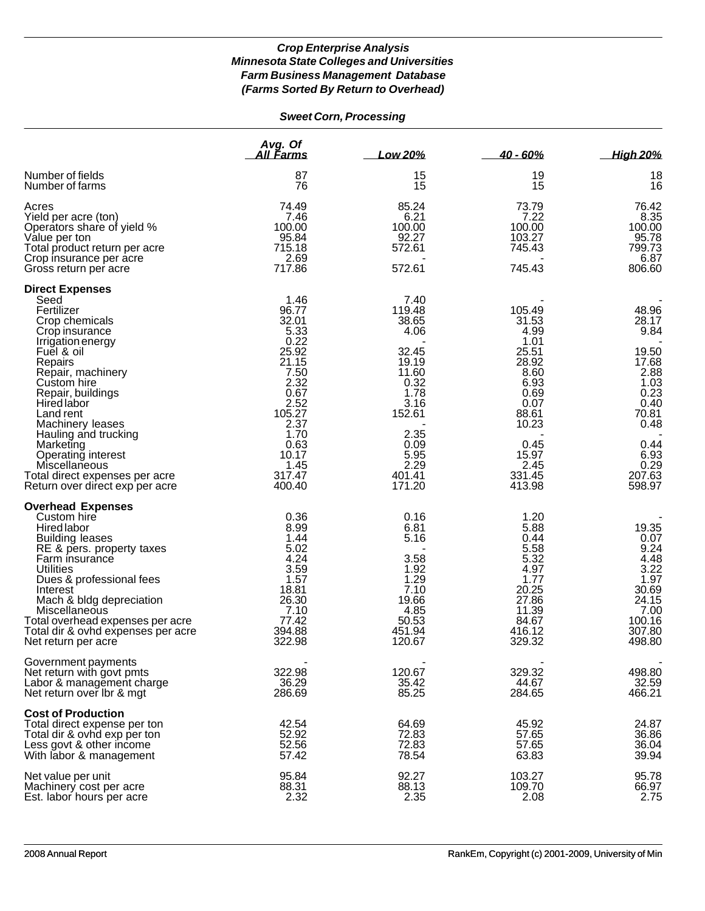# *Sweet Corn, Processing*

|                                                                                                                                                                                                                                                                                                                                           | Avg. Of<br>All Farms                                                                                               | Low 20%                                                                                              | $40 - 60%$                                                                                                   | <b>High 20%</b>                                                                                       |
|-------------------------------------------------------------------------------------------------------------------------------------------------------------------------------------------------------------------------------------------------------------------------------------------------------------------------------------------|--------------------------------------------------------------------------------------------------------------------|------------------------------------------------------------------------------------------------------|--------------------------------------------------------------------------------------------------------------|-------------------------------------------------------------------------------------------------------|
| Number of fields<br>Number of farms                                                                                                                                                                                                                                                                                                       | 87<br>76                                                                                                           | 15<br>15                                                                                             | 19<br>15                                                                                                     | 18<br>16                                                                                              |
| Acres<br>Yield per acre (ton)<br>Operators share of yield %<br>Value per ton<br>Total product return per acre<br>Crop insurance per acre<br>Gross return per acre                                                                                                                                                                         | 74.49<br>7.46<br>100.00<br>95.84<br>715.18<br>2.69<br>717.86                                                       | 85.24<br>6.21<br>100.00<br>92.27<br>572.61<br>572.61                                                 | 73.79<br>7.22<br>100.00<br>103.27<br>745.43<br>745.43                                                        | 76.42<br>8.35<br>100.00<br>95.78<br>799.73<br>6.87<br>806.60                                          |
| <b>Direct Expenses</b>                                                                                                                                                                                                                                                                                                                    |                                                                                                                    |                                                                                                      |                                                                                                              |                                                                                                       |
| Seed<br>Fertilizer<br>Crop chemicals<br>Crop insurance<br>Irrigation energy<br>Fuel & oil<br>Repairs<br>Repair, machinery<br>Custom hire<br>Repair, buildings<br><b>Hired labor</b><br>Land rent<br>Machinery leases                                                                                                                      | 1.46<br>96.77<br>32.01<br>5.33<br>0.22<br>25.92<br>21.15<br>7.50<br>2.32<br>0.67<br>2.52<br>105.27<br>2.37<br>1.70 | 7.40<br>119.48<br>38.65<br>4.06<br>32.45<br>19.19<br>11.60<br>0.32<br>1.78<br>3.16<br>152.61<br>2.35 | 105.49<br>31.53<br>4.99<br>1.01<br>25.51<br>28.92<br>8.60<br>6.93<br>0.69<br>0.07<br>88.61<br>10.23          | 48.96<br>28.17<br>9.84<br>19.50<br>17.68<br>2.88<br>1.03<br>0.23<br>0.40<br>70.81<br>0.48             |
| Hauling and trucking<br>Marketing<br>Operating interest<br>Miscellaneous<br>Total direct expenses per acre<br>Return over direct exp per acre                                                                                                                                                                                             | 0.63<br>10.17<br>1.45<br>317.47<br>400.40                                                                          | 0.09<br>5.95<br>2.29<br>401.41<br>171.20                                                             | 0.45<br>15.97<br>2.45<br>331.45<br>413.98                                                                    | 0.44<br>6.93<br>0.29<br>207.63<br>598.97                                                              |
| <b>Overhead Expenses</b><br>Custom hire<br><b>Hired labor</b><br><b>Building leases</b><br>RE & pers. property taxes<br>Farm insurance<br>Utilities<br>Dues & professional fees<br>Interest<br>Mach & bldg depreciation<br>Miscellaneous<br>Total overhead expenses per acre<br>Total dir & ovhd expenses per acre<br>Net return per acre | 0.36<br>8.99<br>1.44<br>5.02<br>4.24<br>3.59<br>1.57<br>18.81<br>26.30<br>7.10<br>77.42<br>394.88<br>322.98        | 0.16<br>6.81<br>5.16<br>3.58<br>1.92<br>1.29<br>7.10<br>19.66<br>4.85<br>50.53<br>451.94<br>120.67   | 1.20<br>5.88<br>0.44<br>5.58<br>5.32<br>4.97<br>1.77<br>20.25<br>27.86<br>11.39<br>84.67<br>416.12<br>329.32 | 19.35<br>0.07<br>9.24<br>4.48<br>3.22<br>1.97<br>30.69<br>24.15<br>7.00<br>100.16<br>307.80<br>498.80 |
| Government payments<br>Net return with govt pmts<br>Labor & management charge<br>Net return over Ibr & mgt                                                                                                                                                                                                                                | 322.98<br>36.29<br>286.69                                                                                          | 120.67<br>35.42<br>85.25                                                                             | 329.32<br>44.67<br>284.65                                                                                    | 498.80<br>32.59<br>466.21                                                                             |
| <b>Cost of Production</b><br>Total direct expense per ton<br>Total dir & ovhd exp per ton<br>Less govt & other income<br>With labor & management                                                                                                                                                                                          | 42.54<br>52.92<br>52.56<br>57.42                                                                                   | 64.69<br>72.83<br>72.83<br>78.54                                                                     | 45.92<br>57.65<br>57.65<br>63.83                                                                             | 24.87<br>36.86<br>36.04<br>39.94                                                                      |
| Net value per unit<br>Machinery cost per acre<br>Est. labor hours per acre                                                                                                                                                                                                                                                                | 95.84<br>88.31<br>2.32                                                                                             | 92.27<br>88.13<br>2.35                                                                               | 103.27<br>109.70<br>2.08                                                                                     | 95.78<br>66.97<br>2.75                                                                                |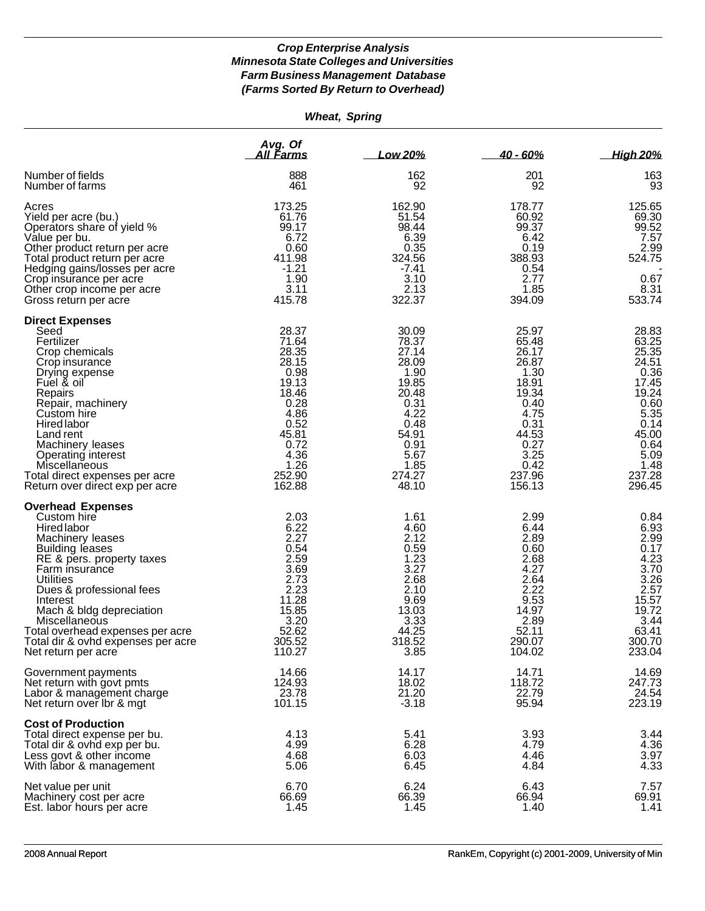| <b>Wheat, Spring</b> |
|----------------------|

|                                                                                                                                                                                                                                                                                                                                                               | Avg. Of<br><u>All Farms</u>                                                                                                             | Low 20%                                                                                                                                | 40 - 60%                                                                                                                                | <b>High 20%</b>                                                                                                                         |
|---------------------------------------------------------------------------------------------------------------------------------------------------------------------------------------------------------------------------------------------------------------------------------------------------------------------------------------------------------------|-----------------------------------------------------------------------------------------------------------------------------------------|----------------------------------------------------------------------------------------------------------------------------------------|-----------------------------------------------------------------------------------------------------------------------------------------|-----------------------------------------------------------------------------------------------------------------------------------------|
| Number of fields<br>Number of farms                                                                                                                                                                                                                                                                                                                           | 888<br>461                                                                                                                              | 162<br>92                                                                                                                              | 201<br>92                                                                                                                               | 163<br>93                                                                                                                               |
| Acres<br>Yield per acre (bu.)<br>Operators share of yield %<br>Value per bu.<br>Other product return per acre<br>Total product return per acre<br>Hedging gains/losses per acre<br>Crop insurance per acre<br>Other crop income per acre<br>Gross return per acre                                                                                             | 173.25<br>61.76<br>99.17<br>6.72<br>0.60<br>411.98<br>$-1.21$<br>1.90<br>3.11<br>415.78                                                 | 162.90<br>51.54<br>98.44<br>6.39<br>0.35<br>324.56<br>-7.41<br>3.10<br>2.13<br>322.37                                                  | 178.77<br>60.92<br>99.37<br>6.42<br>0.19<br>388.93<br>0.54<br>2.77<br>1.85<br>394.09                                                    | 125.65<br>69.30<br>99.52<br>7.57<br>2.99<br>524.75<br>0.67<br>8.31<br>533.74                                                            |
| <b>Direct Expenses</b><br>Seed<br>Fertilizer<br>Crop chemicals<br>Crop insurance<br>Drying expense<br>Fuel & oil<br>Repairs<br>Repair, machinery<br>Custom hire<br>Hired labor<br>Land rent<br>Machinery leases<br>Operating interest<br>Miscellaneous<br>Total direct expenses per acre<br>Return over direct exp per acre                                   | 28.37<br>71.64<br>28.35<br>28.15<br>0.98<br>19.13<br>18.46<br>0.28<br>4.86<br>0.52<br>45.81<br>0.72<br>4.36<br>1.26<br>252.90<br>162.88 | 30.09<br>78.37<br>27.14<br>28.09<br>1.90<br>19.85<br>20.48<br>0.31<br>4.22<br>0.48<br>54.91<br>0.91<br>5.67<br>1.85<br>274.27<br>48.10 | 25.97<br>65.48<br>26.17<br>26.87<br>1.30<br>18.91<br>19.34<br>0.40<br>4.75<br>0.31<br>44.53<br>0.27<br>3.25<br>0.42<br>237.96<br>156.13 | 28.83<br>63.25<br>25.35<br>24.51<br>0.36<br>17.45<br>19.24<br>0.60<br>5.35<br>0.14<br>45.00<br>0.64<br>5.09<br>1.48<br>237.28<br>296.45 |
| <b>Overhead Expenses</b><br>Custom hire<br>Hired labor<br>Machinery leases<br><b>Building leases</b><br>RE & pers. property taxes<br>Farm insurance<br><b>Utilities</b><br>Dues & professional fees<br>Interest<br>Mach & bldg depreciation<br>Miscellaneous<br>Total overhead expenses per acre<br>Total dir & ovhd expenses per acre<br>Net return per acre | 2.03<br>6.22<br>2.27<br>0.54<br>2.59<br>3.69<br>2.73<br>2.23<br>11.28<br>15.85<br>3.20<br>52.62<br>305.52<br>110.27                     | 1.61<br>4.60<br>2.12<br>0.59<br>1.23<br>3.27<br>2.68<br>2.10<br>9.69<br>13.03<br>3.33<br>44.25<br>318.52<br>3.85                       | 2.99<br>6.44<br>2.89<br>0.60<br>2.68<br>4.27<br>2.64<br>2.22<br>9.53<br>14.97<br>2.89<br>52.11<br>290.07<br>104.02                      | 0.84<br>6.93<br>2.99<br>0.17<br>4.23<br>3.70<br>3.26<br>2.57<br>15.57<br>19.72<br>3.44<br>63.41<br>300.70<br>233.04                     |
| Government payments<br>Net return with govt pmts<br>Labor & management charge<br>Net return over Ibr & mgt                                                                                                                                                                                                                                                    | 14.66<br>124.93<br>23.78<br>101.15                                                                                                      | 14.17<br>18.02<br>21.20<br>$-3.18$                                                                                                     | 14.71<br>118.72<br>22.79<br>95.94                                                                                                       | 14.69<br>247.73<br>24.54<br>223.19                                                                                                      |
| <b>Cost of Production</b><br>Total direct expense per bu.<br>Total dir & ovhd exp per bu.<br>Less govt & other income<br>With labor & management                                                                                                                                                                                                              | 4.13<br>4.99<br>4.68<br>5.06                                                                                                            | 5.41<br>6.28<br>6.03<br>6.45                                                                                                           | 3.93<br>4.79<br>4.46<br>4.84                                                                                                            | 3.44<br>4.36<br>3.97<br>4.33                                                                                                            |
| Net value per unit<br>Machinery cost per acre<br>Est. labor hours per acre                                                                                                                                                                                                                                                                                    | 6.70<br>66.69<br>1.45                                                                                                                   | 6.24<br>66.39<br>1.45                                                                                                                  | 6.43<br>66.94<br>1.40                                                                                                                   | 7.57<br>69.91<br>1.41                                                                                                                   |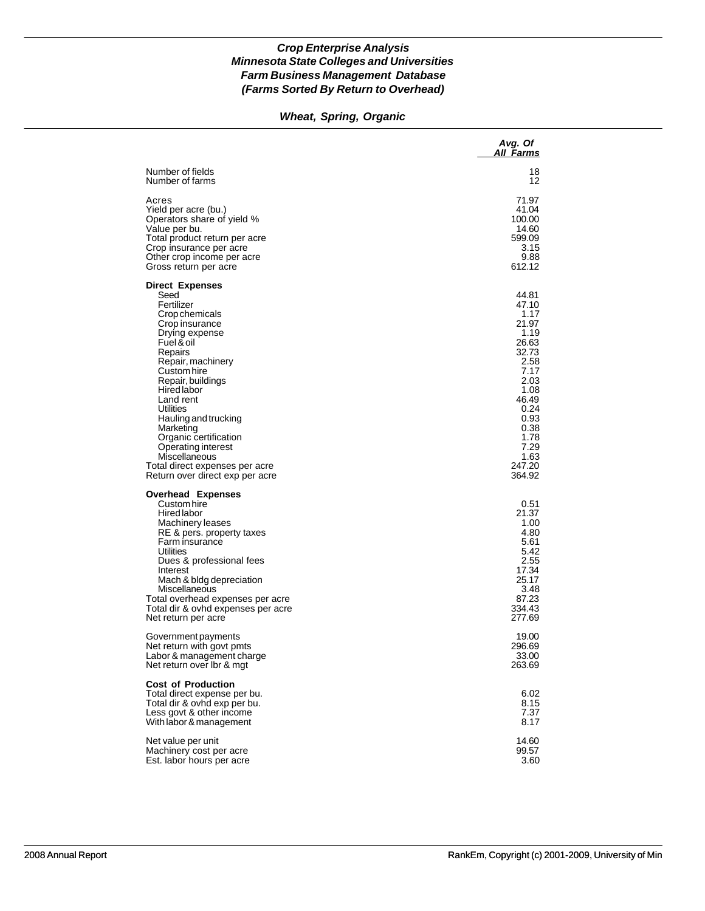# *Wheat, Spring, Organic*

|                                                                                                                                                                                                                                                                                                                                                                                                         | Avg. Of<br>All Farms                                                                                                                                                   |
|---------------------------------------------------------------------------------------------------------------------------------------------------------------------------------------------------------------------------------------------------------------------------------------------------------------------------------------------------------------------------------------------------------|------------------------------------------------------------------------------------------------------------------------------------------------------------------------|
| Number of fields                                                                                                                                                                                                                                                                                                                                                                                        | 18                                                                                                                                                                     |
| Number of farms                                                                                                                                                                                                                                                                                                                                                                                         | 12                                                                                                                                                                     |
| Acres                                                                                                                                                                                                                                                                                                                                                                                                   | 71.97                                                                                                                                                                  |
| Yield per acre (bu.)                                                                                                                                                                                                                                                                                                                                                                                    | 41.04                                                                                                                                                                  |
| Operators share of yield %                                                                                                                                                                                                                                                                                                                                                                              | 100.00                                                                                                                                                                 |
| Value per bu.                                                                                                                                                                                                                                                                                                                                                                                           | 14.60                                                                                                                                                                  |
| Total product return per acre                                                                                                                                                                                                                                                                                                                                                                           | 599.09                                                                                                                                                                 |
| Crop insurance per acre                                                                                                                                                                                                                                                                                                                                                                                 | 3.15                                                                                                                                                                   |
| Other crop income per acre                                                                                                                                                                                                                                                                                                                                                                              | 9.88                                                                                                                                                                   |
| Gross return per acre                                                                                                                                                                                                                                                                                                                                                                                   | 612.12                                                                                                                                                                 |
| <b>Direct Expenses</b><br>Seed<br>Fertilizer<br>Crop chemicals<br>Crop insurance<br>Drying expense<br>Fuel & oil<br>Repairs<br>Repair, machinery<br>Custom hire<br>Repair, buildings<br>Hired labor<br>Land rent<br>Utilities<br>Hauling and trucking<br>Marketing<br>Organic certification<br>Operating interest<br>Miscellaneous<br>Total direct expenses per acre<br>Return over direct exp per acre | 44.81<br>47.10<br>1.17<br>21.97<br>1.19<br>26.63<br>32.73<br>2.58<br>7.17<br>2.03<br>1.08<br>46.49<br>0.24<br>0.93<br>0.38<br>1.78<br>7.29<br>1.63<br>247.20<br>364.92 |
| <b>Overhead Expenses</b><br>Custom hire<br>Hired labor<br>Machinery leases<br>RE & pers. property taxes<br>Farm insurance<br>Utilities<br>Dues & professional fees<br>Interest<br>Mach & bldg depreciation<br>Miscellaneous<br>Total overhead expenses per acre<br>Total dir & ovhd expenses per acre<br>Net return per acre                                                                            | 0.51<br>21.37<br>1.00<br>4.80<br>5.61<br>5.42<br>2.55<br>17.34<br>25.17<br>3.48<br>87.23<br>334.43<br>277.69                                                           |
| Government payments                                                                                                                                                                                                                                                                                                                                                                                     | 19.00                                                                                                                                                                  |
| Net return with govt pmts                                                                                                                                                                                                                                                                                                                                                                               | 296.69                                                                                                                                                                 |
| Labor & management charge                                                                                                                                                                                                                                                                                                                                                                               | 33.00                                                                                                                                                                  |
| Net return over Ibr & mgt                                                                                                                                                                                                                                                                                                                                                                               | 263.69                                                                                                                                                                 |
| <b>Cost of Production</b><br>Total direct expense per bu.<br>Total dir & ovhd exp per bu.<br>Less govt & other income<br>With labor & management                                                                                                                                                                                                                                                        | 6.02<br>8.15<br>7.37<br>8.17                                                                                                                                           |
| Net value per unit                                                                                                                                                                                                                                                                                                                                                                                      | 14.60                                                                                                                                                                  |
| Machinery cost per acre                                                                                                                                                                                                                                                                                                                                                                                 | 99.57                                                                                                                                                                  |
| Est. labor hours per acre                                                                                                                                                                                                                                                                                                                                                                               | 3.60                                                                                                                                                                   |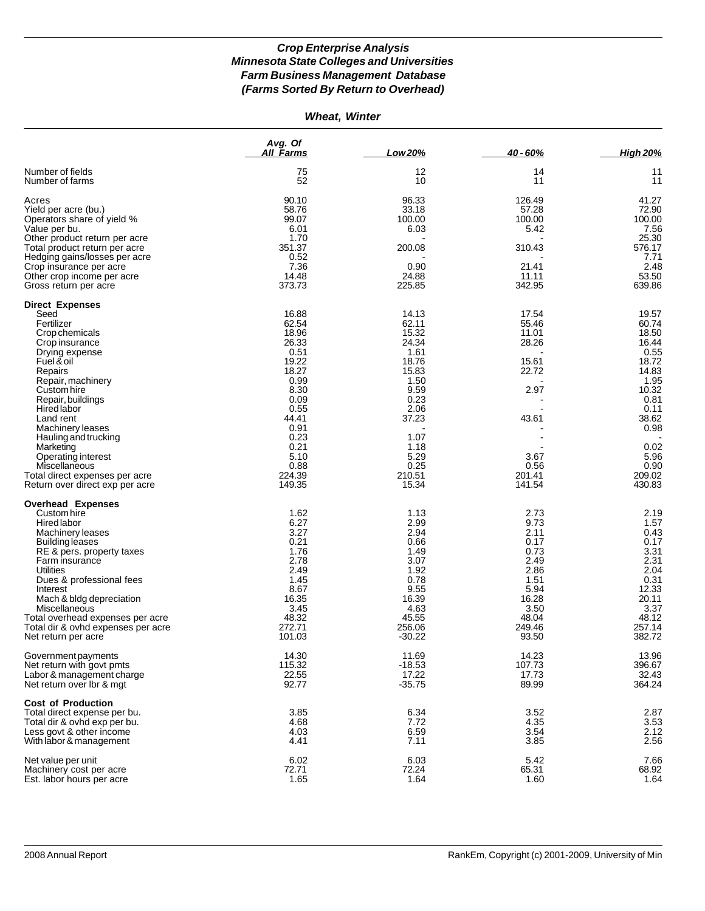| Wheat, Winter |  |
|---------------|--|
|---------------|--|

| 12<br>11<br>Number of fields<br>75<br>14<br>52<br>10<br>11<br>11<br>Number of farms<br>90.10<br>96.33<br>126.49<br>41.27<br>Acres<br>58.76<br>33.18<br>57.28<br>72.90<br>Yield per acre (bu.)<br>Operators share of yield %<br>99.07<br>100.00<br>100.00<br>100.00<br>6.01<br>7.56<br>6.03<br>5.42<br>Value per bu.<br>1.70<br>25.30<br>Other product return per acre<br>351.37<br>200.08<br>310.43<br>576.17<br>Total product return per acre<br>0.52<br>7.71<br>Hedging gains/losses per acre<br>2.48<br>7.36<br>0.90<br>21.41<br>Crop insurance per acre<br>53.50<br>14.48<br>24.88<br>11.11<br>Other crop income per acre<br>639.86<br>373.73<br>225.85<br>342.95<br>Gross return per acre<br><b>Direct Expenses</b><br>16.88<br>14.13<br>17.54<br>19.57<br>Seed<br>62.54<br>Fertilizer<br>62.11<br>55.46<br>60.74<br>18.96<br>15.32<br>11.01<br>18.50<br>Crop chemicals<br>26.33<br>24.34<br>28.26<br>16.44<br>Crop insurance<br>0.51<br>1.61<br>0.55<br>Drying expense<br>19.22<br>18.72<br>18.76<br>15.61<br>Fuel & oil<br>18.27<br>15.83<br>22.72<br>14.83<br>Repairs<br>0.99<br>1.95<br>1.50<br>Repair, machinery<br>8.30<br>9.59<br>2.97<br>10.32<br>Custom hire<br>0.23<br>0.09<br>0.81<br>Repair, buildings<br>Hired labor<br>0.55<br>2.06<br>0.11<br>44.41<br>37.23<br>43.61<br>38.62<br>Land rent<br>0.91<br>0.98<br>Machinery leases<br>0.23<br>1.07<br>Hauling and trucking<br>0.21<br>1.18<br>0.02<br>Marketing<br>5.29<br>5.96<br>5.10<br>Operating interest<br>3.67<br>0.25<br>0.90<br>0.88<br>0.56<br>Miscellaneous<br>224.39<br>209.02<br>210.51<br>201.41<br>Total direct expenses per acre<br>149.35<br>15.34<br>141.54<br>430.83<br>Return over direct exp per acre<br><b>Overhead Expenses</b><br>1.62<br>1.13<br>2.73<br>2.19<br>Custom hire<br><b>Hired labor</b><br>6.27<br>2.99<br>9.73<br>1.57<br>3.27<br>2.94<br>0.43<br>Machinery leases<br>2.11<br>0.21<br>0.66<br>0.17<br>0.17<br>Building leases<br>3.31<br>1.76<br>1.49<br>0.73<br>RE & pers. property taxes<br>2.78<br>3.07<br>2.49<br>2.31<br>Farm insurance<br><b>Utilities</b><br>2.49<br>1.92<br>2.86<br>2.04<br>1.45<br>0.78<br>1.51<br>0.31<br>Dues & professional fees<br>8.67<br>9.55<br>12.33<br>5.94<br>Interest<br>16.35<br>Mach & bldg depreciation<br>16.39<br>16.28<br>20.11<br>3.45<br>4.63<br>3.50<br>3.37<br>Miscellaneous<br>48.32<br>45.55<br>48.04<br>48.12<br>Total overhead expenses per acre<br>257.14<br>272.71<br>256.06<br>249.46<br>Total dir & ovhd expenses per acre<br>101.03<br>$-30.22$<br>93.50<br>382.72<br>Net return per acre<br>14.30<br>11.69<br>14.23<br>13.96<br>Government payments<br>115.32<br>$-18.53$<br>Net return with govt pmts<br>107.73<br>396.67<br>Labor & management charge<br>22.55<br>17.22<br>17.73<br>32.43<br>$-35.75$<br>89.99<br>Net return over lbr & mgt<br>92.77<br><b>Cost of Production</b><br>3.85<br>6.34<br>3.52<br>Total direct expense per bu.<br>3.53<br>4.68<br>7.72<br>4.35<br>Total dir & ovhd exp per bu.<br>4.03<br>6.59<br>3.54<br>2.12<br>Less govt & other income<br>7.11<br>2.56<br>4.41<br>3.85<br>With labor & management<br>Net value per unit<br>6.02<br>6.03<br>5.42<br>7.66<br>72.71<br>68.92<br>72.24<br>65.31<br>Machinery cost per acre |                           | Avg. Of<br><b>All Farms</b> | Low 20% | 40 - 60% | <b>High 20%</b> |
|-----------------------------------------------------------------------------------------------------------------------------------------------------------------------------------------------------------------------------------------------------------------------------------------------------------------------------------------------------------------------------------------------------------------------------------------------------------------------------------------------------------------------------------------------------------------------------------------------------------------------------------------------------------------------------------------------------------------------------------------------------------------------------------------------------------------------------------------------------------------------------------------------------------------------------------------------------------------------------------------------------------------------------------------------------------------------------------------------------------------------------------------------------------------------------------------------------------------------------------------------------------------------------------------------------------------------------------------------------------------------------------------------------------------------------------------------------------------------------------------------------------------------------------------------------------------------------------------------------------------------------------------------------------------------------------------------------------------------------------------------------------------------------------------------------------------------------------------------------------------------------------------------------------------------------------------------------------------------------------------------------------------------------------------------------------------------------------------------------------------------------------------------------------------------------------------------------------------------------------------------------------------------------------------------------------------------------------------------------------------------------------------------------------------------------------------------------------------------------------------------------------------------------------------------------------------------------------------------------------------------------------------------------------------------------------------------------------------------------------------------------------------------------------------------------------------------------------------------------------------------------------------------------------------------------------------------------------------------------------------------------------------------------------------------------------------------------------------------------------------------------------------------------------------------------------------------------------------------|---------------------------|-----------------------------|---------|----------|-----------------|
|                                                                                                                                                                                                                                                                                                                                                                                                                                                                                                                                                                                                                                                                                                                                                                                                                                                                                                                                                                                                                                                                                                                                                                                                                                                                                                                                                                                                                                                                                                                                                                                                                                                                                                                                                                                                                                                                                                                                                                                                                                                                                                                                                                                                                                                                                                                                                                                                                                                                                                                                                                                                                                                                                                                                                                                                                                                                                                                                                                                                                                                                                                                                                                                                                       |                           |                             |         |          |                 |
|                                                                                                                                                                                                                                                                                                                                                                                                                                                                                                                                                                                                                                                                                                                                                                                                                                                                                                                                                                                                                                                                                                                                                                                                                                                                                                                                                                                                                                                                                                                                                                                                                                                                                                                                                                                                                                                                                                                                                                                                                                                                                                                                                                                                                                                                                                                                                                                                                                                                                                                                                                                                                                                                                                                                                                                                                                                                                                                                                                                                                                                                                                                                                                                                                       |                           |                             |         |          |                 |
|                                                                                                                                                                                                                                                                                                                                                                                                                                                                                                                                                                                                                                                                                                                                                                                                                                                                                                                                                                                                                                                                                                                                                                                                                                                                                                                                                                                                                                                                                                                                                                                                                                                                                                                                                                                                                                                                                                                                                                                                                                                                                                                                                                                                                                                                                                                                                                                                                                                                                                                                                                                                                                                                                                                                                                                                                                                                                                                                                                                                                                                                                                                                                                                                                       |                           |                             |         |          |                 |
|                                                                                                                                                                                                                                                                                                                                                                                                                                                                                                                                                                                                                                                                                                                                                                                                                                                                                                                                                                                                                                                                                                                                                                                                                                                                                                                                                                                                                                                                                                                                                                                                                                                                                                                                                                                                                                                                                                                                                                                                                                                                                                                                                                                                                                                                                                                                                                                                                                                                                                                                                                                                                                                                                                                                                                                                                                                                                                                                                                                                                                                                                                                                                                                                                       |                           |                             |         |          |                 |
|                                                                                                                                                                                                                                                                                                                                                                                                                                                                                                                                                                                                                                                                                                                                                                                                                                                                                                                                                                                                                                                                                                                                                                                                                                                                                                                                                                                                                                                                                                                                                                                                                                                                                                                                                                                                                                                                                                                                                                                                                                                                                                                                                                                                                                                                                                                                                                                                                                                                                                                                                                                                                                                                                                                                                                                                                                                                                                                                                                                                                                                                                                                                                                                                                       |                           |                             |         |          |                 |
|                                                                                                                                                                                                                                                                                                                                                                                                                                                                                                                                                                                                                                                                                                                                                                                                                                                                                                                                                                                                                                                                                                                                                                                                                                                                                                                                                                                                                                                                                                                                                                                                                                                                                                                                                                                                                                                                                                                                                                                                                                                                                                                                                                                                                                                                                                                                                                                                                                                                                                                                                                                                                                                                                                                                                                                                                                                                                                                                                                                                                                                                                                                                                                                                                       |                           |                             |         |          |                 |
|                                                                                                                                                                                                                                                                                                                                                                                                                                                                                                                                                                                                                                                                                                                                                                                                                                                                                                                                                                                                                                                                                                                                                                                                                                                                                                                                                                                                                                                                                                                                                                                                                                                                                                                                                                                                                                                                                                                                                                                                                                                                                                                                                                                                                                                                                                                                                                                                                                                                                                                                                                                                                                                                                                                                                                                                                                                                                                                                                                                                                                                                                                                                                                                                                       |                           |                             |         |          |                 |
|                                                                                                                                                                                                                                                                                                                                                                                                                                                                                                                                                                                                                                                                                                                                                                                                                                                                                                                                                                                                                                                                                                                                                                                                                                                                                                                                                                                                                                                                                                                                                                                                                                                                                                                                                                                                                                                                                                                                                                                                                                                                                                                                                                                                                                                                                                                                                                                                                                                                                                                                                                                                                                                                                                                                                                                                                                                                                                                                                                                                                                                                                                                                                                                                                       |                           |                             |         |          |                 |
|                                                                                                                                                                                                                                                                                                                                                                                                                                                                                                                                                                                                                                                                                                                                                                                                                                                                                                                                                                                                                                                                                                                                                                                                                                                                                                                                                                                                                                                                                                                                                                                                                                                                                                                                                                                                                                                                                                                                                                                                                                                                                                                                                                                                                                                                                                                                                                                                                                                                                                                                                                                                                                                                                                                                                                                                                                                                                                                                                                                                                                                                                                                                                                                                                       |                           |                             |         |          |                 |
|                                                                                                                                                                                                                                                                                                                                                                                                                                                                                                                                                                                                                                                                                                                                                                                                                                                                                                                                                                                                                                                                                                                                                                                                                                                                                                                                                                                                                                                                                                                                                                                                                                                                                                                                                                                                                                                                                                                                                                                                                                                                                                                                                                                                                                                                                                                                                                                                                                                                                                                                                                                                                                                                                                                                                                                                                                                                                                                                                                                                                                                                                                                                                                                                                       |                           |                             |         |          |                 |
|                                                                                                                                                                                                                                                                                                                                                                                                                                                                                                                                                                                                                                                                                                                                                                                                                                                                                                                                                                                                                                                                                                                                                                                                                                                                                                                                                                                                                                                                                                                                                                                                                                                                                                                                                                                                                                                                                                                                                                                                                                                                                                                                                                                                                                                                                                                                                                                                                                                                                                                                                                                                                                                                                                                                                                                                                                                                                                                                                                                                                                                                                                                                                                                                                       |                           |                             |         |          |                 |
|                                                                                                                                                                                                                                                                                                                                                                                                                                                                                                                                                                                                                                                                                                                                                                                                                                                                                                                                                                                                                                                                                                                                                                                                                                                                                                                                                                                                                                                                                                                                                                                                                                                                                                                                                                                                                                                                                                                                                                                                                                                                                                                                                                                                                                                                                                                                                                                                                                                                                                                                                                                                                                                                                                                                                                                                                                                                                                                                                                                                                                                                                                                                                                                                                       |                           |                             |         |          |                 |
|                                                                                                                                                                                                                                                                                                                                                                                                                                                                                                                                                                                                                                                                                                                                                                                                                                                                                                                                                                                                                                                                                                                                                                                                                                                                                                                                                                                                                                                                                                                                                                                                                                                                                                                                                                                                                                                                                                                                                                                                                                                                                                                                                                                                                                                                                                                                                                                                                                                                                                                                                                                                                                                                                                                                                                                                                                                                                                                                                                                                                                                                                                                                                                                                                       |                           |                             |         |          |                 |
|                                                                                                                                                                                                                                                                                                                                                                                                                                                                                                                                                                                                                                                                                                                                                                                                                                                                                                                                                                                                                                                                                                                                                                                                                                                                                                                                                                                                                                                                                                                                                                                                                                                                                                                                                                                                                                                                                                                                                                                                                                                                                                                                                                                                                                                                                                                                                                                                                                                                                                                                                                                                                                                                                                                                                                                                                                                                                                                                                                                                                                                                                                                                                                                                                       |                           |                             |         |          |                 |
|                                                                                                                                                                                                                                                                                                                                                                                                                                                                                                                                                                                                                                                                                                                                                                                                                                                                                                                                                                                                                                                                                                                                                                                                                                                                                                                                                                                                                                                                                                                                                                                                                                                                                                                                                                                                                                                                                                                                                                                                                                                                                                                                                                                                                                                                                                                                                                                                                                                                                                                                                                                                                                                                                                                                                                                                                                                                                                                                                                                                                                                                                                                                                                                                                       |                           |                             |         |          |                 |
|                                                                                                                                                                                                                                                                                                                                                                                                                                                                                                                                                                                                                                                                                                                                                                                                                                                                                                                                                                                                                                                                                                                                                                                                                                                                                                                                                                                                                                                                                                                                                                                                                                                                                                                                                                                                                                                                                                                                                                                                                                                                                                                                                                                                                                                                                                                                                                                                                                                                                                                                                                                                                                                                                                                                                                                                                                                                                                                                                                                                                                                                                                                                                                                                                       |                           |                             |         |          |                 |
|                                                                                                                                                                                                                                                                                                                                                                                                                                                                                                                                                                                                                                                                                                                                                                                                                                                                                                                                                                                                                                                                                                                                                                                                                                                                                                                                                                                                                                                                                                                                                                                                                                                                                                                                                                                                                                                                                                                                                                                                                                                                                                                                                                                                                                                                                                                                                                                                                                                                                                                                                                                                                                                                                                                                                                                                                                                                                                                                                                                                                                                                                                                                                                                                                       |                           |                             |         |          |                 |
|                                                                                                                                                                                                                                                                                                                                                                                                                                                                                                                                                                                                                                                                                                                                                                                                                                                                                                                                                                                                                                                                                                                                                                                                                                                                                                                                                                                                                                                                                                                                                                                                                                                                                                                                                                                                                                                                                                                                                                                                                                                                                                                                                                                                                                                                                                                                                                                                                                                                                                                                                                                                                                                                                                                                                                                                                                                                                                                                                                                                                                                                                                                                                                                                                       |                           |                             |         |          |                 |
|                                                                                                                                                                                                                                                                                                                                                                                                                                                                                                                                                                                                                                                                                                                                                                                                                                                                                                                                                                                                                                                                                                                                                                                                                                                                                                                                                                                                                                                                                                                                                                                                                                                                                                                                                                                                                                                                                                                                                                                                                                                                                                                                                                                                                                                                                                                                                                                                                                                                                                                                                                                                                                                                                                                                                                                                                                                                                                                                                                                                                                                                                                                                                                                                                       |                           |                             |         |          |                 |
|                                                                                                                                                                                                                                                                                                                                                                                                                                                                                                                                                                                                                                                                                                                                                                                                                                                                                                                                                                                                                                                                                                                                                                                                                                                                                                                                                                                                                                                                                                                                                                                                                                                                                                                                                                                                                                                                                                                                                                                                                                                                                                                                                                                                                                                                                                                                                                                                                                                                                                                                                                                                                                                                                                                                                                                                                                                                                                                                                                                                                                                                                                                                                                                                                       |                           |                             |         |          |                 |
|                                                                                                                                                                                                                                                                                                                                                                                                                                                                                                                                                                                                                                                                                                                                                                                                                                                                                                                                                                                                                                                                                                                                                                                                                                                                                                                                                                                                                                                                                                                                                                                                                                                                                                                                                                                                                                                                                                                                                                                                                                                                                                                                                                                                                                                                                                                                                                                                                                                                                                                                                                                                                                                                                                                                                                                                                                                                                                                                                                                                                                                                                                                                                                                                                       |                           |                             |         |          |                 |
|                                                                                                                                                                                                                                                                                                                                                                                                                                                                                                                                                                                                                                                                                                                                                                                                                                                                                                                                                                                                                                                                                                                                                                                                                                                                                                                                                                                                                                                                                                                                                                                                                                                                                                                                                                                                                                                                                                                                                                                                                                                                                                                                                                                                                                                                                                                                                                                                                                                                                                                                                                                                                                                                                                                                                                                                                                                                                                                                                                                                                                                                                                                                                                                                                       |                           |                             |         |          |                 |
|                                                                                                                                                                                                                                                                                                                                                                                                                                                                                                                                                                                                                                                                                                                                                                                                                                                                                                                                                                                                                                                                                                                                                                                                                                                                                                                                                                                                                                                                                                                                                                                                                                                                                                                                                                                                                                                                                                                                                                                                                                                                                                                                                                                                                                                                                                                                                                                                                                                                                                                                                                                                                                                                                                                                                                                                                                                                                                                                                                                                                                                                                                                                                                                                                       |                           |                             |         |          |                 |
|                                                                                                                                                                                                                                                                                                                                                                                                                                                                                                                                                                                                                                                                                                                                                                                                                                                                                                                                                                                                                                                                                                                                                                                                                                                                                                                                                                                                                                                                                                                                                                                                                                                                                                                                                                                                                                                                                                                                                                                                                                                                                                                                                                                                                                                                                                                                                                                                                                                                                                                                                                                                                                                                                                                                                                                                                                                                                                                                                                                                                                                                                                                                                                                                                       |                           |                             |         |          |                 |
|                                                                                                                                                                                                                                                                                                                                                                                                                                                                                                                                                                                                                                                                                                                                                                                                                                                                                                                                                                                                                                                                                                                                                                                                                                                                                                                                                                                                                                                                                                                                                                                                                                                                                                                                                                                                                                                                                                                                                                                                                                                                                                                                                                                                                                                                                                                                                                                                                                                                                                                                                                                                                                                                                                                                                                                                                                                                                                                                                                                                                                                                                                                                                                                                                       |                           |                             |         |          |                 |
|                                                                                                                                                                                                                                                                                                                                                                                                                                                                                                                                                                                                                                                                                                                                                                                                                                                                                                                                                                                                                                                                                                                                                                                                                                                                                                                                                                                                                                                                                                                                                                                                                                                                                                                                                                                                                                                                                                                                                                                                                                                                                                                                                                                                                                                                                                                                                                                                                                                                                                                                                                                                                                                                                                                                                                                                                                                                                                                                                                                                                                                                                                                                                                                                                       |                           |                             |         |          |                 |
|                                                                                                                                                                                                                                                                                                                                                                                                                                                                                                                                                                                                                                                                                                                                                                                                                                                                                                                                                                                                                                                                                                                                                                                                                                                                                                                                                                                                                                                                                                                                                                                                                                                                                                                                                                                                                                                                                                                                                                                                                                                                                                                                                                                                                                                                                                                                                                                                                                                                                                                                                                                                                                                                                                                                                                                                                                                                                                                                                                                                                                                                                                                                                                                                                       |                           |                             |         |          |                 |
|                                                                                                                                                                                                                                                                                                                                                                                                                                                                                                                                                                                                                                                                                                                                                                                                                                                                                                                                                                                                                                                                                                                                                                                                                                                                                                                                                                                                                                                                                                                                                                                                                                                                                                                                                                                                                                                                                                                                                                                                                                                                                                                                                                                                                                                                                                                                                                                                                                                                                                                                                                                                                                                                                                                                                                                                                                                                                                                                                                                                                                                                                                                                                                                                                       |                           |                             |         |          |                 |
|                                                                                                                                                                                                                                                                                                                                                                                                                                                                                                                                                                                                                                                                                                                                                                                                                                                                                                                                                                                                                                                                                                                                                                                                                                                                                                                                                                                                                                                                                                                                                                                                                                                                                                                                                                                                                                                                                                                                                                                                                                                                                                                                                                                                                                                                                                                                                                                                                                                                                                                                                                                                                                                                                                                                                                                                                                                                                                                                                                                                                                                                                                                                                                                                                       |                           |                             |         |          |                 |
|                                                                                                                                                                                                                                                                                                                                                                                                                                                                                                                                                                                                                                                                                                                                                                                                                                                                                                                                                                                                                                                                                                                                                                                                                                                                                                                                                                                                                                                                                                                                                                                                                                                                                                                                                                                                                                                                                                                                                                                                                                                                                                                                                                                                                                                                                                                                                                                                                                                                                                                                                                                                                                                                                                                                                                                                                                                                                                                                                                                                                                                                                                                                                                                                                       |                           |                             |         |          |                 |
|                                                                                                                                                                                                                                                                                                                                                                                                                                                                                                                                                                                                                                                                                                                                                                                                                                                                                                                                                                                                                                                                                                                                                                                                                                                                                                                                                                                                                                                                                                                                                                                                                                                                                                                                                                                                                                                                                                                                                                                                                                                                                                                                                                                                                                                                                                                                                                                                                                                                                                                                                                                                                                                                                                                                                                                                                                                                                                                                                                                                                                                                                                                                                                                                                       |                           |                             |         |          |                 |
|                                                                                                                                                                                                                                                                                                                                                                                                                                                                                                                                                                                                                                                                                                                                                                                                                                                                                                                                                                                                                                                                                                                                                                                                                                                                                                                                                                                                                                                                                                                                                                                                                                                                                                                                                                                                                                                                                                                                                                                                                                                                                                                                                                                                                                                                                                                                                                                                                                                                                                                                                                                                                                                                                                                                                                                                                                                                                                                                                                                                                                                                                                                                                                                                                       |                           |                             |         |          |                 |
|                                                                                                                                                                                                                                                                                                                                                                                                                                                                                                                                                                                                                                                                                                                                                                                                                                                                                                                                                                                                                                                                                                                                                                                                                                                                                                                                                                                                                                                                                                                                                                                                                                                                                                                                                                                                                                                                                                                                                                                                                                                                                                                                                                                                                                                                                                                                                                                                                                                                                                                                                                                                                                                                                                                                                                                                                                                                                                                                                                                                                                                                                                                                                                                                                       |                           |                             |         |          |                 |
|                                                                                                                                                                                                                                                                                                                                                                                                                                                                                                                                                                                                                                                                                                                                                                                                                                                                                                                                                                                                                                                                                                                                                                                                                                                                                                                                                                                                                                                                                                                                                                                                                                                                                                                                                                                                                                                                                                                                                                                                                                                                                                                                                                                                                                                                                                                                                                                                                                                                                                                                                                                                                                                                                                                                                                                                                                                                                                                                                                                                                                                                                                                                                                                                                       |                           |                             |         |          |                 |
|                                                                                                                                                                                                                                                                                                                                                                                                                                                                                                                                                                                                                                                                                                                                                                                                                                                                                                                                                                                                                                                                                                                                                                                                                                                                                                                                                                                                                                                                                                                                                                                                                                                                                                                                                                                                                                                                                                                                                                                                                                                                                                                                                                                                                                                                                                                                                                                                                                                                                                                                                                                                                                                                                                                                                                                                                                                                                                                                                                                                                                                                                                                                                                                                                       |                           |                             |         |          |                 |
|                                                                                                                                                                                                                                                                                                                                                                                                                                                                                                                                                                                                                                                                                                                                                                                                                                                                                                                                                                                                                                                                                                                                                                                                                                                                                                                                                                                                                                                                                                                                                                                                                                                                                                                                                                                                                                                                                                                                                                                                                                                                                                                                                                                                                                                                                                                                                                                                                                                                                                                                                                                                                                                                                                                                                                                                                                                                                                                                                                                                                                                                                                                                                                                                                       |                           |                             |         |          |                 |
|                                                                                                                                                                                                                                                                                                                                                                                                                                                                                                                                                                                                                                                                                                                                                                                                                                                                                                                                                                                                                                                                                                                                                                                                                                                                                                                                                                                                                                                                                                                                                                                                                                                                                                                                                                                                                                                                                                                                                                                                                                                                                                                                                                                                                                                                                                                                                                                                                                                                                                                                                                                                                                                                                                                                                                                                                                                                                                                                                                                                                                                                                                                                                                                                                       |                           |                             |         |          |                 |
|                                                                                                                                                                                                                                                                                                                                                                                                                                                                                                                                                                                                                                                                                                                                                                                                                                                                                                                                                                                                                                                                                                                                                                                                                                                                                                                                                                                                                                                                                                                                                                                                                                                                                                                                                                                                                                                                                                                                                                                                                                                                                                                                                                                                                                                                                                                                                                                                                                                                                                                                                                                                                                                                                                                                                                                                                                                                                                                                                                                                                                                                                                                                                                                                                       |                           |                             |         |          |                 |
|                                                                                                                                                                                                                                                                                                                                                                                                                                                                                                                                                                                                                                                                                                                                                                                                                                                                                                                                                                                                                                                                                                                                                                                                                                                                                                                                                                                                                                                                                                                                                                                                                                                                                                                                                                                                                                                                                                                                                                                                                                                                                                                                                                                                                                                                                                                                                                                                                                                                                                                                                                                                                                                                                                                                                                                                                                                                                                                                                                                                                                                                                                                                                                                                                       |                           |                             |         |          |                 |
|                                                                                                                                                                                                                                                                                                                                                                                                                                                                                                                                                                                                                                                                                                                                                                                                                                                                                                                                                                                                                                                                                                                                                                                                                                                                                                                                                                                                                                                                                                                                                                                                                                                                                                                                                                                                                                                                                                                                                                                                                                                                                                                                                                                                                                                                                                                                                                                                                                                                                                                                                                                                                                                                                                                                                                                                                                                                                                                                                                                                                                                                                                                                                                                                                       |                           |                             |         |          |                 |
|                                                                                                                                                                                                                                                                                                                                                                                                                                                                                                                                                                                                                                                                                                                                                                                                                                                                                                                                                                                                                                                                                                                                                                                                                                                                                                                                                                                                                                                                                                                                                                                                                                                                                                                                                                                                                                                                                                                                                                                                                                                                                                                                                                                                                                                                                                                                                                                                                                                                                                                                                                                                                                                                                                                                                                                                                                                                                                                                                                                                                                                                                                                                                                                                                       |                           |                             |         |          |                 |
|                                                                                                                                                                                                                                                                                                                                                                                                                                                                                                                                                                                                                                                                                                                                                                                                                                                                                                                                                                                                                                                                                                                                                                                                                                                                                                                                                                                                                                                                                                                                                                                                                                                                                                                                                                                                                                                                                                                                                                                                                                                                                                                                                                                                                                                                                                                                                                                                                                                                                                                                                                                                                                                                                                                                                                                                                                                                                                                                                                                                                                                                                                                                                                                                                       |                           |                             |         |          | 364.24          |
|                                                                                                                                                                                                                                                                                                                                                                                                                                                                                                                                                                                                                                                                                                                                                                                                                                                                                                                                                                                                                                                                                                                                                                                                                                                                                                                                                                                                                                                                                                                                                                                                                                                                                                                                                                                                                                                                                                                                                                                                                                                                                                                                                                                                                                                                                                                                                                                                                                                                                                                                                                                                                                                                                                                                                                                                                                                                                                                                                                                                                                                                                                                                                                                                                       |                           |                             |         |          |                 |
|                                                                                                                                                                                                                                                                                                                                                                                                                                                                                                                                                                                                                                                                                                                                                                                                                                                                                                                                                                                                                                                                                                                                                                                                                                                                                                                                                                                                                                                                                                                                                                                                                                                                                                                                                                                                                                                                                                                                                                                                                                                                                                                                                                                                                                                                                                                                                                                                                                                                                                                                                                                                                                                                                                                                                                                                                                                                                                                                                                                                                                                                                                                                                                                                                       |                           |                             |         |          | 2.87            |
|                                                                                                                                                                                                                                                                                                                                                                                                                                                                                                                                                                                                                                                                                                                                                                                                                                                                                                                                                                                                                                                                                                                                                                                                                                                                                                                                                                                                                                                                                                                                                                                                                                                                                                                                                                                                                                                                                                                                                                                                                                                                                                                                                                                                                                                                                                                                                                                                                                                                                                                                                                                                                                                                                                                                                                                                                                                                                                                                                                                                                                                                                                                                                                                                                       |                           |                             |         |          |                 |
|                                                                                                                                                                                                                                                                                                                                                                                                                                                                                                                                                                                                                                                                                                                                                                                                                                                                                                                                                                                                                                                                                                                                                                                                                                                                                                                                                                                                                                                                                                                                                                                                                                                                                                                                                                                                                                                                                                                                                                                                                                                                                                                                                                                                                                                                                                                                                                                                                                                                                                                                                                                                                                                                                                                                                                                                                                                                                                                                                                                                                                                                                                                                                                                                                       |                           |                             |         |          |                 |
|                                                                                                                                                                                                                                                                                                                                                                                                                                                                                                                                                                                                                                                                                                                                                                                                                                                                                                                                                                                                                                                                                                                                                                                                                                                                                                                                                                                                                                                                                                                                                                                                                                                                                                                                                                                                                                                                                                                                                                                                                                                                                                                                                                                                                                                                                                                                                                                                                                                                                                                                                                                                                                                                                                                                                                                                                                                                                                                                                                                                                                                                                                                                                                                                                       |                           |                             |         |          |                 |
|                                                                                                                                                                                                                                                                                                                                                                                                                                                                                                                                                                                                                                                                                                                                                                                                                                                                                                                                                                                                                                                                                                                                                                                                                                                                                                                                                                                                                                                                                                                                                                                                                                                                                                                                                                                                                                                                                                                                                                                                                                                                                                                                                                                                                                                                                                                                                                                                                                                                                                                                                                                                                                                                                                                                                                                                                                                                                                                                                                                                                                                                                                                                                                                                                       |                           |                             |         |          |                 |
|                                                                                                                                                                                                                                                                                                                                                                                                                                                                                                                                                                                                                                                                                                                                                                                                                                                                                                                                                                                                                                                                                                                                                                                                                                                                                                                                                                                                                                                                                                                                                                                                                                                                                                                                                                                                                                                                                                                                                                                                                                                                                                                                                                                                                                                                                                                                                                                                                                                                                                                                                                                                                                                                                                                                                                                                                                                                                                                                                                                                                                                                                                                                                                                                                       | Est. labor hours per acre | 1.65                        | 1.64    | 1.60     | 1.64            |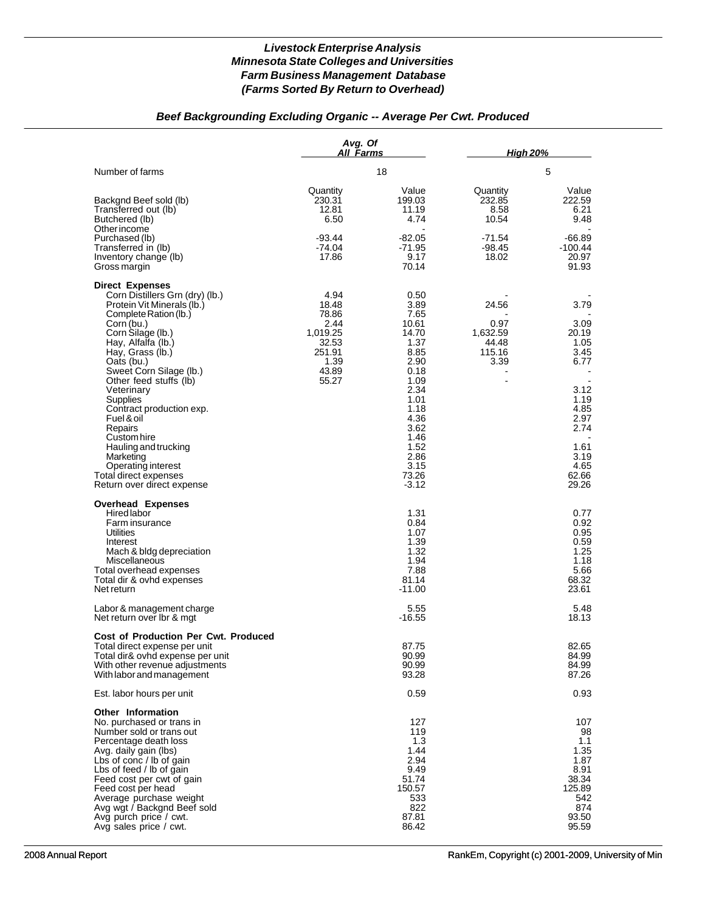# *Beef Backgrounding Excluding Organic -- Average Per Cwt. Produced*

|                                                                                                                                                                                                                                                                                                                                                       | Avg. Of<br>All Farms                                                  |                                                                                              | <b>High 20%</b>                                      |                                                                                             |
|-------------------------------------------------------------------------------------------------------------------------------------------------------------------------------------------------------------------------------------------------------------------------------------------------------------------------------------------------------|-----------------------------------------------------------------------|----------------------------------------------------------------------------------------------|------------------------------------------------------|---------------------------------------------------------------------------------------------|
| Number of farms                                                                                                                                                                                                                                                                                                                                       |                                                                       | 18                                                                                           |                                                      | 5                                                                                           |
| Backgnd Beef sold (lb)<br>Transferred out (lb)<br>Butchered (lb)<br>Other income                                                                                                                                                                                                                                                                      | Quantity<br>230.31<br>12.81<br>6.50                                   | Value<br>199.03<br>11.19<br>4.74                                                             | Quantity<br>232.85<br>8.58<br>10.54                  | Value<br>222.59<br>6.21<br>9.48                                                             |
| Purchased (lb)<br>Transferred in (lb)<br>Inventory change (lb)<br>Gross margin                                                                                                                                                                                                                                                                        | $-93.44$<br>$-74.04$<br>17.86                                         | $-82.05$<br>-71.95<br>9.17<br>70.14                                                          | -71.54<br>-98.45<br>18.02                            | $-66.89$<br>-100.44<br>20.97<br>91.93                                                       |
| <b>Direct Expenses</b><br>Corn Distillers Grn (dry) (lb.)<br>Protein Vit Minerals (lb.)<br>Complete Ration (lb.)<br>Corn (bu.)<br>Corn Silage (lb.)<br>Hay, Alfalfa (lb.)<br>Hay, Grass (lb.)<br>Oats (bu.)                                                                                                                                           | 4.94<br>18.48<br>78.86<br>2.44<br>1,019.25<br>32.53<br>251.91<br>1.39 | 0.50<br>3.89<br>7.65<br>10.61<br>14.70<br>1.37<br>8.85<br>2.90                               | 24.56<br>0.97<br>1,632.59<br>44.48<br>115.16<br>3.39 | 3.79<br>3.09<br>20.19<br>1.05<br>3.45<br>6.77                                               |
| Sweet Corn Silage (lb.)<br>Other feed stuffs (lb)<br>Veterinary<br>Supplies<br>Contract production exp.<br>Fuel & oil<br>Repairs<br>Custom hire                                                                                                                                                                                                       | 43.89<br>55.27                                                        | 0.18<br>1.09<br>2.34<br>1.01<br>1.18<br>4.36<br>3.62<br>1.46                                 |                                                      | 3.12<br>1.19<br>4.85<br>2.97<br>2.74                                                        |
| Hauling and trucking<br>Marketing<br>Operating interest<br>Total direct expenses<br>Return over direct expense                                                                                                                                                                                                                                        |                                                                       | 1.52<br>2.86<br>3.15<br>73.26<br>$-3.12$                                                     |                                                      | 1.61<br>3.19<br>4.65<br>62.66<br>29.26                                                      |
| <b>Overhead Expenses</b><br>Hired labor<br>Farm insurance<br>Utilities<br>Interest<br>Mach & bldg depreciation<br>Miscellaneous<br>Total overhead expenses<br>Total dir & ovhd expenses<br>Net return                                                                                                                                                 |                                                                       | 1.31<br>0.84<br>1.07<br>1.39<br>1.32<br>1.94<br>7.88<br>81.14<br>$-11.00$                    |                                                      | 0.77<br>0.92<br>0.95<br>0.59<br>1.25<br>1.18<br>5.66<br>68.32<br>23.61                      |
| Labor & management charge<br>Net return over Ibr & mgt                                                                                                                                                                                                                                                                                                |                                                                       | 5.55<br>$-16.55$                                                                             |                                                      | 5.48<br>18.13                                                                               |
| <b>Cost of Production Per Cwt. Produced</b><br>Total direct expense per unit<br>Total dir& ovhd expense per unit<br>With other revenue adjustments<br>With labor and management                                                                                                                                                                       |                                                                       | 87.75<br>90.99<br>90.99<br>93.28                                                             |                                                      | 82.65<br>84.99<br>84.99<br>87.26                                                            |
| Est. labor hours per unit                                                                                                                                                                                                                                                                                                                             |                                                                       | 0.59                                                                                         |                                                      | 0.93                                                                                        |
| Other Information<br>No. purchased or trans in<br>Number sold or trans out<br>Percentage death loss<br>Avg. daily gain (lbs)<br>Lbs of conc / lb of gain<br>Lbs of feed / lb of gain<br>Feed cost per cwt of gain<br>Feed cost per head<br>Average purchase weight<br>Avg wgt / Backgnd Beef sold<br>Avg purch price / cwt.<br>Avg sales price / cwt. |                                                                       | 127<br>119<br>1.3<br>1.44<br>2.94<br>9.49<br>51.74<br>150.57<br>533<br>822<br>87.81<br>86.42 |                                                      | 107<br>98<br>1.1<br>1.35<br>1.87<br>8.91<br>38.34<br>125.89<br>542<br>874<br>93.50<br>95.59 |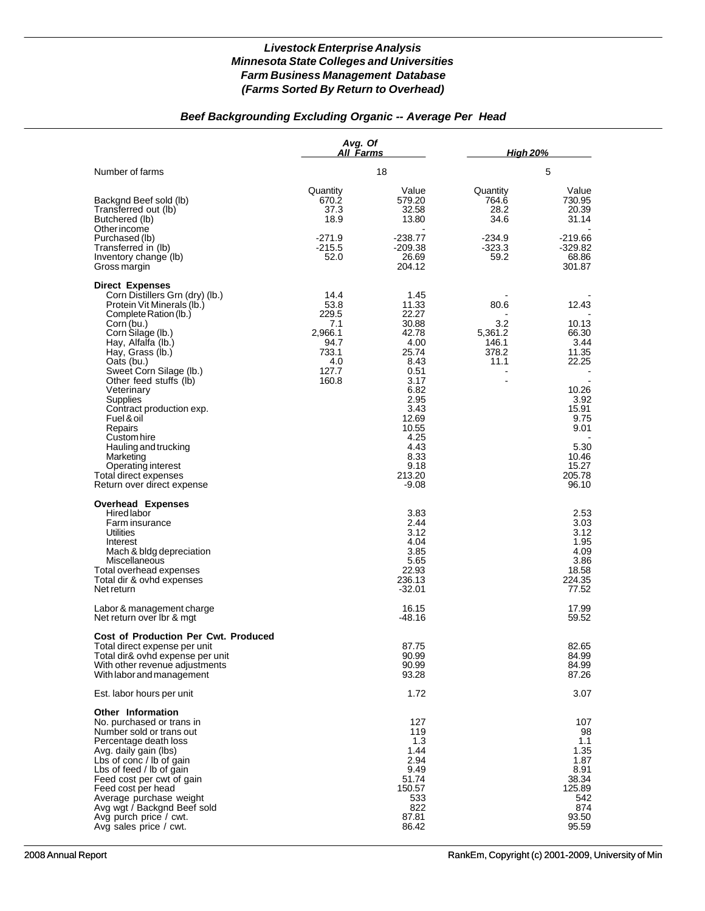# *Beef Backgrounding Excluding Organic -- Average Per Head*

|                                                                                                                                                                                                                                                                                                                                                                                                                                                                                  | Avg. Of<br>All Farms                                                              |                                                                                                                                                                                  | <b>High 20%</b>                                                    |                                                                                                                                          |  |
|----------------------------------------------------------------------------------------------------------------------------------------------------------------------------------------------------------------------------------------------------------------------------------------------------------------------------------------------------------------------------------------------------------------------------------------------------------------------------------|-----------------------------------------------------------------------------------|----------------------------------------------------------------------------------------------------------------------------------------------------------------------------------|--------------------------------------------------------------------|------------------------------------------------------------------------------------------------------------------------------------------|--|
| Number of farms                                                                                                                                                                                                                                                                                                                                                                                                                                                                  | 18                                                                                |                                                                                                                                                                                  | 5                                                                  |                                                                                                                                          |  |
| Backgnd Beef sold (lb)<br>Transferred out (lb)<br>Butchered (lb)<br>Other income                                                                                                                                                                                                                                                                                                                                                                                                 | Quantity<br>670.2<br>37.3<br>18.9                                                 | Value<br>579.20<br>32.58<br>13.80                                                                                                                                                | Quantity<br>764.6<br>28.2<br>34.6                                  | Value<br>730.95<br>20.39<br>31.14                                                                                                        |  |
| Purchased (lb)<br>Transferred in (lb)<br>Inventory change (lb)<br>Gross margin                                                                                                                                                                                                                                                                                                                                                                                                   | $-271.9$<br>$-215.5$<br>52.0                                                      | -238.77<br>-209.38<br>26.69<br>204.12                                                                                                                                            | $-234.9$<br>$-323.3$<br>59.2                                       | -219.66<br>$-329.82$<br>68.86<br>301.87                                                                                                  |  |
| <b>Direct Expenses</b><br>Corn Distillers Grn (dry) (lb.)<br>Protein Vit Minerals (lb.)<br>Complete Ration (lb.)<br>Corn (bu.)<br>Corn Silage (lb.)<br>Hay, Alfalfa (lb.)<br>Hay, Grass (lb.)<br>Oats (bu.)<br>Sweet Corn Silage (lb.)<br>Other feed stuffs (lb)<br>Veterinary<br>Supplies<br>Contract production exp.<br>Fuel & oil<br>Repairs<br>Custom hire<br>Hauling and trucking<br>Marketing<br>Operating interest<br>Total direct expenses<br>Return over direct expense | 14.4<br>53.8<br>229.5<br>7.1<br>2,966.1<br>94.7<br>733.1<br>4.0<br>127.7<br>160.8 | 1.45<br>11.33<br>22.27<br>30.88<br>42.78<br>4.00<br>25.74<br>8.43<br>0.51<br>3.17<br>6.82<br>2.95<br>3.43<br>12.69<br>10.55<br>4.25<br>4.43<br>8.33<br>9.18<br>213.20<br>$-9.08$ | 80.6<br>3.2<br>5,361.2<br>146.1<br>378.2<br>11.1<br>$\blacksquare$ | 12.43<br>10.13<br>66.30<br>3.44<br>11.35<br>22.25<br>10.26<br>3.92<br>15.91<br>9.75<br>9.01<br>5.30<br>10.46<br>15.27<br>205.78<br>96.10 |  |
| <b>Overhead Expenses</b><br><b>Hired labor</b><br>Farm insurance<br>Utilities<br>Interest<br>Mach & bldg depreciation<br>Miscellaneous<br>Total overhead expenses<br>Total dir & ovhd expenses<br>Net return                                                                                                                                                                                                                                                                     |                                                                                   | 3.83<br>2.44<br>3.12<br>4.04<br>3.85<br>5.65<br>22.93<br>236.13<br>$-32.01$                                                                                                      |                                                                    | 2.53<br>3.03<br>3.12<br>1.95<br>4.09<br>3.86<br>18.58<br>224.35<br>77.52                                                                 |  |
| Labor & management charge<br>Net return over lbr & mgt                                                                                                                                                                                                                                                                                                                                                                                                                           |                                                                                   | 16.15<br>$-48.16$                                                                                                                                                                |                                                                    | 17.99<br>59.52                                                                                                                           |  |
| <b>Cost of Production Per Cwt. Produced</b><br>Total direct expense per unit<br>Total dir& ovhd expense per unit<br>With other revenue adjustments<br>With labor and management                                                                                                                                                                                                                                                                                                  |                                                                                   | 87.75<br>90.99<br>90.99<br>93.28                                                                                                                                                 |                                                                    | 82.65<br>84.99<br>84.99<br>87.26                                                                                                         |  |
| Est. labor hours per unit                                                                                                                                                                                                                                                                                                                                                                                                                                                        |                                                                                   | 1.72                                                                                                                                                                             |                                                                    | 3.07                                                                                                                                     |  |
| <b>Other Information</b><br>No. purchased or trans in<br>Number sold or trans out<br>Percentage death loss<br>Avg. daily gain (lbs)<br>Lbs of conc / lb of gain<br>Lbs of feed / lb of gain<br>Feed cost per cwt of gain<br>Feed cost per head<br>Average purchase weight<br>Avg wgt / Backgnd Beef sold<br>Avg purch price / cwt.<br>Avg sales price / cwt.                                                                                                                     |                                                                                   | 127<br>119<br>1.3<br>1.44<br>2.94<br>9.49<br>51.74<br>150.57<br>533<br>822<br>87.81<br>86.42                                                                                     |                                                                    | 107<br>98<br>1.1<br>1.35<br>1.87<br>8.91<br>38.34<br>125.89<br>542<br>874<br>93.50<br>95.59                                              |  |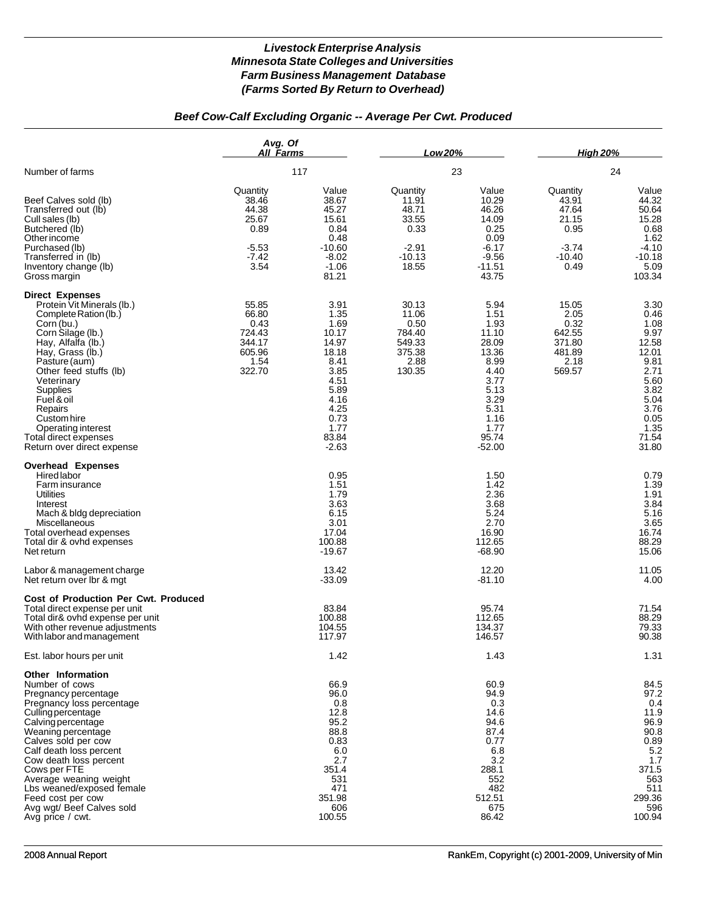# *Beef Cow-Calf Excluding Organic -- Average Per Cwt. Produced*

|                                                                                                                                                                                                                                                                                                                                                                                            | Avg. Of<br>All Farms                                                      |                                                                                                                                     | <b>Low 20%</b>                                                              |                                                                                                                                      | <b>High 20%</b>                                                            |                                                                                                                                  |
|--------------------------------------------------------------------------------------------------------------------------------------------------------------------------------------------------------------------------------------------------------------------------------------------------------------------------------------------------------------------------------------------|---------------------------------------------------------------------------|-------------------------------------------------------------------------------------------------------------------------------------|-----------------------------------------------------------------------------|--------------------------------------------------------------------------------------------------------------------------------------|----------------------------------------------------------------------------|----------------------------------------------------------------------------------------------------------------------------------|
| Number of farms                                                                                                                                                                                                                                                                                                                                                                            | 117                                                                       |                                                                                                                                     | 23                                                                          |                                                                                                                                      | 24                                                                         |                                                                                                                                  |
| Beef Calves sold (lb)<br>Transferred out (lb)<br>Cull sales (lb)<br>Butchered (lb)<br>Other income<br>Purchased (lb)<br>Transferred in (lb)<br>Inventory change (lb)<br>Gross margin                                                                                                                                                                                                       | Quantity<br>38.46<br>44.38<br>25.67<br>0.89<br>$-5.53$<br>$-7.42$<br>3.54 | Value<br>38.67<br>45.27<br>15.61<br>0.84<br>0.48<br>$-10.60$<br>$-8.02$<br>$-1.06$<br>81.21                                         | Quantity<br>11.91<br>48.71<br>33.55<br>0.33<br>$-2.91$<br>$-10.13$<br>18.55 | Value<br>10.29<br>46.26<br>14.09<br>0.25<br>0.09<br>-6.17<br>$-9.56$<br>$-11.51$<br>43.75                                            | Quantity<br>43.91<br>47.64<br>21.15<br>0.95<br>$-3.74$<br>$-10.40$<br>0.49 | Value<br>44.32<br>50.64<br>15.28<br>0.68<br>1.62<br>$-4.10$<br>$-10.18$<br>5.09<br>103.34                                        |
| <b>Direct Expenses</b><br>Protein Vit Minerals (lb.)<br>Complete Ration (lb.)<br>Corn (bu.)<br>Corn Silage (lb.)<br>Hay, Alfalfa (lb.)<br>Hay, Grass (lb.)<br>Pasture (aum)<br>Other feed stuffs (lb)<br>Veterinary<br>Supplies<br>Fuel & oil<br>Repairs<br>Custom hire<br>Operating interest<br>Total direct expenses<br>Return over direct expense                                       | 55.85<br>66.80<br>0.43<br>724.43<br>344.17<br>605.96<br>1.54<br>322.70    | 3.91<br>1.35<br>1.69<br>10.17<br>14.97<br>18.18<br>8.41<br>3.85<br>4.51<br>5.89<br>4.16<br>4.25<br>0.73<br>1.77<br>83.84<br>$-2.63$ | 30.13<br>11.06<br>0.50<br>784.40<br>549.33<br>375.38<br>2.88<br>130.35      | 5.94<br>1.51<br>1.93<br>11.10<br>28.09<br>13.36<br>8.99<br>4.40<br>3.77<br>5.13<br>3.29<br>5.31<br>1.16<br>1.77<br>95.74<br>$-52.00$ | 15.05<br>2.05<br>0.32<br>642.55<br>371.80<br>481.89<br>2.18<br>569.57      | 3.30<br>0.46<br>1.08<br>9.97<br>12.58<br>12.01<br>9.81<br>2.71<br>5.60<br>3.82<br>5.04<br>3.76<br>0.05<br>1.35<br>71.54<br>31.80 |
| <b>Overhead Expenses</b><br><b>Hired labor</b><br>Farm insurance<br><b>Utilities</b><br>Interest<br>Mach & bldg depreciation<br>Miscellaneous<br>Total overhead expenses<br>Total dir & ovhd expenses<br>Net return                                                                                                                                                                        |                                                                           | 0.95<br>1.51<br>1.79<br>3.63<br>6.15<br>3.01<br>17.04<br>100.88<br>$-19.67$                                                         |                                                                             | 1.50<br>1.42<br>2.36<br>3.68<br>5.24<br>2.70<br>16.90<br>112.65<br>$-68.90$                                                          |                                                                            | 0.79<br>1.39<br>1.91<br>3.84<br>5.16<br>3.65<br>16.74<br>88.29<br>15.06                                                          |
| Labor & management charge<br>Net return over Ibr & mgt                                                                                                                                                                                                                                                                                                                                     |                                                                           | 13.42<br>$-33.09$                                                                                                                   |                                                                             | 12.20<br>$-81.10$                                                                                                                    |                                                                            | 11.05<br>4.00                                                                                                                    |
| Cost of Production Per Cwt. Produced<br>Total direct expense per unit<br>Total dir& ovhd expense per unit<br>With other revenue adjustments<br>With labor and management                                                                                                                                                                                                                   |                                                                           | 83.84<br>100.88<br>104.55<br>117.97                                                                                                 |                                                                             | 95.74<br>112.65<br>134.37<br>146.57                                                                                                  |                                                                            | 71.54<br>88.29<br>79.33<br>90.38                                                                                                 |
| Est. labor hours per unit                                                                                                                                                                                                                                                                                                                                                                  |                                                                           | 1.42                                                                                                                                |                                                                             | 1.43                                                                                                                                 |                                                                            | 1.31                                                                                                                             |
| Other Information<br>Number of cows<br>Pregnancy percentage<br>Pregnancy loss percentage<br>Culling percentage<br><b>Calving percentage</b><br>Weaning percentage<br>Calves sold per cow<br>Calf death loss percent<br>Cow death loss percent<br>Cows per FTE<br>Average weaning weight<br>Lbs weaned/exposed female<br>Feed cost per cow<br>Avg wgt/ Beef Calves sold<br>Avg price / cwt. |                                                                           | 66.9<br>96.0<br>0.8<br>12.8<br>95.2<br>88.8<br>0.83<br>6.0<br>2.7<br>351.4<br>531<br>471<br>351.98<br>606<br>100.55                 |                                                                             | 60.9<br>94.9<br>0.3<br>14.6<br>94.6<br>87.4<br>0.77<br>6.8<br>3.2<br>288.1<br>552<br>482<br>512.51<br>675<br>86.42                   |                                                                            | 84.5<br>97.2<br>0.4<br>11.9<br>96.9<br>90.8<br>0.89<br>5.2<br>1.7<br>371.5<br>563<br>511<br>299.36<br>596<br>100.94              |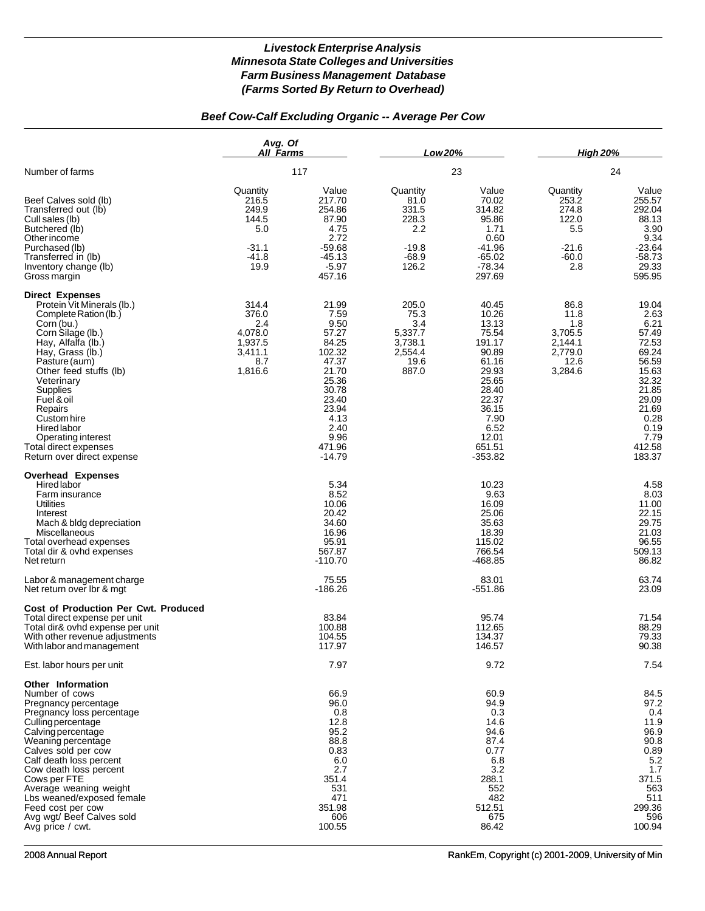# *Beef Cow-Calf Excluding Organic -- Average Per Cow*

|                                                                                                                                                                                                                                                                                                                                                                                            | Avg. Of<br><b>All Farms</b><br>117                                       |                                                                                                                                                       | <b>Low20%</b><br>23                                                      |                                                                                                                                                           | <b>High 20%</b><br>24                                                   |                                                                                                                                                    |
|--------------------------------------------------------------------------------------------------------------------------------------------------------------------------------------------------------------------------------------------------------------------------------------------------------------------------------------------------------------------------------------------|--------------------------------------------------------------------------|-------------------------------------------------------------------------------------------------------------------------------------------------------|--------------------------------------------------------------------------|-----------------------------------------------------------------------------------------------------------------------------------------------------------|-------------------------------------------------------------------------|----------------------------------------------------------------------------------------------------------------------------------------------------|
| Number of farms<br>Beef Calves sold (lb)<br>Transferred out (lb)<br>Cull sales (lb)<br>Butchered (lb)<br>Other income<br>Purchased (lb)<br>Transferred in (lb)<br>Inventory change (lb)<br>Gross margin                                                                                                                                                                                    |                                                                          |                                                                                                                                                       |                                                                          |                                                                                                                                                           |                                                                         |                                                                                                                                                    |
|                                                                                                                                                                                                                                                                                                                                                                                            | Quantity<br>216.5<br>249.9<br>144.5<br>5.0<br>-31.1<br>$-41.8$<br>19.9   | Value<br>217.70<br>254.86<br>87.90<br>4.75<br>2.72<br>$-59.68$<br>$-45.13$<br>$-5.97$<br>457.16                                                       | Quantity<br>81.0<br>331.5<br>228.3<br>2.2<br>$-19.8$<br>$-68.9$<br>126.2 | Value<br>70.02<br>314.82<br>95.86<br>1.71<br>0.60<br>-41.96<br>$-65.02$<br>$-78.34$<br>297.69                                                             | Quantity<br>253.2<br>274.8<br>122.0<br>5.5<br>$-21.6$<br>$-60.0$<br>2.8 | Value<br>255.57<br>292.04<br>88.13<br>3.90<br>9.34<br>$-23.64$<br>$-58.73$<br>29.33<br>595.95                                                      |
| <b>Direct Expenses</b><br>Protein Vit Minerals (lb.)<br>Complete Ration (lb.)<br>Corn (bu.)<br>Corn Silage (lb.)<br>Hay, Alfalfa (lb.)<br>Hay, Grass (lb.)<br>Pasture (aum)<br>Other feed stuffs (lb)<br>Veterinary<br>Supplies<br>Fuel & oil<br>Repairs<br>Custom hire<br>Hired labor<br>Operating interest<br>Total direct expenses<br>Return over direct expense                        | 314.4<br>376.0<br>2.4<br>4,078.0<br>1,937.5<br>3,411.1<br>8.7<br>1,816.6 | 21.99<br>7.59<br>9.50<br>57.27<br>84.25<br>102.32<br>47.37<br>21.70<br>25.36<br>30.78<br>23.40<br>23.94<br>4.13<br>2.40<br>9.96<br>471.96<br>$-14.79$ | 205.0<br>75.3<br>3.4<br>5,337.7<br>3,738.1<br>2,554.4<br>19.6<br>887.0   | 40.45<br>10.26<br>13.13<br>75.54<br>191.17<br>90.89<br>61.16<br>29.93<br>25.65<br>28.40<br>22.37<br>36.15<br>7.90<br>6.52<br>12.01<br>651.51<br>$-353.82$ | 86.8<br>11.8<br>1.8<br>3,705.5<br>2,144.1<br>2,779.0<br>12.6<br>3,284.6 | 19.04<br>2.63<br>6.21<br>57.49<br>72.53<br>69.24<br>56.59<br>15.63<br>32.32<br>21.85<br>29.09<br>21.69<br>0.28<br>0.19<br>7.79<br>412.58<br>183.37 |
| <b>Overhead Expenses</b><br><b>Hired labor</b><br>Farm insurance<br>Utilities<br>Interest<br>Mach & bldg depreciation<br>Miscellaneous<br>Total overhead expenses<br>Total dir & ovhd expenses<br>Net return                                                                                                                                                                               |                                                                          | 5.34<br>8.52<br>10.06<br>20.42<br>34.60<br>16.96<br>95.91<br>567.87<br>$-110.70$                                                                      |                                                                          | 10.23<br>9.63<br>16.09<br>25.06<br>35.63<br>18.39<br>115.02<br>766.54<br>-468.85                                                                          |                                                                         | 4.58<br>8.03<br>11.00<br>22.15<br>29.75<br>21.03<br>96.55<br>509.13<br>86.82                                                                       |
| Labor & management charge<br>Net return over Ibr & mgt                                                                                                                                                                                                                                                                                                                                     |                                                                          | 75.55<br>$-186.26$                                                                                                                                    |                                                                          | 83.01<br>$-551.86$                                                                                                                                        |                                                                         | 63.74<br>23.09                                                                                                                                     |
| <b>Cost of Production Per Cwt. Produced</b><br>Total direct expense per unit<br>Total dir& ovhd expense per unit<br>With other revenue adjustments<br>With labor and management                                                                                                                                                                                                            |                                                                          | 83.84<br>100.88<br>104.55<br>117.97                                                                                                                   |                                                                          | 95.74<br>112.65<br>134.37<br>146.57                                                                                                                       |                                                                         | 71.54<br>88.29<br>79.33<br>90.38                                                                                                                   |
| Est. labor hours per unit                                                                                                                                                                                                                                                                                                                                                                  |                                                                          | 7.97                                                                                                                                                  |                                                                          | 9.72                                                                                                                                                      |                                                                         | 7.54                                                                                                                                               |
| <b>Other Information</b><br>Number of cows<br>Pregnancy percentage<br>Pregnancy loss percentage<br>Culling percentage<br>Calving percentage<br>Weaning percentage<br>Calves sold per cow<br>Calf death loss percent<br>Cow death loss percent<br>Cows per FTE<br>Average weaning weight<br>Lbs weaned/exposed female<br>Feed cost per cow<br>Avg wgt/ Beef Calves sold<br>Avg price / cwt. |                                                                          | 66.9<br>96.0<br>0.8<br>12.8<br>95.2<br>88.8<br>0.83<br>6.0<br>2.7<br>351.4<br>531<br>471<br>351.98<br>606<br>100.55                                   |                                                                          | 60.9<br>94.9<br>0.3<br>14.6<br>94.6<br>87.4<br>0.77<br>6.8<br>3.2<br>288.1<br>552<br>482<br>512.51<br>675<br>86.42                                        |                                                                         | 84.5<br>97.2<br>0.4<br>11.9<br>96.9<br>90.8<br>0.89<br>5.2<br>1.7<br>371.5<br>563<br>511<br>299.36<br>596<br>100.94                                |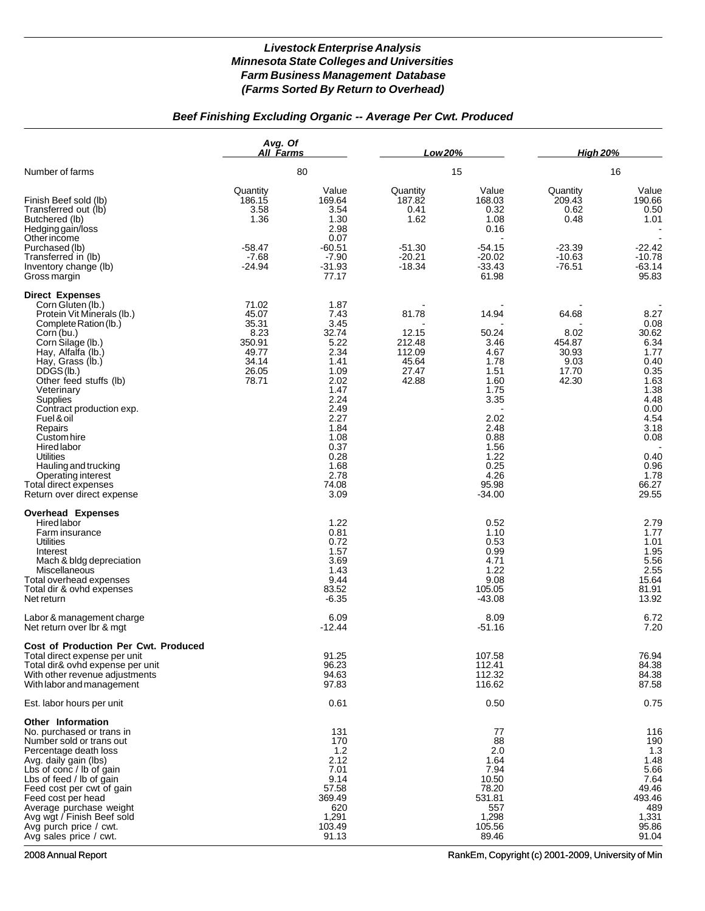# *Beef Finishing Excluding Organic -- Average Per Cwt. Produced*

|                                                                                                                                                                                                                                                                                                                                                                                                                                                                      | Avg. Of<br>All Farms                                                          |                                                                                                                                                                        | Low 20%                                                                |                                                                                                                                                     | <b>High 20%</b>                                                        |                                                                                                                                                         |
|----------------------------------------------------------------------------------------------------------------------------------------------------------------------------------------------------------------------------------------------------------------------------------------------------------------------------------------------------------------------------------------------------------------------------------------------------------------------|-------------------------------------------------------------------------------|------------------------------------------------------------------------------------------------------------------------------------------------------------------------|------------------------------------------------------------------------|-----------------------------------------------------------------------------------------------------------------------------------------------------|------------------------------------------------------------------------|---------------------------------------------------------------------------------------------------------------------------------------------------------|
| Number of farms                                                                                                                                                                                                                                                                                                                                                                                                                                                      |                                                                               | 80                                                                                                                                                                     |                                                                        | 15                                                                                                                                                  |                                                                        | 16                                                                                                                                                      |
| Finish Beef sold (lb)<br>Transferred out (lb)<br>Butchered (lb)<br>Hedging gain/loss<br>Other income<br>Purchased (lb)<br>Transferred in (lb)<br>Inventory change (lb)<br>Gross margin                                                                                                                                                                                                                                                                               | Quantity<br>186.15<br>3.58<br>1.36<br>$-58.47$<br>$-7.68$<br>$-24.94$         | Value<br>169.64<br>3.54<br>1.30<br>2.98<br>0.07<br>$-60.51$<br>$-7.90$<br>$-31.93$<br>77.17                                                                            | Quantity<br>187.82<br>0.41<br>1.62<br>$-51.30$<br>$-20.21$<br>$-18.34$ | Value<br>168.03<br>0.32<br>1.08<br>0.16<br>$-54.15$<br>$-20.02$<br>$-33.43$<br>61.98                                                                | Quantity<br>209.43<br>0.62<br>0.48<br>$-23.39$<br>$-10.63$<br>$-76.51$ | Value<br>190.66<br>0.50<br>1.01<br>$-22.42$<br>$-10.78$<br>$-63.14$<br>95.83                                                                            |
| <b>Direct Expenses</b><br>Corn Gluten (lb.)<br>Protein Vit Minerals (lb.)<br>Complete Ration (lb.)<br>Corn (bu.)<br>Corn Silage (lb.)<br>Hay, Alfalfa (lb.)<br>Hay, Grass (lb.)<br>DDS(S(1b.)<br>Other feed stuffs (lb)<br>Veterinary<br><b>Supplies</b><br>Contract production exp.<br>Fuel & oil<br>Repairs<br>Custom hire<br>Hired labor<br><b>Utilities</b><br>Hauling and trucking<br>Operating interest<br>Total direct expenses<br>Return over direct expense | 71.02<br>45.07<br>35.31<br>8.23<br>350.91<br>49.77<br>34.14<br>26.05<br>78.71 | 1.87<br>7.43<br>3.45<br>32.74<br>5.22<br>2.34<br>1.41<br>1.09<br>2.02<br>1.47<br>2.24<br>2.49<br>2.27<br>1.84<br>1.08<br>0.37<br>0.28<br>1.68<br>2.78<br>74.08<br>3.09 | 81.78<br>12.15<br>212.48<br>112.09<br>45.64<br>27.47<br>42.88          | 14.94<br>50.24<br>3.46<br>4.67<br>1.78<br>1.51<br>1.60<br>1.75<br>3.35<br>2.02<br>2.48<br>0.88<br>1.56<br>1.22<br>0.25<br>4.26<br>95.98<br>$-34.00$ | 64.68<br>8.02<br>454.87<br>30.93<br>9.03<br>17.70<br>42.30             | 8.27<br>0.08<br>30.62<br>6.34<br>1.77<br>0.40<br>0.35<br>1.63<br>1.38<br>4.48<br>0.00<br>4.54<br>3.18<br>0.08<br>0.40<br>0.96<br>1.78<br>66.27<br>29.55 |
| <b>Overhead Expenses</b><br><b>Hired labor</b><br>Farm insurance<br><b>Utilities</b><br>Interest<br>Mach & bldg depreciation<br>Miscellaneous<br>Total overhead expenses<br>Total dir & ovhd expenses<br>Net return<br>Labor & management charge                                                                                                                                                                                                                     |                                                                               | 1.22<br>0.81<br>0.72<br>1.57<br>3.69<br>1.43<br>9.44<br>83.52<br>$-6.35$<br>6.09                                                                                       |                                                                        | 0.52<br>1.10<br>0.53<br>0.99<br>4.71<br>1.22<br>9.08<br>105.05<br>$-43.08$<br>8.09                                                                  |                                                                        | 2.79<br>1.77<br>1.01<br>1.95<br>5.56<br>2.55<br>15.64<br>81.91<br>13.92<br>6.72                                                                         |
| Net return over Ibr & mgt<br>Cost of Production Per Cwt. Produced<br>Total direct expense per unit<br>Total dir& ovhd expense per unit<br>With other revenue adjustments<br>With labor and management                                                                                                                                                                                                                                                                |                                                                               | $-12.44$<br>91.25<br>96.23<br>94.63<br>97.83                                                                                                                           |                                                                        | $-51.16$<br>107.58<br>112.41<br>112.32<br>116.62                                                                                                    |                                                                        | 7.20<br>76.94<br>84.38<br>84.38<br>87.58                                                                                                                |
| Est. labor hours per unit                                                                                                                                                                                                                                                                                                                                                                                                                                            |                                                                               | 0.61                                                                                                                                                                   |                                                                        | 0.50                                                                                                                                                |                                                                        | 0.75                                                                                                                                                    |
| <b>Other Information</b><br>No. purchased or trans in<br>Number sold or trans out<br>Percentage death loss<br>Avg. daily gain (lbs)<br>Lbs of conc / lb of gain<br>Lbs of feed / lb of gain<br>Feed cost per cwt of gain<br>Feed cost per head<br>Average purchase weight<br>Avg wgt / Finish Beef sold<br>Avg purch price / cwt.<br>Avg sales price / cwt.                                                                                                          |                                                                               | 131<br>170<br>1.2<br>2.12<br>7.01<br>9.14<br>57.58<br>369.49<br>620<br>1,291<br>103.49<br>91.13                                                                        |                                                                        | 77<br>88<br>2.0<br>1.64<br>7.94<br>10.50<br>78.20<br>531.81<br>557<br>1,298<br>105.56<br>89.46                                                      |                                                                        | 116<br>190<br>1.3<br>1.48<br>5.66<br>7.64<br>49.46<br>493.46<br>489<br>1,331<br>95.86<br>91.04                                                          |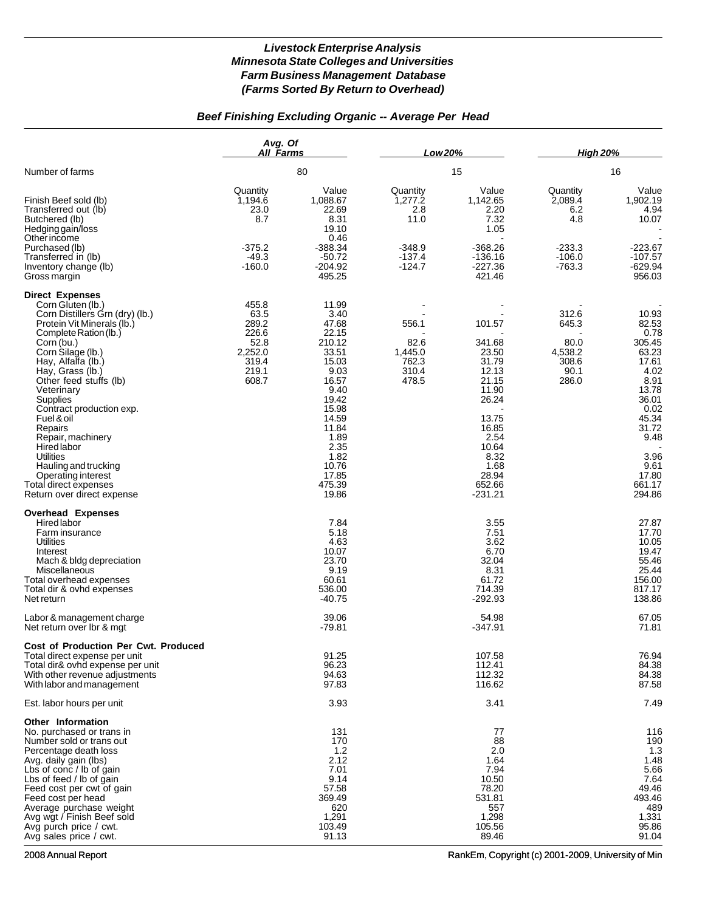## *Beef Finishing Excluding Organic -- Average Per Head*

|                                                                                                                                                                                                                                                                                                                                                                                                                                                                                          | Avg. Of<br>All Farms<br>80                                                    |                                                                                                                                                                                       | Low 20%                                                                |                                                                                                                                                           | <b>High 20%</b>                                                       |                                                                                                                                                                     |
|------------------------------------------------------------------------------------------------------------------------------------------------------------------------------------------------------------------------------------------------------------------------------------------------------------------------------------------------------------------------------------------------------------------------------------------------------------------------------------------|-------------------------------------------------------------------------------|---------------------------------------------------------------------------------------------------------------------------------------------------------------------------------------|------------------------------------------------------------------------|-----------------------------------------------------------------------------------------------------------------------------------------------------------|-----------------------------------------------------------------------|---------------------------------------------------------------------------------------------------------------------------------------------------------------------|
| Number of farms                                                                                                                                                                                                                                                                                                                                                                                                                                                                          |                                                                               |                                                                                                                                                                                       | 15                                                                     |                                                                                                                                                           | 16                                                                    |                                                                                                                                                                     |
| Finish Beef sold (lb)<br>Transferred out (lb)<br>Butchered (lb)<br>Hedging gain/loss<br>Other income<br>Purchased (lb)<br>Transferred in (lb)<br>Inventory change (lb)<br>Gross margin                                                                                                                                                                                                                                                                                                   | Quantity<br>1,194.6<br>23.0<br>8.7<br>$-375.2$<br>$-49.3$<br>$-160.0$         | Value<br>1,088.67<br>22.69<br>8.31<br>19.10<br>0.46<br>$-388.34$<br>$-50.72$<br>$-204.92$<br>495.25                                                                                   | Quantity<br>1,277.2<br>2.8<br>11.0<br>$-348.9$<br>$-137.4$<br>$-124.7$ | Value<br>1,142.65<br>2.20<br>7.32<br>1.05<br>$-368.26$<br>$-136.16$<br>$-227.36$<br>421.46                                                                | Quantity<br>2,089.4<br>6.2<br>4.8<br>$-233.3$<br>$-106.0$<br>$-763.3$ | Value<br>1,902.19<br>4.94<br>10.07<br>$-223.67$<br>-107.57<br>$-629.94$<br>956.03                                                                                   |
| <b>Direct Expenses</b><br>Corn Gluten (lb.)<br>Corn Distillers Grn (dry) (lb.)<br>Protein Vit Minerals (lb.)<br>Complete Ration (lb.)<br>Corn (bu.)<br>Corn Silage (lb.)<br>Hay, Alfalfa (lb.)<br>Hay, Grass (lb.)<br>Other feed stuffs (lb)<br>Veterinary<br>Supplies<br>Contract production exp.<br>Fuel & oil<br>Repairs<br>Repair, machinery<br>Hired labor<br><b>Utilities</b><br>Hauling and trucking<br>Operating interest<br>Total direct expenses<br>Return over direct expense | 455.8<br>63.5<br>289.2<br>226.6<br>52.8<br>2,252.0<br>319.4<br>219.1<br>608.7 | 11.99<br>3.40<br>47.68<br>22.15<br>210.12<br>33.51<br>15.03<br>9.03<br>16.57<br>9.40<br>19.42<br>15.98<br>14.59<br>11.84<br>1.89<br>2.35<br>1.82<br>10.76<br>17.85<br>475.39<br>19.86 | 556.1<br>82.6<br>1,445.0<br>762.3<br>310.4<br>478.5                    | 101.57<br>341.68<br>23.50<br>31.79<br>12.13<br>21.15<br>11.90<br>26.24<br>13.75<br>16.85<br>2.54<br>10.64<br>8.32<br>1.68<br>28.94<br>652.66<br>$-231.21$ | 312.6<br>645.3<br>80.0<br>4,538.2<br>308.6<br>90.1<br>286.0           | 10.93<br>82.53<br>0.78<br>305.45<br>63.23<br>17.61<br>4.02<br>8.91<br>13.78<br>36.01<br>0.02<br>45.34<br>31.72<br>9.48<br>3.96<br>9.61<br>17.80<br>661.17<br>294.86 |
| <b>Overhead Expenses</b><br>Hired labor<br>Farm insurance<br>Utilities<br>Interest<br>Mach & bldg depreciation<br>Miscellaneous<br>Total overhead expenses<br>Total dir & ovhd expenses<br>Net return<br>Labor & management charge<br>Net return over Ibr & mgt<br><b>Cost of Production Per Cwt. Produced</b>                                                                                                                                                                           |                                                                               | 7.84<br>5.18<br>4.63<br>10.07<br>23.70<br>9.19<br>60.61<br>536.00<br>$-40.75$<br>39.06<br>-79.81                                                                                      |                                                                        | 3.55<br>7.51<br>3.62<br>6.70<br>32.04<br>8.31<br>61.72<br>714.39<br>$-292.93$<br>54.98<br>$-347.91$                                                       |                                                                       | 27.87<br>17.70<br>10.05<br>19.47<br>55.46<br>25.44<br>156.00<br>817.17<br>138.86<br>67.05<br>71.81                                                                  |
| Total direct expense per unit<br>Total dir& ovhd expense per unit<br>With other revenue adjustments<br>With labor and management                                                                                                                                                                                                                                                                                                                                                         |                                                                               | 91.25<br>96.23<br>94.63<br>97.83                                                                                                                                                      |                                                                        | 107.58<br>112.41<br>112.32<br>116.62                                                                                                                      |                                                                       | 76.94<br>84.38<br>84.38<br>87.58                                                                                                                                    |
| Est. labor hours per unit                                                                                                                                                                                                                                                                                                                                                                                                                                                                |                                                                               | 3.93                                                                                                                                                                                  |                                                                        | 3.41                                                                                                                                                      |                                                                       | 7.49                                                                                                                                                                |
| Other Information<br>No. purchased or trans in<br>Number sold or trans out<br>Percentage death loss<br>Avg. daily gain (lbs)<br>Lbs of conc / lb of gain<br>Lbs of feed / lb of gain<br>Feed cost per cwt of gain<br>Feed cost per head<br>Average purchase weight<br>Avg wgt / Finish Beef sold<br>Avg purch price / cwt.<br>Avg sales price / cwt.                                                                                                                                     |                                                                               | 131<br>170<br>1.2<br>2.12<br>7.01<br>9.14<br>57.58<br>369.49<br>620<br>1,291<br>103.49<br>91.13                                                                                       |                                                                        | 77<br>88<br>2.0<br>1.64<br>7.94<br>10.50<br>78.20<br>531.81<br>557<br>1,298<br>105.56<br>89.46                                                            |                                                                       | 116<br>190<br>1.3<br>1.48<br>5.66<br>7.64<br>49.46<br>493.46<br>489<br>1,331<br>95.86<br>91.04                                                                      |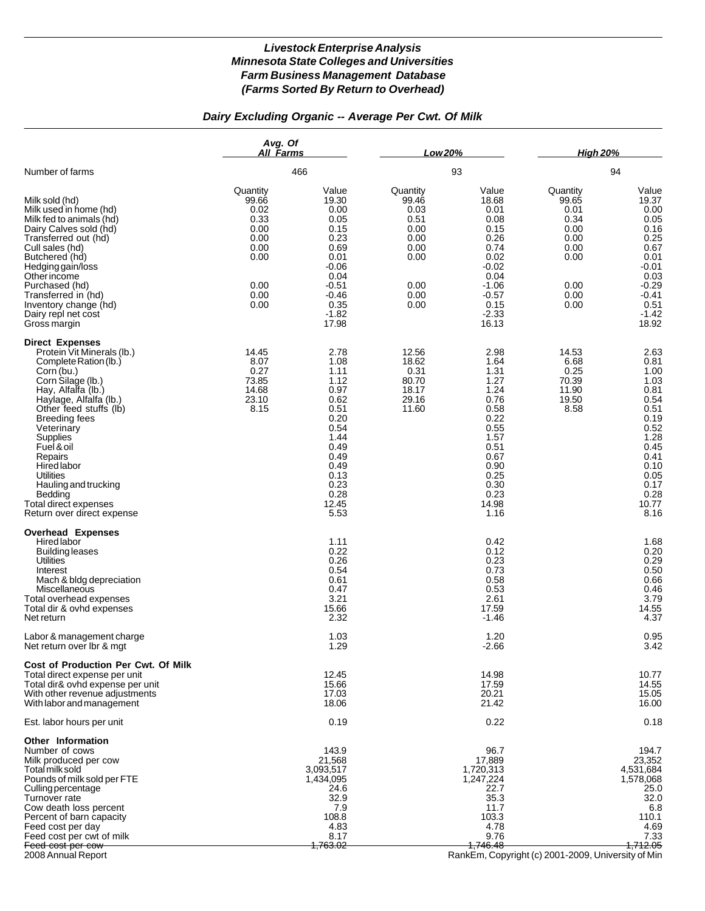# *Dairy Excluding Organic -- Average Per Cwt. Of Milk*

|                                                                                                                                                                                                                                                                                                                                                                                             | Avg. Of<br>All Farms                                                                      |                                                                                                                                               | Low 20%                                                                                   |                                                                                                                                                             | <b>High 20%</b>                                                                           |                                                                                                                                               |
|---------------------------------------------------------------------------------------------------------------------------------------------------------------------------------------------------------------------------------------------------------------------------------------------------------------------------------------------------------------------------------------------|-------------------------------------------------------------------------------------------|-----------------------------------------------------------------------------------------------------------------------------------------------|-------------------------------------------------------------------------------------------|-------------------------------------------------------------------------------------------------------------------------------------------------------------|-------------------------------------------------------------------------------------------|-----------------------------------------------------------------------------------------------------------------------------------------------|
| Number of farms                                                                                                                                                                                                                                                                                                                                                                             |                                                                                           | 466                                                                                                                                           |                                                                                           | 93                                                                                                                                                          |                                                                                           | 94                                                                                                                                            |
| Milk sold (hd)<br>Milk used in home (hd)<br>Milk fed to animals (hd)<br>Dairy Calves sold (hd)<br>Transferred out (hd)<br>Cull sales (hd)<br>Butchered (hd)<br>Hedging gain/loss<br>Other income<br>Purchased (hd)<br>Transferred in (hd)<br>Inventory change (hd)<br>Dairy repl net cost<br>Gross margin                                                                                   | Quantity<br>99.66<br>0.02<br>0.33<br>0.00<br>0.00<br>0.00<br>0.00<br>0.00<br>0.00<br>0.00 | Value<br>19.30<br>0.00<br>0.05<br>0.15<br>0.23<br>0.69<br>0.01<br>$-0.06$<br>0.04<br>$-0.51$<br>$-0.46$<br>0.35<br>$-1.82$<br>17.98           | Quantity<br>99.46<br>0.03<br>0.51<br>0.00<br>0.00<br>0.00<br>0.00<br>0.00<br>0.00<br>0.00 | Value<br>18.68<br>0.01<br>0.08<br>0.15<br>0.26<br>0.74<br>0.02<br>$-0.02$<br>0.04<br>$-1.06$<br>$-0.57$<br>0.15<br>$-2.33$<br>16.13                         | Quantity<br>99.65<br>0.01<br>0.34<br>0.00<br>0.00<br>0.00<br>0.00<br>0.00<br>0.00<br>0.00 | Value<br>19.37<br>0.00<br>0.05<br>0.16<br>0.25<br>0.67<br>0.01<br>-0.01<br>0.03<br>$-0.29$<br>$-0.41$<br>0.51<br>$-1.42$<br>18.92             |
| <b>Direct Expenses</b><br>Protein Vit Minerals (lb.)<br>Complete Ration (lb.)<br>Corn (bu.)<br>Corn Silage (lb.)<br>Hay, Alfalfa (lb.)<br>Haylage, Alfalfa (lb.)<br>Other feed stuffs (lb)<br><b>Breeding fees</b><br>Veterinary<br>Supplies<br>Fuel & oil<br>Repairs<br>Hired labor<br>Utilities<br>Hauling and trucking<br>Bedding<br>Total direct expenses<br>Return over direct expense | 14.45<br>8.07<br>0.27<br>73.85<br>14.68<br>23.10<br>8.15                                  | 2.78<br>1.08<br>1.11<br>1.12<br>0.97<br>0.62<br>0.51<br>0.20<br>0.54<br>1.44<br>0.49<br>0.49<br>0.49<br>0.13<br>0.23<br>0.28<br>12.45<br>5.53 | 12.56<br>18.62<br>0.31<br>80.70<br>18.17<br>29.16<br>11.60                                | 2.98<br>1.64<br>1.31<br>1.27<br>1.24<br>0.76<br>0.58<br>0.22<br>0.55<br>1.57<br>0.51<br>0.67<br>0.90<br>0.25<br>0.30<br>0.23<br>14.98<br>1.16               | 14.53<br>6.68<br>0.25<br>70.39<br>11.90<br>19.50<br>8.58                                  | 2.63<br>0.81<br>1.00<br>1.03<br>0.81<br>0.54<br>0.51<br>0.19<br>0.52<br>1.28<br>0.45<br>0.41<br>0.10<br>0.05<br>0.17<br>0.28<br>10.77<br>8.16 |
| <b>Overhead Expenses</b><br><b>Hired labor</b><br>Building leases<br><b>Utilities</b><br>Interest<br>Mach & bldg depreciation<br>Miscellaneous<br>Total overhead expenses<br>Total dir & ovhd expenses<br>Net return                                                                                                                                                                        |                                                                                           | 1.11<br>0.22<br>0.26<br>0.54<br>0.61<br>0.47<br>3.21<br>15.66<br>2.32                                                                         |                                                                                           | 0.42<br>0.12<br>0.23<br>0.73<br>0.58<br>0.53<br>2.61<br>17.59<br>$-1.46$                                                                                    |                                                                                           | 1.68<br>0.20<br>0.29<br>0.50<br>0.66<br>0.46<br>3.79<br>14.55<br>4.37                                                                         |
| Labor & management charge<br>Net return over Ibr & mgt                                                                                                                                                                                                                                                                                                                                      |                                                                                           | 1.03<br>1.29                                                                                                                                  |                                                                                           | 1.20<br>$-2.66$                                                                                                                                             |                                                                                           | 0.95<br>3.42                                                                                                                                  |
| Cost of Production Per Cwt. Of Milk<br>Total direct expense per unit<br>Total dir& ovhd expense per unit<br>With other revenue adjustments<br>With labor and management                                                                                                                                                                                                                     |                                                                                           | 12.45<br>15.66<br>17.03<br>18.06                                                                                                              |                                                                                           | 14.98<br>17.59<br>20.21<br>21.42                                                                                                                            |                                                                                           | 10.77<br>14.55<br>15.05<br>16.00                                                                                                              |
| Est. labor hours per unit                                                                                                                                                                                                                                                                                                                                                                   |                                                                                           | 0.19                                                                                                                                          |                                                                                           | 0.22                                                                                                                                                        |                                                                                           | 0.18                                                                                                                                          |
| <b>Other Information</b><br>Number of cows<br>Milk produced per cow<br>Total milk sold<br>Pounds of milk sold per FTE<br>Culling percentage<br>Turnover rate<br>Cow death loss percent<br>Percent of barn capacity<br>Feed cost per day<br>Feed cost per cwt of milk<br>Feed cost per cow<br>2008 Annual Report                                                                             |                                                                                           | 143.9<br>21,568<br>3,093,517<br>1,434,095<br>24.6<br>32.9<br>7.9<br>108.8<br>4.83<br>8.17<br><del>1,763.02 </del>                             |                                                                                           | 96.7<br>17,889<br>1,720,313<br>1,247,224<br>22.7<br>35.3<br>11.7<br>103.3<br>4.78<br>9.76<br>1.746.48<br>RankEm, Copyright (c) 2001-2009, University of Min |                                                                                           | 194.7<br>23,352<br>4,531,684<br>1,578,068<br>25.0<br>32.0<br>6.8<br>110.1<br>4.69<br>7.33<br><del>1,712.05</del>                              |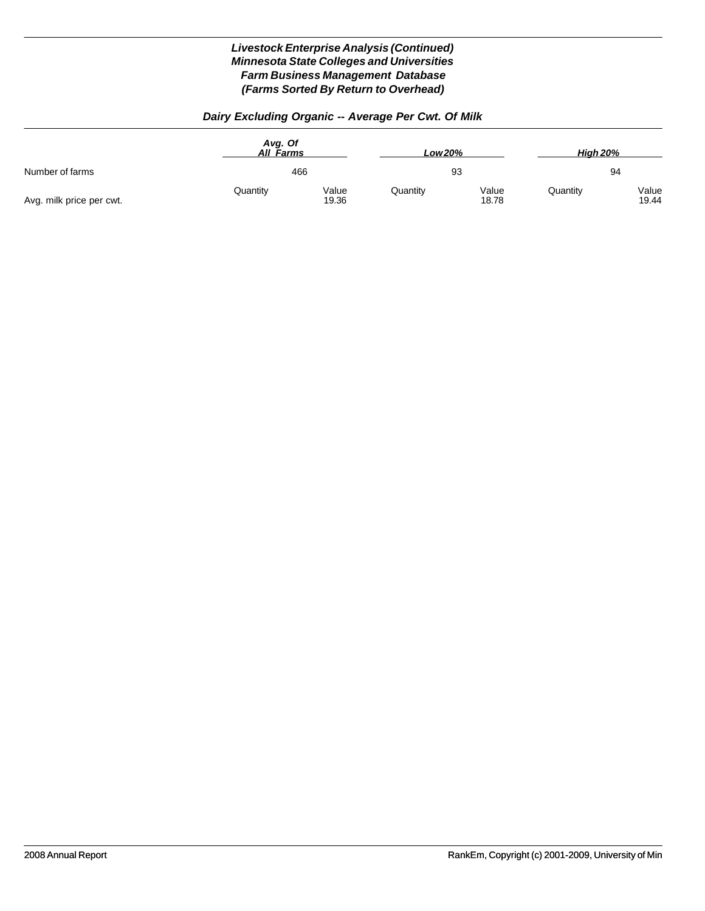# *Dairy Excluding Organic -- Average Per Cwt. Of Milk*

|                          | Avg. Of<br>All Farms<br>466 |                | Low 20%<br>93 |                | <b>High 20%</b><br>94 |                |
|--------------------------|-----------------------------|----------------|---------------|----------------|-----------------------|----------------|
| Number of farms          |                             |                |               |                |                       |                |
| Avg. milk price per cwt. | Quantity                    | Value<br>19.36 | Quantity      | Value<br>18.78 | Quantity              | Value<br>19.44 |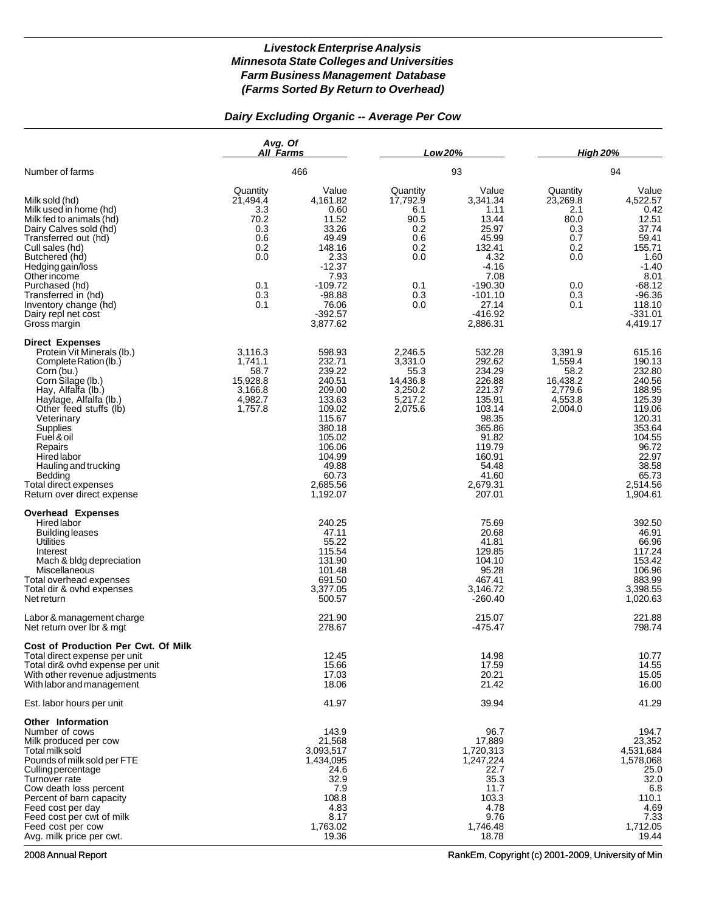### *Dairy Excluding Organic -- Average Per Cow*

|                                                                                                                                                                                                                                                                                                                                                        | Avg. Of<br>All Farms<br>466                                                          |                                                                                                                                                                | Low 20%                                                                              |                                                                                                                                                            | <b>High 20%</b>                                                                      |                                                                                                                                                              |
|--------------------------------------------------------------------------------------------------------------------------------------------------------------------------------------------------------------------------------------------------------------------------------------------------------------------------------------------------------|--------------------------------------------------------------------------------------|----------------------------------------------------------------------------------------------------------------------------------------------------------------|--------------------------------------------------------------------------------------|------------------------------------------------------------------------------------------------------------------------------------------------------------|--------------------------------------------------------------------------------------|--------------------------------------------------------------------------------------------------------------------------------------------------------------|
| Number of farms                                                                                                                                                                                                                                                                                                                                        |                                                                                      |                                                                                                                                                                | 93                                                                                   |                                                                                                                                                            | 94                                                                                   |                                                                                                                                                              |
| Milk sold (hd)<br>Milk used in home (hd)<br>Milk fed to animals (hd)<br>Dairy Calves sold (hd)<br>Transferred out (hd)<br>Cull sales (hd)<br>Butchered (hd)<br>Hedging gain/loss<br>Other income<br>Purchased (hd)<br>Transferred in (hd)<br>Inventory change (hd)<br>Dairy repl net cost<br>Gross margin                                              | Quantity<br>21,494.4<br>3.3<br>70.2<br>0.3<br>0.6<br>0.2<br>0.0<br>0.1<br>0.3<br>0.1 | Value<br>4,161.82<br>0.60<br>11.52<br>33.26<br>49.49<br>148.16<br>2.33<br>$-12.37$<br>7.93<br>$-109.72$<br>$-98.88$<br>76.06<br>$-392.57$<br>3,877.62          | Quantity<br>17,792.9<br>6.1<br>90.5<br>0.2<br>0.6<br>0.2<br>0.0<br>0.1<br>0.3<br>0.0 | Value<br>3,341.34<br>1.11<br>13.44<br>25.97<br>45.99<br>132.41<br>4.32<br>-4.16<br>7.08<br>$-190.30$<br>$-101.10$<br>27.14<br>$-416.92$<br>2,886.31        | Quantity<br>23,269.8<br>2.1<br>80.0<br>0.3<br>0.7<br>0.2<br>0.0<br>0.0<br>0.3<br>0.1 | Value<br>4,522.57<br>0.42<br>12.51<br>37.74<br>59.41<br>155.71<br>1.60<br>$-1.40$<br>8.01<br>$-68.12$<br>$-96.36$<br>118.10<br>$-331.01$<br>4,419.17         |
| <b>Direct Expenses</b><br>Protein Vit Minerals (lb.)<br>Complete Ration (lb.)<br>Corn (bu.)<br>Corn Silage (lb.)<br>Hay, Alfalfa (lb.)<br>Haylage, Alfalfa (lb.)<br>Other feed stuffs (lb)<br>Veterinary<br>Supplies<br>Fuel & oil<br>Repairs<br>Hired labor<br>Hauling and trucking<br>Bedding<br>Total direct expenses<br>Return over direct expense | 3,116.3<br>1,741.1<br>58.7<br>15,928.8<br>3,166.8<br>4,982.7<br>1,757.8              | 598.93<br>232.71<br>239.22<br>240.51<br>209.00<br>133.63<br>109.02<br>115.67<br>380.18<br>105.02<br>106.06<br>104.99<br>49.88<br>60.73<br>2,685.56<br>1,192.07 | 2,246.5<br>3,331.0<br>55.3<br>14,436.8<br>3,250.2<br>5,217.2<br>2,075.6              | 532.28<br>292.62<br>234.29<br>226.88<br>221.37<br>135.91<br>103.14<br>98.35<br>365.86<br>91.82<br>119.79<br>160.91<br>54.48<br>41.60<br>2,679.31<br>207.01 | 3,391.9<br>1,559.4<br>58.2<br>16,438.2<br>2,779.6<br>4,553.8<br>2,004.0              | 615.16<br>190.13<br>232.80<br>240.56<br>188.95<br>125.39<br>119.06<br>120.31<br>353.64<br>104.55<br>96.72<br>22.97<br>38.58<br>65.73<br>2,514.56<br>1,904.61 |
| <b>Overhead Expenses</b><br>Hired labor<br><b>Building leases</b><br>Utilities<br>Interest<br>Mach & bldg depreciation<br>Miscellaneous<br>Total overhead expenses<br>Total dir & ovhd expenses<br>Net return<br>Labor & management charge                                                                                                             |                                                                                      | 240.25<br>47.11<br>55.22<br>115.54<br>131.90<br>101.48<br>691.50<br>3,377.05<br>500.57<br>221.90                                                               |                                                                                      | 75.69<br>20.68<br>41.81<br>129.85<br>104.10<br>95.28<br>467.41<br>3,146.72<br>$-260.40$<br>215.07                                                          |                                                                                      | 392.50<br>46.91<br>66.96<br>117.24<br>153.42<br>106.96<br>883.99<br>3,398.55<br>1,020.63<br>221.88                                                           |
| Net return over Ibr & mgt<br>Cost of Production Per Cwt. Of Milk<br>Total direct expense per unit<br>Total dir& ovhd expense per unit<br>With other revenue adjustments<br>With labor and management                                                                                                                                                   |                                                                                      | 278.67<br>12.45<br>15.66<br>17.03<br>18.06                                                                                                                     |                                                                                      | $-475.47$<br>14.98<br>17.59<br>20.21<br>21.42                                                                                                              |                                                                                      | 798.74<br>10.77<br>14.55<br>15.05<br>16.00                                                                                                                   |
| Est. labor hours per unit                                                                                                                                                                                                                                                                                                                              |                                                                                      | 41.97                                                                                                                                                          |                                                                                      | 39.94                                                                                                                                                      |                                                                                      | 41.29                                                                                                                                                        |
| Other Information<br>Number of cows<br>Milk produced per cow<br>Total milk sold<br>Pounds of milk sold per FTE<br>Culling percentage<br>Turnover rate<br>Cow death loss percent<br>Percent of barn capacity<br>Feed cost per day<br>Feed cost per cwt of milk<br>Feed cost per cow<br>Avg. milk price per cwt.                                         |                                                                                      | 143.9<br>21,568<br>3,093,517<br>1,434,095<br>24.6<br>32.9<br>7.9<br>108.8<br>4.83<br>8.17<br>1,763.02<br>19.36                                                 |                                                                                      | 96.7<br>17,889<br>1,720,313<br>1,247,224<br>22.7<br>35.3<br>11.7<br>103.3<br>4.78<br>9.76<br>1,746.48<br>18.78                                             |                                                                                      | 194.7<br>23,352<br>4,531,684<br>1,578,068<br>25.0<br>32.0<br>6.8<br>110.1<br>4.69<br>7.33<br>1,712.05<br>19.44                                               |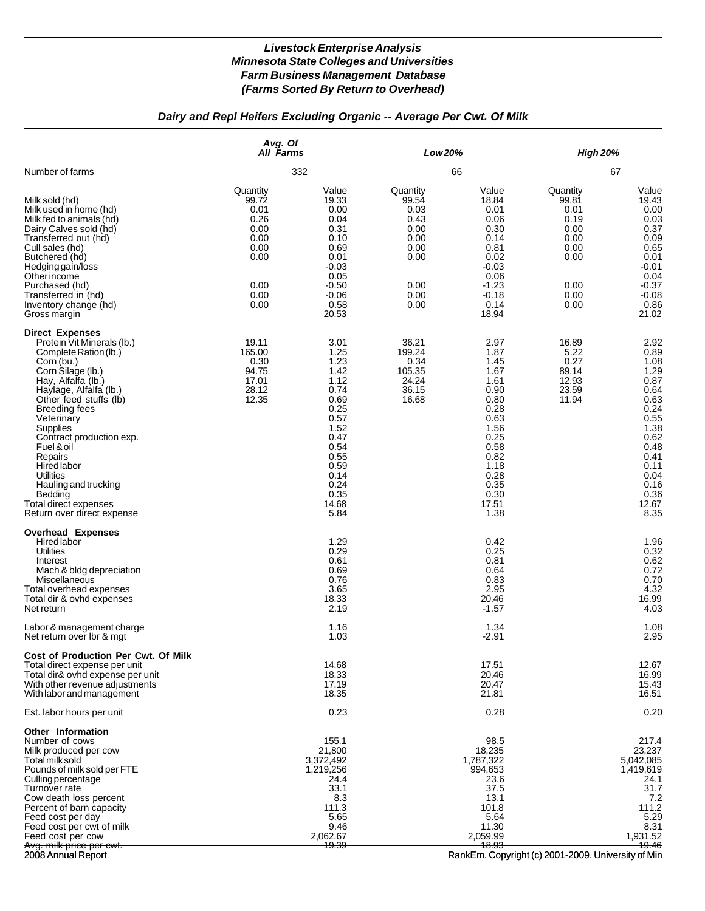## *Dairy and Repl Heifers Excluding Organic -- Average Per Cwt. Of Milk*

|                                                                                                                                                                                                                                                                                                                                                                                                                                | Avg. Of<br>All Farms                                                                      |                                                                                                                                                       | Low 20%                                                                                   |                                                                                                                                                       | <b>High 20%</b>                                                                           |                                                                                                                                                       |
|--------------------------------------------------------------------------------------------------------------------------------------------------------------------------------------------------------------------------------------------------------------------------------------------------------------------------------------------------------------------------------------------------------------------------------|-------------------------------------------------------------------------------------------|-------------------------------------------------------------------------------------------------------------------------------------------------------|-------------------------------------------------------------------------------------------|-------------------------------------------------------------------------------------------------------------------------------------------------------|-------------------------------------------------------------------------------------------|-------------------------------------------------------------------------------------------------------------------------------------------------------|
| Number of farms                                                                                                                                                                                                                                                                                                                                                                                                                |                                                                                           | 332                                                                                                                                                   |                                                                                           | 66                                                                                                                                                    |                                                                                           | 67                                                                                                                                                    |
| Milk sold (hd)<br>Milk used in home (hd)<br>Milk fed to animals (hd)<br>Dairy Calves sold (hd)<br>Transferred out (hd)<br>Cull sales (hd)<br>Butchered (hd)<br>Hedging gain/loss<br>Other income<br>Purchased (hd)<br>Transferred in (hd)<br>Inventory change (hd)<br>Gross margin                                                                                                                                             | Quantity<br>99.72<br>0.01<br>0.26<br>0.00<br>0.00<br>0.00<br>0.00<br>0.00<br>0.00<br>0.00 | Value<br>19.33<br>0.00<br>0.04<br>0.31<br>0.10<br>0.69<br>0.01<br>$-0.03$<br>0.05<br>$-0.50$<br>$-0.06$<br>0.58<br>20.53                              | Quantity<br>99.54<br>0.03<br>0.43<br>0.00<br>0.00<br>0.00<br>0.00<br>0.00<br>0.00<br>0.00 | Value<br>18.84<br>0.01<br>0.06<br>0.30<br>0.14<br>0.81<br>0.02<br>$-0.03$<br>0.06<br>$-1.23$<br>$-0.18$<br>0.14<br>18.94                              | Quantity<br>99.81<br>0.01<br>0.19<br>0.00<br>0.00<br>0.00<br>0.00<br>0.00<br>0.00<br>0.00 | Value<br>19.43<br>0.00<br>0.03<br>0.37<br>0.09<br>0.65<br>0.01<br>-0.01<br>0.04<br>$-0.37$<br>$-0.08$<br>0.86<br>21.02                                |
| <b>Direct Expenses</b><br>Protein Vit Minerals (lb.)<br>Complete Ration (lb.)<br>Corn (bu.)<br>Corn Silage (lb.)<br>Hay, Alfalfa (lb.)<br>Haylage, Alfalfa (lb.)<br>Other feed stuffs (lb)<br><b>Breeding fees</b><br>Veterinary<br><b>Supplies</b><br>Contract production exp.<br>Fuel & oil<br>Repairs<br>Hired labor<br>Utilities<br>Hauling and trucking<br>Bedding<br>Total direct expenses<br>Return over direct expense | 19.11<br>165.00<br>0.30<br>94.75<br>17.01<br>28.12<br>12.35                               | 3.01<br>1.25<br>1.23<br>1.42<br>1.12<br>0.74<br>0.69<br>0.25<br>0.57<br>1.52<br>0.47<br>0.54<br>0.55<br>0.59<br>0.14<br>0.24<br>0.35<br>14.68<br>5.84 | 36.21<br>199.24<br>0.34<br>105.35<br>24.24<br>36.15<br>16.68                              | 2.97<br>1.87<br>1.45<br>1.67<br>1.61<br>0.90<br>0.80<br>0.28<br>0.63<br>1.56<br>0.25<br>0.58<br>0.82<br>1.18<br>0.28<br>0.35<br>0.30<br>17.51<br>1.38 | 16.89<br>5.22<br>0.27<br>89.14<br>12.93<br>23.59<br>11.94                                 | 2.92<br>0.89<br>1.08<br>1.29<br>0.87<br>0.64<br>0.63<br>0.24<br>0.55<br>1.38<br>0.62<br>0.48<br>0.41<br>0.11<br>0.04<br>0.16<br>0.36<br>12.67<br>8.35 |
| <b>Overhead Expenses</b><br>Hired labor<br><b>Utilities</b><br>Interest<br>Mach & bldg depreciation<br>Miscellaneous<br>Total overhead expenses<br>Total dir & ovhd expenses<br>Net return                                                                                                                                                                                                                                     |                                                                                           | 1.29<br>0.29<br>0.61<br>0.69<br>0.76<br>3.65<br>18.33<br>2.19                                                                                         |                                                                                           | 0.42<br>0.25<br>0.81<br>0.64<br>0.83<br>2.95<br>20.46<br>$-1.57$                                                                                      |                                                                                           | 1.96<br>0.32<br>0.62<br>0.72<br>0.70<br>4.32<br>16.99<br>4.03                                                                                         |
| Labor & management charge<br>Net return over Ibr & mgt                                                                                                                                                                                                                                                                                                                                                                         |                                                                                           | 1.16<br>1.03                                                                                                                                          |                                                                                           | 1.34<br>$-2.91$                                                                                                                                       |                                                                                           | 1.08<br>2.95                                                                                                                                          |
| Cost of Production Per Cwt. Of Milk<br>Total direct expense per unit<br>Total dir& ovhd expense per unit<br>With other revenue adjustments<br>With labor and management                                                                                                                                                                                                                                                        |                                                                                           | 14.68<br>18.33<br>17.19<br>18.35                                                                                                                      |                                                                                           | 17.51<br>20.46<br>20.47<br>21.81                                                                                                                      |                                                                                           | 12.67<br>16.99<br>15.43<br>16.51                                                                                                                      |
| Est. labor hours per unit                                                                                                                                                                                                                                                                                                                                                                                                      |                                                                                           | 0.23                                                                                                                                                  |                                                                                           | 0.28                                                                                                                                                  |                                                                                           | 0.20                                                                                                                                                  |
| <b>Other Information</b><br>Number of cows<br>Milk produced per cow<br>Total milk sold<br>Pounds of milk sold per FTE<br>Culling percentage<br>Turnover rate<br>Cow death loss percent<br>Percent of barn capacity<br>Feed cost per day<br>Feed cost per cwt of milk<br>Feed cost per cow<br>Avg. milk price per cwt.                                                                                                          |                                                                                           | 155.1<br>21,800<br>3,372,492<br>1,219,256<br>24.4<br>33.1<br>8.3<br>111.3<br>5.65<br>9.46<br>2,062.67<br><del>19.39-</del>                            |                                                                                           | 98.5<br>18,235<br>1,787,322<br>994,653<br>23.6<br>37.5<br>13.1<br>101.8<br>5.64<br>11.30<br>2,059.99<br><del>18.93</del>                              |                                                                                           | 217.4<br>23,237<br>5,042,085<br>1,419,619<br>24.1<br>31.7<br>7.2<br>111.2<br>5.29<br>8.31<br>1,931.52<br>19.46                                        |

2008 Annual Report Communication Contract Communication Communication RankEm, Copyright (c) 2001-2009, University of Min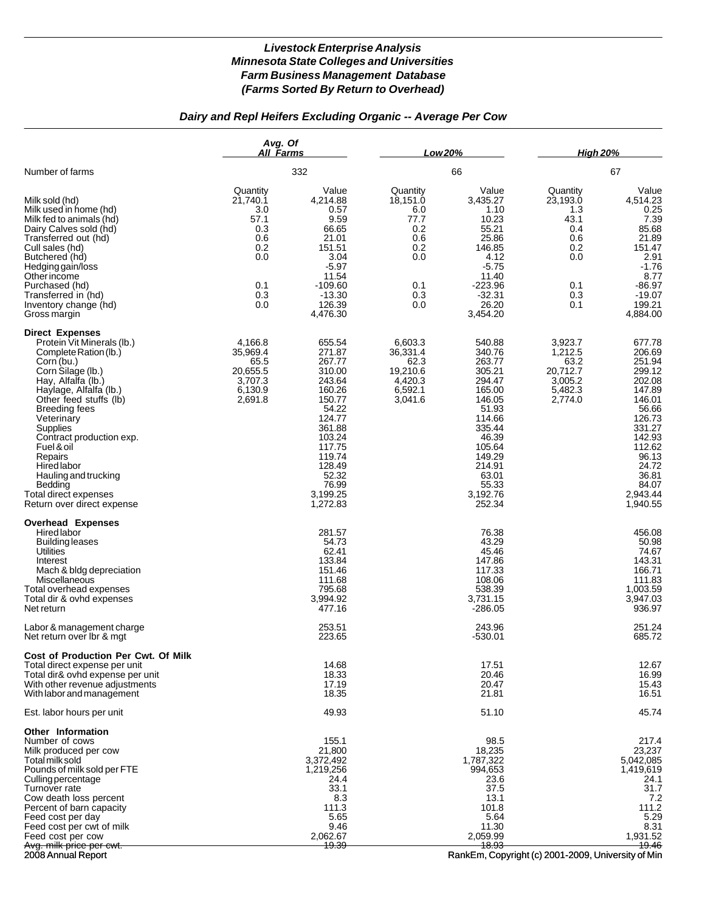### *Dairy and Repl Heifers Excluding Organic -- Average Per Cow*

|                                                                                                                                                                                                                                                                                                                                                                                                                   | Avg. Of<br>All Farms                                                                 |                                                                                                                                                                                   | Low 20%                                                                              |                                                                                                                                                                                | <b>High 20%</b>                                                                      |                                                                                                                                                                                 |
|-------------------------------------------------------------------------------------------------------------------------------------------------------------------------------------------------------------------------------------------------------------------------------------------------------------------------------------------------------------------------------------------------------------------|--------------------------------------------------------------------------------------|-----------------------------------------------------------------------------------------------------------------------------------------------------------------------------------|--------------------------------------------------------------------------------------|--------------------------------------------------------------------------------------------------------------------------------------------------------------------------------|--------------------------------------------------------------------------------------|---------------------------------------------------------------------------------------------------------------------------------------------------------------------------------|
| Number of farms                                                                                                                                                                                                                                                                                                                                                                                                   |                                                                                      | 332                                                                                                                                                                               |                                                                                      | 66                                                                                                                                                                             |                                                                                      | 67                                                                                                                                                                              |
| Milk sold (hd)<br>Milk used in home (hd)<br>Milk fed to animals (hd)<br>Dairy Calves sold (hd)<br>Transferred out (hd)<br>Cull sales (hd)<br>Butchered (hd)<br>Hedging gain/loss<br>Other income<br>Purchased (hd)<br>Transferred in (hd)<br>Inventory change (hd)<br>Gross margin                                                                                                                                | Quantity<br>21,740.1<br>3.0<br>57.1<br>0.3<br>0.6<br>0.2<br>0.0<br>0.1<br>0.3<br>0.0 | Value<br>4,214.88<br>0.57<br>9.59<br>66.65<br>21.01<br>151.51<br>3.04<br>$-5.97$<br>11.54<br>$-109.60$<br>$-13.30$<br>126.39<br>4,476.30                                          | Quantity<br>18,151.0<br>6.0<br>77.7<br>0.2<br>0.6<br>0.2<br>0.0<br>0.1<br>0.3<br>0.0 | Value<br>3,435.27<br>1.10<br>10.23<br>55.21<br>25.86<br>146.85<br>4.12<br>$-5.75$<br>11.40<br>$-223.96$<br>$-32.31$<br>26.20<br>3,454.20                                       | Quantity<br>23,193.0<br>1.3<br>43.1<br>0.4<br>0.6<br>0.2<br>0.0<br>0.1<br>0.3<br>0.1 | Value<br>4,514.23<br>0.25<br>7.39<br>85.68<br>21.89<br>151.47<br>2.91<br>$-1.76$<br>8.77<br>$-86.97$<br>$-19.07$<br>199.21<br>4,884.00                                          |
| <b>Direct Expenses</b><br>Protein Vit Minerals (lb.)<br>Complete Ration (lb.)<br>Corn (bu.)<br>Corn Silage (lb.)<br>Hay, Alfalfa (lb.)<br>Haylage, Alfalfa (lb.)<br>Other feed stuffs (lb)<br><b>Breeding fees</b><br>Veterinary<br>Supplies<br>Contract production exp.<br>Fuel & oil<br>Repairs<br><b>Hired labor</b><br>Hauling and trucking<br>Bedding<br>Total direct expenses<br>Return over direct expense | 4,166.8<br>35,969.4<br>65.5<br>20.655.5<br>3,707.3<br>6,130.9<br>2,691.8             | 655.54<br>271.87<br>267.77<br>310.00<br>243.64<br>160.26<br>150.77<br>54.22<br>124.77<br>361.88<br>103.24<br>117.75<br>119.74<br>128.49<br>52.32<br>76.99<br>3,199.25<br>1,272.83 | 6,603.3<br>36,331.4<br>62.3<br>19,210.6<br>4,420.3<br>6,592.1<br>3,041.6             | 540.88<br>340.76<br>263.77<br>305.21<br>294.47<br>165.00<br>146.05<br>51.93<br>114.66<br>335.44<br>46.39<br>105.64<br>149.29<br>214.91<br>63.01<br>55.33<br>3,192.76<br>252.34 | 3,923.7<br>1,212.5<br>63.2<br>20,712.7<br>3,005.2<br>5,482.3<br>2,774.0              | 677.78<br>206.69<br>251.94<br>299.12<br>202.08<br>147.89<br>146.01<br>56.66<br>126.73<br>331.27<br>142.93<br>112.62<br>96.13<br>24.72<br>36.81<br>84.07<br>2,943.44<br>1,940.55 |
| <b>Overhead Expenses</b><br>Hired labor<br><b>Building leases</b><br><b>Utilities</b><br>Interest<br>Mach & bldg depreciation<br>Miscellaneous<br>Total overhead expenses<br>Total dir & ovhd expenses<br>Net return                                                                                                                                                                                              |                                                                                      | 281.57<br>54.73<br>62.41<br>133.84<br>151.46<br>111.68<br>795.68<br>3,994.92<br>477.16                                                                                            |                                                                                      | 76.38<br>43.29<br>45.46<br>147.86<br>117.33<br>108.06<br>538.39<br>3,731.15<br>-286.05                                                                                         |                                                                                      | 456.08<br>50.98<br>74.67<br>143.31<br>166.71<br>111.83<br>1,003.59<br>3,947.03<br>936.97                                                                                        |
| Labor & management charge<br>Net return over Ibr & mgt                                                                                                                                                                                                                                                                                                                                                            |                                                                                      | 253.51<br>223.65                                                                                                                                                                  |                                                                                      | 243.96<br>$-530.01$                                                                                                                                                            |                                                                                      | 251.24<br>685.72                                                                                                                                                                |
| Cost of Production Per Cwt. Of Milk<br>Total direct expense per unit<br>Total dir& ovhd expense per unit<br>With other revenue adjustments<br>With labor and management                                                                                                                                                                                                                                           |                                                                                      | 14.68<br>18.33<br>17.19<br>18.35                                                                                                                                                  |                                                                                      | 17.51<br>20.46<br>20.47<br>21.81                                                                                                                                               |                                                                                      | 12.67<br>16.99<br>15.43<br>16.51                                                                                                                                                |
| Est. labor hours per unit                                                                                                                                                                                                                                                                                                                                                                                         |                                                                                      | 49.93                                                                                                                                                                             |                                                                                      | 51.10                                                                                                                                                                          |                                                                                      | 45.74                                                                                                                                                                           |
| Other Information<br>Number of cows<br>Milk produced per cow<br>Total milk sold<br>Pounds of milk sold per FTE<br>Culling percentage<br>Turnover rate<br>Cow death loss percent<br>Percent of barn capacity<br>Feed cost per day<br>Feed cost per cwt of milk<br>Feed cost per cow<br><del>Avg. milk price per cwt.</del>                                                                                         |                                                                                      | 155.1<br>21,800<br>3,372,492<br>1,219,256<br>24.4<br>33.1<br>8.3<br>111.3<br>5.65<br>9.46<br>2,062.67<br><del>19.39</del>                                                         |                                                                                      | 98.5<br>18,235<br>1,787,322<br>994,653<br>23.6<br>37.5<br>13.1<br>101.8<br>5.64<br>11.30<br>2,059.99<br><del>18.93</del>                                                       |                                                                                      | 217.4<br>23,237<br>5,042,085<br>1,419,619<br>24.1<br>31.7<br>7.2<br>111.2<br>5.29<br>8.31<br>1,931.52<br>19.46                                                                  |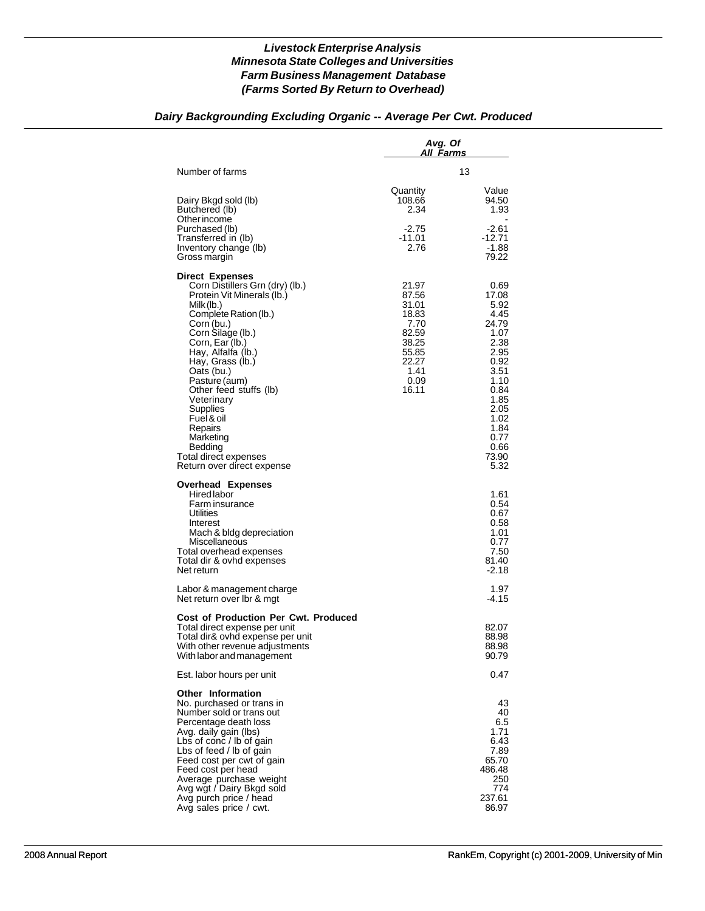# *Dairy Backgrounding Excluding Organic -- Average Per Cwt. Produced*

|                                                                                                                                                                                                                                                                                                                                                                                                                           | Avg. Of<br>All Farms                                                                                  |                                                                                                                                                                 |
|---------------------------------------------------------------------------------------------------------------------------------------------------------------------------------------------------------------------------------------------------------------------------------------------------------------------------------------------------------------------------------------------------------------------------|-------------------------------------------------------------------------------------------------------|-----------------------------------------------------------------------------------------------------------------------------------------------------------------|
| Number of farms                                                                                                                                                                                                                                                                                                                                                                                                           |                                                                                                       | 13                                                                                                                                                              |
| Dairy Bkgd sold (lb)<br>Butchered (lb)                                                                                                                                                                                                                                                                                                                                                                                    | Quantity<br>108.66<br>2.34                                                                            | Value<br>94.50<br>1.93                                                                                                                                          |
| Other income<br>Purchased (lb)<br>Transferred in (lb)<br>Inventory change (lb)<br>Gross margin                                                                                                                                                                                                                                                                                                                            | $-2.75$<br>$-11.01$<br>2.76                                                                           | $-2.61$<br>-12.71<br>-1.88<br>79.22                                                                                                                             |
| <b>Direct Expenses</b><br>Corn Distillers Grn (dry) (lb.)<br>Protein Vit Minerals (lb.)<br>Milk (lb.)<br>Complete Ration (lb.)<br>Corn (bu.)<br>Corn Silage (lb.)<br>Corn, Ear (lb.)<br>Hay, Alfalfa (lb.)<br>Hay, Grass (lb.)<br>Oats (bu.)<br>Pasture (aum)<br>Other feed stuffs (lb)<br>Veterinary<br>Supplies<br>Fuel & oil<br>Repairs<br>Marketing<br>Bedding<br>Total direct expenses<br>Return over direct expense | 21.97<br>87.56<br>31.01<br>18.83<br>7.70<br>82.59<br>38.25<br>55.85<br>22.27<br>1.41<br>0.09<br>16.11 | 0.69<br>17.08<br>5.92<br>4.45<br>24.79<br>1.07<br>2.38<br>2.95<br>0.92<br>3.51<br>1.10<br>0.84<br>1.85<br>2.05<br>1.02<br>1.84<br>0.77<br>0.66<br>73.90<br>5.32 |
| <b>Overhead Expenses</b><br>Hired labor<br>Farm insurance<br>Utilities<br>Interest<br>Mach & bldg depreciation<br>Miscellaneous<br>Total overhead expenses<br>Total dir & ovhd expenses<br>Net return                                                                                                                                                                                                                     |                                                                                                       | 1.61<br>0.54<br>0.67<br>0.58<br>1.01<br>0.77<br>7.50<br>81.40<br>$-2.18$                                                                                        |
| Labor & management charge<br>Net return over Ibr & mgt                                                                                                                                                                                                                                                                                                                                                                    |                                                                                                       | 1.97<br>-4.15                                                                                                                                                   |
| <b>Cost of Production Per Cwt. Produced</b><br>Total direct expense per unit<br>Total dir& ovhd expense per unit<br>With other revenue adjustments<br>With labor and management                                                                                                                                                                                                                                           |                                                                                                       | 82.07<br>88.98<br>88.98<br>90.79                                                                                                                                |
| Est. labor hours per unit                                                                                                                                                                                                                                                                                                                                                                                                 |                                                                                                       | 0.47                                                                                                                                                            |
| <b>Other Information</b><br>No. purchased or trans in<br>Number sold or trans out<br>Percentage death loss<br>Avg. daily gain (lbs)<br>Lbs of conc / lb of gain<br>Lbs of feed / lb of gain<br>Feed cost per cwt of gain<br>Feed cost per head<br>Average purchase weight<br>Avg wgt / Dairy Bkgd sold<br>Avg purch price / head<br>Avg sales price / cwt.                                                                |                                                                                                       | 43<br>40<br>6.5<br>1.71<br>6.43<br>7.89<br>65.70<br>486.48<br>250<br>774<br>237.61<br>86.97                                                                     |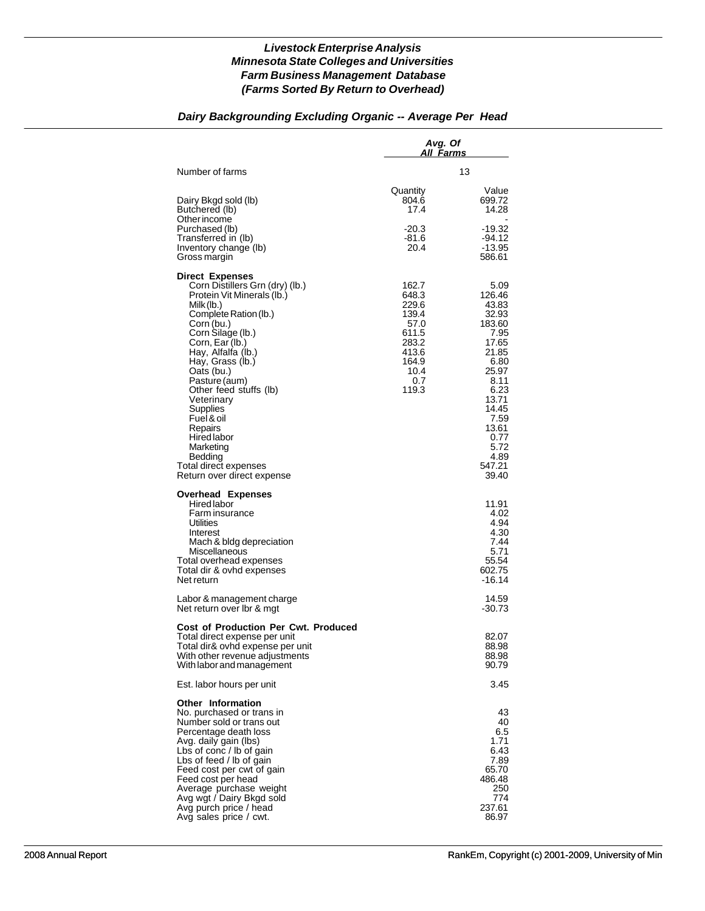### *Dairy Backgrounding Excluding Organic -- Average Per Head*

|                                                                                                                                                                                                                                                                                                                                                                                                                                          | Avg. Of<br>All <u>Farms</u>                                                                          |                                                                                                                                                                                     |
|------------------------------------------------------------------------------------------------------------------------------------------------------------------------------------------------------------------------------------------------------------------------------------------------------------------------------------------------------------------------------------------------------------------------------------------|------------------------------------------------------------------------------------------------------|-------------------------------------------------------------------------------------------------------------------------------------------------------------------------------------|
| Number of farms                                                                                                                                                                                                                                                                                                                                                                                                                          |                                                                                                      | 13                                                                                                                                                                                  |
| Dairy Bkgd sold (lb)<br>Butchered (lb)                                                                                                                                                                                                                                                                                                                                                                                                   | Quantity<br>804.6<br>17.4                                                                            | Value<br>699.72<br>14.28                                                                                                                                                            |
| Other income<br>Purchased (lb)<br>Transferred in (lb)<br>Inventory change (lb)<br>Gross margin                                                                                                                                                                                                                                                                                                                                           | $-20.3$<br>-81.6<br>20.4                                                                             | $-19.32$<br>-94.12<br>-13.95<br>586.61                                                                                                                                              |
| <b>Direct Expenses</b><br>Corn Distillers Grn (dry) (lb.)<br>Protein Vit Minerals (lb.)<br>Milk (lb.)<br>Complete Ration (lb.)<br>Corn (bu.)<br>Corn Silage (lb.)<br>Corn, Ear (lb.)<br>Hay, Alfalfa (lb.)<br>Hay, Grass (lb.)<br>Oats (bu.)<br>Pasture (aum)<br>Other feed stuffs (lb)<br>Veterinary<br>Supplies<br>Fuel & oil<br>Repairs<br>Hired labor<br>Marketing<br>Bedding<br>Total direct expenses<br>Return over direct expense | 162.7<br>648.3<br>229.6<br>139.4<br>57.0<br>611.5<br>283.2<br>413.6<br>164.9<br>10.4<br>0.7<br>119.3 | 5.09<br>126.46<br>43.83<br>32.93<br>183.60<br>7.95<br>17.65<br>21.85<br>6.80<br>25.97<br>8.11<br>6.23<br>13.71<br>14.45<br>7.59<br>13.61<br>0.77<br>5.72<br>4.89<br>547.21<br>39.40 |
| <b>Overhead Expenses</b><br><b>Hired labor</b><br>Farm insurance<br><b>Utilities</b><br>Interest<br>Mach & bldg depreciation<br>Miscellaneous<br>Total overhead expenses<br>Total dir & ovhd expenses<br>Net return                                                                                                                                                                                                                      |                                                                                                      | 11.91<br>4.02<br>4.94<br>4.30<br>7.44<br>5.71<br>55.54<br>602.75<br>-16.14                                                                                                          |
| Labor & management charge<br>Net return over Ibr & mgt                                                                                                                                                                                                                                                                                                                                                                                   |                                                                                                      | 14.59<br>-30.73                                                                                                                                                                     |
| <b>Cost of Production Per Cwt. Produced</b><br>Total direct expense per unit<br>Total dir& ovhd expense per unit<br>With other revenue adjustments<br>With labor and management                                                                                                                                                                                                                                                          |                                                                                                      | 82.07<br>88.98<br>88.98<br>90.79                                                                                                                                                    |
| Est. labor hours per unit                                                                                                                                                                                                                                                                                                                                                                                                                |                                                                                                      | 3.45                                                                                                                                                                                |
| <b>Other Information</b><br>No. purchased or trans in<br>Number sold or trans out<br>Percentage death loss<br>Avg. daily gain (lbs)<br>Lbs of conc / lb of gain<br>Lbs of feed / lb of gain<br>Feed cost per cwt of gain<br>Feed cost per head<br>Average purchase weight<br>Avg wgt / Dairy Bkgd sold<br>Avg purch price / head<br>Avg sales price / cwt.                                                                               |                                                                                                      | 43<br>40<br>6.5<br>1.71<br>6.43<br>7.89<br>65.70<br>486.48<br>250<br>774<br>237.61<br>86.97                                                                                         |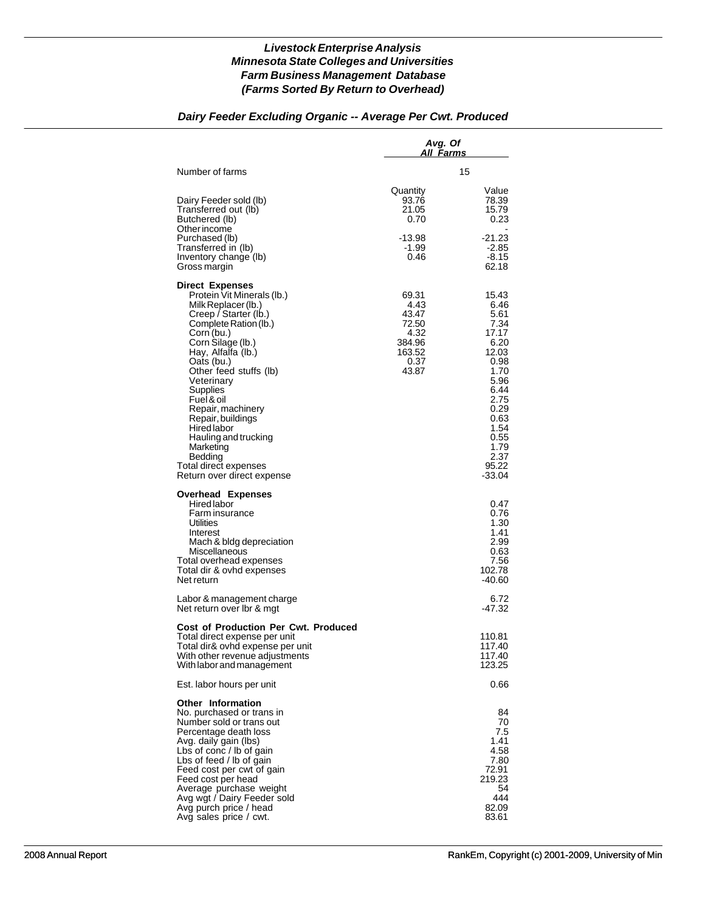## *Dairy Feeder Excluding Organic -- Average Per Cwt. Produced*

|                                                                                                                                                                                                                                                                                                                                                                                                                                               | Avg. Of<br>A <u>ll Farms</u>                                                 |                                                                                                                                                                      |
|-----------------------------------------------------------------------------------------------------------------------------------------------------------------------------------------------------------------------------------------------------------------------------------------------------------------------------------------------------------------------------------------------------------------------------------------------|------------------------------------------------------------------------------|----------------------------------------------------------------------------------------------------------------------------------------------------------------------|
| Number of farms                                                                                                                                                                                                                                                                                                                                                                                                                               |                                                                              | 15                                                                                                                                                                   |
| Dairy Feeder sold (lb)<br>Transferred out (lb)<br>Butchered (lb)<br>Other income                                                                                                                                                                                                                                                                                                                                                              | Quantity<br>93.76<br>21.05<br>0.70                                           | Value<br>78.39<br>15.79<br>0.23                                                                                                                                      |
| Purchased (lb)<br>Transferred in (lb)<br>Inventory change (lb)<br>Gross margin                                                                                                                                                                                                                                                                                                                                                                | -13.98<br>-1.99<br>0.46                                                      | $-21.23$<br>$-2.85$<br>$-8.15$<br>62.18                                                                                                                              |
| <b>Direct Expenses</b><br>Protein Vit Minerals (lb.)<br>Milk Replacer (lb.)<br>Creep / Starter (lb.)<br>Complete Ration (lb.)<br>Corn (bu.)<br>Corn Silage (lb.)<br>Hay, Alfalfa (lb.)<br>Oats (bu.)<br>Other feed stuffs (lb)<br>Veterinary<br>Supplies<br>Fuel & oil<br>Repair, machinery<br>Repair, buildings<br><b>Hired labor</b><br>Hauling and trucking<br>Marketing<br>Bedding<br>Total direct expenses<br>Return over direct expense | 69.31<br>4.43<br>43.47<br>72.50<br>4.32<br>384.96<br>163.52<br>0.37<br>43.87 | 15.43<br>6.46<br>5.61<br>7.34<br>17.17<br>6.20<br>12.03<br>0.98<br>1.70<br>5.96<br>6.44<br>2.75<br>0.29<br>0.63<br>1.54<br>0.55<br>1.79<br>2.37<br>95.22<br>$-33.04$ |
| <b>Overhead Expenses</b><br><b>Hired labor</b><br>Farm insurance<br>Utilities<br>Interest<br>Mach & bldg depreciation<br>Miscellaneous<br>Total overhead expenses<br>Total dir & ovhd expenses<br>Net return                                                                                                                                                                                                                                  |                                                                              | 0.47<br>0.76<br>1.30<br>1.41<br>2.99<br>0.63<br>7.56<br>102.78<br>-40.60                                                                                             |
| Labor & management charge<br>Net return over Ibr & mgt                                                                                                                                                                                                                                                                                                                                                                                        |                                                                              | 6.72<br>-47.32                                                                                                                                                       |
| <b>Cost of Production Per Cwt. Produced</b><br>Total direct expense per unit<br>Total dir& ovhd expense per unit<br>With other revenue adjustments<br>With labor and management                                                                                                                                                                                                                                                               |                                                                              | 110.81<br>117.40<br>117.40<br>123.25                                                                                                                                 |
| Est. labor hours per unit                                                                                                                                                                                                                                                                                                                                                                                                                     |                                                                              | 0.66                                                                                                                                                                 |
| <b>Other Information</b><br>No. purchased or trans in<br>Number sold or trans out<br>Percentage death loss<br>Avg. daily gain (lbs)<br>Lbs of conc / lb of gain<br>Lbs of feed / lb of gain<br>Feed cost per cwt of gain<br>Feed cost per head<br>Average purchase weight<br>Avg wgt / Dairy Feeder sold<br>Avg purch price / head<br>Avg sales price / cwt.                                                                                  |                                                                              | 84<br>70<br>7.5<br>1.41<br>4.58<br>7.80<br>72.91<br>219.23<br>54<br>444<br>82.09<br>83.61                                                                            |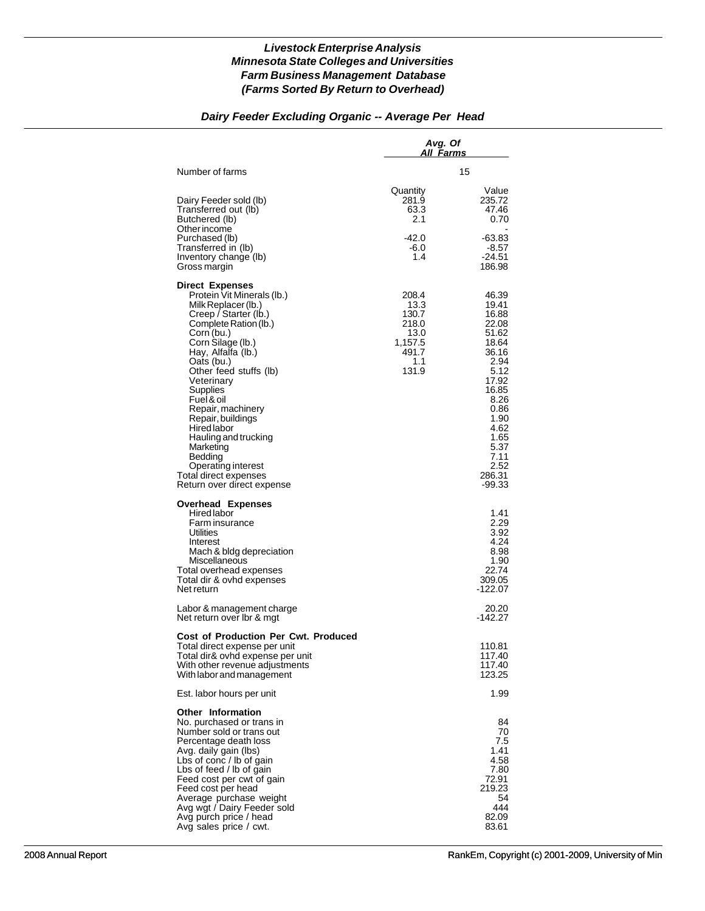# *Dairy Feeder Excluding Organic -- Average Per Head*

|                                                                                                                                                                                                                                                                                                                                                                                                                                                              | Avg. Of<br>All Farms                                                        |                                                                                                                                                                                     |
|--------------------------------------------------------------------------------------------------------------------------------------------------------------------------------------------------------------------------------------------------------------------------------------------------------------------------------------------------------------------------------------------------------------------------------------------------------------|-----------------------------------------------------------------------------|-------------------------------------------------------------------------------------------------------------------------------------------------------------------------------------|
| Number of farms                                                                                                                                                                                                                                                                                                                                                                                                                                              |                                                                             | 15                                                                                                                                                                                  |
| Dairy Feeder sold (lb)<br>Transferred out (lb)<br>Butchered (lb)<br>Other income                                                                                                                                                                                                                                                                                                                                                                             | Quantity<br>281.9<br>63.3<br>2.1                                            | Value<br>235.72<br>47.46<br>0.70                                                                                                                                                    |
| Purchased (lb)<br>Transferred in (lb)<br>Inventory change (lb)<br>Gross margin                                                                                                                                                                                                                                                                                                                                                                               | -42.0<br>-6.0<br>1.4                                                        | $-63.83$<br>-8.57<br>$-24.51$<br>186.98                                                                                                                                             |
| <b>Direct Expenses</b><br>Protein Vit Minerals (lb.)<br>Milk Replacer (lb.)<br>Creep / Starter (lb.)<br>Complete Ration (lb.)<br>Corn (bu.)<br>Corn Silage (lb.)<br>Hay, Alfalfa (lb.)<br>Oats (bu.)<br>Other feed stuffs (lb)<br>Veterinary<br>Supplies<br>Fuel & oil<br>Repair, machinery<br>Repair, buildings<br>Hired labor<br>Hauling and trucking<br>Marketing<br>Bedding<br>Operating interest<br>Total direct expenses<br>Return over direct expense | 208.4<br>13.3<br>130.7<br>218.0<br>13.0<br>1,157.5<br>491.7<br>1.1<br>131.9 | 46.39<br>19.41<br>16.88<br>22.08<br>51.62<br>18.64<br>36.16<br>2.94<br>5.12<br>17.92<br>16.85<br>8.26<br>0.86<br>1.90<br>4.62<br>1.65<br>5.37<br>7.11<br>2.52<br>286.31<br>$-99.33$ |
| <b>Overhead Expenses</b><br>Hired labor<br>Farm insurance<br>Utilities<br>Interest<br>Mach & bldg depreciation<br>Miscellaneous<br>Total overhead expenses<br>Total dir & ovhd expenses<br>Net return                                                                                                                                                                                                                                                        |                                                                             | 1.41<br>2.29<br>3.92<br>4.24<br>8.98<br>1.90<br>22.74<br>309.05<br>-122.07                                                                                                          |
| Labor & management charge<br>Net return over Ibr & mgt                                                                                                                                                                                                                                                                                                                                                                                                       |                                                                             | 20.20<br>-142.27                                                                                                                                                                    |
| <b>Cost of Production Per Cwt. Produced</b><br>Total direct expense per unit<br>Total dir& ovhd expense per unit<br>With other revenue adjustments<br>With labor and management                                                                                                                                                                                                                                                                              |                                                                             | 110.81<br>117.40<br>117.40<br>123.25                                                                                                                                                |
| Est. labor hours per unit                                                                                                                                                                                                                                                                                                                                                                                                                                    |                                                                             | 1.99                                                                                                                                                                                |
| <b>Other Information</b><br>No. purchased or trans in<br>Number sold or trans out<br>Percentage death loss<br>Avg. daily gain (lbs)<br>Lbs of conc / lb of gain<br>Lbs of feed / lb of gain<br>Feed cost per cwt of gain<br>Feed cost per head<br>Average purchase weight<br>Avg wgt / Dairy Feeder sold<br>Avg purch price / head<br>Avg sales price / cwt.                                                                                                 |                                                                             | 84<br>70<br>7.5<br>1.41<br>4.58<br>7.80<br>72.91<br>219.23<br>54<br>444<br>82.09<br>83.61                                                                                           |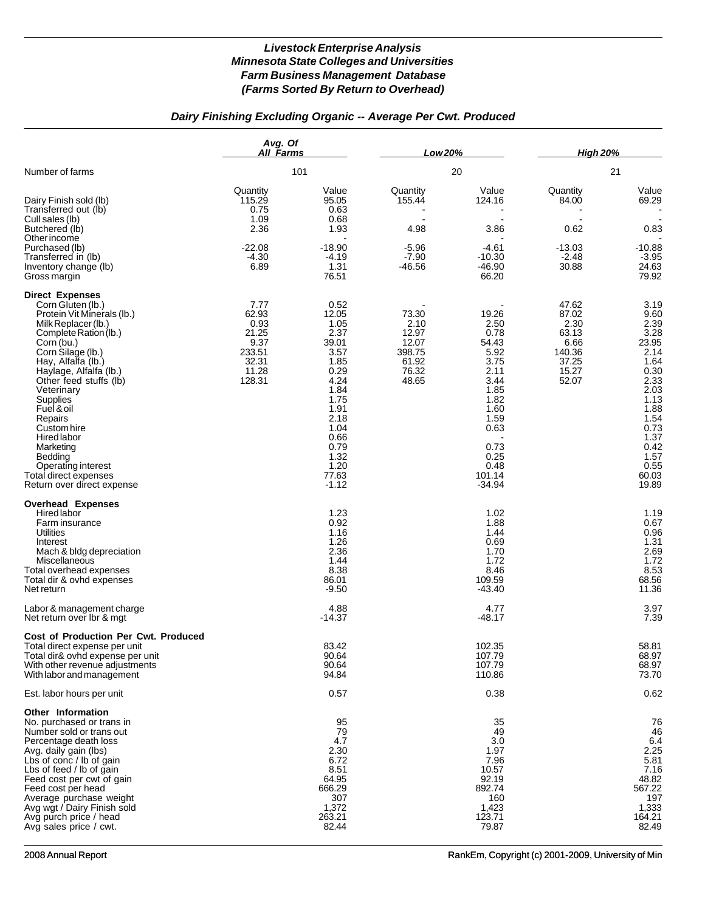# *Dairy Finishing Excluding Organic -- Average Per Cwt. Produced*

|                                                                                                                                                                                                                                                                                                                                                                                                                                     | Avg. Of<br><b>All Farms</b>                                                  |                                                                                                                                                                    | Low 20%                                                              |                                                                                                                                                      | <b>High 20%</b>                                                              |                                                                                                                                                                 |
|-------------------------------------------------------------------------------------------------------------------------------------------------------------------------------------------------------------------------------------------------------------------------------------------------------------------------------------------------------------------------------------------------------------------------------------|------------------------------------------------------------------------------|--------------------------------------------------------------------------------------------------------------------------------------------------------------------|----------------------------------------------------------------------|------------------------------------------------------------------------------------------------------------------------------------------------------|------------------------------------------------------------------------------|-----------------------------------------------------------------------------------------------------------------------------------------------------------------|
| Number of farms                                                                                                                                                                                                                                                                                                                                                                                                                     |                                                                              | 101                                                                                                                                                                |                                                                      | 20                                                                                                                                                   |                                                                              | 21                                                                                                                                                              |
| Dairy Finish sold (lb)<br>Transferred out (lb)<br>Cull sales (lb)<br>Butchered (lb)<br>Other income                                                                                                                                                                                                                                                                                                                                 | Quantity<br>115.29<br>0.75<br>1.09<br>2.36                                   | Value<br>95.05<br>0.63<br>0.68<br>1.93                                                                                                                             | Quantity<br>155.44<br>4.98                                           | Value<br>124.16<br>3.86                                                                                                                              | Quantity<br>84.00<br>0.62                                                    | Value<br>69.29<br>0.83                                                                                                                                          |
| Purchased (lb)<br>Transferred in (lb)<br>Inventory change (lb)<br>Gross margin                                                                                                                                                                                                                                                                                                                                                      | $-22.08$<br>$-4.30$<br>6.89                                                  | $-18.90$<br>$-4.19$<br>1.31<br>76.51                                                                                                                               | $-5.96$<br>$-7.90$<br>$-46.56$                                       | $-4.61$<br>$-10.30$<br>$-46.90$<br>66.20                                                                                                             | $-13.03$<br>$-2.48$<br>30.88                                                 | $-10.88$<br>$-3.95$<br>24.63<br>79.92                                                                                                                           |
| <b>Direct Expenses</b><br>Corn Gluten (lb.)<br>Protein Vit Minerals (lb.)<br>Milk Replacer (lb.)<br>Complete Ration (lb.)<br>Corn (bu.)<br>Corn Silage (lb.)<br>Hay, Alfalfa (lb.)<br>Haylage, Alfalfa (lb.)<br>Other feed stuffs (lb)<br>Veterinary<br>Supplies<br>Fuel & oil<br>Repairs<br>Custom hire<br><b>Hired labor</b><br>Marketing<br>Bedding<br>Operating interest<br>Total direct expenses<br>Return over direct expense | 7.77<br>62.93<br>0.93<br>21.25<br>9.37<br>233.51<br>32.31<br>11.28<br>128.31 | 0.52<br>12.05<br>1.05<br>2.37<br>39.01<br>3.57<br>1.85<br>0.29<br>4.24<br>1.84<br>1.75<br>1.91<br>2.18<br>1.04<br>0.66<br>0.79<br>1.32<br>1.20<br>77.63<br>$-1.12$ | 73.30<br>2.10<br>12.97<br>12.07<br>398.75<br>61.92<br>76.32<br>48.65 | 19.26<br>2.50<br>0.78<br>54.43<br>5.92<br>3.75<br>2.11<br>3.44<br>1.85<br>1.82<br>1.60<br>1.59<br>0.63<br>0.73<br>0.25<br>0.48<br>101.14<br>$-34.94$ | 47.62<br>87.02<br>2.30<br>63.13<br>6.66<br>140.36<br>37.25<br>15.27<br>52.07 | 3.19<br>9.60<br>2.39<br>3.28<br>23.95<br>2.14<br>1.64<br>0.30<br>2.33<br>2.03<br>1.13<br>1.88<br>1.54<br>0.73<br>1.37<br>0.42<br>1.57<br>0.55<br>60.03<br>19.89 |
| <b>Overhead Expenses</b><br><b>Hired labor</b><br>Farm insurance<br><b>Utilities</b><br>Interest<br>Mach & bldg depreciation<br>Miscellaneous<br>Total overhead expenses<br>Total dir & ovhd expenses<br>Net return                                                                                                                                                                                                                 |                                                                              | 1.23<br>0.92<br>1.16<br>1.26<br>2.36<br>1.44<br>8.38<br>86.01<br>$-9.50$                                                                                           |                                                                      | 1.02<br>1.88<br>1.44<br>0.69<br>1.70<br>1.72<br>8.46<br>109.59<br>$-43.40$                                                                           |                                                                              | 1.19<br>0.67<br>0.96<br>1.31<br>2.69<br>1.72<br>8.53<br>68.56<br>11.36                                                                                          |
| Labor & management charge<br>Net return over Ibr & mgt                                                                                                                                                                                                                                                                                                                                                                              |                                                                              | 4.88<br>$-14.37$                                                                                                                                                   |                                                                      | 4.77<br>$-48.17$                                                                                                                                     |                                                                              | 3.97<br>7.39                                                                                                                                                    |
| Cost of Production Per Cwt. Produced<br>Total direct expense per unit<br>Total dir& ovhd expense per unit<br>With other revenue adjustments<br>With labor and management                                                                                                                                                                                                                                                            |                                                                              | 83.42<br>90.64<br>90.64<br>94.84                                                                                                                                   |                                                                      | 102.35<br>107.79<br>107.79<br>110.86                                                                                                                 |                                                                              | 58.81<br>68.97<br>68.97<br>73.70                                                                                                                                |
| Est. labor hours per unit                                                                                                                                                                                                                                                                                                                                                                                                           |                                                                              | 0.57                                                                                                                                                               |                                                                      | 0.38                                                                                                                                                 |                                                                              | 0.62                                                                                                                                                            |
| <b>Other Information</b><br>No. purchased or trans in<br>Number sold or trans out<br>Percentage death loss<br>Avg. daily gain (lbs)<br>Lbs of conc / lb of gain<br>Lbs of feed / lb of gain<br>Feed cost per cwt of gain<br>Feed cost per head<br>Average purchase weight<br>Avg wgt / Dairy Finish sold<br>Avg purch price / head<br>Avg sales price / cwt.                                                                        |                                                                              | 95<br>79<br>4.7<br>2.30<br>6.72<br>8.51<br>64.95<br>666.29<br>307<br>1,372<br>263.21<br>82.44                                                                      |                                                                      | 35<br>49<br>3.0<br>1.97<br>7.96<br>10.57<br>92.19<br>892.74<br>160<br>1,423<br>123.71<br>79.87                                                       |                                                                              | 76<br>46<br>6.4<br>2.25<br>5.81<br>7.16<br>48.82<br>567.22<br>197<br>1,333<br>164.21<br>82.49                                                                   |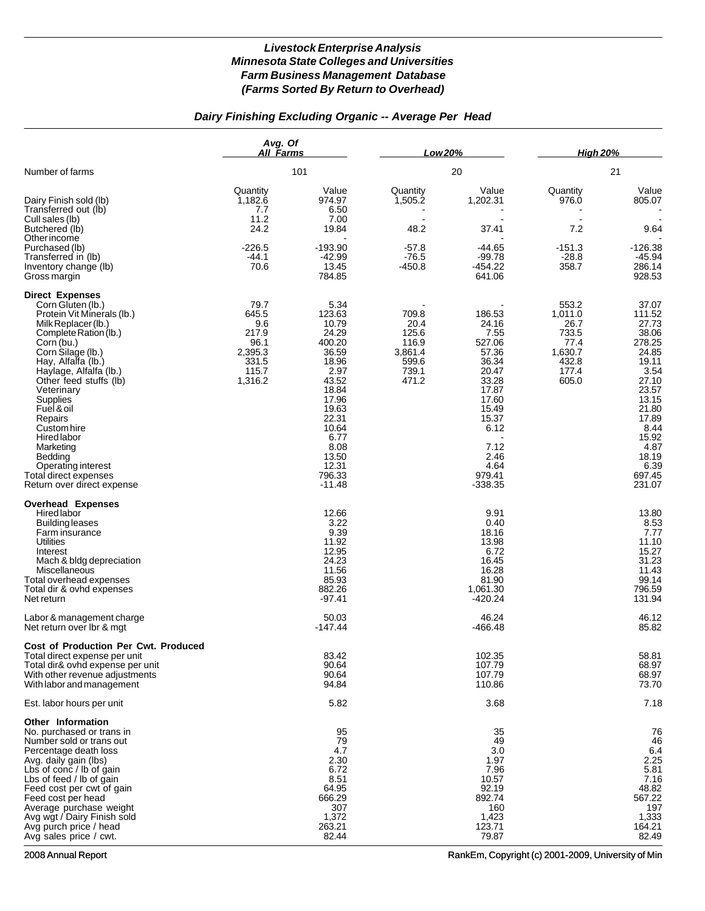# *Dairy Finishing Excluding Organic -- Average Per Head*

|                                                                                                                                                                                                                                                                                                                                                                                                                                     | Avg. Of<br><b>All Farms</b>                                                   |                                                                                                                                                                                    | Low 20%                                                               |                                                                                                                                                                  | <b>High 20%</b>                                                                 |                                                                                                                                                                                  |
|-------------------------------------------------------------------------------------------------------------------------------------------------------------------------------------------------------------------------------------------------------------------------------------------------------------------------------------------------------------------------------------------------------------------------------------|-------------------------------------------------------------------------------|------------------------------------------------------------------------------------------------------------------------------------------------------------------------------------|-----------------------------------------------------------------------|------------------------------------------------------------------------------------------------------------------------------------------------------------------|---------------------------------------------------------------------------------|----------------------------------------------------------------------------------------------------------------------------------------------------------------------------------|
| Number of farms                                                                                                                                                                                                                                                                                                                                                                                                                     |                                                                               | 101                                                                                                                                                                                |                                                                       | 20                                                                                                                                                               |                                                                                 | 21                                                                                                                                                                               |
| Dairy Finish sold (lb)<br>Transferred out (lb)<br>Cull sales (lb)<br>Butchered (lb)<br>Other income                                                                                                                                                                                                                                                                                                                                 | Quantity<br>1,182.6<br>7.7<br>11.2<br>24.2                                    | Value<br>974.97<br>6.50<br>7.00<br>19.84                                                                                                                                           | Quantity<br>1,505.2<br>48.2                                           | Value<br>1,202.31<br>37.41                                                                                                                                       | Quantity<br>976.0<br>7.2                                                        | Value<br>805.07<br>9.64                                                                                                                                                          |
| Purchased (lb)<br>Transferred in (lb)<br>Inventory change (lb)<br>Gross margin                                                                                                                                                                                                                                                                                                                                                      | $-226.5$<br>$-44.1$<br>70.6                                                   | $-193.90$<br>$-42.99$<br>13.45<br>784.85                                                                                                                                           | $-57.8$<br>$-76.5$<br>$-450.8$                                        | -44.65<br>$-99.78$<br>$-454.22$<br>641.06                                                                                                                        | $-151.3$<br>$-28.8$<br>358.7                                                    | -126.38<br>$-45.94$<br>286.14<br>928.53                                                                                                                                          |
| <b>Direct Expenses</b><br>Corn Gluten (lb.)<br>Protein Vit Minerals (lb.)<br>Milk Replacer (lb.)<br>Complete Ration (lb.)<br>Corn (bu.)<br>Corn Silage (lb.)<br>Hay, Alfalfa (lb.)<br>Haylage, Alfalfa (lb.)<br>Other feed stuffs (lb)<br>Veterinary<br>Supplies<br>Fuel & oil<br>Repairs<br>Custom hire<br><b>Hired</b> labor<br>Marketing<br>Bedding<br>Operating interest<br>Total direct expenses<br>Return over direct expense | 79.7<br>645.5<br>9.6<br>217.9<br>96.1<br>2,395.3<br>331.5<br>115.7<br>1,316.2 | 5.34<br>123.63<br>10.79<br>24.29<br>400.20<br>36.59<br>18.96<br>2.97<br>43.52<br>18.84<br>17.96<br>19.63<br>22.31<br>10.64<br>6.77<br>8.08<br>13.50<br>12.31<br>796.33<br>$-11.48$ | 709.8<br>20.4<br>125.6<br>116.9<br>3,861.4<br>599.6<br>739.1<br>471.2 | 186.53<br>24.16<br>7.55<br>527.06<br>57.36<br>36.34<br>20.47<br>33.28<br>17.87<br>17.60<br>15.49<br>15.37<br>6.12<br>7.12<br>2.46<br>4.64<br>979.41<br>$-338.35$ | 553.2<br>1,011.0<br>26.7<br>733.5<br>77.4<br>1,630.7<br>432.8<br>177.4<br>605.0 | 37.07<br>111.52<br>27.73<br>38.06<br>278.25<br>24.85<br>19.11<br>3.54<br>27.10<br>23.57<br>13.15<br>21.80<br>17.89<br>8.44<br>15.92<br>4.87<br>18.19<br>6.39<br>697.45<br>231.07 |
| <b>Overhead Expenses</b><br>Hired labor<br>Building leases<br>Farm insurance<br><b>Utilities</b><br>Interest<br>Mach & bldg depreciation<br>Miscellaneous<br>Total overhead expenses<br>Total dir & ovhd expenses<br>Net return                                                                                                                                                                                                     |                                                                               | 12.66<br>3.22<br>9.39<br>11.92<br>12.95<br>24.23<br>11.56<br>85.93<br>882.26<br>$-97.41$                                                                                           |                                                                       | 9.91<br>0.40<br>18.16<br>13.98<br>6.72<br>16.45<br>16.28<br>81.90<br>1,061.30<br>$-420.24$                                                                       |                                                                                 | 13.80<br>8.53<br>7.77<br>11.10<br>15.27<br>31.23<br>11.43<br>99.14<br>796.59<br>131.94                                                                                           |
| Labor & management charge<br>Net return over lbr & mgt                                                                                                                                                                                                                                                                                                                                                                              |                                                                               | 50.03<br>$-147.44$                                                                                                                                                                 |                                                                       | 46.24<br>$-466.48$                                                                                                                                               |                                                                                 | 46.12<br>85.82                                                                                                                                                                   |
| <b>Cost of Production Per Cwt. Produced</b><br>Total direct expense per unit<br>Total dir& ovhd expense per unit<br>With other revenue adjustments<br>With labor and management                                                                                                                                                                                                                                                     |                                                                               | 83.42<br>90.64<br>90.64<br>94.84                                                                                                                                                   |                                                                       | 102.35<br>107.79<br>107.79<br>110.86                                                                                                                             |                                                                                 | 58.81<br>68.97<br>68.97<br>73.70                                                                                                                                                 |
| Est. labor hours per unit                                                                                                                                                                                                                                                                                                                                                                                                           |                                                                               | 5.82                                                                                                                                                                               |                                                                       | 3.68                                                                                                                                                             |                                                                                 | 7.18                                                                                                                                                                             |
| <b>Other Information</b><br>No. purchased or trans in<br>Number sold or trans out<br>Percentage death loss<br>Avg. daily gain (lbs)<br>Lbs of conc / lb of gain<br>Lbs of feed / lb of gain<br>Feed cost per cwt of gain<br>Feed cost per head<br>Average purchase weight<br>Avg wgt / Dairy Finish sold<br>Avg purch price / head<br>Avg sales price / cwt.                                                                        |                                                                               | 95<br>79<br>4.7<br>2.30<br>6.72<br>8.51<br>64.95<br>666.29<br>307<br>1,372<br>263.21<br>82.44                                                                                      |                                                                       | 35<br>49<br>3.0<br>1.97<br>7.96<br>10.57<br>92.19<br>892.74<br>160<br>1,423<br>123.71<br>79.87                                                                   |                                                                                 | 76<br>46<br>6.4<br>2.25<br>5.81<br>7.16<br>48.82<br>567.22<br>197<br>1,333<br>164.21<br>82.49                                                                                    |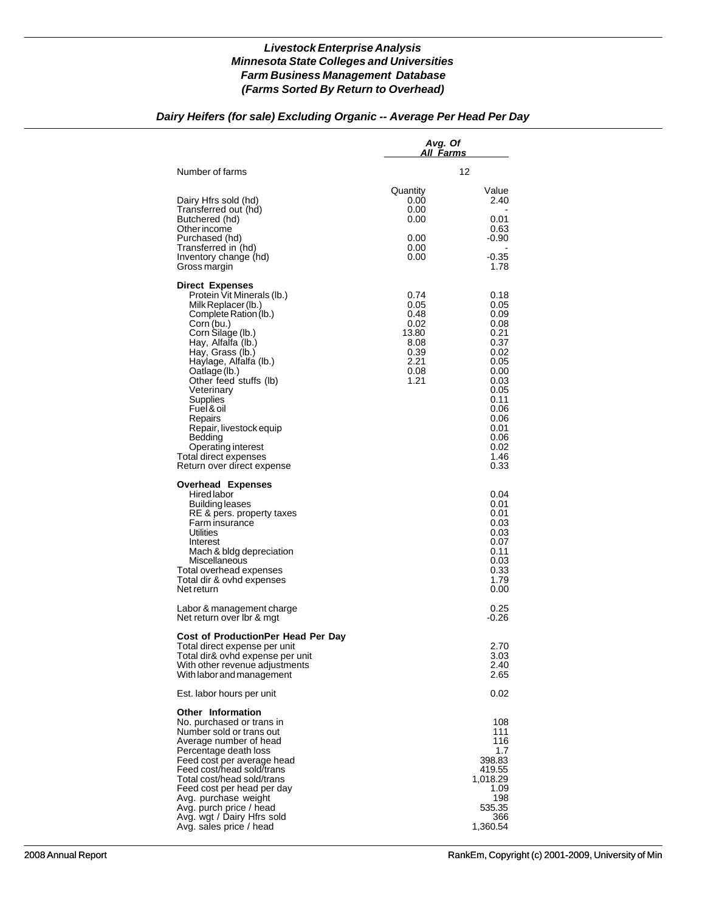# *Dairy Heifers (for sale) Excluding Organic -- Average Per Head Per Day*

|                                                                                                                                                                                                                                                                                                                                                                                                                              | Avg. Of<br>All Farms                                                          |                                                                                                                                                      |
|------------------------------------------------------------------------------------------------------------------------------------------------------------------------------------------------------------------------------------------------------------------------------------------------------------------------------------------------------------------------------------------------------------------------------|-------------------------------------------------------------------------------|------------------------------------------------------------------------------------------------------------------------------------------------------|
| Number of farms                                                                                                                                                                                                                                                                                                                                                                                                              |                                                                               | 12                                                                                                                                                   |
| Dairy Hfrs sold (hd)<br>Transferred out (hd)<br>Butchered (hd)<br>Other income<br>Purchased (hd)<br>Transferred in (hd)<br>Inventory change (hd)<br>Gross margin                                                                                                                                                                                                                                                             | Quantity<br>0.00<br>0.00<br>0.00<br>0.00<br>0.00<br>0.00                      | Value<br>2.40<br>0.01<br>0.63<br>$-0.90$<br>$-0.35$<br>1.78                                                                                          |
| <b>Direct Expenses</b><br>Protein Vit Minerals (lb.)<br>Milk Replacer (lb.)<br>Complete Ration (lb.)<br>Corn (bu.)<br>Corn Silage (lb.)<br>Hay, Alfalfa (lb.)<br>Hay, Grass (lb.)<br>Haylage, Alfalfa (lb.)<br>Oatlage (lb.)<br>Other feed stuffs (lb)<br>Veterinary<br>Supplies<br>Fuel & oil<br>Repairs<br>Repair, livestock equip<br>Bedding<br>Operating interest<br>Total direct expenses<br>Return over direct expense | 0.74<br>0.05<br>0.48<br>0.02<br>13.80<br>8.08<br>0.39<br>2.21<br>0.08<br>1.21 | 0.18<br>0.05<br>0.09<br>0.08<br>0.21<br>0.37<br>0.02<br>0.05<br>0.00<br>0.03<br>0.05<br>0.11<br>0.06<br>0.06<br>0.01<br>0.06<br>0.02<br>1.46<br>0.33 |
| <b>Overhead Expenses</b><br>Hired labor<br><b>Building leases</b><br>RE & pers. property taxes<br>Farm insurance<br>Utilities<br>Interest<br>Mach & bldg depreciation<br>Miscellaneous<br>Total overhead expenses<br>Total dir & ovhd expenses<br>Net return                                                                                                                                                                 |                                                                               | 0.04<br>0.01<br>0.01<br>0.03<br>0.03<br>0.07<br>0.11<br>0.03<br>0.33<br>1.79<br>0.00                                                                 |
| Labor & management charge<br>Net return over Ibr & mgt                                                                                                                                                                                                                                                                                                                                                                       |                                                                               | 0.25<br>-0.26                                                                                                                                        |
| Cost of ProductionPer Head Per Day<br>Total direct expense per unit<br>Total dir& ovhd expense per unit<br>With other revenue adjustments<br>With labor and management                                                                                                                                                                                                                                                       |                                                                               | 2.70<br>3.03<br>2.40<br>2.65                                                                                                                         |
| Est. labor hours per unit                                                                                                                                                                                                                                                                                                                                                                                                    |                                                                               | 0.02                                                                                                                                                 |
| <b>Other Information</b><br>No. purchased or trans in<br>Number sold or trans out<br>Average number of head<br>Percentage death loss<br>Feed cost per average head<br>Feed cost/head sold/trans<br>Total cost/head sold/trans<br>Feed cost per head per day<br>Avg. purchase weight<br>Avg. purch price / head<br>Avg. wgt / Dairy Hfrs sold<br>Avg. sales price / head                                                      |                                                                               | 108<br>111<br>116<br>1.7<br>398.83<br>419.55<br>1,018.29<br>1.09<br>198<br>535.35<br>366<br>1,360.54                                                 |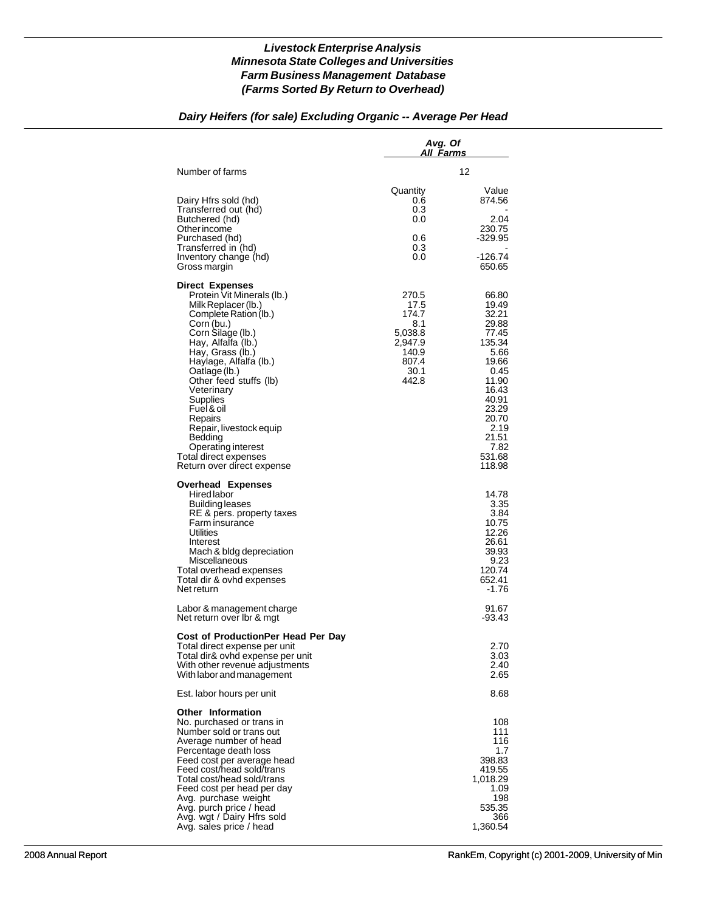### *Dairy Heifers (for sale) Excluding Organic -- Average Per Head*

|                                                                                                                                                                                                                                                                                                                                                                                                                              | Avg. Of<br>All Farms                                                                   |                                                                                                                                                                        |
|------------------------------------------------------------------------------------------------------------------------------------------------------------------------------------------------------------------------------------------------------------------------------------------------------------------------------------------------------------------------------------------------------------------------------|----------------------------------------------------------------------------------------|------------------------------------------------------------------------------------------------------------------------------------------------------------------------|
| Number of farms                                                                                                                                                                                                                                                                                                                                                                                                              |                                                                                        | 12                                                                                                                                                                     |
| Dairy Hfrs sold (hd)<br>Transferred out (hd)<br>Butchered (hd)<br>Other income<br>Purchased (hd)<br>Transferred in (hd)<br>Inventory change (hd)<br>Gross margin                                                                                                                                                                                                                                                             | Quantity<br>0.6<br>0.3<br>0.0<br>0.6<br>0.3<br>0.0                                     | Value<br>874.56<br>2.04<br>230.75<br>$-329.95$<br>$-126.74$<br>650.65                                                                                                  |
| <b>Direct Expenses</b><br>Protein Vit Minerals (lb.)<br>Milk Replacer (lb.)<br>Complete Ration (lb.)<br>Corn (bu.)<br>Corn Silage (lb.)<br>Hay, Alfalfa (lb.)<br>Hay, Grass (lb.)<br>Haylage, Alfalfa (lb.)<br>Oatlage (lb.)<br>Other feed stuffs (lb)<br>Veterinary<br>Supplies<br>Fuel & oil<br>Repairs<br>Repair, livestock equip<br>Bedding<br>Operating interest<br>Total direct expenses<br>Return over direct expense | 270.5<br>17.5<br>174.7<br>8.1<br>5,038.8<br>2,947.9<br>140.9<br>807.4<br>30.1<br>442.8 | 66.80<br>19.49<br>32.21<br>29.88<br>77.45<br>135.34<br>5.66<br>19.66<br>0.45<br>11.90<br>16.43<br>40.91<br>23.29<br>20.70<br>2.19<br>21.51<br>7.82<br>531.68<br>118.98 |
| <b>Overhead Expenses</b><br><b>Hired labor</b><br><b>Building leases</b><br>RE & pers. property taxes<br>Farm insurance<br>Utilities<br>Interest<br>Mach & bldg depreciation<br>Miscellaneous<br>Total overhead expenses<br>Total dir & ovhd expenses<br>Net return                                                                                                                                                          |                                                                                        | 14.78<br>3.35<br>3.84<br>10.75<br>12.26<br>26.61<br>39.93<br>9.23<br>120.74<br>652.41<br>-1.76                                                                         |
| Labor & management charge<br>Net return over Ibr & mgt                                                                                                                                                                                                                                                                                                                                                                       |                                                                                        | 91.67<br>$-93.43$                                                                                                                                                      |
| Cost of ProductionPer Head Per Day<br>Total direct expense per unit<br>Total dir& ovhd expense per unit<br>With other revenue adjustments<br>With labor and management                                                                                                                                                                                                                                                       |                                                                                        | 2.70<br>3.03<br>2.40<br>2.65                                                                                                                                           |
| Est. labor hours per unit                                                                                                                                                                                                                                                                                                                                                                                                    |                                                                                        | 8.68                                                                                                                                                                   |
| <b>Other Information</b><br>No. purchased or trans in<br>Number sold or trans out<br>Average number of head<br>Percentage death loss<br>Feed cost per average head<br>Feed cost/head sold/trans<br>Total cost/head sold/trans<br>Feed cost per head per day<br>Avg. purchase weight<br>Avg. purch price / head<br>Avg. wgt / Dairy Hfrs sold<br>Avg. sales price / head                                                      |                                                                                        | 108<br>111<br>116<br>1.7<br>398.83<br>419.55<br>1,018.29<br>1.09<br>198<br>535.35<br>366<br>1,360.54                                                                   |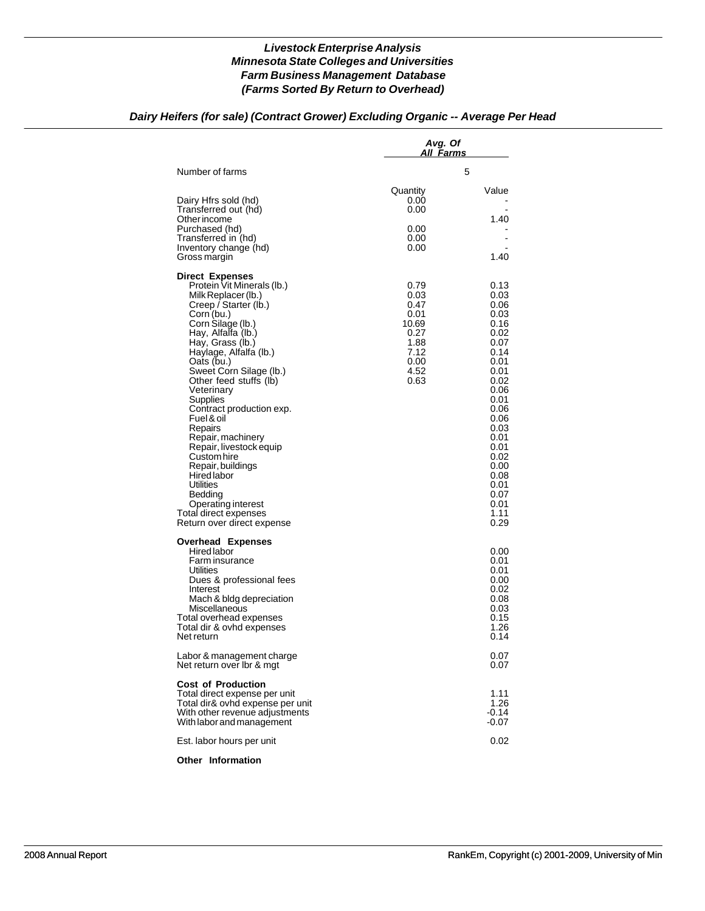## *Dairy Heifers (for sale) (Contract Grower) Excluding Organic -- Average Per Head*

|                                                                                                                                                                                                                                                                                                                                                                                                                                                                                                                                                                                     | Avg. Of<br>All Farms                                                                  |                                                                                                                                                                                                              |
|-------------------------------------------------------------------------------------------------------------------------------------------------------------------------------------------------------------------------------------------------------------------------------------------------------------------------------------------------------------------------------------------------------------------------------------------------------------------------------------------------------------------------------------------------------------------------------------|---------------------------------------------------------------------------------------|--------------------------------------------------------------------------------------------------------------------------------------------------------------------------------------------------------------|
| Number of farms                                                                                                                                                                                                                                                                                                                                                                                                                                                                                                                                                                     |                                                                                       | 5                                                                                                                                                                                                            |
| Dairy Hfrs sold (hd)<br>Transferred out (hd)<br>Other income<br>Purchased (hd)<br>Transferred in (hd)<br>Inventory change (hd)<br>Gross margin                                                                                                                                                                                                                                                                                                                                                                                                                                      | Quantity<br>0.00<br>0.00<br>0.00<br>0.00<br>0.00                                      | Value<br>1.40<br>$\blacksquare$<br>1.40                                                                                                                                                                      |
| <b>Direct Expenses</b><br>Protein Vit Minerals (lb.)<br>Milk Replacer (lb.)<br>Creep / Starter (lb.)<br>Corn (bu.)<br>Corn Silage (lb.)<br>Hay, Alfalfa (lb.)<br>Hay, Grass (lb.)<br>Haylage, Alfalfa (lb.)<br>Oats (bu.)<br>Sweet Corn Silage (lb.)<br>Other feed stuffs (lb)<br>Veterinary<br>Supplies<br>Contract production exp.<br>Fuel & oil<br>Repairs<br>Repair, machinery<br>Repair, livestock equip<br>Custom hire<br>Repair, buildings<br><b>Hired labor</b><br>Utilities<br>Bedding<br><b>Operating interest</b><br>Total direct expenses<br>Return over direct expense | 0.79<br>0.03<br>0.47<br>0.01<br>10.69<br>0.27<br>1.88<br>7.12<br>0.00<br>4.52<br>0.63 | 0.13<br>0.03<br>0.06<br>0.03<br>0.16<br>0.02<br>0.07<br>0.14<br>0.01<br>0.01<br>0.02<br>0.06<br>0.01<br>0.06<br>0.06<br>0.03<br>0.01<br>0.01<br>0.02<br>0.00<br>0.08<br>0.01<br>0.07<br>0.01<br>1.11<br>0.29 |
| <b>Overhead Expenses</b><br><b>Hired labor</b><br>Farm insurance<br>Utilities<br>Dues & professional fees<br>Interest<br>Mach & bldg depreciation<br>Miscellaneous<br>Total overhead expenses<br>Total dir & ovhd expenses<br>Net return                                                                                                                                                                                                                                                                                                                                            |                                                                                       | 0.00<br>0.01<br>0.01<br>0.00<br>0.02<br>0.08<br>0.03<br>0.15<br>1.26<br>0.14                                                                                                                                 |
| Labor & management charge<br>Net return over Ibr & mgt                                                                                                                                                                                                                                                                                                                                                                                                                                                                                                                              |                                                                                       | 0.07<br>0.07                                                                                                                                                                                                 |
| <b>Cost of Production</b><br>Total direct expense per unit<br>Total dir& ovhd expense per unit<br>With other revenue adjustments<br>With labor and management                                                                                                                                                                                                                                                                                                                                                                                                                       |                                                                                       | 1.11<br>1.26<br>$-0.14$<br>-0.07                                                                                                                                                                             |
| Est. labor hours per unit                                                                                                                                                                                                                                                                                                                                                                                                                                                                                                                                                           |                                                                                       | 0.02                                                                                                                                                                                                         |

#### **Other Information**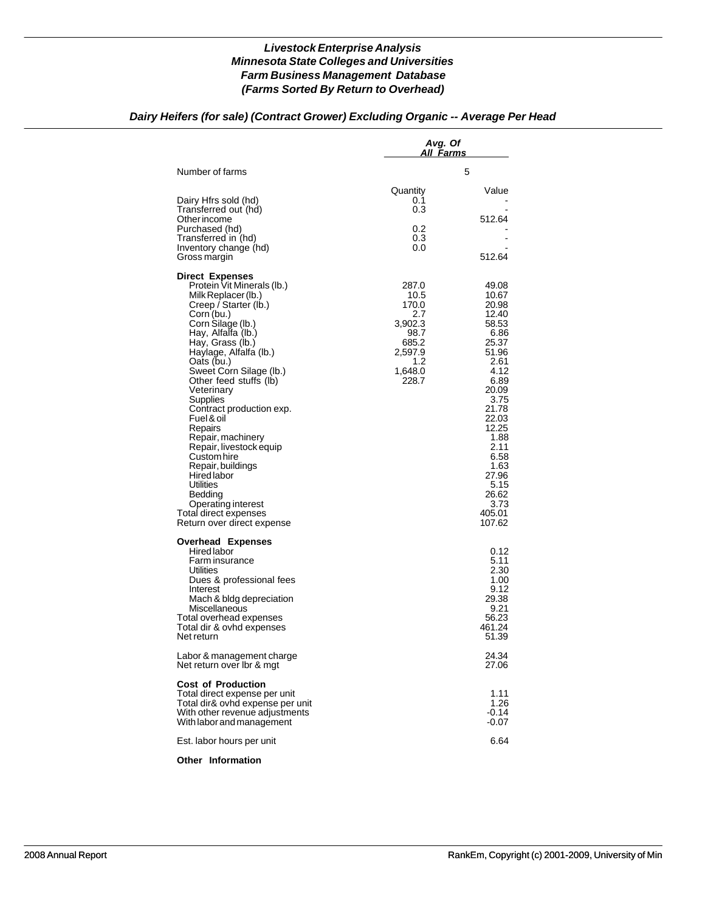## *Dairy Heifers (for sale) (Contract Grower) Excluding Organic -- Average Per Head*

|                                                                                                                                                                                                                                                                                                                                                                                                                                                                                                                                                                              | Avg. Of<br>All <u>Farms</u>                                                                     |                                                                                                                                                                                                                               |
|------------------------------------------------------------------------------------------------------------------------------------------------------------------------------------------------------------------------------------------------------------------------------------------------------------------------------------------------------------------------------------------------------------------------------------------------------------------------------------------------------------------------------------------------------------------------------|-------------------------------------------------------------------------------------------------|-------------------------------------------------------------------------------------------------------------------------------------------------------------------------------------------------------------------------------|
| Number of farms                                                                                                                                                                                                                                                                                                                                                                                                                                                                                                                                                              |                                                                                                 | 5                                                                                                                                                                                                                             |
| Dairy Hfrs sold (hd)<br>Transferred out (hd)<br>Other income<br>Purchased (hd)<br>Transferred in (hd)<br>Inventory change (hd)<br>Gross margin                                                                                                                                                                                                                                                                                                                                                                                                                               | Quantity<br>0.1<br>0.3<br>0.2<br>0.3<br>0.0                                                     | Value<br>512.64<br>512.64                                                                                                                                                                                                     |
| <b>Direct Expenses</b><br>Protein Vit Minerals (lb.)<br>Milk Replacer (lb.)<br>Creep / Starter (lb.)<br>Corn (bu.)<br>Corn Silage (lb.)<br>Hay, Alfalfa (lb.)<br>Hay, Grass (lb.)<br>Haylage, Alfalfa (lb.)<br>Oats (bu.)<br>Sweet Corn Silage (lb.)<br>Other feed stuffs (lb)<br>Veterinary<br>Supplies<br>Contract production exp.<br>Fuel & oil<br>Repairs<br>Repair, machinery<br>Repair, livestock equip<br>Custom hire<br>Repair, buildings<br>Hired labor<br>Utilities<br>Bedding<br><b>Operating interest</b><br>Total direct expenses<br>Return over direct expense | 287.0<br>10.5<br>170.0<br>2.7<br>3,902.3<br>98.7<br>685.2<br>2,597.9<br>1.2<br>1,648.0<br>228.7 | 49.08<br>10.67<br>20.98<br>12.40<br>58.53<br>6.86<br>25.37<br>51.96<br>2.61<br>4.12<br>6.89<br>20.09<br>3.75<br>21.78<br>22.03<br>12.25<br>1.88<br>2.11<br>6.58<br>1.63<br>27.96<br>5.15<br>26.62<br>3.73<br>405.01<br>107.62 |
| <b>Overhead Expenses</b><br>Hired labor<br>Farm insurance<br>Utilities<br>Dues & professional fees<br>Interest<br>Mach & bldg depreciation<br>Miscellaneous<br>Total overhead expenses<br>Total dir & ovhd expenses<br>Net return                                                                                                                                                                                                                                                                                                                                            |                                                                                                 | 0.12<br>5.11<br>2.30<br>1.00<br>9.12<br>29.38<br>9.21<br>56.23<br>461.24<br>51.39                                                                                                                                             |
| Labor & management charge<br>Net return over Ibr & mgt                                                                                                                                                                                                                                                                                                                                                                                                                                                                                                                       |                                                                                                 | 24.34<br>27.06                                                                                                                                                                                                                |
| <b>Cost of Production</b><br>Total direct expense per unit<br>Total dir& ovhd expense per unit<br>With other revenue adjustments<br>With labor and management                                                                                                                                                                                                                                                                                                                                                                                                                |                                                                                                 | 1.11<br>1.26<br>$-0.14$<br>$-0.07$                                                                                                                                                                                            |
| Est. labor hours per unit                                                                                                                                                                                                                                                                                                                                                                                                                                                                                                                                                    |                                                                                                 | 6.64                                                                                                                                                                                                                          |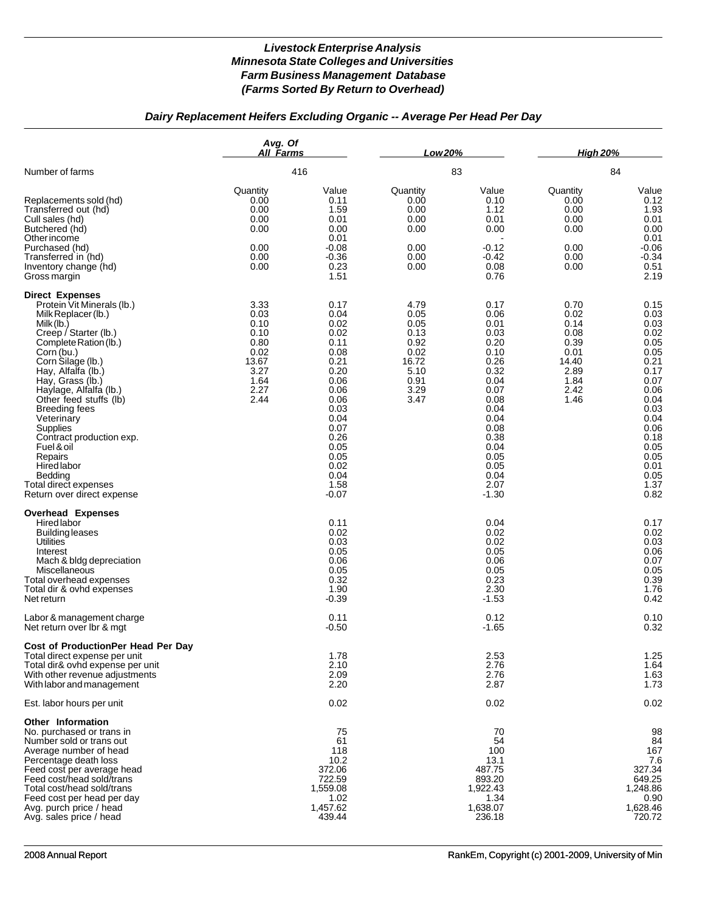# *Dairy Replacement Heifers Excluding Organic -- Average Per Head Per Day*

|                                                                                                                                                                                                                                                                                                                                                                                                                                                                            | Avg. Of<br>All Farms                                                                  |                                                                                                                                                                         | Low 20%                                                                               |                                                                                                                                                                         | <b>High 20%</b>                                                                       |                                                                                                                                                                      |
|----------------------------------------------------------------------------------------------------------------------------------------------------------------------------------------------------------------------------------------------------------------------------------------------------------------------------------------------------------------------------------------------------------------------------------------------------------------------------|---------------------------------------------------------------------------------------|-------------------------------------------------------------------------------------------------------------------------------------------------------------------------|---------------------------------------------------------------------------------------|-------------------------------------------------------------------------------------------------------------------------------------------------------------------------|---------------------------------------------------------------------------------------|----------------------------------------------------------------------------------------------------------------------------------------------------------------------|
| Number of farms                                                                                                                                                                                                                                                                                                                                                                                                                                                            |                                                                                       | 416                                                                                                                                                                     |                                                                                       | 83                                                                                                                                                                      |                                                                                       | 84                                                                                                                                                                   |
| Replacements sold (hd)<br>Transferred out (hd)<br>Cull sales (hd)<br>Butchered (hd)<br>Other income<br>Purchased (hd)<br>Transferred in (hd)<br>Inventory change (hd)<br>Gross margin                                                                                                                                                                                                                                                                                      | Quantity<br>0.00<br>0.00<br>0.00<br>0.00<br>0.00<br>0.00<br>0.00                      | Value<br>0.11<br>1.59<br>0.01<br>0.00<br>0.01<br>$-0.08$<br>$-0.36$<br>0.23<br>1.51                                                                                     | Quantity<br>0.00<br>0.00<br>0.00<br>0.00<br>0.00<br>0.00<br>0.00                      | Value<br>0.10<br>1.12<br>0.01<br>0.00<br>$-0.12$<br>-0.42<br>0.08<br>0.76                                                                                               | Quantity<br>0.00<br>0.00<br>0.00<br>0.00<br>0.00<br>0.00<br>0.00                      | Value<br>0.12<br>1.93<br>0.01<br>0.00<br>0.01<br>$-0.06$<br>$-0.34$<br>0.51<br>2.19                                                                                  |
| <b>Direct Expenses</b><br>Protein Vit Minerals (lb.)<br>Milk Replacer (lb.)<br>$Milk$ ( $lb.$ )<br>Creep / Starter (lb.)<br>Complete Ration (lb.)<br>Corn (bu.)<br>Corn Silage (lb.)<br>Hay, Alfalfa (lb.)<br>Hay, Grass (lb.)<br>Haylage, Alfalfa (lb.)<br>Other feed stuffs (lb)<br><b>Breeding fees</b><br>Veterinary<br>Supplies<br>Contract production exp.<br>Fuel & oil<br>Repairs<br>Hired labor<br>Bedding<br>Total direct expenses<br>Return over direct expense | 3.33<br>0.03<br>0.10<br>0.10<br>0.80<br>0.02<br>13.67<br>3.27<br>1.64<br>2.27<br>2.44 | 0.17<br>0.04<br>0.02<br>0.02<br>0.11<br>0.08<br>0.21<br>0.20<br>0.06<br>0.06<br>0.06<br>0.03<br>0.04<br>0.07<br>0.26<br>0.05<br>0.05<br>0.02<br>0.04<br>1.58<br>$-0.07$ | 4.79<br>0.05<br>0.05<br>0.13<br>0.92<br>0.02<br>16.72<br>5.10<br>0.91<br>3.29<br>3.47 | 0.17<br>0.06<br>0.01<br>0.03<br>0.20<br>0.10<br>0.26<br>0.32<br>0.04<br>0.07<br>0.08<br>0.04<br>0.04<br>0.08<br>0.38<br>0.04<br>0.05<br>0.05<br>0.04<br>2.07<br>$-1.30$ | 0.70<br>0.02<br>0.14<br>0.08<br>0.39<br>0.01<br>14.40<br>2.89<br>1.84<br>2.42<br>1.46 | 0.15<br>0.03<br>0.03<br>0.02<br>0.05<br>0.05<br>0.21<br>0.17<br>0.07<br>0.06<br>0.04<br>0.03<br>0.04<br>0.06<br>0.18<br>0.05<br>0.05<br>0.01<br>0.05<br>1.37<br>0.82 |
| <b>Overhead Expenses</b><br>Hired labor<br><b>Building leases</b><br><b>Utilities</b><br>Interest<br>Mach & bldg depreciation<br>Miscellaneous<br>Total overhead expenses<br>Total dir & ovhd expenses<br>Net return                                                                                                                                                                                                                                                       |                                                                                       | 0.11<br>0.02<br>0.03<br>0.05<br>0.06<br>0.05<br>0.32<br>1.90<br>$-0.39$                                                                                                 |                                                                                       | 0.04<br>0.02<br>0.02<br>0.05<br>0.06<br>0.05<br>0.23<br>2.30<br>$-1.53$                                                                                                 |                                                                                       | 0.17<br>0.02<br>0.03<br>0.06<br>0.07<br>0.05<br>0.39<br>1.76<br>0.42                                                                                                 |
| Labor & management charge<br>Net return over lbr & mgt                                                                                                                                                                                                                                                                                                                                                                                                                     |                                                                                       | 0.11<br>$-0.50$                                                                                                                                                         |                                                                                       | 0.12<br>$-1.65$                                                                                                                                                         |                                                                                       | 0.10<br>0.32                                                                                                                                                         |
| Cost of ProductionPer Head Per Day<br>Total direct expense per unit<br>Total dir& ovhd expense per unit<br>With other revenue adjustments<br>With labor and management                                                                                                                                                                                                                                                                                                     |                                                                                       | 1.78<br>2.10<br>2.09<br>2.20                                                                                                                                            |                                                                                       | 2.53<br>2.76<br>2.76<br>2.87                                                                                                                                            |                                                                                       | 1.25<br>1.64<br>1.63<br>1.73                                                                                                                                         |
| Est. labor hours per unit                                                                                                                                                                                                                                                                                                                                                                                                                                                  |                                                                                       | 0.02                                                                                                                                                                    |                                                                                       | 0.02                                                                                                                                                                    |                                                                                       | 0.02                                                                                                                                                                 |
| <b>Other Information</b><br>No. purchased or trans in<br>Number sold or trans out<br>Average number of head<br>Percentage death loss<br>Feed cost per average head<br>Feed cost/head sold/trans<br>Total cost/head sold/trans<br>Feed cost per head per day<br>Avg. purch price / head<br>Avg. sales price / head                                                                                                                                                          |                                                                                       | 75<br>61<br>118<br>10.2<br>372.06<br>722.59<br>1,559.08<br>1.02<br>1,457.62<br>439.44                                                                                   |                                                                                       | 70<br>54<br>100<br>13.1<br>487.75<br>893.20<br>1,922.43<br>1.34<br>1,638.07<br>236.18                                                                                   |                                                                                       | 98<br>84<br>167<br>7.6<br>327.34<br>649.25<br>1,248.86<br>0.90<br>1,628.46<br>720.72                                                                                 |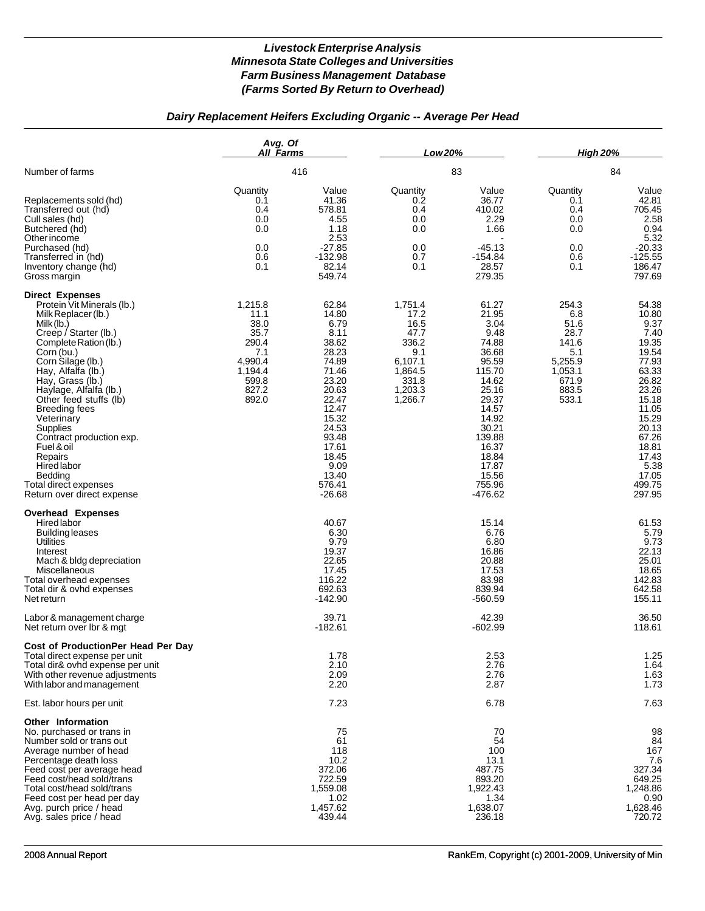## *Dairy Replacement Heifers Excluding Organic -- Average Per Head*

|                                                                                                                                                                                                                                                                                                                                                                                                                                                                      | Avg. Of<br>All Farms                                                                             |                                                                                                                                                                                            | Low 20%                                                                                              |                                                                                                                                                                                              | <b>High 20%</b>                                                                               |                                                                                                                                                                                          |
|----------------------------------------------------------------------------------------------------------------------------------------------------------------------------------------------------------------------------------------------------------------------------------------------------------------------------------------------------------------------------------------------------------------------------------------------------------------------|--------------------------------------------------------------------------------------------------|--------------------------------------------------------------------------------------------------------------------------------------------------------------------------------------------|------------------------------------------------------------------------------------------------------|----------------------------------------------------------------------------------------------------------------------------------------------------------------------------------------------|-----------------------------------------------------------------------------------------------|------------------------------------------------------------------------------------------------------------------------------------------------------------------------------------------|
| Number of farms                                                                                                                                                                                                                                                                                                                                                                                                                                                      | 416                                                                                              |                                                                                                                                                                                            | 83                                                                                                   |                                                                                                                                                                                              | 84                                                                                            |                                                                                                                                                                                          |
| Replacements sold (hd)<br>Transferred out (hd)<br>Cull sales (hd)<br>Butchered (hd)<br>Other income<br>Purchased (hd)<br>Transferred in (hd)<br>Inventory change (hd)<br>Gross margin                                                                                                                                                                                                                                                                                | Quantity<br>0.1<br>0.4<br>0.0<br>0.0<br>0.0<br>0.6<br>0.1                                        | Value<br>41.36<br>578.81<br>4.55<br>1.18<br>2.53<br>$-27.85$<br>$-132.98$<br>82.14<br>549.74                                                                                               | Quantity<br>0.2<br>0.4<br>0.0<br>0.0<br>0.0<br>0.7<br>0.1                                            | Value<br>36.77<br>410.02<br>2.29<br>1.66<br>$-45.13$<br>$-154.84$<br>28.57<br>279.35                                                                                                         | Quantity<br>0.1<br>0.4<br>0.0<br>0.0<br>0.0<br>0.6<br>0.1                                     | Value<br>42.81<br>705.45<br>2.58<br>0.94<br>5.32<br>$-20.33$<br>$-125.55$<br>186.47<br>797.69                                                                                            |
| <b>Direct Expenses</b><br>Protein Vit Minerals (lb.)<br>Milk Replacer (lb.)<br>Milk (lb.)<br>Creep / Starter (lb.)<br>Complete Ration (lb.)<br>Corn (bu.)<br>Corn Silage (lb.)<br>Hay, Alfalfa (lb.)<br>Hay, Grass (lb.)<br>Haylage, Alfalfa (lb.)<br>Other feed stuffs (lb)<br><b>Breeding fees</b><br>Veterinary<br>Supplies<br>Contract production exp.<br>Fuel & oil<br>Repairs<br>Hired labor<br>Bedding<br>Total direct expenses<br>Return over direct expense | 1,215.8<br>11.1<br>38.0<br>35.7<br>290.4<br>7.1<br>4,990.4<br>1,194.4<br>599.8<br>827.2<br>892.0 | 62.84<br>14.80<br>6.79<br>8.11<br>38.62<br>28.23<br>74.89<br>71.46<br>23.20<br>20.63<br>22.47<br>12.47<br>15.32<br>24.53<br>93.48<br>17.61<br>18.45<br>9.09<br>13.40<br>576.41<br>$-26.68$ | 1,751.4<br>17.2<br>16.5<br>47.7<br>336.2<br>9.1<br>6,107.1<br>1,864.5<br>331.8<br>1,203.3<br>1,266.7 | 61.27<br>21.95<br>3.04<br>9.48<br>74.88<br>36.68<br>95.59<br>115.70<br>14.62<br>25.16<br>29.37<br>14.57<br>14.92<br>30.21<br>139.88<br>16.37<br>18.84<br>17.87<br>15.56<br>755.96<br>-476.62 | 254.3<br>6.8<br>51.6<br>28.7<br>141.6<br>5.1<br>5,255.9<br>1,053.1<br>671.9<br>883.5<br>533.1 | 54.38<br>10.80<br>9.37<br>7.40<br>19.35<br>19.54<br>77.93<br>63.33<br>26.82<br>23.26<br>15.18<br>11.05<br>15.29<br>20.13<br>67.26<br>18.81<br>17.43<br>5.38<br>17.05<br>499.75<br>297.95 |
| <b>Overhead Expenses</b><br>Hired labor<br><b>Building leases</b><br><b>Utilities</b><br>Interest<br>Mach & bldg depreciation<br>Miscellaneous<br>Total overhead expenses<br>Total dir & ovhd expenses<br>Net return                                                                                                                                                                                                                                                 |                                                                                                  | 40.67<br>6.30<br>9.79<br>19.37<br>22.65<br>17.45<br>116.22<br>692.63<br>$-142.90$                                                                                                          |                                                                                                      | 15.14<br>6.76<br>6.80<br>16.86<br>20.88<br>17.53<br>83.98<br>839.94<br>$-560.59$                                                                                                             |                                                                                               | 61.53<br>5.79<br>9.73<br>22.13<br>25.01<br>18.65<br>142.83<br>642.58<br>155.11                                                                                                           |
| Labor & management charge<br>Net return over lbr & mgt                                                                                                                                                                                                                                                                                                                                                                                                               |                                                                                                  | 39.71<br>$-182.61$                                                                                                                                                                         |                                                                                                      | 42.39<br>$-602.99$                                                                                                                                                                           |                                                                                               | 36.50<br>118.61                                                                                                                                                                          |
| Cost of ProductionPer Head Per Day<br>Total direct expense per unit<br>Total dir& ovhd expense per unit<br>With other revenue adjustments<br>With labor and management                                                                                                                                                                                                                                                                                               |                                                                                                  | 1.78<br>2.10<br>2.09<br>2.20                                                                                                                                                               |                                                                                                      | 2.53<br>2.76<br>2.76<br>2.87                                                                                                                                                                 |                                                                                               | 1.25<br>1.64<br>1.63<br>1.73                                                                                                                                                             |
| Est. labor hours per unit                                                                                                                                                                                                                                                                                                                                                                                                                                            |                                                                                                  | 7.23                                                                                                                                                                                       |                                                                                                      | 6.78                                                                                                                                                                                         |                                                                                               | 7.63                                                                                                                                                                                     |
| Other Information<br>No. purchased or trans in<br>Number sold or trans out<br>Average number of head<br>Percentage death loss<br>Feed cost per average head<br>Feed cost/head sold/trans<br>Total cost/head sold/trans<br>Feed cost per head per day<br>Avg. purch price / head<br>Avg. sales price / head                                                                                                                                                           |                                                                                                  | 75<br>61<br>118<br>10.2<br>372.06<br>722.59<br>1,559.08<br>1.02<br>1,457.62<br>439.44                                                                                                      |                                                                                                      | 70<br>54<br>100<br>13.1<br>487.75<br>893.20<br>1,922.43<br>1.34<br>1,638.07<br>236.18                                                                                                        |                                                                                               | 98<br>84<br>167<br>7.6<br>327.34<br>649.25<br>1,248.86<br>0.90<br>1,628.46<br>720.72                                                                                                     |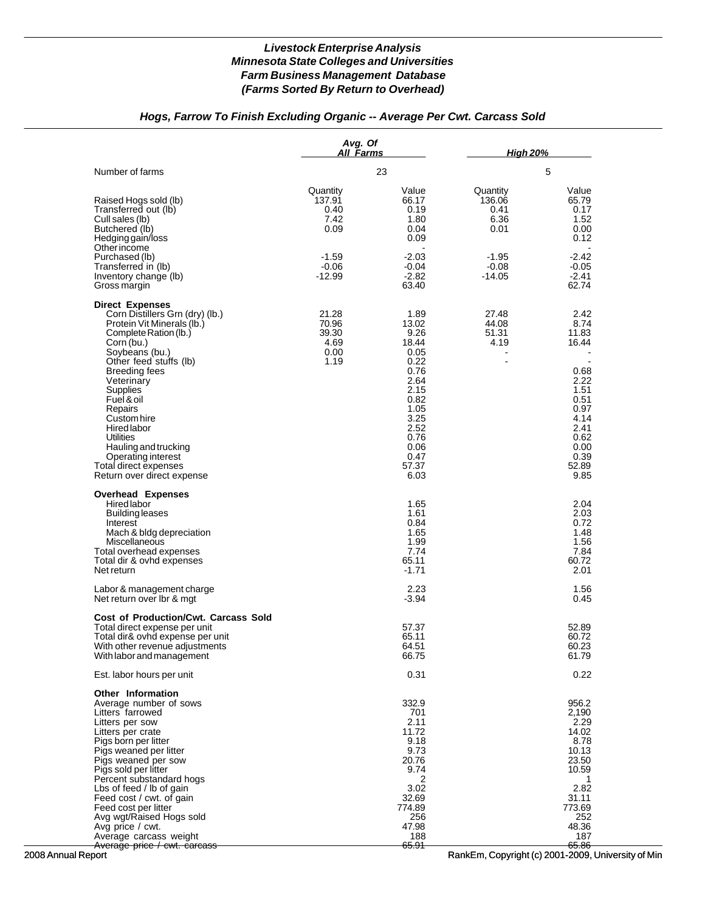## *Hogs, Farrow To Finish Excluding Organic -- Average Per Cwt. Carcass Sold*

|                                                                                                                                                                                                                                                                                                                                                                                                       | Avg. Of<br>All Farms                                             |                                                                                                                                                 | <b>High 20%</b>                                                  |                                                                                                                                                             |  |
|-------------------------------------------------------------------------------------------------------------------------------------------------------------------------------------------------------------------------------------------------------------------------------------------------------------------------------------------------------------------------------------------------------|------------------------------------------------------------------|-------------------------------------------------------------------------------------------------------------------------------------------------|------------------------------------------------------------------|-------------------------------------------------------------------------------------------------------------------------------------------------------------|--|
| Number of farms                                                                                                                                                                                                                                                                                                                                                                                       |                                                                  | 23                                                                                                                                              |                                                                  | 5                                                                                                                                                           |  |
| Raised Hogs sold (lb)<br>Transferred out (lb)<br>Cull sales (lb)<br>Butchered (lb)<br>Hedging gain/loss<br>Other income<br>Purchased (lb)<br>Transferred in (lb)                                                                                                                                                                                                                                      | Quantity<br>137.91<br>0.40<br>7.42<br>0.09<br>$-1.59$<br>$-0.06$ | Value<br>66.17<br>0.19<br>1.80<br>0.04<br>0.09<br>$-2.03$<br>-0.04                                                                              | Quantity<br>136.06<br>0.41<br>6.36<br>0.01<br>$-1.95$<br>$-0.08$ | Value<br>65.79<br>0.17<br>1.52<br>0.00<br>0.12<br>$-2.42$<br>$-0.05$                                                                                        |  |
| Inventory change (lb)<br>Gross margin                                                                                                                                                                                                                                                                                                                                                                 | $-12.99$                                                         | $-2.82$<br>63.40                                                                                                                                | $-14.05$                                                         | $-2.41$<br>62.74                                                                                                                                            |  |
| <b>Direct Expenses</b><br>Corn Distillers Grn (dry) (lb.)<br>Protein Vit Minerals (lb.)<br>Complete Ration (lb.)<br>Corn (bu.)<br>Soybeans (bu.)<br>Other feed stuffs (lb)<br>Breeding fees<br>Veterinary<br>Supplies<br>Fuel & oil<br>Repairs<br>Custom hire<br><b>Hired labor</b><br>Utilities<br>Hauling and trucking<br>Operating interest<br>Total direct expenses<br>Return over direct expense | 21.28<br>70.96<br>39.30<br>4.69<br>0.00<br>1.19                  | 1.89<br>13.02<br>9.26<br>18.44<br>0.05<br>0.22<br>0.76<br>2.64<br>2.15<br>0.82<br>1.05<br>3.25<br>2.52<br>0.76<br>0.06<br>0.47<br>57.37<br>6.03 | 27.48<br>44.08<br>51.31<br>4.19<br>$\blacksquare$                | 2.42<br>8.74<br>11.83<br>16.44<br>$\overline{\phantom{a}}$<br>0.68<br>2.22<br>1.51<br>0.51<br>0.97<br>4.14<br>2.41<br>0.62<br>0.00<br>0.39<br>52.89<br>9.85 |  |
| <b>Overhead Expenses</b><br>Hired labor<br>Building leases<br>Interest<br>Mach & bldg depreciation<br>Miscellaneous<br>Total overhead expenses<br>Total dir & ovhd expenses<br>Net return                                                                                                                                                                                                             |                                                                  | 1.65<br>1.61<br>0.84<br>1.65<br>1.99<br>7.74<br>65.11<br>$-1.71$                                                                                |                                                                  | 2.04<br>2.03<br>0.72<br>1.48<br>1.56<br>7.84<br>60.72<br>2.01                                                                                               |  |
| Labor & management charge<br>Net return over Ibr & mgt                                                                                                                                                                                                                                                                                                                                                |                                                                  | 2.23<br>$-3.94$                                                                                                                                 |                                                                  | 1.56<br>0.45                                                                                                                                                |  |
| <b>Cost of Production/Cwt. Carcass Sold</b><br>Total direct expense per unit<br>Total dir& ovhd expense per unit<br>With other revenue adjustments<br>With labor and management                                                                                                                                                                                                                       |                                                                  | 57.37<br>65.11<br>64.51<br>66.75                                                                                                                |                                                                  | 52.89<br>60.72<br>60.23<br>61.79                                                                                                                            |  |
| Est. labor hours per unit                                                                                                                                                                                                                                                                                                                                                                             |                                                                  | 0.31                                                                                                                                            |                                                                  | 0.22                                                                                                                                                        |  |
| <b>Other Information</b><br>Average number of sows<br>Litters farrowed<br>Litters per sow<br>Litters per crate<br>Pigs born per litter<br>Pigs weaned per litter<br>Pigs weaned per sow<br>Pigs sold per litter<br>Percent substandard hogs                                                                                                                                                           |                                                                  | 332.9<br>701<br>2.11<br>11.72<br>9.18<br>9.73<br>20.76<br>9.74<br>2                                                                             |                                                                  | 956.2<br>2,190<br>2.29<br>14.02<br>8.78<br>10.13<br>23.50<br>10.59<br>1                                                                                     |  |
| Lbs of feed / lb of gain<br>Feed cost / cwt. of gain<br>Feed cost per litter<br>Avg wgt/Raised Hogs sold<br>Avg price / cwt.<br>Average carcass weight<br>Average price / cwt. carcass                                                                                                                                                                                                                |                                                                  | 3.02<br>32.69<br>774.89<br>256<br>47.98<br>188<br><del>65.91</del>                                                                              |                                                                  | 2.82<br>31.11<br>773.69<br>252<br>48.36<br>187<br><del>65.86</del>                                                                                          |  |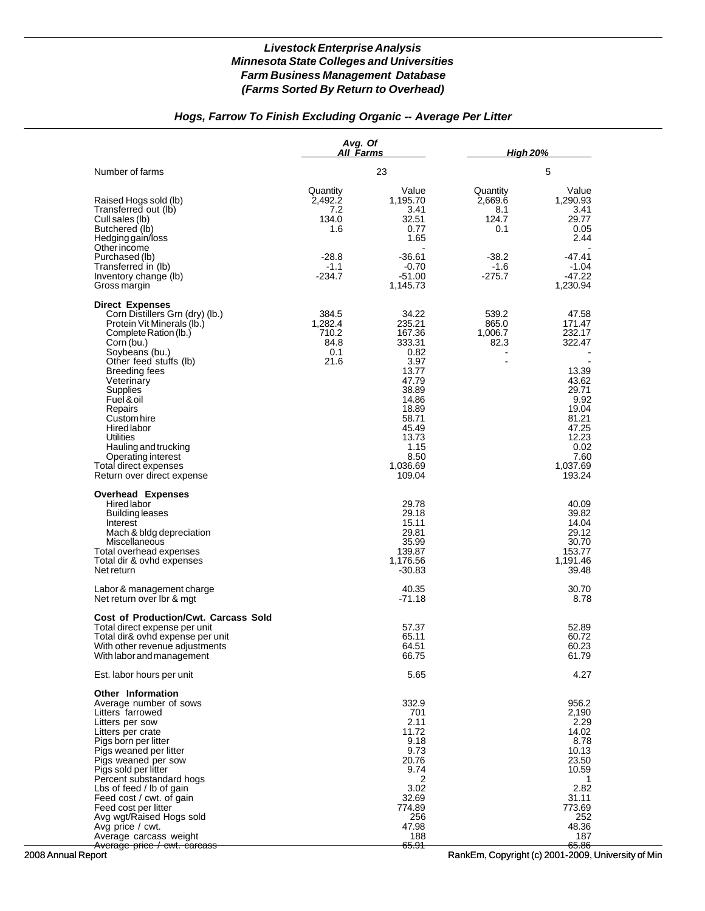## *Hogs, Farrow To Finish Excluding Organic -- Average Per Litter*

|                                                                                                                                                                                                                                                                                                                                                                                                | Avg. Of<br>All Farms                                                      |                                                                                                                                                                   | <b>High 20%</b>                                                             |                                                                                                                                                  |  |
|------------------------------------------------------------------------------------------------------------------------------------------------------------------------------------------------------------------------------------------------------------------------------------------------------------------------------------------------------------------------------------------------|---------------------------------------------------------------------------|-------------------------------------------------------------------------------------------------------------------------------------------------------------------|-----------------------------------------------------------------------------|--------------------------------------------------------------------------------------------------------------------------------------------------|--|
| Number of farms                                                                                                                                                                                                                                                                                                                                                                                |                                                                           | 23                                                                                                                                                                |                                                                             | 5                                                                                                                                                |  |
| Raised Hogs sold (lb)<br>Transferred out (lb)<br>Cull sales (lb)<br>Butchered (lb)<br>Hedging gain/loss<br>Otherincome<br>Purchased (lb)<br>Transferred in (lb)<br>Inventory change (lb)<br>Gross margin                                                                                                                                                                                       | Quantity<br>2,492.2<br>7.2<br>134.0<br>1.6<br>$-28.8$<br>$-1.1$<br>-234.7 | Value<br>1,195.70<br>3.41<br>32.51<br>0.77<br>1.65<br>$-36.61$<br>$-0.70$<br>$-51.00$<br>1,145.73                                                                 | Quantity<br>2,669.6<br>8.1<br>124.7<br>0.1<br>$-38.2$<br>$-1.6$<br>$-275.7$ | Value<br>1,290.93<br>3.41<br>29.77<br>0.05<br>2.44<br>$-47.41$<br>$-1.04$<br>$-47.22$<br>1,230.94                                                |  |
| <b>Direct Expenses</b><br>Corn Distillers Grn (dry) (lb.)<br>Protein Vit Minerals (lb.)<br>Complete Ration (lb.)<br>Corn (bu.)<br>Soybeans (bu.)<br>Other feed stuffs (lb)<br>Breeding fees<br>Veterinary<br>Supplies<br>Fuel & oil<br>Repairs<br>Custom hire<br>Hired labor<br>Utilities<br>Hauling and trucking<br>Operating interest<br>Total direct expenses<br>Return over direct expense | 384.5<br>1,282.4<br>710.2<br>84.8<br>0.1<br>21.6                          | 34.22<br>235.21<br>167.36<br>333.31<br>0.82<br>3.97<br>13.77<br>47.79<br>38.89<br>14.86<br>18.89<br>58.71<br>45.49<br>13.73<br>1.15<br>8.50<br>1,036.69<br>109.04 | 539.2<br>865.0<br>1,006.7<br>82.3<br>$\blacksquare$                         | 47.58<br>171.47<br>232.17<br>322.47<br>13.39<br>43.62<br>29.71<br>9.92<br>19.04<br>81.21<br>47.25<br>12.23<br>0.02<br>7.60<br>1,037.69<br>193.24 |  |
| <b>Overhead Expenses</b><br>Hired labor<br><b>Building leases</b><br>Interest<br>Mach & bldg depreciation<br>Miscellaneous<br>Total overhead expenses<br>Total dir & ovhd expenses<br>Net return                                                                                                                                                                                               |                                                                           | 29.78<br>29.18<br>15.11<br>29.81<br>35.99<br>139.87<br>1,176.56<br>$-30.83$                                                                                       |                                                                             | 40.09<br>39.82<br>14.04<br>29.12<br>30.70<br>153.77<br>1,191.46<br>39.48                                                                         |  |
| Labor & management charge<br>Net return over Ibr & mgt                                                                                                                                                                                                                                                                                                                                         |                                                                           | 40.35<br>$-71.18$                                                                                                                                                 |                                                                             | 30.70<br>8.78                                                                                                                                    |  |
| <b>Cost of Production/Cwt. Carcass Sold</b><br>Total direct expense per unit<br>Total dir& ovhd expense per unit<br>With other revenue adjustments<br>With labor and management                                                                                                                                                                                                                |                                                                           | 57.37<br>65.11<br>64.51<br>66.75                                                                                                                                  |                                                                             | 52.89<br>60.72<br>60.23<br>61.79                                                                                                                 |  |
| Est. labor hours per unit                                                                                                                                                                                                                                                                                                                                                                      |                                                                           | 5.65                                                                                                                                                              |                                                                             | 4.27                                                                                                                                             |  |
| <b>Other Information</b><br>Average number of sows<br>Litters farrowed<br>Litters per sow<br>Litters per crate<br>Pigs born per litter<br>Pigs weaned per litter<br>Pigs weaned per sow<br>Pigs sold per litter<br>Percent substandard hogs<br>Lbs of feed / lb of gain<br>Feed cost / cwt. of gain<br>Feed cost per litter<br>Avg wgt/Raised Hogs sold<br>Avg price / cwt.                    |                                                                           | 332.9<br>701<br>2.11<br>11.72<br>9.18<br>9.73<br>20.76<br>9.74<br>2<br>3.02<br>32.69<br>774.89<br>256<br>47.98                                                    |                                                                             | 956.2<br>2,190<br>2.29<br>14.02<br>8.78<br>10.13<br>23.50<br>10.59<br>1<br>2.82<br>31.11<br>773.69<br>252<br>48.36                               |  |
| Average carcass weight<br>Average price / cwt. carcass                                                                                                                                                                                                                                                                                                                                         |                                                                           | 188<br><del>65.91</del>                                                                                                                                           |                                                                             | 187<br><del>65.86</del>                                                                                                                          |  |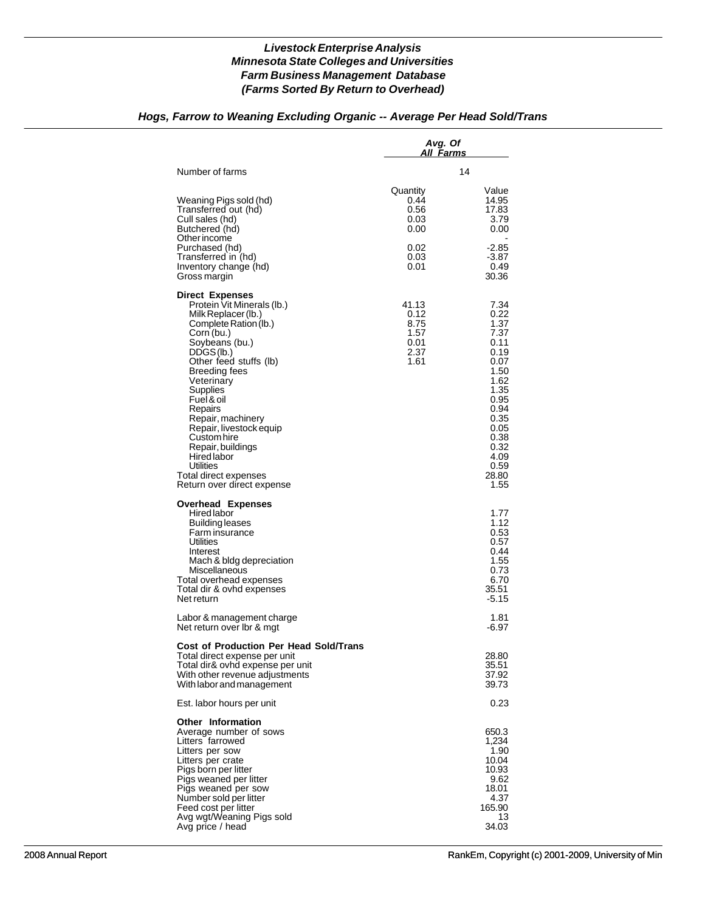### *Hogs, Farrow to Weaning Excluding Organic -- Average Per Head Sold/Trans*

|                                                          | 14                                                                                                                                                            |
|----------------------------------------------------------|---------------------------------------------------------------------------------------------------------------------------------------------------------------|
| Quantity<br>0.44<br>0.56<br>0.03<br>0.00<br>0.02<br>0.03 | Value<br>14.95<br>17.83<br>3.79<br>0.00<br>$-2.85$<br>$-3.87$<br>0.49                                                                                         |
|                                                          | 30.36                                                                                                                                                         |
| 41.13<br>0.12<br>8.75<br>1.57<br>0.01<br>2.37<br>1.61    | 7.34<br>0.22<br>1.37<br>7.37<br>0.11<br>0.19<br>0.07<br>1.50<br>1.62<br>1.35<br>0.95<br>0.94<br>0.35<br>0.05<br>0.38<br>0.32<br>4.09<br>0.59<br>28.80<br>1.55 |
|                                                          | 1.77<br>1.12<br>0.53<br>0.57<br>0.44<br>1.55<br>0.73<br>6.70<br>35.51<br>-5.15                                                                                |
|                                                          | 1.81<br>-6.97                                                                                                                                                 |
|                                                          | 28.80<br>35.51<br>37.92<br>39.73                                                                                                                              |
|                                                          | 0.23                                                                                                                                                          |
|                                                          | 650.3<br>1,234<br>1.90<br>10.04<br>10.93<br>9.62<br>18.01<br>4.37<br>165.90<br>13<br>34.03                                                                    |
|                                                          | 0.01                                                                                                                                                          |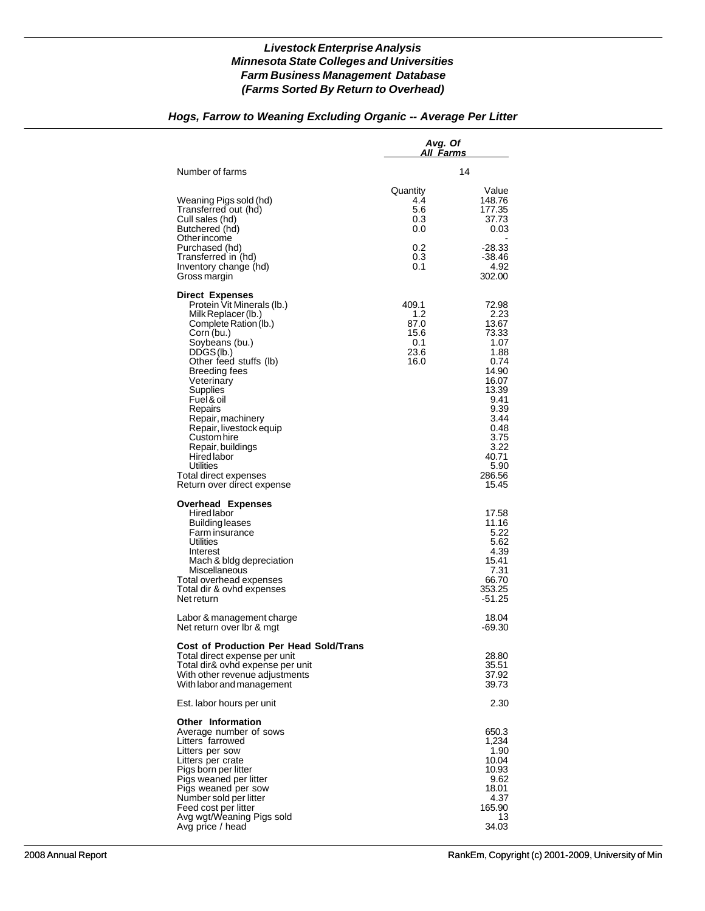# *Hogs, Farrow to Weaning Excluding Organic -- Average Per Litter*

|                                                                                                                                                                                                                                                                                                                                                                                                                               | Avg. Of<br>All Farms                                |                                                                                                                                                                        |
|-------------------------------------------------------------------------------------------------------------------------------------------------------------------------------------------------------------------------------------------------------------------------------------------------------------------------------------------------------------------------------------------------------------------------------|-----------------------------------------------------|------------------------------------------------------------------------------------------------------------------------------------------------------------------------|
| Number of farms                                                                                                                                                                                                                                                                                                                                                                                                               |                                                     | 14                                                                                                                                                                     |
| Weaning Pigs sold (hd)<br>Transferred out (hd)<br>Cull sales (hd)<br>Butchered (hd)<br>Other income                                                                                                                                                                                                                                                                                                                           | Quantity<br>4.4<br>5.6<br>0.3<br>0.0                | Value<br>148.76<br>177.35<br>37.73<br>0.03<br>$-28.33$                                                                                                                 |
| Purchased (hd)<br>Transferred in (hd)<br>Inventory change (hd)<br>Gross margin                                                                                                                                                                                                                                                                                                                                                | 0.2<br>0.3<br>0.1                                   | -38.46<br>4.92<br>302.00                                                                                                                                               |
| <b>Direct Expenses</b><br>Protein Vit Minerals (lb.)<br>Milk Replacer (lb.)<br>Complete Ration (lb.)<br>Corn (bu.)<br>Soybeans (bu.)<br>DDGS(lb.)<br>Other feed stuffs (lb)<br>Breeding fees<br>Veterinary<br>Supplies<br>Fuel & oil<br>Repairs<br>Repair, machinery<br>Repair, livestock equip<br>Custom hire<br>Repair, buildings<br><b>Hired labor</b><br>Utilities<br>Total direct expenses<br>Return over direct expense | 409.1<br>1.2<br>87.0<br>15.6<br>0.1<br>23.6<br>16.0 | 72.98<br>2.23<br>13.67<br>73.33<br>1.07<br>1.88<br>0.74<br>14.90<br>16.07<br>13.39<br>9.41<br>9.39<br>3.44<br>0.48<br>3.75<br>3.22<br>40.71<br>5.90<br>286.56<br>15.45 |
| <b>Overhead Expenses</b><br><b>Hired labor</b><br>Building leases<br>Farm insurance<br><b>Utilities</b><br>Interest<br>Mach & bldg depreciation<br>Miscellaneous<br>Total overhead expenses<br>Total dir & ovhd expenses<br>Net return                                                                                                                                                                                        |                                                     | 17.58<br>11.16<br>5.22<br>5.62<br>4.39<br>15.41<br>7.31<br>66.70<br>353.25<br>$-51.25$                                                                                 |
| Labor & management charge<br>Net return over Ibr & mgt                                                                                                                                                                                                                                                                                                                                                                        |                                                     | 18.04<br>-69.30                                                                                                                                                        |
| <b>Cost of Production Per Head Sold/Trans</b><br>Total direct expense per unit<br>Total dir& ovhd expense per unit<br>With other revenue adjustments<br>With labor and management                                                                                                                                                                                                                                             |                                                     | 28.80<br>35.51<br>37.92<br>39.73                                                                                                                                       |
| Est. labor hours per unit                                                                                                                                                                                                                                                                                                                                                                                                     |                                                     | 2.30                                                                                                                                                                   |
| <b>Other Information</b><br>Average number of sows<br>Litters farrowed<br>Litters per sow<br>Litters per crate<br>Pigs born per litter<br>Pigs weaned per litter<br>Pigs weaned per sow<br>Number sold per litter<br>Feed cost per litter<br>Avg wgt/Weaning Pigs sold<br>Avg price / head                                                                                                                                    |                                                     | 650.3<br>1,234<br>1.90<br>10.04<br>10.93<br>9.62<br>18.01<br>4.37<br>165.90<br>13<br>34.03                                                                             |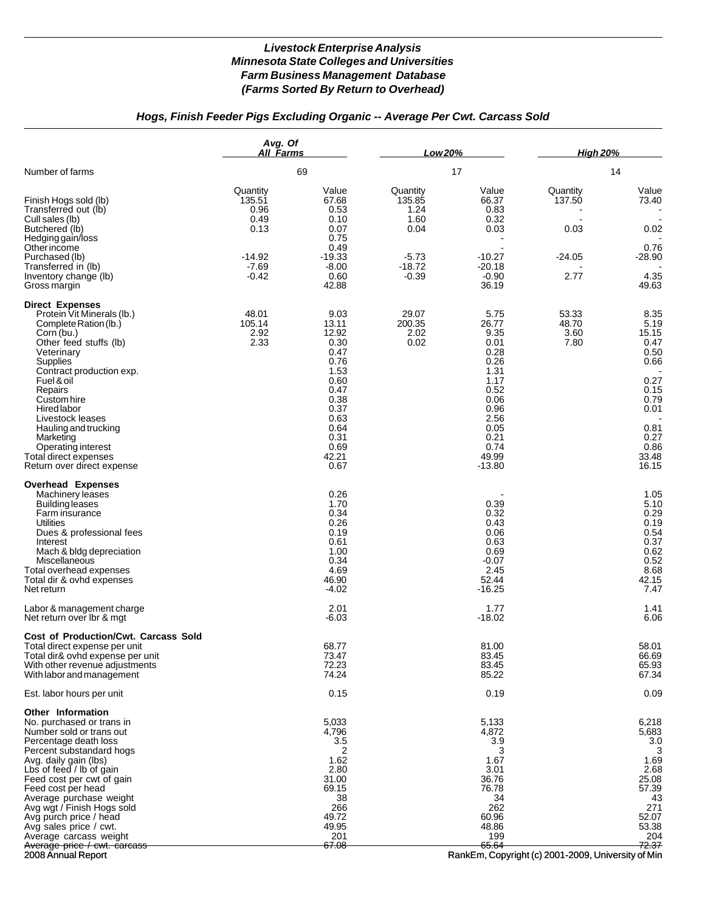# *Hogs, Finish Feeder Pigs Excluding Organic -- Average Per Cwt. Carcass Sold*

|                                                                                                                                                                                                                                                                                                                                                                                                                       | Avg. Of<br>All Farms                                                         |                                                                                                                                         | Low 20%                                                                      |                                                                                                                                            | <b>High 20%</b>                                |                                                                                                                         |
|-----------------------------------------------------------------------------------------------------------------------------------------------------------------------------------------------------------------------------------------------------------------------------------------------------------------------------------------------------------------------------------------------------------------------|------------------------------------------------------------------------------|-----------------------------------------------------------------------------------------------------------------------------------------|------------------------------------------------------------------------------|--------------------------------------------------------------------------------------------------------------------------------------------|------------------------------------------------|-------------------------------------------------------------------------------------------------------------------------|
| Number of farms                                                                                                                                                                                                                                                                                                                                                                                                       |                                                                              | 69                                                                                                                                      |                                                                              | 17                                                                                                                                         |                                                | 14                                                                                                                      |
| Finish Hogs sold (lb)<br>Transferred out (lb)<br>Cull sales (lb)<br>Butchered (lb)<br>Hedging gain/loss<br>Otherincome<br>Purchased (lb)<br>Transferred in (lb)<br>Inventory change (lb)<br>Gross margin                                                                                                                                                                                                              | Quantity<br>135.51<br>0.96<br>0.49<br>0.13<br>$-14.92$<br>$-7.69$<br>$-0.42$ | Value<br>67.68<br>0.53<br>0.10<br>0.07<br>0.75<br>0.49<br>$-19.33$<br>$-8.00$<br>0.60<br>42.88                                          | Quantity<br>135.85<br>1.24<br>1.60<br>0.04<br>$-5.73$<br>$-18.72$<br>$-0.39$ | Value<br>66.37<br>0.83<br>0.32<br>0.03<br>$-10.27$<br>$-20.18$<br>$-0.90$<br>36.19                                                         | Quantity<br>137.50<br>0.03<br>$-24.05$<br>2.77 | Value<br>73.40<br>0.02<br>0.76<br>$-28.90$<br>4.35<br>49.63                                                             |
| <b>Direct Expenses</b><br>Protein Vit Minerals (lb.)<br>Complete Ration (lb.)<br>Corn (bu.)<br>Other feed stuffs (lb)<br>Veterinary<br>Supplies<br>Contract production exp.<br>Fuel & oil<br>Repairs<br>Custom hire<br>Hired labor<br>Livestock leases<br>Hauling and trucking<br>Marketing<br>Operating interest<br>Total direct expenses<br>Return over direct expense                                              | 48.01<br>105.14<br>2.92<br>2.33                                              | 9.03<br>13.11<br>12.92<br>0.30<br>0.47<br>0.76<br>1.53<br>0.60<br>0.47<br>0.38<br>0.37<br>0.63<br>0.64<br>0.31<br>0.69<br>42.21<br>0.67 | 29.07<br>200.35<br>2.02<br>0.02                                              | 5.75<br>26.77<br>9.35<br>0.01<br>0.28<br>0.26<br>1.31<br>1.17<br>0.52<br>0.06<br>0.96<br>2.56<br>0.05<br>0.21<br>0.74<br>49.99<br>$-13.80$ | 53.33<br>48.70<br>3.60<br>7.80                 | 8.35<br>5.19<br>15.15<br>0.47<br>0.50<br>0.66<br>0.27<br>0.15<br>0.79<br>0.01<br>0.81<br>0.27<br>0.86<br>33.48<br>16.15 |
| <b>Overhead Expenses</b><br>Machinery leases<br><b>Building leases</b><br>Farm insurance<br>Utilities<br>Dues & professional fees<br>Interest<br>Mach & bldg depreciation<br>Miscellaneous<br>Total overhead expenses<br>Total dir & ovhd expenses<br>Net return                                                                                                                                                      |                                                                              | 0.26<br>1.70<br>0.34<br>0.26<br>0.19<br>0.61<br>1.00<br>0.34<br>4.69<br>46.90<br>$-4.02$                                                |                                                                              | 0.39<br>0.32<br>0.43<br>0.06<br>0.63<br>0.69<br>$-0.07$<br>2.45<br>52.44<br>$-16.25$                                                       |                                                | 1.05<br>5.10<br>0.29<br>0.19<br>0.54<br>0.37<br>0.62<br>0.52<br>8.68<br>42.15<br>7.47                                   |
| Labor & management charge<br>Net return over Ibr & mgt                                                                                                                                                                                                                                                                                                                                                                |                                                                              | 2.01<br>$-6.03$                                                                                                                         |                                                                              | 1.77<br>$-18.02$                                                                                                                           |                                                | 1.41<br>6.06                                                                                                            |
| Cost of Production/Cwt. Carcass Sold<br>Total direct expense per unit<br>Total dir& ovhd expense per unit<br>With other revenue adjustments<br>With labor and management                                                                                                                                                                                                                                              |                                                                              | 68.77<br>73.47<br>72.23<br>74.24                                                                                                        |                                                                              | 81.00<br>83.45<br>83.45<br>85.22                                                                                                           |                                                | 58.01<br>66.69<br>65.93<br>67.34                                                                                        |
| Est. labor hours per unit                                                                                                                                                                                                                                                                                                                                                                                             |                                                                              | 0.15                                                                                                                                    |                                                                              | 0.19                                                                                                                                       |                                                | 0.09                                                                                                                    |
| <b>Other Information</b><br>No. purchased or trans in<br>Number sold or trans out<br>Percentage death loss<br>Percent substandard hogs<br>Avg. daily gain (lbs)<br>Lbs of feed / lb of gain<br>Feed cost per cwt of gain<br>Feed cost per head<br>Average purchase weight<br>Avg wgt / Finish Hogs sold<br>Avg purch price / head<br>Avg sales price / cwt.<br>Average carcass weight<br>Average price / cwt. carcass |                                                                              | 5,033<br>4,796<br>3.5<br>2<br>1.62<br>2.80<br>31.00<br>69.15<br>38<br>266<br>49.72<br>49.95<br>201<br>67.08                             |                                                                              | 5,133<br>4,872<br>3.9<br>3<br>1.67<br>3.01<br>36.76<br>76.78<br>34<br>262<br>60.96<br>48.86<br>199<br>65.64                                |                                                | 6,218<br>5,683<br>3.0<br>3<br>1.69<br>2.68<br>25.08<br>57.39<br>43<br>271<br>52.07<br>53.38<br>204<br>72.37             |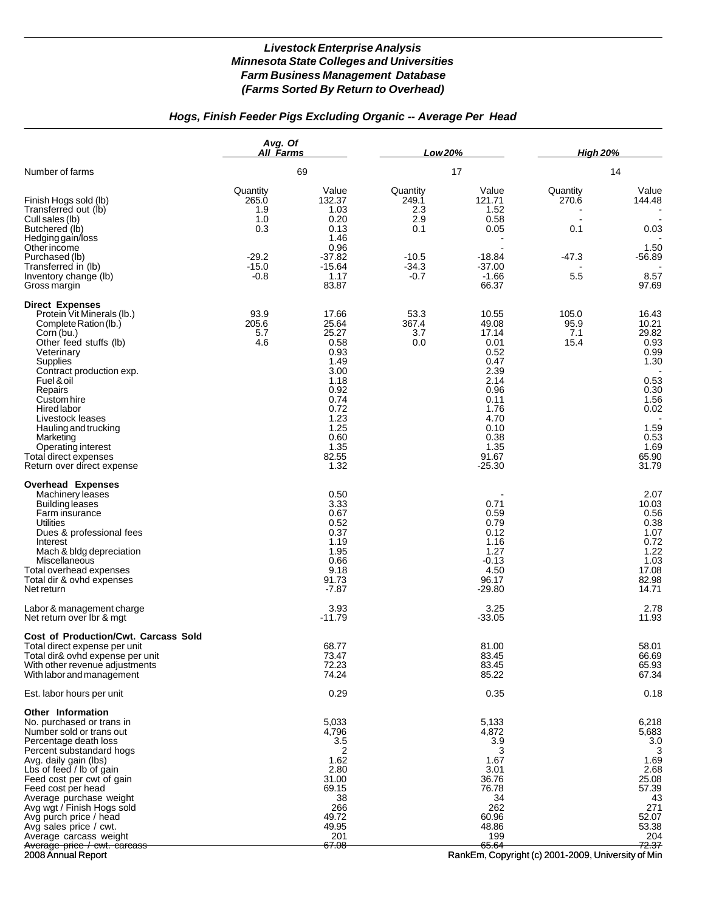# *Hogs, Finish Feeder Pigs Excluding Organic -- Average Per Head*

|                                                                                                                                                                                                                                                                                                                                                                                                                    | Avg. Of<br>All Farms                                                   |                                                                                                                                          | Low 20%                                                                |                                                                                                                                              | <b>High 20%</b>                            |                                                                                                                           |
|--------------------------------------------------------------------------------------------------------------------------------------------------------------------------------------------------------------------------------------------------------------------------------------------------------------------------------------------------------------------------------------------------------------------|------------------------------------------------------------------------|------------------------------------------------------------------------------------------------------------------------------------------|------------------------------------------------------------------------|----------------------------------------------------------------------------------------------------------------------------------------------|--------------------------------------------|---------------------------------------------------------------------------------------------------------------------------|
| Number of farms                                                                                                                                                                                                                                                                                                                                                                                                    |                                                                        | 69                                                                                                                                       |                                                                        | 17                                                                                                                                           |                                            | 14                                                                                                                        |
| Finish Hogs sold (lb)<br>Transferred out (lb)<br>Cull sales (lb)<br>Butchered (lb)<br>Hedging gain/loss<br><b>Other income</b><br>Purchased (lb)<br>Transferred in (lb)<br>Inventory change (lb)<br>Gross margin                                                                                                                                                                                                   | Quantity<br>265.0<br>1.9<br>1.0<br>0.3<br>$-29.2$<br>$-15.0$<br>$-0.8$ | Value<br>132.37<br>1.03<br>0.20<br>0.13<br>1.46<br>0.96<br>$-37.82$<br>$-15.64$<br>1.17<br>83.87                                         | Quantity<br>249.1<br>2.3<br>2.9<br>0.1<br>$-10.5$<br>$-34.3$<br>$-0.7$ | Value<br>121.71<br>1.52<br>0.58<br>0.05<br>-18.84<br>$-37.00$<br>$-1.66$<br>66.37                                                            | Quantity<br>270.6<br>0.1<br>$-47.3$<br>5.5 | Value<br>144.48<br>0.03<br>1.50<br>$-56.89$<br>8.57<br>97.69                                                              |
| <b>Direct Expenses</b><br>Protein Vit Minerals (lb.)<br>Complete Ration (lb.)<br>Corn (bu.)<br>Other feed stuffs (lb)<br>Veterinary<br>Supplies<br>Contract production exp.<br>Fuel & oil<br>Repairs<br>Custom hire<br>Hired labor<br>Livestock leases<br>Hauling and trucking<br>Marketing<br>Operating interest<br>Total direct expenses<br>Return over direct expense                                           | 93.9<br>205.6<br>5.7<br>4.6                                            | 17.66<br>25.64<br>25.27<br>0.58<br>0.93<br>1.49<br>3.00<br>1.18<br>0.92<br>0.74<br>0.72<br>1.23<br>1.25<br>0.60<br>1.35<br>82.55<br>1.32 | 53.3<br>367.4<br>3.7<br>0.0                                            | 10.55<br>49.08<br>17.14<br>0.01<br>0.52<br>0.47<br>2.39<br>2.14<br>0.96<br>0.11<br>1.76<br>4.70<br>0.10<br>0.38<br>1.35<br>91.67<br>$-25.30$ | 105.0<br>95.9<br>7.1<br>15.4               | 16.43<br>10.21<br>29.82<br>0.93<br>0.99<br>1.30<br>0.53<br>0.30<br>1.56<br>0.02<br>1.59<br>0.53<br>1.69<br>65.90<br>31.79 |
| <b>Overhead Expenses</b><br>Machinery leases<br><b>Building leases</b><br>Farm insurance<br><b>Utilities</b><br>Dues & professional fees<br>Interest<br>Mach & bldg depreciation<br>Miscellaneous<br>Total overhead expenses<br>Total dir & ovhd expenses<br>Net return                                                                                                                                            |                                                                        | 0.50<br>3.33<br>0.67<br>0.52<br>0.37<br>1.19<br>1.95<br>0.66<br>9.18<br>91.73<br>$-7.87$                                                 |                                                                        | 0.71<br>0.59<br>0.79<br>0.12<br>1.16<br>1.27<br>$-0.13$<br>4.50<br>96.17<br>$-29.80$                                                         |                                            | 2.07<br>10.03<br>0.56<br>0.38<br>1.07<br>0.72<br>1.22<br>1.03<br>17.08<br>82.98<br>14.71                                  |
| Labor & management charge<br>Net return over lbr & mgt                                                                                                                                                                                                                                                                                                                                                             |                                                                        | 3.93<br>$-11.79$                                                                                                                         |                                                                        | 3.25<br>$-33.05$                                                                                                                             |                                            | 2.78<br>11.93                                                                                                             |
| Cost of Production/Cwt. Carcass Sold<br>Total direct expense per unit<br>Total dir& ovhd expense per unit<br>With other revenue adjustments<br>With labor and management                                                                                                                                                                                                                                           |                                                                        | 68.77<br>73.47<br>72.23<br>74.24<br>0.29                                                                                                 |                                                                        | 81.00<br>83.45<br>83.45<br>85.22<br>0.35                                                                                                     |                                            | 58.01<br>66.69<br>65.93<br>67.34<br>0.18                                                                                  |
| Est. labor hours per unit<br><b>Other Information</b><br>No. purchased or trans in<br>Number sold or trans out<br>Percentage death loss<br>Percent substandard hogs<br>Avg. daily gain (lbs)<br>Lbs of feed / lb of gain<br>Feed cost per cwt of gain<br>Feed cost per head<br>Average purchase weight<br>Avg wgt / Finish Hogs sold<br>Avg purch price / head<br>Avg sales price / cwt.<br>Average carcass weight |                                                                        | 5,033<br>4,796<br>3.5<br>2<br>1.62<br>2.80<br>31.00<br>69.15<br>38<br>266<br>49.72<br>49.95<br>201<br>67.08                              |                                                                        | 5,133<br>4,872<br>3.9<br>3<br>1.67<br>3.01<br>36.76<br>76.78<br>34<br>262<br>60.96<br>48.86<br>199<br>65.64                                  |                                            | 6,218<br>5,683<br>3.0<br>3<br>1.69<br>2.68<br>25.08<br>57.39<br>43<br>271<br>52.07<br>53.38<br>204<br>72.37               |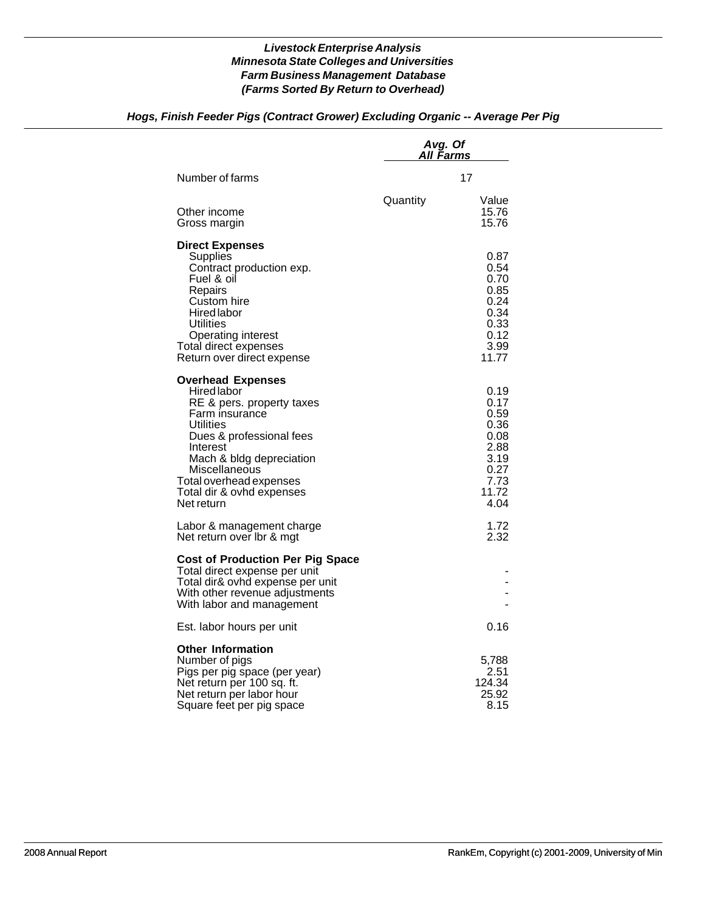## *Hogs, Finish Feeder Pigs (Contract Grower) Excluding Organic -- Average Per Pig*

|                                                                                                                                                                                                                                                                | Avg. Of<br>All Farms |                                                                                       |  |
|----------------------------------------------------------------------------------------------------------------------------------------------------------------------------------------------------------------------------------------------------------------|----------------------|---------------------------------------------------------------------------------------|--|
| Number of farms                                                                                                                                                                                                                                                |                      | 17                                                                                    |  |
| Other income<br>Gross margin                                                                                                                                                                                                                                   | Quantity             | Value<br>15.76<br>15.76                                                               |  |
| <b>Direct Expenses</b><br>Supplies<br>Contract production exp.<br>Fuel & oil<br>Repairs<br>Custom hire<br>Hired labor<br>Utilities<br>Operating interest<br>Total direct expenses<br>Return over direct expense                                                |                      | 0.87<br>0.54<br>0.70<br>0.85<br>0.24<br>0.34<br>0.33<br>0.12<br>3.99<br>11.77         |  |
| <b>Overhead Expenses</b><br>Hired labor<br>RE & pers. property taxes<br>Farm insurance<br>Utilities<br>Dues & professional fees<br>Interest<br>Mach & bldg depreciation<br>Miscellaneous<br>Total overhead expenses<br>Total dir & ovhd expenses<br>Net return |                      | 0.19<br>0.17<br>0.59<br>0.36<br>0.08<br>2.88<br>3.19<br>0.27<br>7.73<br>11.72<br>4.04 |  |
| Labor & management charge<br>Net return over lbr & mgt                                                                                                                                                                                                         |                      | 1.72<br>2.32                                                                          |  |
| <b>Cost of Production Per Pig Space</b><br>Total direct expense per unit<br>Total dir& ovhd expense per unit<br>With other revenue adjustments<br>With labor and management                                                                                    |                      |                                                                                       |  |
| Est. labor hours per unit                                                                                                                                                                                                                                      |                      | 0.16                                                                                  |  |
| <b>Other Information</b><br>Number of pigs<br>Pigs per pig space (per year)<br>Net return per 100 sq. ft.<br>Net return per labor hour<br>Square feet per pig space                                                                                            |                      | 5,788<br>2.51<br>124.34<br>25.92<br>8.15                                              |  |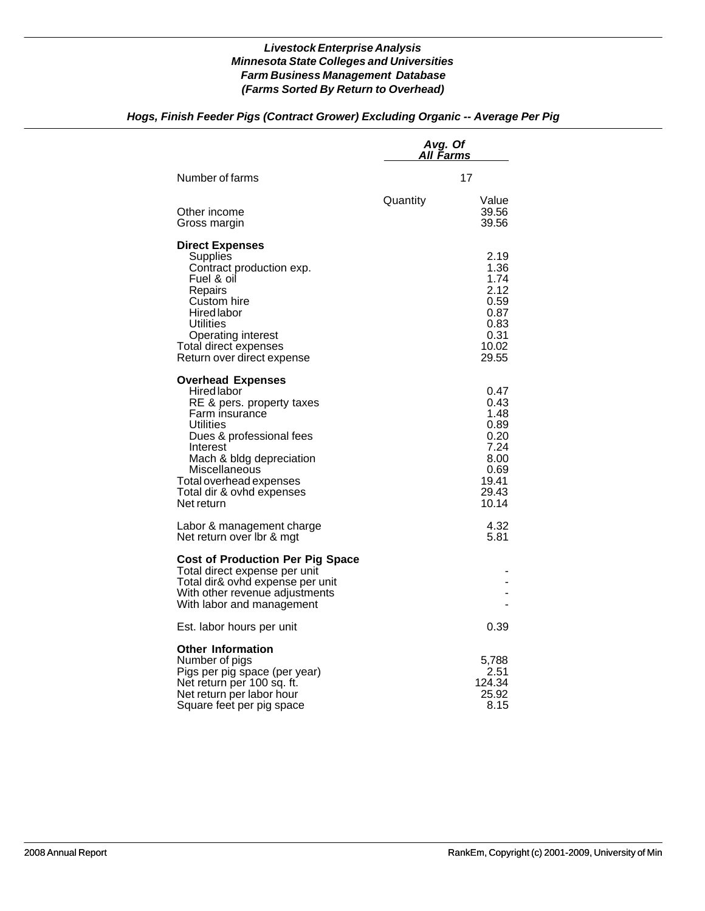## *Hogs, Finish Feeder Pigs (Contract Grower) Excluding Organic -- Average Per Pig*

|                                                                                                                                                                                                                                                                | Avg. Of<br>A <u>ll Farms</u> |                                                                                         |  |
|----------------------------------------------------------------------------------------------------------------------------------------------------------------------------------------------------------------------------------------------------------------|------------------------------|-----------------------------------------------------------------------------------------|--|
| Number of farms                                                                                                                                                                                                                                                |                              | 17                                                                                      |  |
| Other income<br>Gross margin                                                                                                                                                                                                                                   | Quantity                     | Value<br>39.56<br>39.56                                                                 |  |
| <b>Direct Expenses</b><br>Supplies<br>Contract production exp.<br>Fuel & oil<br>Repairs<br>Custom hire<br>Hired labor<br>Utilities<br>Operating interest<br>Total direct expenses<br>Return over direct expense                                                |                              | 2.19<br>1.36<br>1.74<br>2.12<br>0.59<br>0.87<br>0.83<br>0.31<br>10.02<br>29.55          |  |
| <b>Overhead Expenses</b><br>Hired labor<br>RE & pers. property taxes<br>Farm insurance<br>Utilities<br>Dues & professional fees<br>Interest<br>Mach & bldg depreciation<br>Miscellaneous<br>Total overhead expenses<br>Total dir & ovhd expenses<br>Net return |                              | 0.47<br>0.43<br>1.48<br>0.89<br>0.20<br>7.24<br>8.00<br>0.69<br>19.41<br>29.43<br>10.14 |  |
| Labor & management charge<br>Net return over Ibr & mgt                                                                                                                                                                                                         |                              | 4.32<br>5.81                                                                            |  |
| <b>Cost of Production Per Pig Space</b><br>Total direct expense per unit<br>Total dir& ovhd expense per unit<br>With other revenue adjustments<br>With labor and management                                                                                    |                              |                                                                                         |  |
| Est. labor hours per unit                                                                                                                                                                                                                                      |                              | 0.39                                                                                    |  |
| <b>Other Information</b><br>Number of pigs<br>Pigs per pig space (per year)<br>Net return per 100 sq. ft.<br>Net return per labor hour<br>Square feet per pig space                                                                                            |                              | 5,788<br>2.51<br>124.34<br>25.92<br>8.15                                                |  |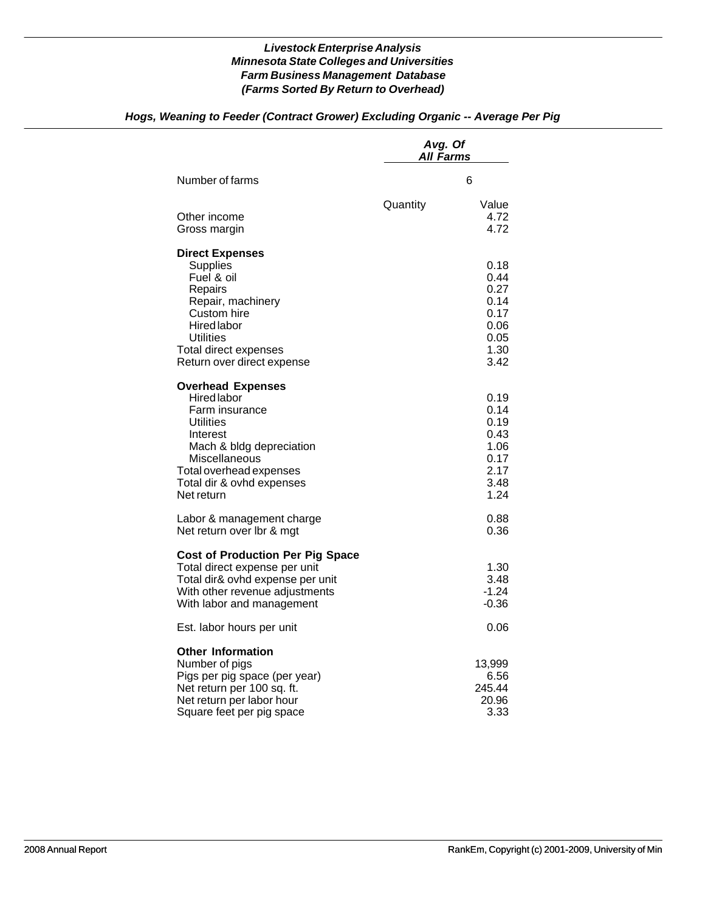|                                                                                                                                                                                                              | Avg. Of<br><b>All Farms</b> |                                                                      |  |
|--------------------------------------------------------------------------------------------------------------------------------------------------------------------------------------------------------------|-----------------------------|----------------------------------------------------------------------|--|
| Number of farms                                                                                                                                                                                              |                             | 6                                                                    |  |
| Other income<br>Gross margin                                                                                                                                                                                 | Quantity                    | Value<br>4.72<br>4.72                                                |  |
| <b>Direct Expenses</b><br><b>Supplies</b><br>Fuel & oil<br>Repairs<br>Repair, machinery<br>Custom hire<br><b>Hired labor</b><br><b>Utilities</b><br>Total direct expenses<br>Return over direct expense      |                             | 0.18<br>0.44<br>0.27<br>0.14<br>0.17<br>0.06<br>0.05<br>1.30<br>3.42 |  |
| <b>Overhead Expenses</b><br><b>Hired labor</b><br>Farm insurance<br>Utilities<br>Interest<br>Mach & bldg depreciation<br>Miscellaneous<br>Total overhead expenses<br>Total dir & ovhd expenses<br>Net return |                             | 0.19<br>0.14<br>0.19<br>0.43<br>1.06<br>0.17<br>2.17<br>3.48<br>1.24 |  |
| Labor & management charge<br>Net return over lbr & mgt                                                                                                                                                       |                             | 0.88<br>0.36                                                         |  |
| <b>Cost of Production Per Pig Space</b><br>Total direct expense per unit<br>Total dir& ovhd expense per unit<br>With other revenue adjustments<br>With labor and management                                  |                             | 1.30<br>3.48<br>$-1.24$<br>$-0.36$                                   |  |
| Est. labor hours per unit                                                                                                                                                                                    |                             | 0.06                                                                 |  |
| <b>Other Information</b><br>Number of pigs<br>Pigs per pig space (per year)<br>Net return per 100 sq. ft.<br>Net return per labor hour<br>Square feet per pig space                                          |                             | 13,999<br>6.56<br>245.44<br>20.96<br>3.33                            |  |

# *Hogs, Weaning to Feeder (Contract Grower) Excluding Organic -- Average Per Pig*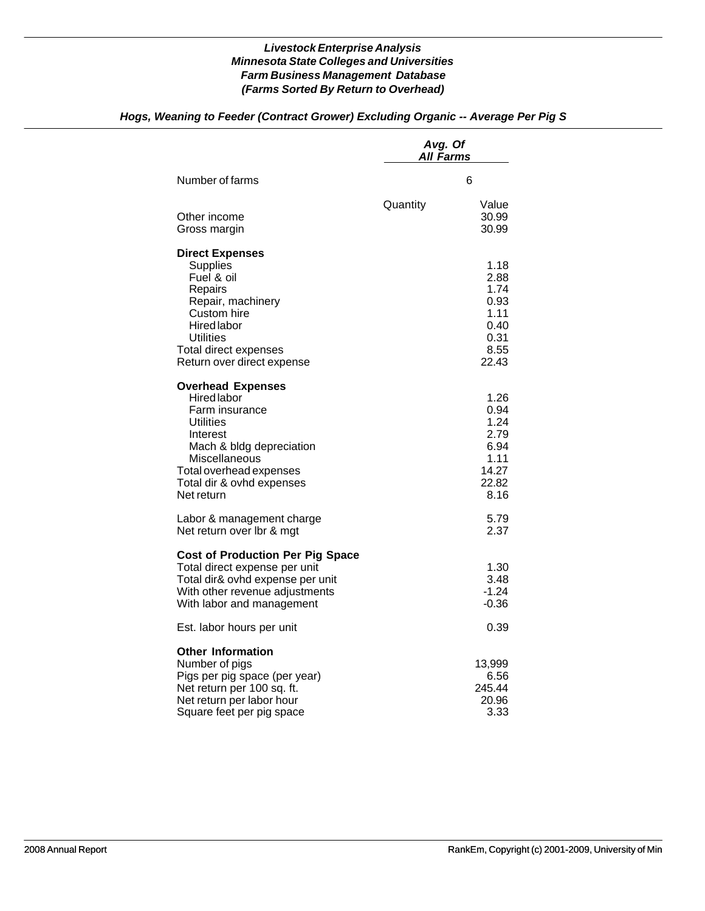## *Hogs, Weaning to Feeder (Contract Grower) Excluding Organic -- Average Per Pig S*

|                                                                                                                                                                                                              | Avg. Of<br>All Farms |                                                                        |
|--------------------------------------------------------------------------------------------------------------------------------------------------------------------------------------------------------------|----------------------|------------------------------------------------------------------------|
| Number of farms                                                                                                                                                                                              |                      | 6                                                                      |
| Other income<br>Gross margin                                                                                                                                                                                 | Quantity             | Value<br>30.99<br>30.99                                                |
| <b>Direct Expenses</b><br><b>Supplies</b><br>Fuel & oil<br>Repairs<br>Repair, machinery<br>Custom hire<br><b>Hired labor</b><br>Utilities<br>Total direct expenses<br>Return over direct expense             |                      | 1.18<br>2.88<br>1.74<br>0.93<br>1.11<br>0.40<br>0.31<br>8.55<br>22.43  |
| <b>Overhead Expenses</b><br><b>Hired labor</b><br>Farm insurance<br>Utilities<br>Interest<br>Mach & bldg depreciation<br>Miscellaneous<br>Total overhead expenses<br>Total dir & ovhd expenses<br>Net return |                      | 1.26<br>0.94<br>1.24<br>2.79<br>6.94<br>1.11<br>14.27<br>22.82<br>8.16 |
| Labor & management charge<br>Net return over lbr & mgt                                                                                                                                                       |                      | 5.79<br>2.37                                                           |
| <b>Cost of Production Per Pig Space</b><br>Total direct expense per unit<br>Total dir& ovhd expense per unit<br>With other revenue adjustments<br>With labor and management                                  |                      | 1.30<br>3.48<br>$-1.24$<br>$-0.36$                                     |
| Est. labor hours per unit                                                                                                                                                                                    |                      | 0.39                                                                   |
| <b>Other Information</b><br>Number of pigs<br>Pigs per pig space (per year)<br>Net return per 100 sq. ft.<br>Net return per labor hour<br>Square feet per pig space                                          |                      | 13,999<br>6.56<br>245.44<br>20.96<br>3.33                              |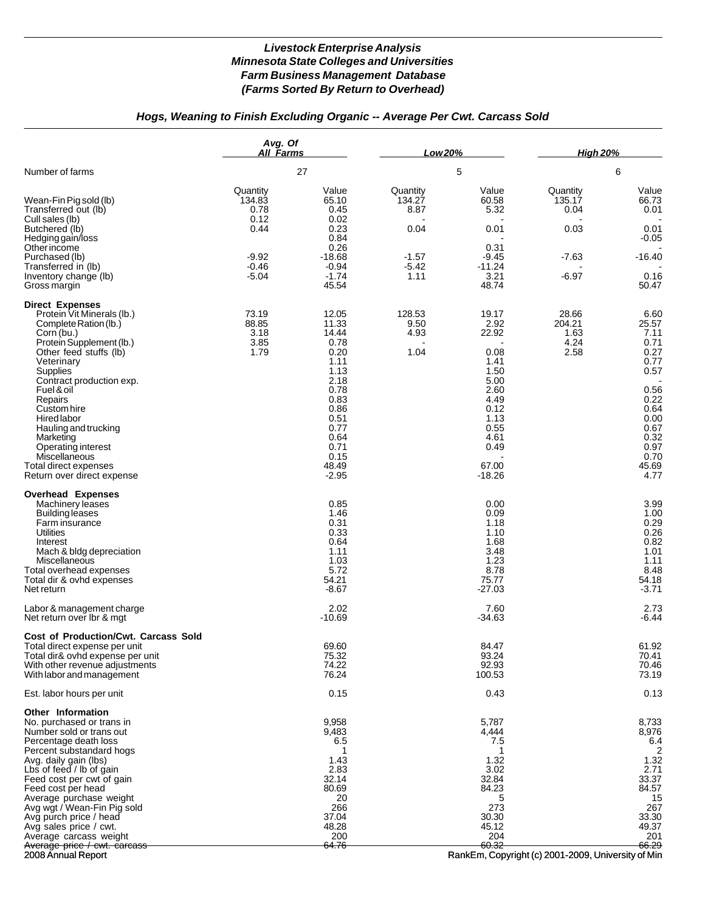## *Hogs, Weaning to Finish Excluding Organic -- Average Per Cwt. Carcass Sold*

|                                                                                                                                                                                                                                                                                                                                                                                                                        | Avg. Of<br>All Farms                                                        |                                                                                                                                                     | Low 20%                                                          |                                                                                                                                     | <b>High 20%</b>                                          |                                                                                                                                        |
|------------------------------------------------------------------------------------------------------------------------------------------------------------------------------------------------------------------------------------------------------------------------------------------------------------------------------------------------------------------------------------------------------------------------|-----------------------------------------------------------------------------|-----------------------------------------------------------------------------------------------------------------------------------------------------|------------------------------------------------------------------|-------------------------------------------------------------------------------------------------------------------------------------|----------------------------------------------------------|----------------------------------------------------------------------------------------------------------------------------------------|
| Number of farms                                                                                                                                                                                                                                                                                                                                                                                                        |                                                                             | 27                                                                                                                                                  |                                                                  | 5                                                                                                                                   |                                                          | 6                                                                                                                                      |
| Wean-Fin Pig sold (lb)<br>Transferred out (lb)<br>Cull sales (lb)<br>Butchered (lb)<br>Hedging gain/loss<br>Other income<br>Purchased (lb)<br>Transferred in (lb)<br>Inventory change (lb)<br>Gross margin                                                                                                                                                                                                             | Quantity<br>134.83<br>0.78<br>0.12<br>0.44<br>$-9.92$<br>$-0.46$<br>$-5.04$ | Value<br>65.10<br>0.45<br>0.02<br>0.23<br>0.84<br>0.26<br>$-18.68$<br>$-0.94$<br>$-1.74$<br>45.54                                                   | Quantity<br>134.27<br>8.87<br>0.04<br>$-1.57$<br>$-5.42$<br>1.11 | Value<br>60.58<br>5.32<br>0.01<br>0.31<br>$-9.45$<br>$-11.24$<br>3.21<br>48.74                                                      | Quantity<br>135.17<br>0.04<br>0.03<br>$-7.63$<br>$-6.97$ | Value<br>66.73<br>0.01<br>0.01<br>$-0.05$<br>$-16.40$<br>0.16<br>50.47                                                                 |
| <b>Direct Expenses</b><br>Protein Vit Minerals (lb.)<br>Complete Ration (lb.)<br>Corn (bu.)<br>Protein Supplement (lb.)<br>Other feed stuffs (lb)<br>Veterinary<br><b>Supplies</b><br>Contract production exp.<br>Fuel & oil<br>Repairs<br>Custom hire<br>Hired labor<br>Hauling and trucking<br>Marketing<br>Operating interest<br>Miscellaneous<br>Total direct expenses<br>Return over direct expense               | 73.19<br>88.85<br>3.18<br>3.85<br>1.79                                      | 12.05<br>11.33<br>14.44<br>0.78<br>0.20<br>1.11<br>1.13<br>2.18<br>0.78<br>0.83<br>0.86<br>0.51<br>0.77<br>0.64<br>0.71<br>0.15<br>48.49<br>$-2.95$ | 128.53<br>9.50<br>4.93<br>1.04                                   | 19.17<br>2.92<br>22.92<br>0.08<br>1.41<br>1.50<br>5.00<br>2.60<br>4.49<br>0.12<br>1.13<br>0.55<br>4.61<br>0.49<br>67.00<br>$-18.26$ | 28.66<br>204.21<br>1.63<br>4.24<br>2.58                  | 6.60<br>25.57<br>7.11<br>0.71<br>0.27<br>0.77<br>0.57<br>0.56<br>0.22<br>0.64<br>0.00<br>0.67<br>0.32<br>0.97<br>0.70<br>45.69<br>4.77 |
| <b>Overhead Expenses</b><br>Machinery leases<br><b>Building leases</b><br>Farm insurance<br>Utilities<br>Interest<br>Mach & bldg depreciation<br>Miscellaneous<br>Total overhead expenses<br>Total dir & ovhd expenses<br>Net return                                                                                                                                                                                   |                                                                             | 0.85<br>1.46<br>0.31<br>0.33<br>0.64<br>1.11<br>1.03<br>5.72<br>54.21<br>$-8.67$                                                                    |                                                                  | 0.00<br>0.09<br>1.18<br>1.10<br>1.68<br>3.48<br>1.23<br>8.78<br>75.77<br>$-27.03$                                                   |                                                          | 3.99<br>1.00<br>0.29<br>0.26<br>0.82<br>1.01<br>1.11<br>8.48<br>54.18<br>$-3.71$                                                       |
| Labor & management charge<br>Net return over Ibr & mgt                                                                                                                                                                                                                                                                                                                                                                 |                                                                             | 2.02<br>-10.69                                                                                                                                      |                                                                  | 7.60<br>$-34.63$                                                                                                                    |                                                          | 2.73<br>$-6.44$                                                                                                                        |
| Cost of Production/Cwt. Carcass Sold<br>Total direct expense per unit<br>Total dir& ovhd expense per unit<br>With other revenue adjustments<br>With labor and management                                                                                                                                                                                                                                               |                                                                             | 69.60<br>75.32<br>74.22<br>76.24                                                                                                                    |                                                                  | 84.47<br>93.24<br>92.93<br>100.53                                                                                                   |                                                          | 61.92<br>70.41<br>70.46<br>73.19                                                                                                       |
| Est. labor hours per unit                                                                                                                                                                                                                                                                                                                                                                                              |                                                                             | 0.15                                                                                                                                                |                                                                  | 0.43                                                                                                                                |                                                          | 0.13                                                                                                                                   |
| <b>Other Information</b><br>No. purchased or trans in<br>Number sold or trans out<br>Percentage death loss<br>Percent substandard hogs<br>Avg. daily gain (lbs)<br>Lbs of feed / lb of gain<br>Feed cost per cwt of gain<br>Feed cost per head<br>Average purchase weight<br>Avg wgt / Wean-Fin Pig sold<br>Avg purch price / head<br>Avg sales price / cwt.<br>Average carcass weight<br>Average price / cwt. carcass |                                                                             | 9,958<br>9,483<br>6.5<br>1.43<br>2.83<br>32.14<br>80.69<br>20<br>266<br>37.04<br>48.28<br>200<br>64.76                                              |                                                                  | 5,787<br>4,444<br>7.5<br>1.32<br>3.02<br>32.84<br>84.23<br>273<br>30.30<br>45.12<br>204<br>60.32                                    |                                                          | 8,733<br>8,976<br>6.4<br>2<br>1.32<br>2.71<br>33.37<br>84.57<br>15<br>267<br>33.30<br>49.37<br>201<br>66.29                            |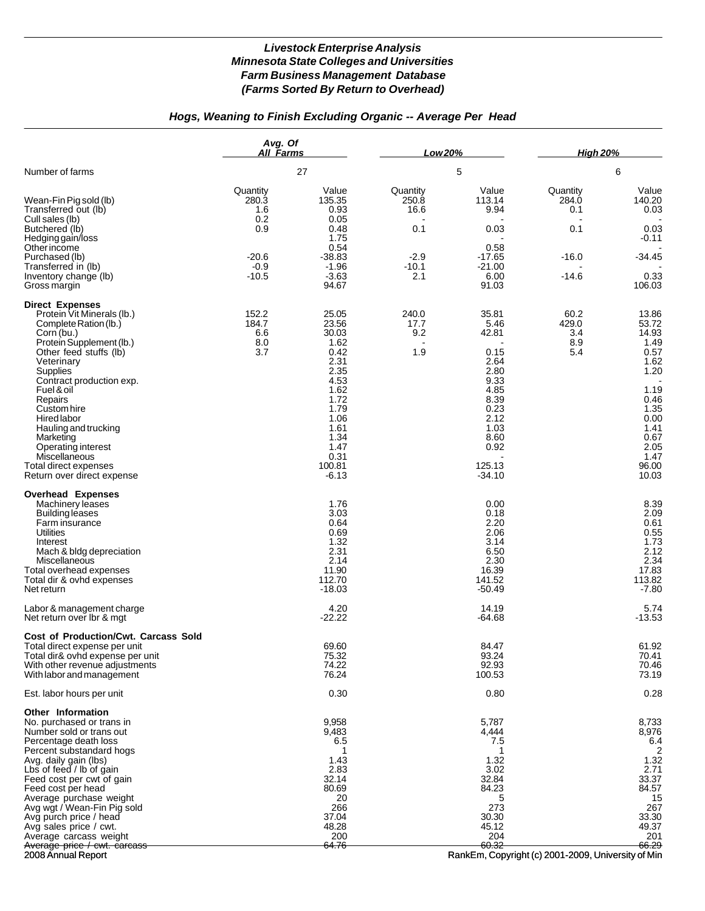# *Hogs, Weaning to Finish Excluding Organic -- Average Per Head*

|                                                                                                                                                                                                                                                                                                                                                                                                   | Avg. Of<br>All Farms                                                   |                                                                                                                                                      | Low 20%                                                      |                                                                                                                                      | <b>High 20%</b>                                       |                                                                                                                                           |
|---------------------------------------------------------------------------------------------------------------------------------------------------------------------------------------------------------------------------------------------------------------------------------------------------------------------------------------------------------------------------------------------------|------------------------------------------------------------------------|------------------------------------------------------------------------------------------------------------------------------------------------------|--------------------------------------------------------------|--------------------------------------------------------------------------------------------------------------------------------------|-------------------------------------------------------|-------------------------------------------------------------------------------------------------------------------------------------------|
| Number of farms                                                                                                                                                                                                                                                                                                                                                                                   |                                                                        | 27                                                                                                                                                   |                                                              | 5                                                                                                                                    |                                                       | 6                                                                                                                                         |
| Wean-Fin Pig sold (lb)<br>Transferred out (lb)<br>Cull sales (lb)<br>Butchered (lb)<br>Hedging gain/loss<br>Otherincome<br>Purchased (lb)<br>Transferred in (lb)<br>Inventory change (lb)                                                                                                                                                                                                         | Quantity<br>280.3<br>1.6<br>0.2<br>0.9<br>$-20.6$<br>$-0.9$<br>$-10.5$ | Value<br>135.35<br>0.93<br>0.05<br>0.48<br>1.75<br>0.54<br>$-38.83$<br>$-1.96$<br>$-3.63$                                                            | Quantity<br>250.8<br>16.6<br>0.1<br>$-2.9$<br>$-10.1$<br>2.1 | Value<br>113.14<br>9.94<br>0.03<br>0.58<br>$-17.65$<br>$-21.00$<br>6.00                                                              | Quantity<br>284.0<br>0.1<br>0.1<br>$-16.0$<br>$-14.6$ | Value<br>140.20<br>0.03<br>0.03<br>$-0.11$<br>$-34.45$<br>0.33                                                                            |
| Gross margin                                                                                                                                                                                                                                                                                                                                                                                      |                                                                        | 94.67                                                                                                                                                |                                                              | 91.03                                                                                                                                |                                                       | 106.03                                                                                                                                    |
| <b>Direct Expenses</b><br>Protein Vit Minerals (lb.)<br>Complete Ration (lb.)<br>Corn (bu.)<br>Protein Supplement (lb.)<br>Other feed stuffs (lb)<br>Veterinary<br>Supplies<br>Contract production exp.<br>Fuel & oil<br>Repairs<br>Custom hire<br>Hired labor<br>Hauling and trucking<br>Marketing<br>Operating interest<br>Miscellaneous<br>Total direct expenses<br>Return over direct expense | 152.2<br>184.7<br>6.6<br>8.0<br>3.7                                    | 25.05<br>23.56<br>30.03<br>1.62<br>0.42<br>2.31<br>2.35<br>4.53<br>1.62<br>1.72<br>1.79<br>1.06<br>1.61<br>1.34<br>1.47<br>0.31<br>100.81<br>$-6.13$ | 240.0<br>17.7<br>9.2<br>1.9                                  | 35.81<br>5.46<br>42.81<br>0.15<br>2.64<br>2.80<br>9.33<br>4.85<br>8.39<br>0.23<br>2.12<br>1.03<br>8.60<br>0.92<br>125.13<br>$-34.10$ | 60.2<br>429.0<br>3.4<br>8.9<br>5.4                    | 13.86<br>53.72<br>14.93<br>1.49<br>0.57<br>1.62<br>1.20<br>1.19<br>0.46<br>1.35<br>0.00<br>1.41<br>0.67<br>2.05<br>1.47<br>96.00<br>10.03 |
| <b>Overhead Expenses</b><br>Machinery leases<br><b>Building leases</b><br>Farm insurance<br>Utilities<br>Interest<br>Mach & bldg depreciation<br>Miscellaneous<br>Total overhead expenses<br>Total dir & ovhd expenses<br>Net return                                                                                                                                                              |                                                                        | 1.76<br>3.03<br>0.64<br>0.69<br>1.32<br>2.31<br>2.14<br>11.90<br>112.70<br>$-18.03$                                                                  |                                                              | 0.00<br>0.18<br>2.20<br>2.06<br>3.14<br>6.50<br>2.30<br>16.39<br>141.52<br>$-50.49$                                                  |                                                       | 8.39<br>2.09<br>0.61<br>0.55<br>1.73<br>2.12<br>2.34<br>17.83<br>113.82<br>$-7.80$                                                        |
| Labor & management charge<br>Net return over Ibr & mgt                                                                                                                                                                                                                                                                                                                                            |                                                                        | 4.20<br>$-22.22$                                                                                                                                     |                                                              | 14.19<br>$-64.68$                                                                                                                    |                                                       | 5.74<br>$-13.53$                                                                                                                          |
| Cost of Production/Cwt. Carcass Sold<br>Total direct expense per unit<br>Total dir& ovhd expense per unit<br>With other revenue adjustments<br>With labor and management                                                                                                                                                                                                                          |                                                                        | 69.60<br>75.32<br>74.22<br>76.24                                                                                                                     |                                                              | 84.47<br>93.24<br>92.93<br>100.53                                                                                                    |                                                       | 61.92<br>70.41<br>70.46<br>73.19                                                                                                          |
| Est. labor hours per unit                                                                                                                                                                                                                                                                                                                                                                         |                                                                        | 0.30                                                                                                                                                 |                                                              | 0.80                                                                                                                                 |                                                       | 0.28                                                                                                                                      |
| Other Information<br>No. purchased or trans in<br>Number sold or trans out<br>Percentage death loss<br>Percent substandard hogs<br>Avg. daily gain (lbs)<br>Lbs of feed / lb of gain<br>Feed cost per cwt of gain<br>Feed cost per head<br>Average purchase weight<br>Avg wgt / Wean-Fin Pig sold<br>Avg purch price / head<br>Avg sales price / cwt.                                             |                                                                        | 9,958<br>9,483<br>6.5<br>1.43<br>2.83<br>32.14<br>80.69<br>20<br>266<br>37.04<br>48.28                                                               |                                                              | 5,787<br>4,444<br>7.5<br>1.32<br>3.02<br>32.84<br>84.23<br>273<br>30.30<br>45.12                                                     |                                                       | 8,733<br>8,976<br>6.4<br>2<br>1.32<br>2.71<br>33.37<br>84.57<br>15<br>267<br>33.30<br>49.37                                               |
| Average carcass weight<br>Average price / cwt. carcass                                                                                                                                                                                                                                                                                                                                            |                                                                        | 200<br>64.76                                                                                                                                         |                                                              | 204<br>60.32                                                                                                                         |                                                       | 201<br>66.29                                                                                                                              |

2008 Annual Report Carena Carena Carena Carena Carena Carena Carena Carena Copyright (c) 2001-2009, University of Min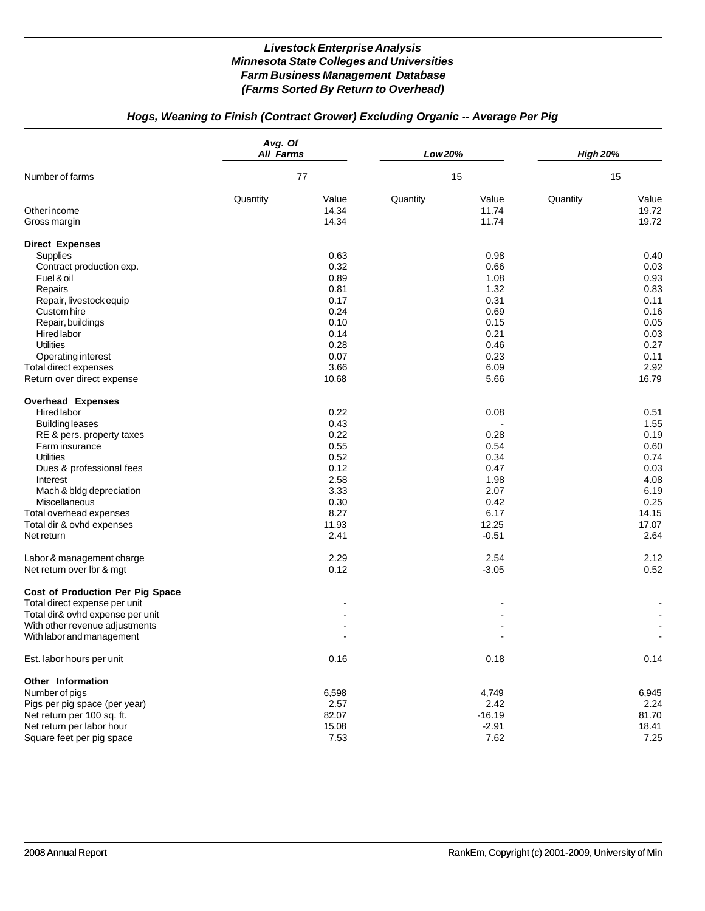# *Hogs, Weaning to Finish (Contract Grower) Excluding Organic -- Average Per Pig*

|                                                                                                                                                                                                                                                                                                        | Avg. Of<br><b>All Farms</b> |                                                                                               | Low 20%  |                                                                                          | <b>High 20%</b> |                                                                                                |
|--------------------------------------------------------------------------------------------------------------------------------------------------------------------------------------------------------------------------------------------------------------------------------------------------------|-----------------------------|-----------------------------------------------------------------------------------------------|----------|------------------------------------------------------------------------------------------|-----------------|------------------------------------------------------------------------------------------------|
| Number of farms                                                                                                                                                                                                                                                                                        |                             | 77                                                                                            |          | 15                                                                                       | 15              |                                                                                                |
| Other income<br>Gross margin                                                                                                                                                                                                                                                                           | Quantity                    | Value<br>14.34<br>14.34                                                                       | Quantity | Value<br>11.74<br>11.74                                                                  | Quantity        | Value<br>19.72<br>19.72                                                                        |
| <b>Direct Expenses</b><br>Supplies<br>Contract production exp.<br>Fuel & oil<br>Repairs<br>Repair, livestock equip<br>Custom hire<br>Repair, buildings<br>Hired labor                                                                                                                                  |                             | 0.63<br>0.32<br>0.89<br>0.81<br>0.17<br>0.24<br>0.10<br>0.14                                  |          | 0.98<br>0.66<br>1.08<br>1.32<br>0.31<br>0.69<br>0.15<br>0.21                             |                 | 0.40<br>0.03<br>0.93<br>0.83<br>0.11<br>0.16<br>0.05<br>0.03                                   |
| <b>Utilities</b><br>Operating interest<br>Total direct expenses<br>Return over direct expense                                                                                                                                                                                                          |                             | 0.28<br>0.07<br>3.66<br>10.68                                                                 |          | 0.46<br>0.23<br>6.09<br>5.66                                                             |                 | 0.27<br>0.11<br>2.92<br>16.79                                                                  |
| <b>Overhead Expenses</b><br><b>Hired labor</b><br><b>Building leases</b><br>RE & pers. property taxes<br>Farm insurance<br><b>Utilities</b><br>Dues & professional fees<br>Interest<br>Mach & bldg depreciation<br>Miscellaneous<br>Total overhead expenses<br>Total dir & ovhd expenses<br>Net return |                             | 0.22<br>0.43<br>0.22<br>0.55<br>0.52<br>0.12<br>2.58<br>3.33<br>0.30<br>8.27<br>11.93<br>2.41 |          | 0.08<br>0.28<br>0.54<br>0.34<br>0.47<br>1.98<br>2.07<br>0.42<br>6.17<br>12.25<br>$-0.51$ |                 | 0.51<br>1.55<br>0.19<br>0.60<br>0.74<br>0.03<br>4.08<br>6.19<br>0.25<br>14.15<br>17.07<br>2.64 |
| Labor & management charge<br>Net return over lbr & mgt<br>Cost of Production Per Pig Space<br>Total direct expense per unit<br>Total dir& ovhd expense per unit<br>With other revenue adjustments<br>With labor and management                                                                         |                             | 2.29<br>0.12                                                                                  |          | 2.54<br>$-3.05$                                                                          |                 | 2.12<br>0.52                                                                                   |
| Est. labor hours per unit                                                                                                                                                                                                                                                                              |                             | 0.16                                                                                          |          | 0.18                                                                                     |                 | 0.14                                                                                           |
| Other Information<br>Number of pigs<br>Pigs per pig space (per year)<br>Net return per 100 sq. ft.<br>Net return per labor hour<br>Square feet per pig space                                                                                                                                           |                             | 6,598<br>2.57<br>82.07<br>15.08<br>7.53                                                       |          | 4,749<br>2.42<br>$-16.19$<br>$-2.91$<br>7.62                                             |                 | 6,945<br>2.24<br>81.70<br>18.41<br>7.25                                                        |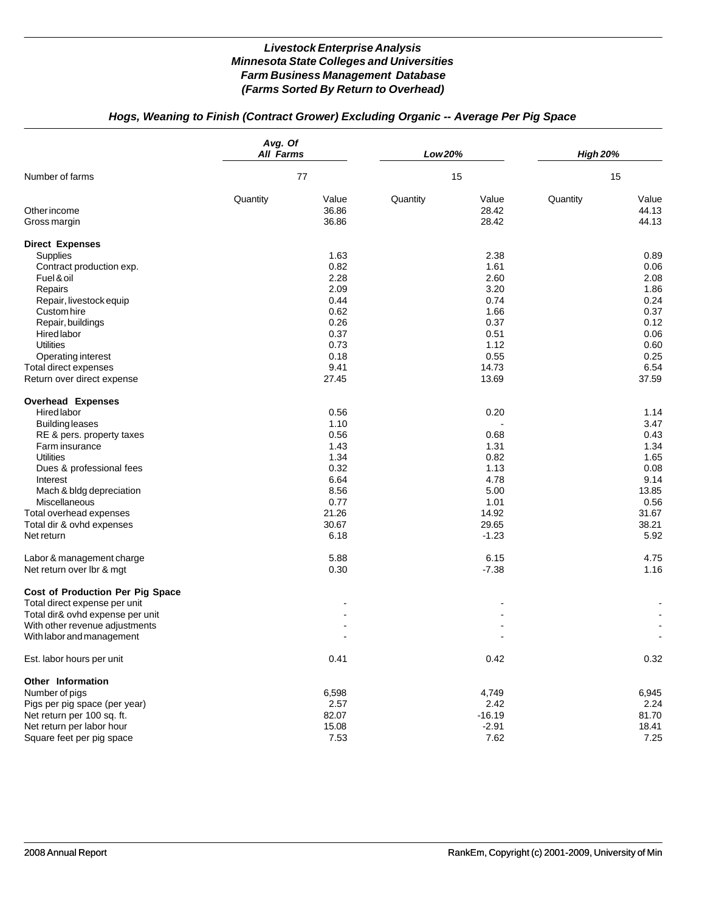# *Hogs, Weaning to Finish (Contract Grower) Excluding Organic -- Average Per Pig Space*

|                                                                                                                                                                                                                                                                                                 | Avg. Of<br><b>All Farms</b> |                                                                                                | Low 20%  |                                                                                           | <b>High 20%</b> |                                                                                                 |
|-------------------------------------------------------------------------------------------------------------------------------------------------------------------------------------------------------------------------------------------------------------------------------------------------|-----------------------------|------------------------------------------------------------------------------------------------|----------|-------------------------------------------------------------------------------------------|-----------------|-------------------------------------------------------------------------------------------------|
| Number of farms                                                                                                                                                                                                                                                                                 |                             | 77                                                                                             |          | 15                                                                                        | 15              |                                                                                                 |
| Other income<br>Gross margin                                                                                                                                                                                                                                                                    | Quantity                    | Value<br>36.86<br>36.86                                                                        | Quantity | Value<br>28.42<br>28.42                                                                   | Quantity        | Value<br>44.13<br>44.13                                                                         |
| <b>Direct Expenses</b><br>Supplies<br>Contract production exp.<br>Fuel & oil<br>Repairs<br>Repair, livestock equip<br>Custom hire<br>Repair, buildings<br>Hired labor<br><b>Utilities</b><br>Operating interest                                                                                 |                             | 1.63<br>0.82<br>2.28<br>2.09<br>0.44<br>0.62<br>0.26<br>0.37<br>0.73<br>0.18                   |          | 2.38<br>1.61<br>2.60<br>3.20<br>0.74<br>1.66<br>0.37<br>0.51<br>1.12<br>0.55              |                 | 0.89<br>0.06<br>2.08<br>1.86<br>0.24<br>0.37<br>0.12<br>0.06<br>0.60<br>0.25                    |
| Total direct expenses<br>Return over direct expense                                                                                                                                                                                                                                             |                             | 9.41<br>27.45                                                                                  |          | 14.73<br>13.69                                                                            |                 | 6.54<br>37.59                                                                                   |
| <b>Overhead Expenses</b><br>Hired labor<br><b>Building leases</b><br>RE & pers. property taxes<br>Farm insurance<br><b>Utilities</b><br>Dues & professional fees<br>Interest<br>Mach & bldg depreciation<br>Miscellaneous<br>Total overhead expenses<br>Total dir & ovhd expenses<br>Net return |                             | 0.56<br>1.10<br>0.56<br>1.43<br>1.34<br>0.32<br>6.64<br>8.56<br>0.77<br>21.26<br>30.67<br>6.18 |          | 0.20<br>0.68<br>1.31<br>0.82<br>1.13<br>4.78<br>5.00<br>1.01<br>14.92<br>29.65<br>$-1.23$ |                 | 1.14<br>3.47<br>0.43<br>1.34<br>1.65<br>0.08<br>9.14<br>13.85<br>0.56<br>31.67<br>38.21<br>5.92 |
| Labor & management charge<br>Net return over Ibr & mgt                                                                                                                                                                                                                                          |                             | 5.88<br>0.30                                                                                   |          | 6.15<br>$-7.38$                                                                           |                 | 4.75<br>1.16                                                                                    |
| Cost of Production Per Pig Space<br>Total direct expense per unit<br>Total dir& ovhd expense per unit<br>With other revenue adjustments<br>With labor and management                                                                                                                            |                             |                                                                                                |          |                                                                                           |                 |                                                                                                 |
| Est. labor hours per unit                                                                                                                                                                                                                                                                       |                             | 0.41                                                                                           |          | 0.42                                                                                      |                 | 0.32                                                                                            |
| Other Information<br>Number of pigs<br>Pigs per pig space (per year)<br>Net return per 100 sq. ft.<br>Net return per labor hour<br>Square feet per pig space                                                                                                                                    |                             | 6,598<br>2.57<br>82.07<br>15.08<br>7.53                                                        |          | 4,749<br>2.42<br>$-16.19$<br>$-2.91$<br>7.62                                              |                 | 6,945<br>2.24<br>81.70<br>18.41<br>7.25                                                         |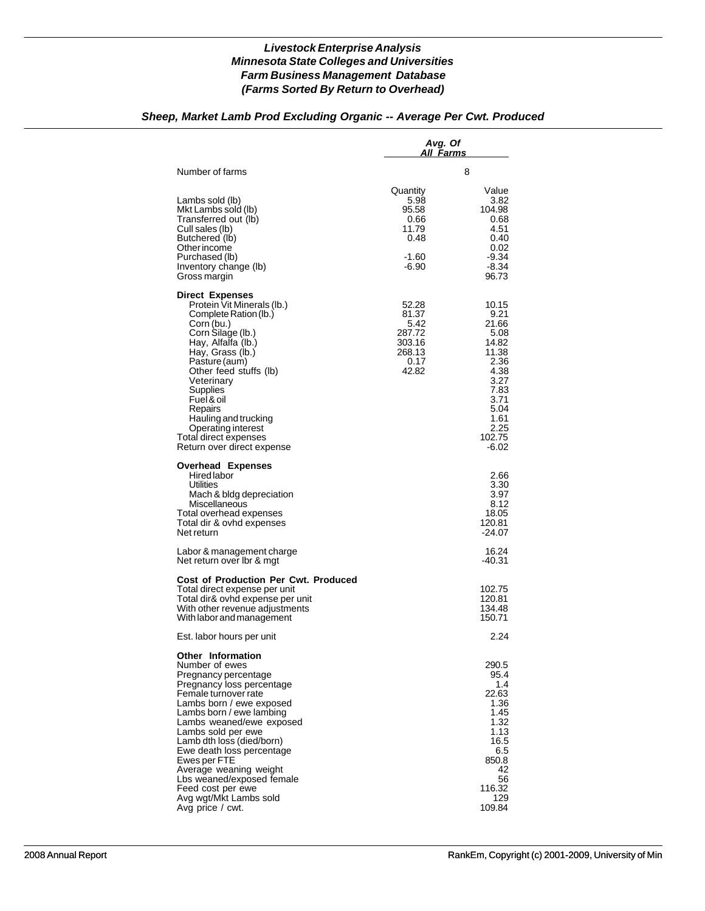## *Sheep, Market Lamb Prod Excluding Organic -- Average Per Cwt. Produced*

|                                                                                                                                                                                                                                                                                                                                                                                                                                     | Avg. Of<br>All <u>Farms</u>                                           |                                                                                                                                     |  |
|-------------------------------------------------------------------------------------------------------------------------------------------------------------------------------------------------------------------------------------------------------------------------------------------------------------------------------------------------------------------------------------------------------------------------------------|-----------------------------------------------------------------------|-------------------------------------------------------------------------------------------------------------------------------------|--|
| Number of farms                                                                                                                                                                                                                                                                                                                                                                                                                     |                                                                       | 8                                                                                                                                   |  |
| Lambs sold (lb)<br>Mkt Lambs sold (lb)<br>Transferred out (lb)<br>Cull sales (lb)<br>Butchered (lb)<br>Other income<br>Purchased (lb)<br>Inventory change (lb)<br>Gross margin                                                                                                                                                                                                                                                      | Quantity<br>5.98<br>95.58<br>0.66<br>11.79<br>0.48<br>-1.60<br>-6.90  | Value<br>3.82<br>104.98<br>0.68<br>4.51<br>0.40<br>0.02<br>$-9.34$<br>$-8.34$<br>96.73                                              |  |
| <b>Direct Expenses</b><br>Protein Vit Minerals (lb.)<br>Complete Ration (lb.)<br>Corn (bu.)<br>Corn Silage (lb.)<br>Hay, Alfalfa (lb.)<br>Hay, Grass (lb.)<br>Pasture (aum)<br>Other feed stuffs (lb)<br>Veterinary<br>Supplies<br>Fuel & oil<br>Repairs<br>Hauling and trucking<br>Operating interest<br>Total direct expenses<br>Return over direct expense                                                                       | 52.28<br>81.37<br>5.42<br>287.72<br>303.16<br>268.13<br>0.17<br>42.82 | 10.15<br>9.21<br>21.66<br>5.08<br>14.82<br>11.38<br>2.36<br>4.38<br>3.27<br>7.83<br>3.71<br>5.04<br>1.61<br>2.25<br>102.75<br>-6.02 |  |
| <b>Overhead Expenses</b><br>Hired labor<br>Utilities<br>Mach & bldg depreciation<br>Miscellaneous<br>Total overhead expenses<br>Total dir & ovhd expenses<br>Net return                                                                                                                                                                                                                                                             |                                                                       | 2.66<br>3.30<br>3.97<br>8.12<br>18.05<br>120.81<br>-24.07                                                                           |  |
| Labor & management charge<br>Net return over Ibr & mgt                                                                                                                                                                                                                                                                                                                                                                              |                                                                       | 16.24<br>-40.31                                                                                                                     |  |
| <b>Cost of Production Per Cwt. Produced</b><br>Total direct expense per unit<br>Total dir& ovhd expense per unit<br>With other revenue adjustments<br>With labor and management                                                                                                                                                                                                                                                     |                                                                       | 102.75<br>120.81<br>134.48<br>150.71                                                                                                |  |
| Est. labor hours per unit                                                                                                                                                                                                                                                                                                                                                                                                           |                                                                       | 2.24                                                                                                                                |  |
| <b>Other Information</b><br>Number of ewes<br>Pregnancy percentage<br>Pregnancy loss percentage<br>Female turnover rate<br>Lambs born / ewe exposed<br>Lambs born / ewe lambing<br>Lambs weaned/ewe exposed<br>Lambs sold per ewe<br>Lamb dth loss (died/born)<br>Ewe death loss percentage<br>EwesperFIE<br>Average weaning weight<br>Lbs weaned/exposed female<br>Feed cost per ewe<br>Avg wgt/Mkt Lambs sold<br>Avg price / cwt. |                                                                       | 290.5<br>95.4<br>1.4<br>22.63<br>1.36<br>1.45<br>1.32<br>1.13<br>16.5<br>6.5<br>850.8<br>42<br>56<br>116.32<br>129<br>109.84        |  |